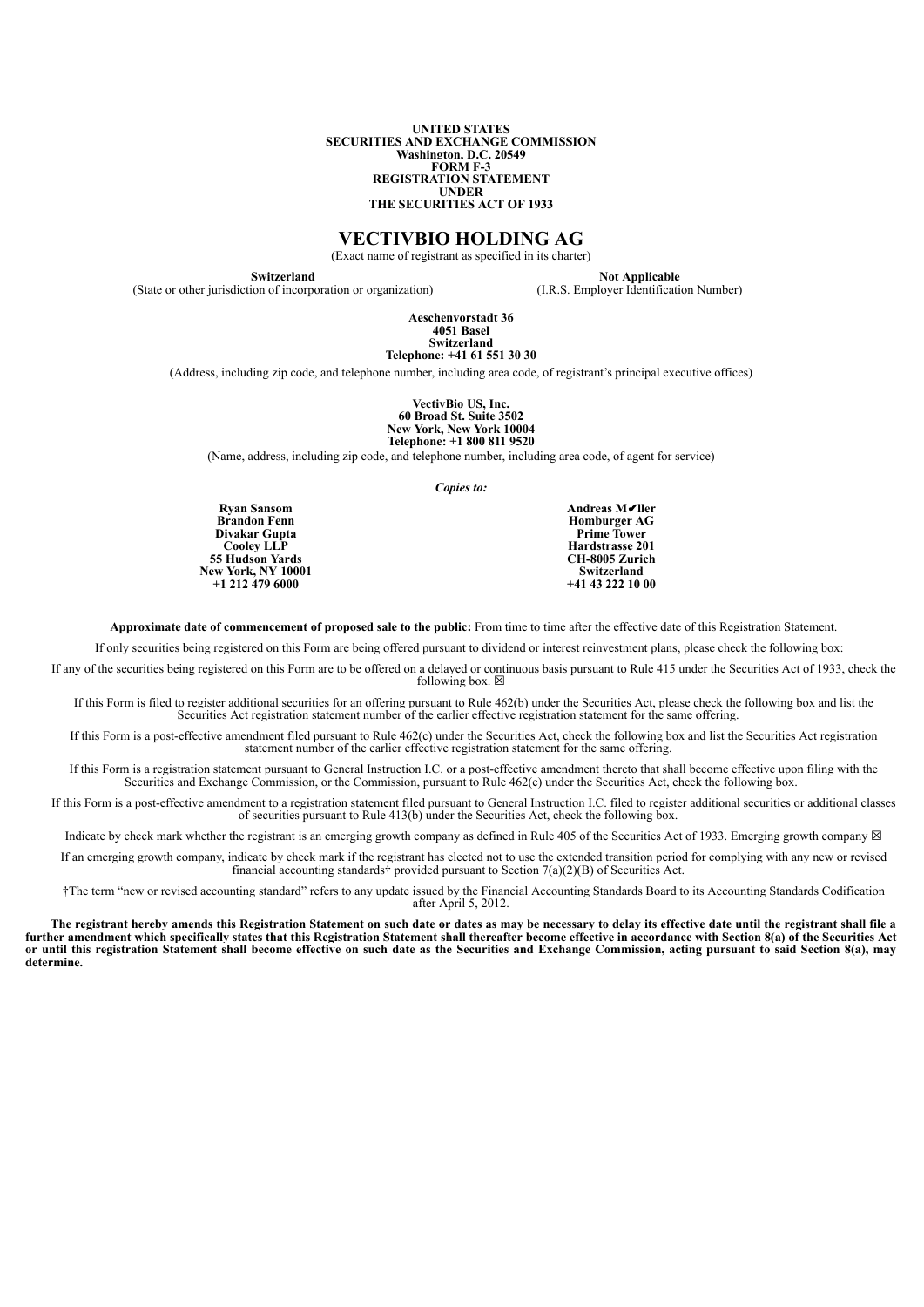**UNITED STATES SECURITIES AND EXCHANGE COMMISSION Washington, D.C. 20549 FORM F-3 REGISTRATION STATEMENT UNDER THE SECURITIES ACT OF 1933**

# **VECTIVBIO HOLDING AG**

(Exact name of registrant as specified in its charter)

**Switzerland** (State or other jurisdiction of incorporation or organization)

**Not Applicable** (I.R.S. Employer Identification Number)

**Aeschenvorstadt 36 4051 Basel Switzerland Telephone: +41 61 551 30 30**

(Address, including zip code, and telephone number, including area code, of registrant's principal executive offices)

**VectivBio US, Inc. 60 Broad St. Suite 3502 New York, New York 10004**

**Telephone: +1 800 811 9520**

(Name, address, including zip code, and telephone number, including area code, of agent for service)

*Copies to:*

**Ryan Sansom Brandon Fenn Divakar Gupta Cooley LLP 55 Hudson Yards New York, NY 10001 +1 212 479 6000**

**Hardstrasse 201 CH-8005 Zurich Switzerland +41 43 222 10 00**

**Andreas M**✔**ller Homburger AG Prime Tower**

**Approximate date of commencement of proposed sale to the public:** From time to time after the effective date of this Registration Statement.

If only securities being registered on this Form are being offered pursuant to dividend or interest reinvestment plans, please check the following box:

If any of the securities being registered on this Form are to be offered on a delayed or continuous basis pursuant to Rule 415 under the Securities Act of 1933, check the following box.  $\boxtimes$ 

If this Form is filed to register additional securities for an offering pursuant to Rule 462(b) under the Securities Act, please check the following box and list the Securities Act registration statement number of the earlier effective registration statement for the same offering.

If this Form is a post-effective amendment filed pursuant to Rule 462(c) under the Securities Act, check the following box and list the Securities Act registration statement number of the earlier effective registration statement for the same offering.

If this Form is a registration statement pursuant to General Instruction I.C. or a post-effective amendment thereto that shall become effective upon filing with the Securities and Exchange Commission, or the Commission, pursuant to Rule 462(e) under the Securities Act, check the following box.

If this Form is a post-effective amendment to a registration statement filed pursuant to General Instruction I.C. filed to register additional securities or additional classes of securities pursuant to Rule 413(b) under the Securities Act, check the following box.

Indicate by check mark whether the registrant is an emerging growth company as defined in Rule 405 of the Securities Act of 1933. Emerging growth company  $\boxtimes$ 

If an emerging growth company, indicate by check mark if the registrant has elected not to use the extended transition period for complying with any new or revised financial accounting standards† provided pursuant to Section  $7(a)(2)(B)$  of Securities Act.

†The term "new or revised accounting standard" refers to any update issued by the Financial Accounting Standards Board to its Accounting Standards Codification after April 5, 2012.

**The registrant hereby amends this Registration Statement on such date or dates as may be necessary to delay its effective date until the registrant shall file a further amendment which specifically states that this Registration Statement shall thereafter become effective in accordance with Section 8(a) of the Securities Act or until this registration Statement shall become effective on such date as the Securities and Exchange Commission, acting pursuant to said Section 8(a), may determine.**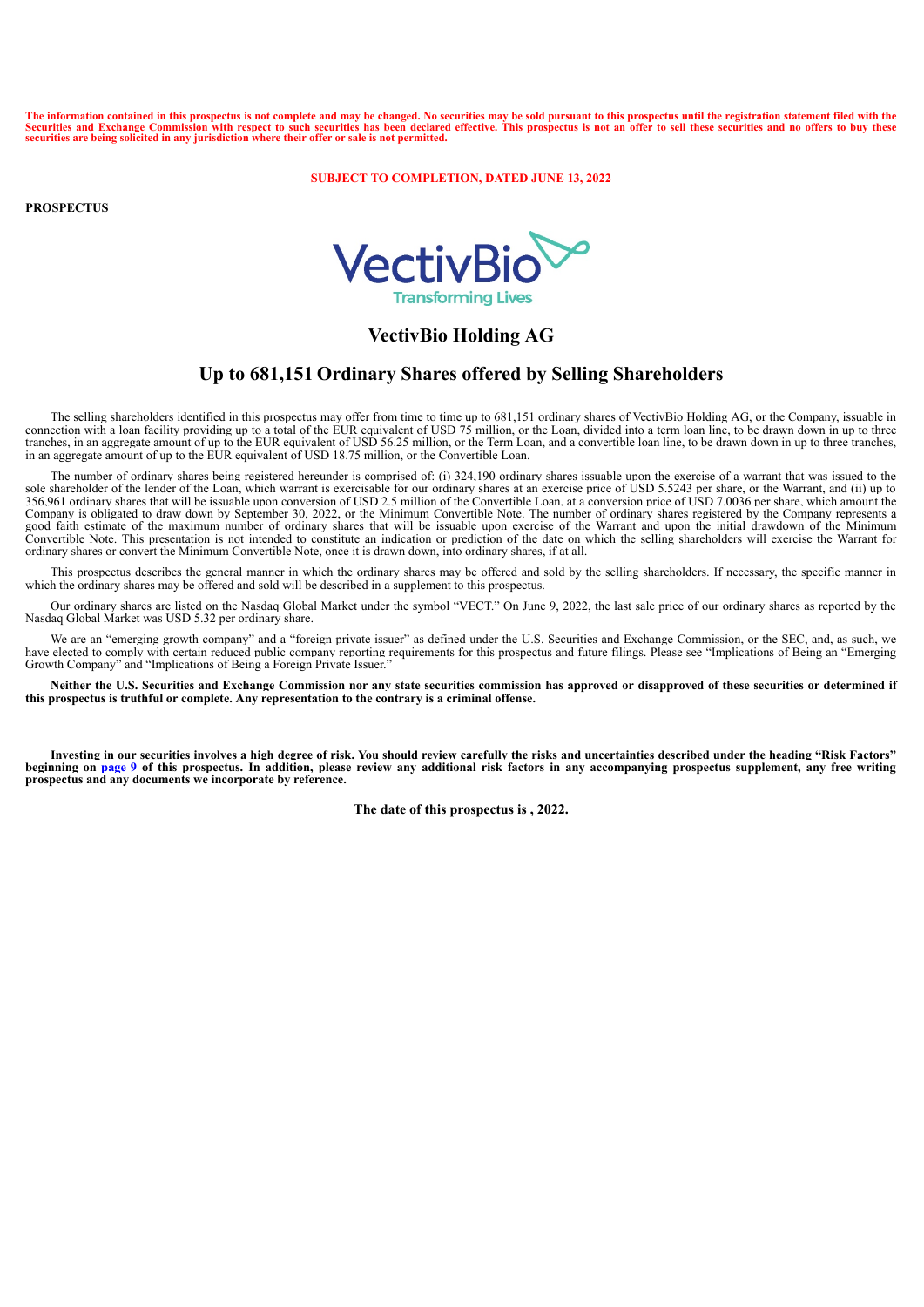The information contained in this prospectus is not complete and may be changed. No securities may be sold pursuant to this prospectus until the registration statement filed with the equitable with the securities and Excha **securities are being solicited in any jurisdiction where their offer or sale is not permitted.**

**SUBJECT TO COMPLETION, DATED JUNE 13, 2022**

**PROSPECTUS**



# **VectivBio Holding AG**

# **Up to 681,151 Ordinary Shares offered by Selling Shareholders**

The selling shareholders identified in this prospectus may offer from time to time up to 681,151 ordinary shares of VectivBio Holding AG, or the Company, issuable in connection with a loan facility providing up to a total of the EUR equivalent of USD 75 million, or the Loan, divided into a term loan line, to be drawn down in up to three tranches, in an aggregate amount of up to the EUR equivalent of USD 56.25 million, or the Term Loan, and a convertible loan line, to be drawn down in up to three tranches, in an aggregate amount of up to the EUR equivalent of USD 18.75 million, or the Convertible Loan.

The number of ordinary shares being registered hereunder is comprised of: (i) 324,190 ordinary shares issuable upon the exercise of a warrant that was issued to the sole shareholder of the lender of the Loan, which warrant is exercisable for our ordinary shares at an exercise price of USD 5.5243 per share, or the Warrant, and (ii) up to 356,961 ordinary shares that will be issuable upon conversion of USD 2.5 million of the Convertible Loan, at a conversion price of USD 7.0036 per share, which amount the Company is obligated to draw down by September 30, 2022, or the Minimum Convertible Note. The number of ordinary shares registered by the Company represents a good faith estimate of the maximum number of ordinary shares that will be issuable upon exercise of the Warrant and upon the initial drawdown of the Minimum Convertible Note. This presentation is not intended to constitute an indication or prediction of the date on which the selling shareholders will exercise the Warrant for ordinary shares or convert the Minimum Convertible Note, once it is drawn down, into ordinary shares, if at all.

This prospectus describes the general manner in which the ordinary shares may be offered and sold by the selling shareholders. If necessary, the specific manner in which the ordinary shares may be offered and sold will be described in a supplement to this prospectus.

Our ordinary shares are listed on the Nasdaq Global Market under the symbol "VECT." On June 9, 2022, the last sale price of our ordinary shares as reported by the Nasdaq Global Market was USD 5.32 per ordinary share.

We are an "emerging growth company" and a "foreign private issuer" as defined under the U.S. Securities and Exchange Commission, or the SEC, and, as such, we have elected to comply with certain reduced public company reporting requirements for this prospectus and future filings. Please see "Implications of Being an "Emerging Growth Company" and "Implications of Being a Foreign Private Issuer."

**Neither the U.S. Securities and Exchange Commission nor any state securities commission has approved or disapproved of these securities or determined if this prospectus is truthful or complete. Any representation to the contrary is a criminal offense.**

**Investing in our securities involves a high degree of risk. You should review carefully the risks and uncertainties described under the heading "Risk Factors" beginning on [page 9](#page-10-0) of this prospectus. In addition, please review any additional risk factors in any accompanying prospectus supplement, any free writing prospectus and any documents we incorporate by reference.**

**The date of this prospectus is , 2022.**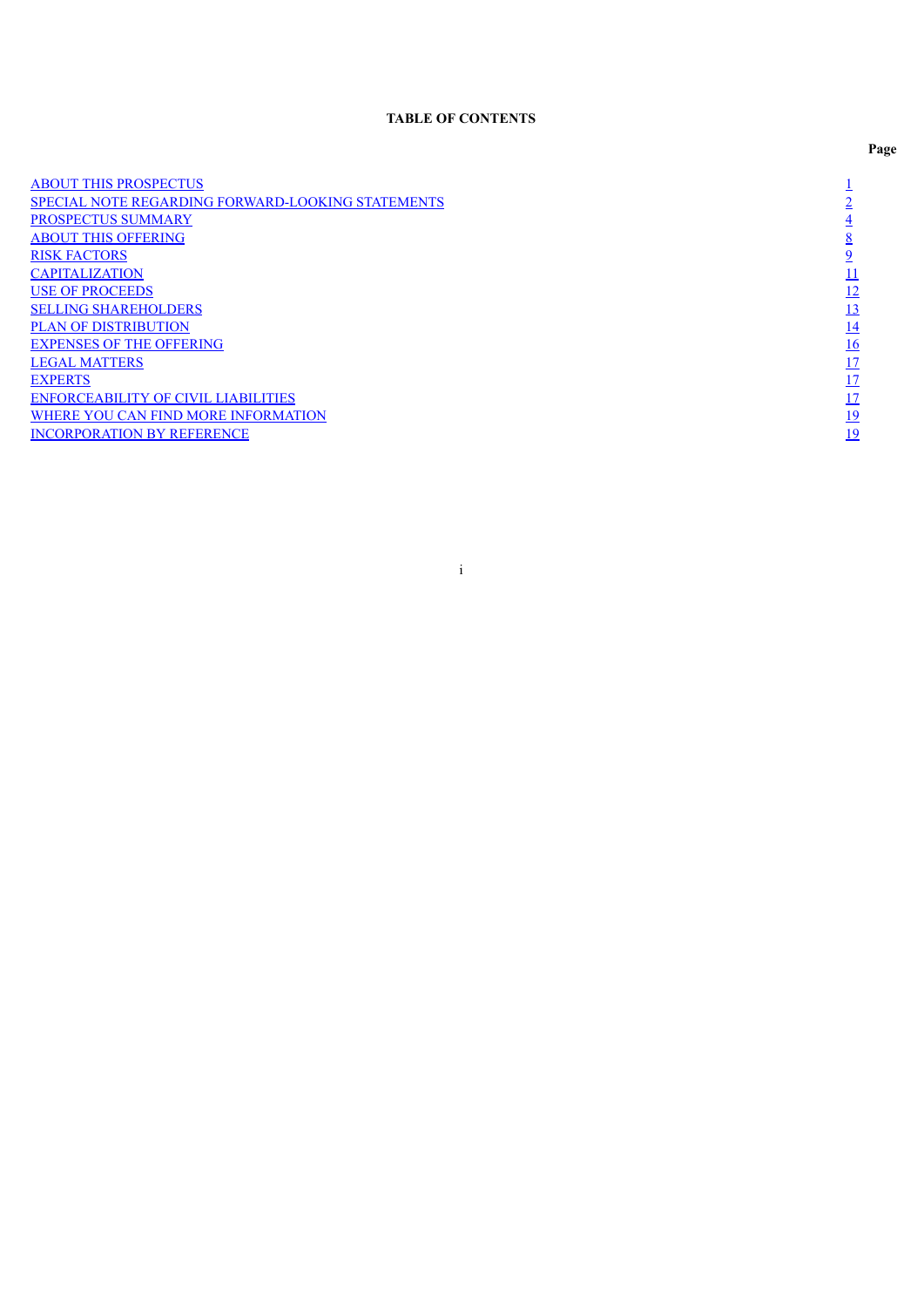# **TABLE OF CONTENTS**

<span id="page-2-0"></span> $\begin{tabular}{ll} \textbf{\textcolor{blue}{\textbf{ABOUT THIS PROSPECTUS}}} & \textbf{\textcolor{blue}{1}}\\ \textbf{\textcolor{blue}{\bf SPECIAL NOTE REGARDING FORWARD-LOOKING STATEMENTS}}\\ \textbf{\textcolor{blue}{\bf PROSPECTUS SUMMARY}} & \textbf{\textcolor{blue}{4}}\\ \textbf{\textcolor{blue}{\bf ABOUT THIS OFFERNIG}} & \textbf{\textcolor{blue}{8}}\\ \textbf{\textcolor{blue}{\bf RISK FACTORS}} & \textbf{\textcolor{blue}{9}}\\ \textbf{\textcolor{blue}{\bf CAPITALIZATION}} & & \textbf{\textcolor{blue}{11}}\\ \end{tabular}$  $\begin{tabular}{ll} \textbf{\textcolor{blue}{\textbf{ABOUT THIS PROSPECTUS}}} & \textbf{\textcolor{blue}{1}}\\ \textbf{\textcolor{blue}{\bf SPECIAL NOTE REGARDING FORWARD-LOOKING STATEMENTS}}\\ \textbf{\textcolor{blue}{\bf PROSPECTUS SUMMARY}} & \textbf{\textcolor{blue}{4}}\\ \textbf{\textcolor{blue}{\bf ABOUT THIS OFFERNIG}} & \textbf{\textcolor{blue}{8}}\\ \textbf{\textcolor{blue}{\bf RISK FACTORS}} & \textbf{\textcolor{blue}{9}}\\ \textbf{\textcolor{blue}{\bf CAPITALIZATION}} & & \textbf{\textcolor{blue}{11}}\\ \end{tabular}$  $\begin{tabular}{ll} \textbf{\textcolor{blue}{\textbf{ABOUT THIS PROSPECTUS}}} & \textbf{\textcolor{blue}{1}}\\ \textbf{\textcolor{blue}{\bf SPECIAL NOTE REGARDING FORWARD-LOOKING STATEMENTS}}\\ \textbf{\textcolor{blue}{\bf PROSPECTUS SUMMARY}} & \textbf{\textcolor{blue}{4}}\\ \textbf{\textcolor{blue}{\bf ABOUT THIS OFFERNIG}} & \textbf{\textcolor{blue}{8}}\\ \textbf{\textcolor{blue}{\bf RISK FACTORS}} & \textbf{\textcolor{blue}{9}}\\ \textbf{\textcolor{blue}{\bf CAPITALIZATION}} & & \textbf{\textcolor{blue}{11}}\\ \end{tabular}$  $\begin{tabular}{ll} \textbf{\textcolor{blue}{\textbf{ABOUT THIS PROSPECTUS}}} & \textbf{\textcolor{blue}{1}}\\ \textbf{\textcolor{blue}{\bf SPECIAL NOTE REGARDING FORWARD-LOOKING STATEMENTS}}\\ \textbf{\textcolor{blue}{\bf PROSPECTUS SUMMARY}} & \textbf{\textcolor{blue}{4}}\\ \textbf{\textcolor{blue}{\bf ABOUT THIS OFFERNIG}} & \textbf{\textcolor{blue}{8}}\\ \textbf{\textcolor{blue}{\bf RISK FACTORS}} & \textbf{\textcolor{blue}{9}}\\ \textbf{\textcolor{blue}{\bf CAPITALIZATION}} & & \textbf{\textcolor{blue}{11}}\\ \end{tabular}$  $\begin{tabular}{ll} \textbf{\textcolor{blue}{\textbf{ABOUT THIS PROSPECTUS}}} & \textbf{\textcolor{blue}{1}}\\ \textbf{\textcolor{blue}{\bf SPECIAL NOTE REGARDING FORWARD-LOOKING STATEMENTS}}\\ \textbf{\textcolor{blue}{\bf PROSPECTUS SUMMARY}} & \textbf{\textcolor{blue}{4}}\\ \textbf{\textcolor{blue}{\bf ABOUT THIS OFFERNIG}} & \textbf{\textcolor{blue}{8}}\\ \textbf{\textcolor{blue}{\bf RISK FACTORS}} & \textbf{\textcolor{blue}{9}}\\ \textbf{\textcolor{blue}{\bf CAPITALIZATION}} & & \textbf{\textcolor{blue}{11}}\\ \end{tabular}$ SPECIAL NOTE REGARDING [FORWARD-LOOKING](#page-3-0) STATEMENTS [PROSPECTUS](#page-5-0) SUMMARY **ABOUT THIS [OFFERING](#page-9-0) RISK [FACTORS](#page-10-0)** [CAPITALIZATION](#page-12-0) [11](#page-12-0)<br>USE OF PROCEEDS 12 USE OF [PROCEEDS](#page-13-0) [12](#page-13-0)<br>SELLING SHAREHOLDERS 13 SELLING [SHAREHOLDERS](#page-14-0) [13](#page-14-0) PLAN OF [DISTRIBUTION](#page-15-0) **[EXPENSES](#page-17-0) OF THE OFFERING** EXPERTS [17](#page-18-0)<br>
EXPERTS 17<br>
ENFORCEABILITY OF CIVIL LIABILITIES 17 [EXPERTS](#page-19-0) [17](#page-19-0) [ENFORCEABILITY](#page-19-1) OF CIVIL LIABILITIES [17](#page-19-1)<br>
WHERE YOU CAN FIND MORE INFORMATION WHERE YOU CAN FIND MORE [INFORMATION](#page-20-0) [19](#page-20-0)<br>
INCORPORATION BY REFERENCE [INCORPORATION](#page-21-0) BY REFERENCE

i

**Page**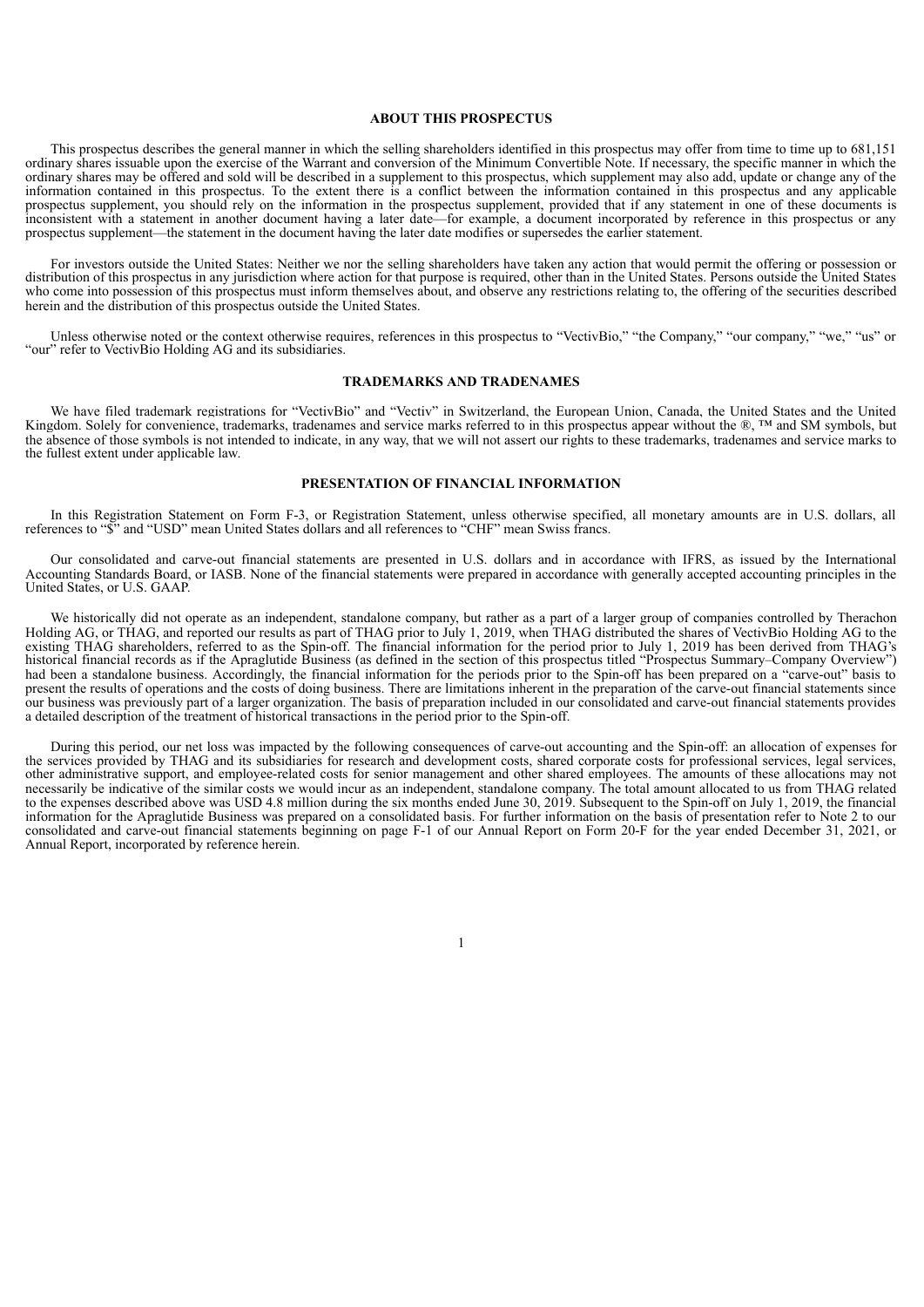#### **ABOUT THIS PROSPECTUS**

This prospectus describes the general manner in which the selling shareholders identified in this prospectus may offer from time to time up to 681,151 ordinary shares issuable upon the exercise of the Warrant and conversion of the Minimum Convertible Note. If necessary, the specific manner in which the ordinary shares may be offered and sold will be described in a supplement to this prospectus, which supplement may also add, update or change any of the information contained in this prospectus. To the extent there is a conflict between the information contained in this prospectus and any applicable prospectus supplement, you should rely on the information in the prospectus supplement, provided that if any statement in one of these documents is inconsistent with a statement in another document having a later date—for example, a document incorporated by reference in this prospectus or any prospectus supplement—the statement in the document having the later date modifies or supersedes the earlier statement.

For investors outside the United States: Neither we nor the selling shareholders have taken any action that would permit the offering or possession or distribution of this prospectus in any jurisdiction where action for that purpose is required, other than in the United States. Persons outside the United States who come into possession of this prospectus must inform themselves about, and observe any restrictions relating to, the offering of the securities described herein and the distribution of this prospectus outside the United States.

Unless otherwise noted or the context otherwise requires, references in this prospectus to "VectivBio," "the Company," "our company," "we," "us" or "our" refer to VectivBio Holding AG and its subsidiaries.

#### **TRADEMARKS AND TRADENAMES**

We have filed trademark registrations for "VectivBio" and "Vectiv" in Switzerland, the European Union, Canada, the United States and the United Kingdom. Solely for convenience, trademarks, tradenames and service marks referred to in this prospectus appear without the ®, ™ and SM symbols, but the absence of those symbols is not intended to indicate, in any way, that we will not assert our rights to these trademarks, tradenames and service marks to the fullest extent under applicable law.

#### **PRESENTATION OF FINANCIAL INFORMATION**

In this Registration Statement on Form F-3, or Registration Statement, unless otherwise specified, all monetary amounts are in U.S. dollars, all references to "\$" and "USD" mean United States dollars and all references to "CHF" mean Swiss francs.

Our consolidated and carve-out financial statements are presented in U.S. dollars and in accordance with IFRS, as issued by the International Accounting Standards Board, or IASB. None of the financial statements were prepared in accordance with generally accepted accounting principles in the United States, or U.S. GAAP.

We historically did not operate as an independent, standalone company, but rather as a part of a larger group of companies controlled by Therachon Holding AG, or THAG, and reported our results as part of THAG prior to July 1, 2019, when THAG distributed the shares of VectivBio Holding AG to the existing THAG shareholders, referred to as the Spin-off. The financial information for the period prior to July 1, 2019 has been derived from THAG's historical financial records as if the Apraglutide Business (as defined in the section of this prospectus titled "Prospectus Summary–Company Overview") had been a standalone business. Accordingly, the financial information for the periods prior to the Spin-off has been prepared on a "carve-out" basis to present the results of operations and the costs of doing business. There are limitations inherent in the preparation of the carve-out financial statements since our business was previously part of a larger organization. The basis of preparation included in our consolidated and carve-out financial statements provides a detailed description of the treatment of historical transactions in the period prior to the Spin-off.

<span id="page-3-0"></span>During this period, our net loss was impacted by the following consequences of carve-out accounting and the Spin-off: an allocation of expenses for the services provided by THAG and its subsidiaries for research and development costs, shared corporate costs for professional services, legal services, other administrative support, and employee-related costs for senior management and other shared employees. The amounts of these allocations may not necessarily be indicative of the similar costs we would incur as an independent, standalone company. The total amount allocated to us from THAG related to the expenses described above was USD 4.8 million during the six months ended June 30, 2019. Subsequent to the Spin-off on July 1, 2019, the financial information for the Apraglutide Business was prepared on a consolidated basis. For further information on the basis of presentation refer to Note 2 to our consolidated and carve-out financial statements beginning on page F-1 of our Annual Report on Form 20-F for the year ended December 31, 2021, or Annual Report, incorporated by reference herein.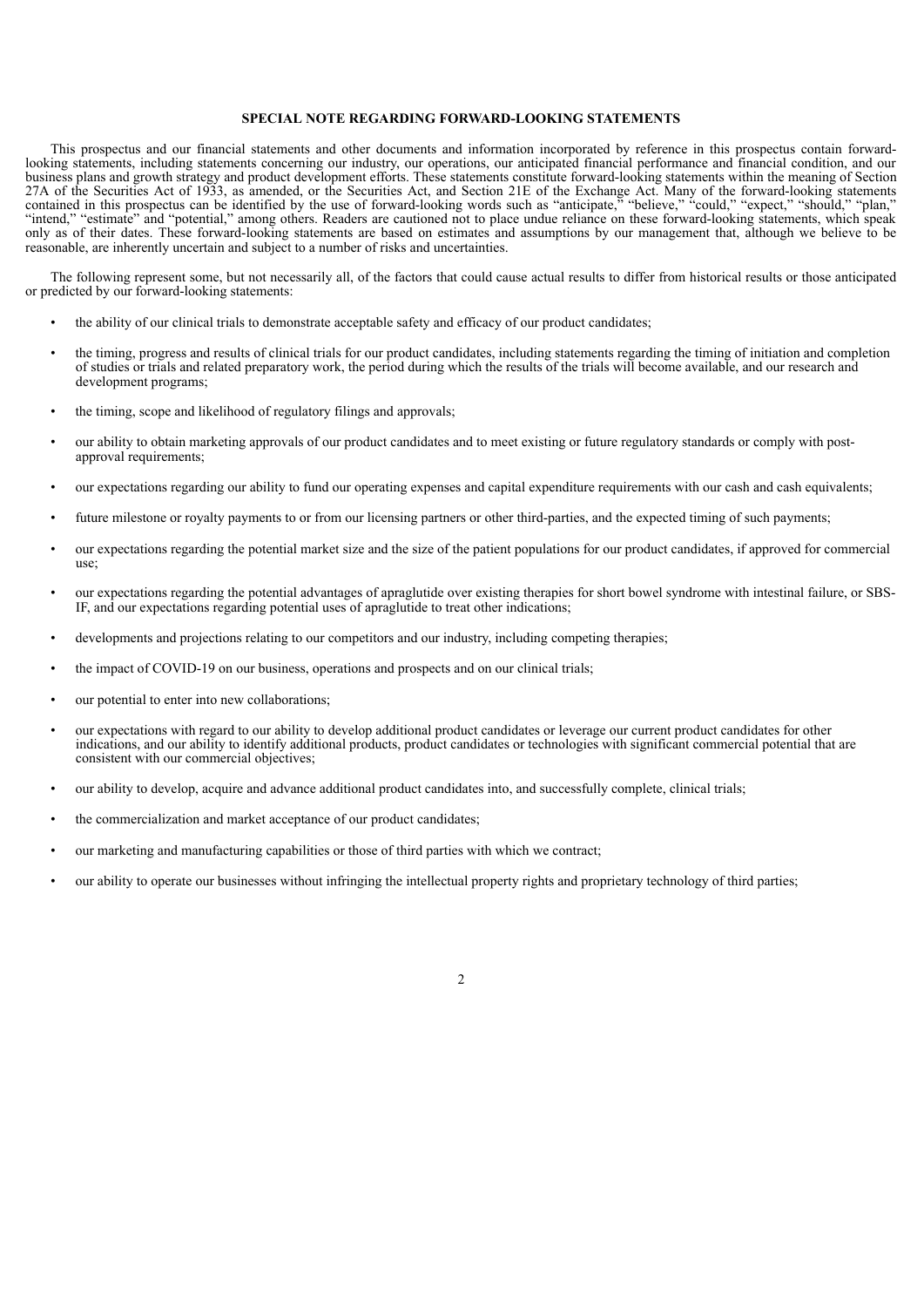#### **SPECIAL NOTE REGARDING FORWARD-LOOKING STATEMENTS**

This prospectus and our financial statements and other documents and information incorporated by reference in this prospectus contain forwardlooking statements, including statements concerning our industry, our operations, our anticipated financial performance and financial condition, and our business plans and growth strategy and product development efforts. These statements constitute forward-looking statements within the meaning of Section 27A of the Securities Act of 1933, as amended, or the Securities Act, and Section 21E of the Exchange Act. Many of the forward-looking statements contained in this prospectus can be identified by the use of forward-looking words such as "anticipate," "believe," "could," "expect," "should," "plan," "intend," "estimate" and "potential," among others. Readers are cautioned not to place undue reliance on these forward-looking statements, which speak only as of their dates. These forward-looking statements are based on estimates and assumptions by our management that, although we believe to be reasonable, are inherently uncertain and subject to a number of risks and uncertainties.

The following represent some, but not necessarily all, of the factors that could cause actual results to differ from historical results or those anticipated or predicted by our forward-looking statements:

- the ability of our clinical trials to demonstrate acceptable safety and efficacy of our product candidates;
- the timing, progress and results of clinical trials for our product candidates, including statements regarding the timing of initiation and completion of studies or trials and related preparatory work, the period during which the results of the trials will become available, and our research and development programs;
- the timing, scope and likelihood of regulatory filings and approvals;
- our ability to obtain marketing approvals of our product candidates and to meet existing or future regulatory standards or comply with postapproval requirements;
- our expectations regarding our ability to fund our operating expenses and capital expenditure requirements with our cash and cash equivalents;
- future milestone or royalty payments to or from our licensing partners or other third-parties, and the expected timing of such payments;
- our expectations regarding the potential market size and the size of the patient populations for our product candidates, if approved for commercial use;
- our expectations regarding the potential advantages of apraglutide over existing therapies for short bowel syndrome with intestinal failure, or SBS-IF, and our expectations regarding potential uses of apraglutide to treat other indications;
- developments and projections relating to our competitors and our industry, including competing therapies;
- the impact of COVID-19 on our business, operations and prospects and on our clinical trials;
- our potential to enter into new collaborations;
- our expectations with regard to our ability to develop additional product candidates or leverage our current product candidates for other indications, and our ability to identify additional products, product candidates or technologies with significant commercial potential that are consistent with our commercial objectives;
- our ability to develop, acquire and advance additional product candidates into, and successfully complete, clinical trials;
- the commercialization and market acceptance of our product candidates;
- our marketing and manufacturing capabilities or those of third parties with which we contract;
- our ability to operate our businesses without infringing the intellectual property rights and proprietary technology of third parties;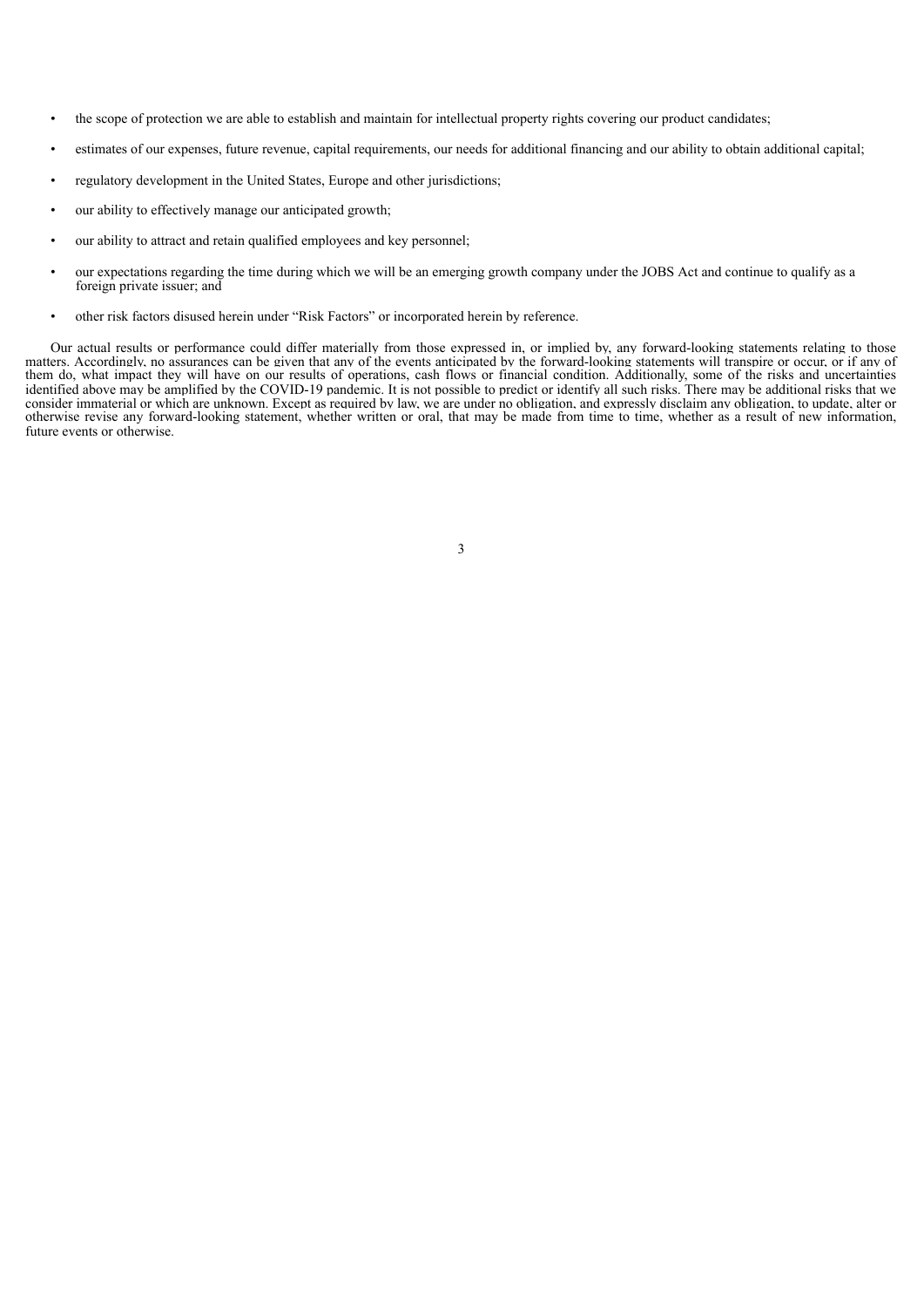- the scope of protection we are able to establish and maintain for intellectual property rights covering our product candidates;
- estimates of our expenses, future revenue, capital requirements, our needs for additional financing and our ability to obtain additional capital;
- regulatory development in the United States, Europe and other jurisdictions;
- our ability to effectively manage our anticipated growth;
- our ability to attract and retain qualified employees and key personnel;
- our expectations regarding the time during which we will be an emerging growth company under the JOBS Act and continue to qualify as a foreign private issuer; and
- other risk factors disused herein under "Risk Factors" or incorporated herein by reference.

<span id="page-5-0"></span>Our actual results or performance could differ materially from those expressed in, or implied by, any forward-looking statements relating to those matters. Accordingly, no assurances can be given that any of the events anticipated by the forward-looking statements will transpire or occur, or if any of them do, what impact they will have on our results of operations, cash flows or financial condition. Additionally, some of the risks and uncertainties identified above may be amplified by the COVID-19 pandemic. It is not possible to predict or identify all such risks. There may be additional risks that we consider immaterial or which are unknown. Except as required by law, we are under no obligation, and expressly disclaim any obligation, to update, alter or otherwise revise any forward-looking statement, whether written or oral, that may be made from time to time, whether as a result of new information, future events or otherwise.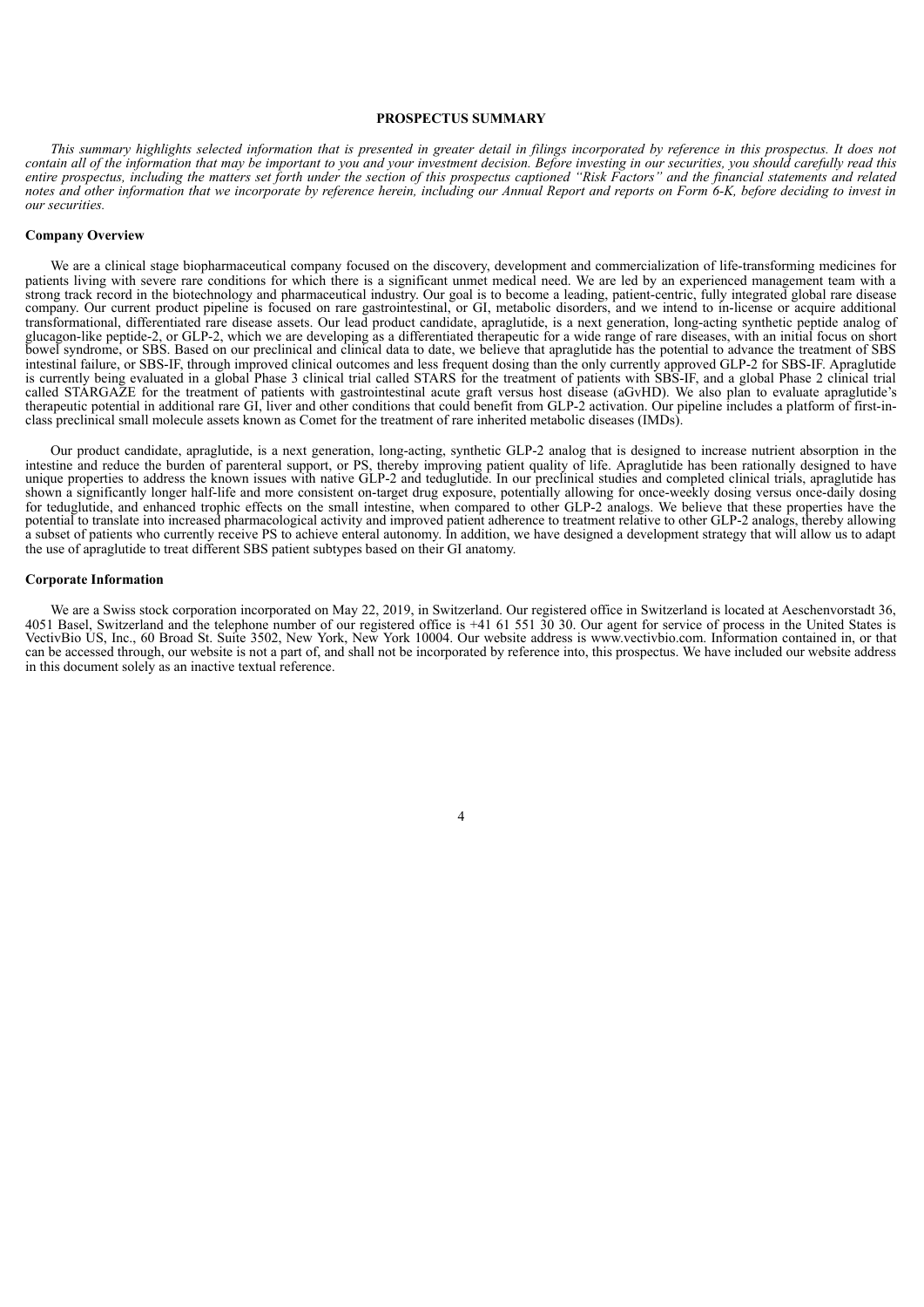#### **PROSPECTUS SUMMARY**

This summary highlights selected information that is presented in greater detail in filings incorporated by reference in this prospectus. It does not contain all of the information that may be important to you and your investment decision. Before investing in our securities, you should carefully read this entire prospectus, including the matters set forth under the section of this prospectus captioned "Risk Factors" and the financial statements and related notes and other information that we incorporate by reference herein, including our Annual Report and reports on Form 6-K, before deciding to invest in *our securities.*

#### **Company Overview**

We are a clinical stage biopharmaceutical company focused on the discovery, development and commercialization of life-transforming medicines for patients living with severe rare conditions for which there is a significant unmet medical need. We are led by an experienced management team with a strong track record in the biotechnology and pharmaceutical industry. Our goal is to become a leading, patient-centric, fully integrated global rare disease company. Our current product pipeline is focused on rare gastrointestinal, or GI, metabolic disorders, and we intend to in-license or acquire additional transformational, differentiated rare disease assets. Our lead product candidate, apraglutide, is a next generation, long-acting synthetic peptide analog of glucagon-like peptide-2, or GLP-2, which we are developing as a differentiated therapeutic for a wide range of rare diseases, with an initial focus on short bowel syndrome, or SBS. Based on our preclinical and clinical data to date, we believe that apraglutide has the potential to advance the treatment of SBS intestinal failure, or SBS-IF, through improved clinical outcomes and less frequent dosing than the only currently approved GLP-2 for SBS-IF. Apraglutide is currently being evaluated in a global Phase 3 clinical trial called STARS for the treatment of patients with SBS-IF, and a global Phase 2 clinical trial called STARGAZE for the treatment of patients with gastrointestinal acute graft versus host disease (aGvHD). We also plan to evaluate apraglutide's therapeutic potential in additional rare GI, liver and other conditions that could benefit from GLP-2 activation. Our pipeline includes a platform of first-inclass preclinical small molecule assets known as Comet for the treatment of rare inherited metabolic diseases (IMDs).

Our product candidate, apraglutide, is a next generation, long-acting, synthetic GLP-2 analog that is designed to increase nutrient absorption in the intestine and reduce the burden of parenteral support, or PS, thereby improving patient quality of life. Apraglutide has been rationally designed to have unique properties to address the known issues with native GLP-2 and teduglutide. In our preclinical studies and completed clinical trials, apraglutide has shown a significantly longer half-life and more consistent on-target drug exposure, potentially allowing for once-weekly dosing versus once-daily dosing for teduglutide, and enhanced trophic effects on the small intestine, when compared to other GLP-2 analogs. We believe that these properties have the potential to translate into increased pharmacological activity and improved patient adherence to treatment relative to other GLP-2 analogs, thereby allowing a subset of patients who currently receive PS to achieve enteral autonomy. In addition, we have designed a development strategy that will allow us to adapt the use of apraglutide to treat different SBS patient subtypes based on their GI anatomy.

#### **Corporate Information**

We are a Swiss stock corporation incorporated on May 22, 2019, in Switzerland. Our registered office in Switzerland is located at Aeschenvorstadt 36, 4051 Basel, Switzerland and the telephone number of our registered office is +41 61 551 30 30. Our agent for service of process in the United States is VectivBio US, Inc., 60 Broad St. Suite 3502, New York, New York 10004. Our website address is www.vectivbio.com. Information contained in, or that can be accessed through, our website is not a part of, and shall not be incorporated by reference into, this prospectus. We have included our website address in this document solely as an inactive textual reference.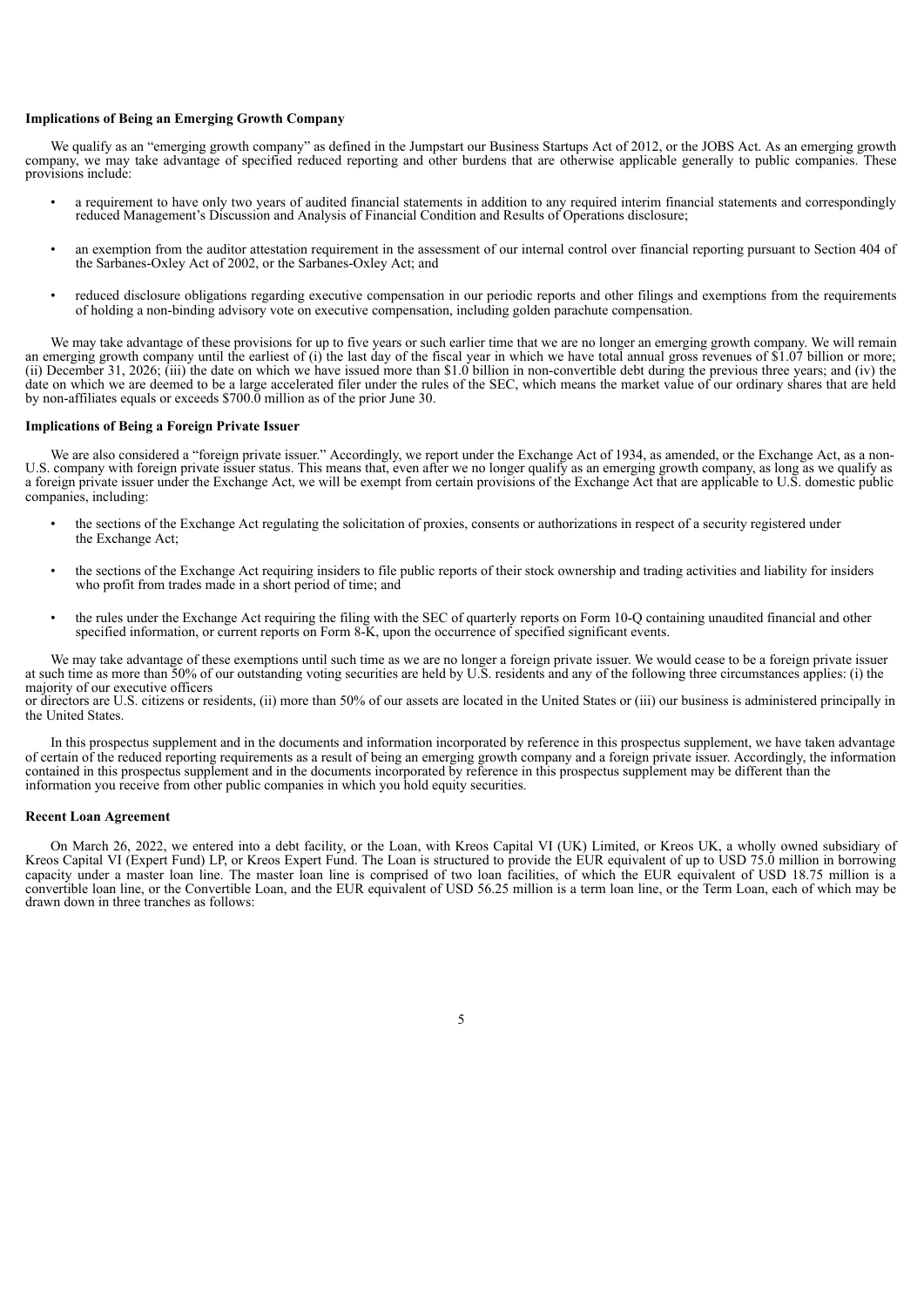### **Implications of Being an Emerging Growth Company**

We qualify as an "emerging growth company" as defined in the Jumpstart our Business Startups Act of 2012, or the JOBS Act. As an emerging growth company, we may take advantage of specified reduced reporting and other burdens that are otherwise applicable generally to public companies. These provisions include:

- a requirement to have only two years of audited financial statements in addition to any required interim financial statements and correspondingly reduced Management's Discussion and Analysis of Financial Condition and Results of Operations disclosure;
- an exemption from the auditor attestation requirement in the assessment of our internal control over financial reporting pursuant to Section 404 of the Sarbanes-Oxley Act of 2002, or the Sarbanes-Oxley Act; and
- reduced disclosure obligations regarding executive compensation in our periodic reports and other filings and exemptions from the requirements of holding a non-binding advisory vote on executive compensation, including golden parachute compensation.

We may take advantage of these provisions for up to five years or such earlier time that we are no longer an emerging growth company. We will remain an emerging growth company until the earliest of (i) the last day of the fiscal year in which we have total annual gross revenues of \$1.07 billion or more; (ii) December 31, 2026; (iii) the date on which we have issued more than \$1.0 billion in non-convertible debt during the previous three years; and (iv) the date on which we are deemed to be a large accelerated filer under the rules of the SEC, which means the market value of our ordinary shares that are held<br>date on which we are deemed to be a large accelerated filer under th by non-affiliates equals or exceeds \$700.0 million as of the prior June 30.

#### **Implications of Being a Foreign Private Issuer**

We are also considered a "foreign private issuer." Accordingly, we report under the Exchange Act of 1934, as amended, or the Exchange Act, as a non-U.S. company with foreign private issuer status. This means that, even after we no longer qualify as an emerging growth company, as long as we qualify as a foreign private issuer under the Exchange Act, we will be exempt from certain provisions of the Exchange Act that are applicable to U.S. domestic public companies, including:

- the sections of the Exchange Act regulating the solicitation of proxies, consents or authorizations in respect of a security registered under the Exchange Act;
- the sections of the Exchange Act requiring insiders to file public reports of their stock ownership and trading activities and liability for insiders who profit from trades made in a short period of time; and
- the rules under the Exchange Act requiring the filing with the SEC of quarterly reports on Form 10-Q containing unaudited financial and other specified information, or current reports on Form 8-K, upon the occurrence of specified significant events.

We may take advantage of these exemptions until such time as we are no longer a foreign private issuer. We would cease to be a foreign private issuer at such time as more than 50% of our outstanding voting securities are held by U.S. residents and any of the following three circumstances applies: (i) the majority of our executive officers

or directors are U.S. citizens or residents, (ii) more than 50% of our assets are located in the United States or (iii) our business is administered principally in the United States.

In this prospectus supplement and in the documents and information incorporated by reference in this prospectus supplement, we have taken advantage of certain of the reduced reporting requirements as a result of being an emerging growth company and a foreign private issuer. Accordingly, the information contained in this prospectus supplement and in the documents incorporated by reference in this prospectus supplement may be different than the information you receive from other public companies in which you hold equity securities.

#### **Recent Loan Agreement**

On March 26, 2022, we entered into a debt facility, or the Loan, with Kreos Capital VI (UK) Limited, or Kreos UK, a wholly owned subsidiary of Kreos Capital VI (Expert Fund) LP, or Kreos Expert Fund. The Loan is structured to provide the EUR equivalent of up to USD 75.0 million in borrowing capacity under a master loan line. The master loan line is comprised of two loan facilities, of which the EUR equivalent of USD 18.75 million is a convertible loan line, or the Convertible Loan, and the EUR equivalent of USD 56.25 million is a term loan line, or the Term Loan, each of which may be drawn down in three tranches as follows: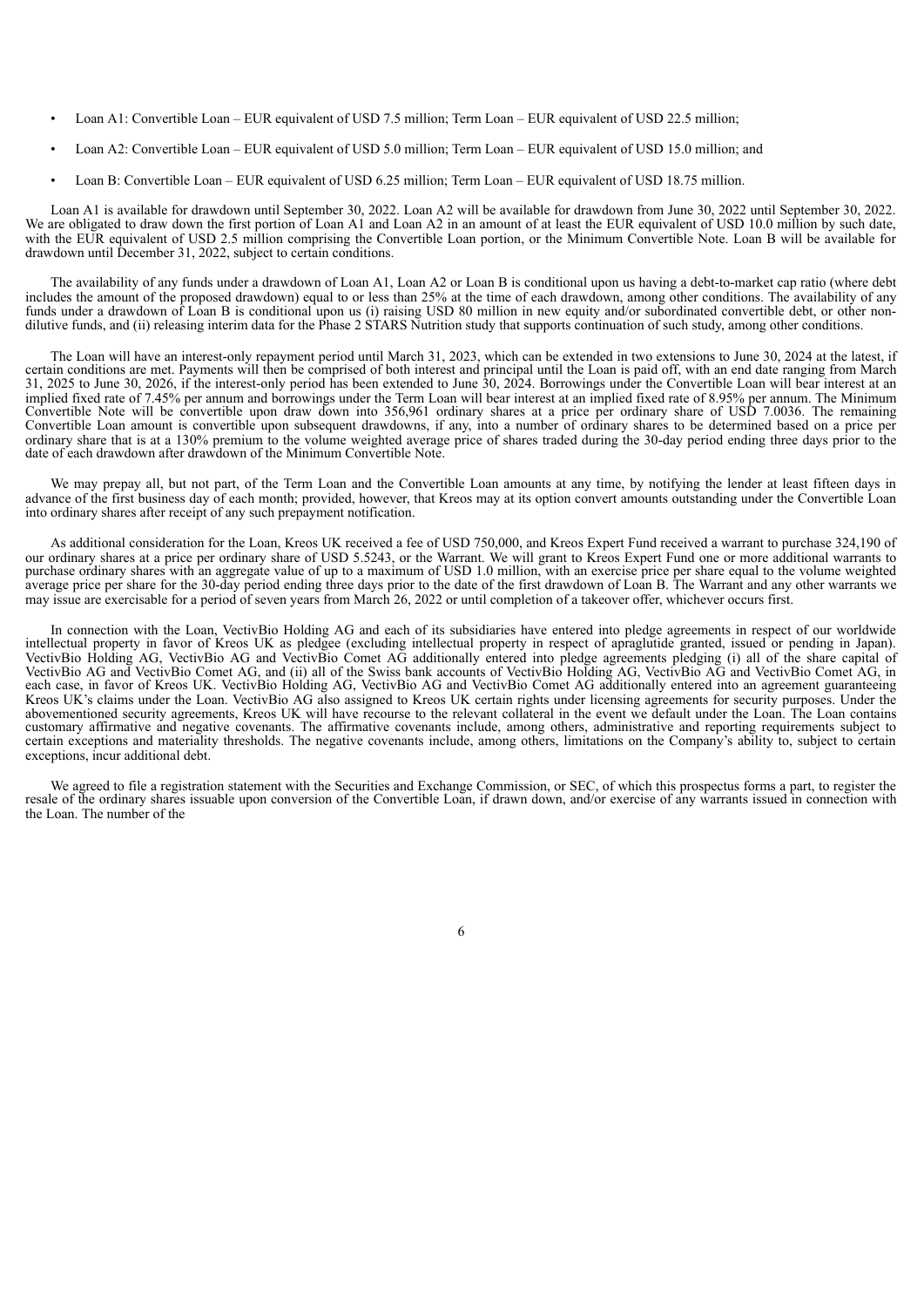- Loan A1: Convertible Loan EUR equivalent of USD 7.5 million; Term Loan EUR equivalent of USD 22.5 million;
- Loan A2: Convertible Loan EUR equivalent of USD 5.0 million; Term Loan EUR equivalent of USD 15.0 million; and
- Loan B: Convertible Loan EUR equivalent of USD 6.25 million; Term Loan EUR equivalent of USD 18.75 million.

Loan A1 is available for drawdown until September 30, 2022. Loan A2 will be available for drawdown from June 30, 2022 until September 30, 2022.<br>We are obligated to draw down the first portion of Loan A1 and Loan A2 in an a with the EUR equivalent of USD 2.5 million comprising the Convertible Loan portion, or the Minimum Convertible Note. Loan B will be available for drawdown until December 31, 2022, subject to certain conditions.

The availability of any funds under a drawdown of Loan A1, Loan A2 or Loan B is conditional upon us having a debt-to-market cap ratio (where debt includes the amount of the proposed drawdown) equal to or less than 25% at the time of each drawdown, among other conditions. The availability of any funds under a drawdown of Loan B is conditional upon us (i) raising USD 80 million in new equity and/or subordinated convertible debt, or other nondilutive funds, and (ii) releasing interim data for the Phase 2 STARS Nutrition study that supports continuation of such study, among other conditions.

The Loan will have an interest-only repayment period until March 31, 2023, which can be extended in two extensions to June 30, 2024 at the latest, if certain conditions are met. Payments will then be comprised of both interest and principal until the Loan is paid off, with an end date ranging from March 31, 2025 to June 30, 2026, if the interest-only period has been extended to June 30, 2024. Borrowings under the Convertible Loan will bear interest at an implied fixed rate of 7.45% per annum and borrowings under the Term Loan will bear interest at an implied fixed rate of 8.95% per annum. The Minimum Convertible Note will be convertible upon draw down into 356,961 ordinary shares at a price per ordinary share of USD 7.0036. The remaining Convertible Loan amount is convertible upon subsequent drawdowns, if any, into a number of ordinary shares to be determined based on a price per ordinary share that is at a 130% premium to the volume weighted average price of shares traded during the 30-day period ending three days prior to the date of each drawdown after drawdown of the Minimum Convertible Note.

We may prepay all, but not part, of the Term Loan and the Convertible Loan amounts at any time, by notifying the lender at least fifteen days in advance of the first business day of each month; provided, however, that Kreos may at its option convert amounts outstanding under the Convertible Loan into ordinary shares after receipt of any such prepayment notification.

As additional consideration for the Loan, Kreos UK received a fee of USD 750,000, and Kreos Expert Fund received a warrant to purchase 324,190 of our ordinary shares at a price per ordinary share of USD 5.5243, or the Warrant. We will grant to Kreos Expert Fund one or more additional warrants to purchase ordinary shares with an aggregate value of up to a maximum of USD 1.0 million, with an exercise price per share equal to the volume weighted average price per share for the 30-day period ending three days prior to the date of the first drawdown of Loan B. The Warrant and any other warrants we may issue are exercisable for a period of seven years from March 26, 2022 or until completion of a takeover offer, whichever occurs first.

In connection with the Loan, VectivBio Holding AG and each of its subsidiaries have entered into pledge agreements in respect of our worldwide intellectual property in favor of Kreos UK as pledgee (excluding intellectual property in respect of apraglutide granted, issued or pending in Japan). VectivBio Holding AG, VectivBio AG and VectivBio Comet AG additionally entered into pledge agreements pledging (i) all of the share capital of VectivBio AG and VectivBio Comet AG, and (ii) all of the Swiss bank accounts of VectivBio Holding AG, VectivBio AG and VectivBio Comet AG, in each case, in favor of Kreos UK. VectivBio Holding AG, VectivBio AG and VectivBio Comet AG additionally entered into an agreement guaranteeing Kreos UK's claims under the Loan. VectivBio AG also assigned to Kreos UK certain rights under licensing agreements for security purposes. Under the abovementioned security agreements, Kreos UK will have recourse to the relevant collateral in the event we default under the Loan. The Loan contains customary affirmative and negative covenants. The affirmative covenants include, among others, administrative and reporting requirements subject to certain exceptions and materiality thresholds. The negative covenants include, among others, limitations on the Company's ability to, subject to certain exceptions, incur additional debt.

We agreed to file a registration statement with the Securities and Exchange Commission, or SEC, of which this prospectus forms a part, to register the resale of the ordinary shares issuable upon conversion of the Convertible Loan, if drawn down, and/or exercise of any warrants issued in connection with the Loan. The number of the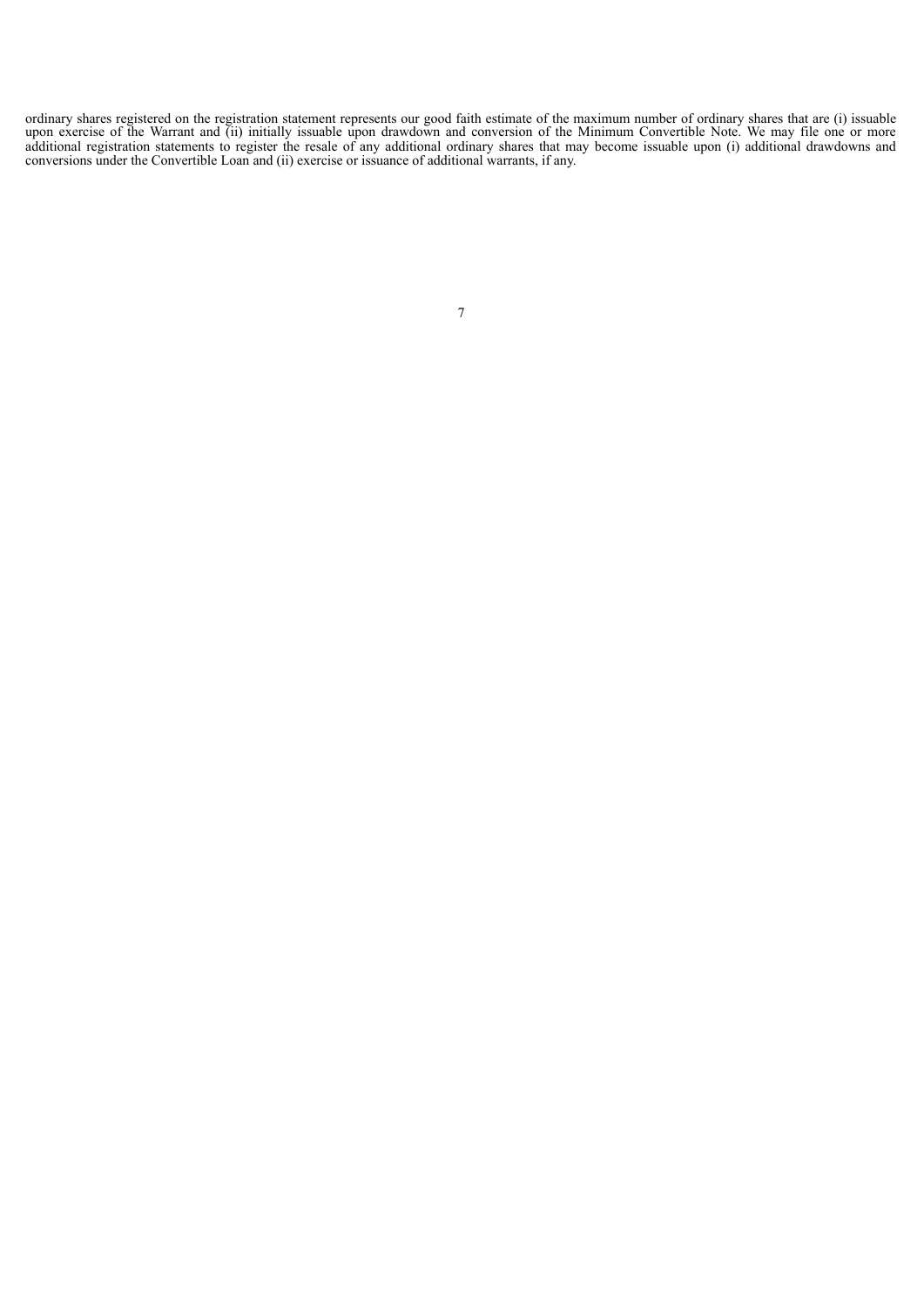<span id="page-9-0"></span>ordinary shares registered on the registration statement represents our good faith estimate of the maximum number of ordinary shares that are (i) issuable upon exercise of the Warrant and (ii) initially issuable upon drawdown and conversion of the Minimum Convertible Note. We may file one or more additional registration statements to register the resale of any additional ordinary shares that may become issuable upon (i) additional drawdowns and conversions under the Convertible Loan and (ii) exercise or issuance of additional warrants, if any.

| ٦ |  |
|---|--|
|   |  |
|   |  |
|   |  |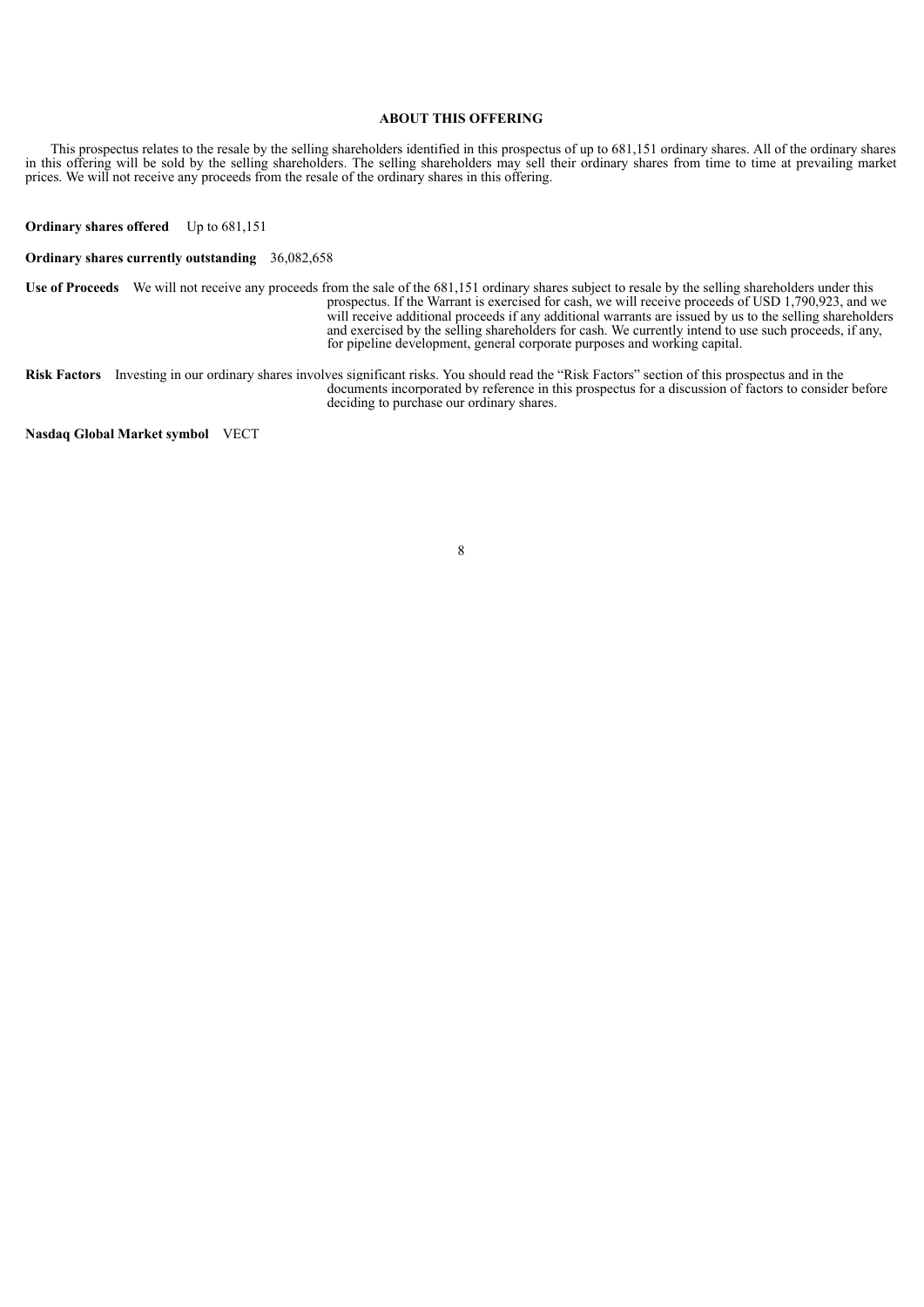# **ABOUT THIS OFFERING**

This prospectus relates to the resale by the selling shareholders identified in this prospectus of up to 681,151 ordinary shares. All of the ordinary shares in this offering will be sold by the selling shareholders. The selling shareholders may sell their ordinary shares from time to time at prevailing market prices. We will not receive any proceeds from the resale of the ordinary shares in this offering.

**Ordinary shares offered** Up to 681,151

**Ordinary shares currently outstanding** 36,082,658

**Use of Proceeds** We will not receive any proceeds from the sale of the 681,151 ordinary shares subject to resale by the selling shareholders under this prospectus. If the Warrant is exercised for cash, we will receive proceeds of USD 1,790,923, and we will receive additional proceeds if any additional warrants are issued by us to the selling shareholders and exercised by the selling shareholders for cash. We currently intend to use such proceeds, if any, for pipeline development, general corporate purposes and working capital.

**Risk Factors** Investing in our ordinary shares involves significant risks. You should read the "Risk Factors" section of this prospectus and in the documents incorporated by reference in this prospectus for a discussion of factors to consider before deciding to purchase our ordinary shares.

<span id="page-10-0"></span>**Nasdaq Global Market symbol** VECT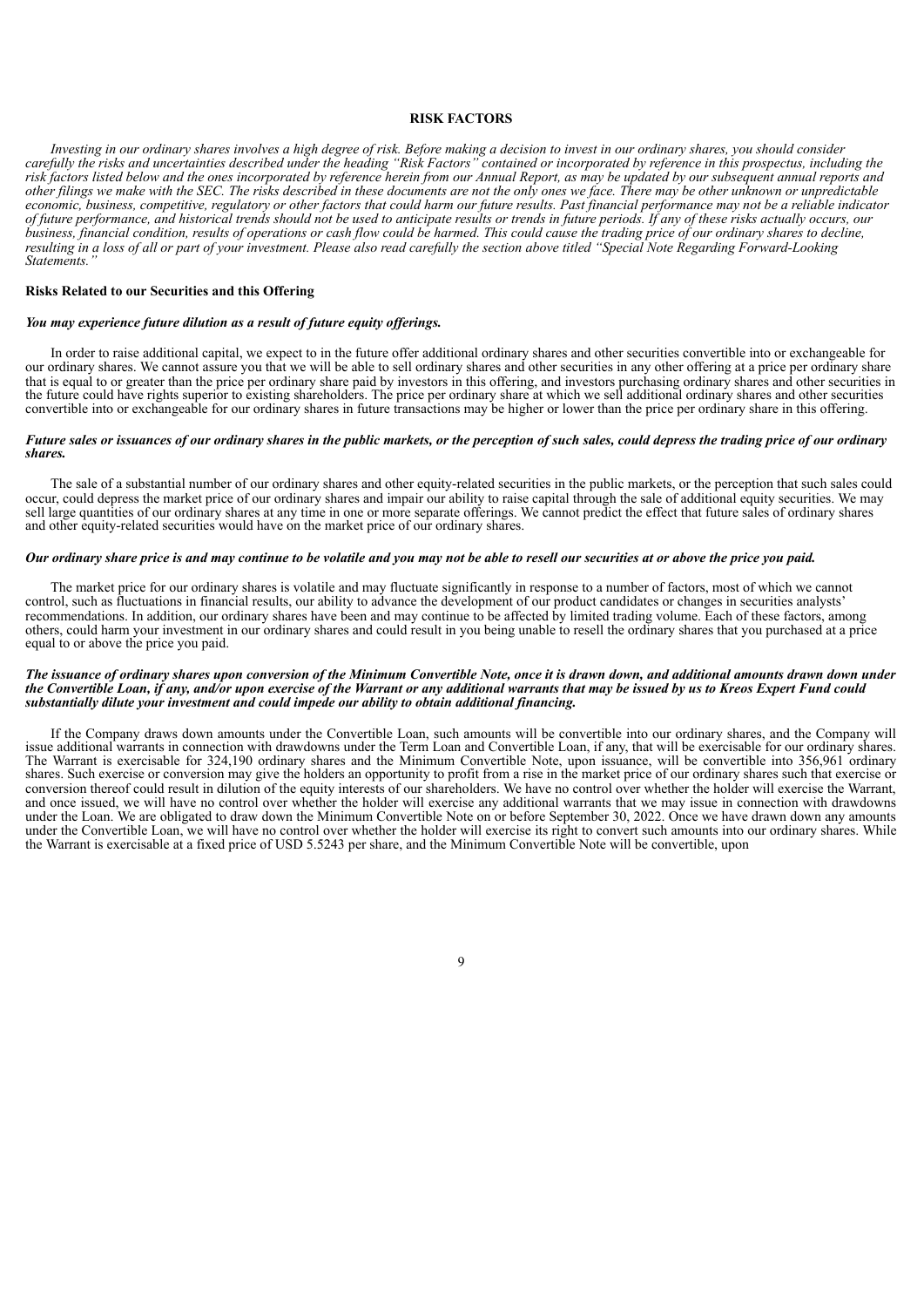#### **RISK FACTORS**

Investing in our ordinary shares involves a high degree of risk. Before making a decision to invest in our ordinary shares, you should consider carefully the risks and uncertainties described under the heading "Risk Factors" contained or incorporated by reference in this prospectus, including the risk factors listed below and the ones incorporated by reference herein from our Annual Report, as may be updated by our subsequent annual reports and other filings we make with the SEC. The risks described in these documents are not the only ones we face. There may be other unknown or unpredictable economic, business, competitive, regulatory or other factors that could harm our future results. Past financial performance may not be a reliable indicator of future performance, and historical trends should not be used to anticipate results or trends in future periods. If any of these risks actually occurs, our by juttine performance, and historical trends should not be used to anticipate results in the stream price of our ordinary shares to decline, business, financial condition, results of operations or cash flow could be harme resulting in a loss of all or part of your investment. Please also read carefully the section above titled "Special Note Regarding Forward-Looking *Statements."*

#### **Risks Related to our Securities and this Offering**

#### *You may experience future dilution as a result of future equity of erings.*

In order to raise additional capital, we expect to in the future offer additional ordinary shares and other securities convertible into or exchangeable for our ordinary shares. We cannot assure you that we will be able to sell ordinary shares and other securities in any other offering at a price per ordinary share that is equal to or greater than the price per ordinary share paid by investors in this offering, and investors purchasing ordinary shares and other securities in the future could have rights superior to existing shareholders. The price per ordinary share at which we sell additional ordinary shares and other securities convertible into or exchangeable for our ordinary shares in future transactions may be higher or lower than the price per ordinary share in this offering.

#### Future sales or issuances of our ordinary shares in the public markets, or the perception of such sales, could depress the trading price of our ordinary *shares.*

The sale of a substantial number of our ordinary shares and other equity-related securities in the public markets, or the perception that such sales could occur, could depress the market price of our ordinary shares and impair our ability to raise capital through the sale of additional equity securities. We may sell large quantities of our ordinary shares at any time in one or more separate offerings. We cannot predict the effect that future sales of ordinary shares and other equity-related securities would have on the market price of our ordinary shares.

#### Our ordinary share price is and may continue to be volatile and you may not be able to resell our securities at or above the price you paid.

The market price for our ordinary shares is volatile and may fluctuate significantly in response to a number of factors, most of which we cannot control, such as fluctuations in financial results, our ability to advance the development of our product candidates or changes in securities analysts' recommendations. In addition, our ordinary shares have been and may continue to be affected by limited trading volume. Each of these factors, among others, could harm your investment in our ordinary shares and could result in you being unable to resell the ordinary shares that you purchased at a price equal to or above the price you paid.

#### The issuance of ordinary shares upon conversion of the Minimum Convertible Note, once it is drawn down, and additional amounts drawn down under the Convertible Loan, if any, and/or upon exercise of the Warrant or any additional warrants that may be issued by us to Kreos Expert Fund could *substantially dilute your investment and could impede our ability to obtain additional financing.*

If the Company draws down amounts under the Convertible Loan, such amounts will be convertible into our ordinary shares, and the Company will issue additional warrants in connection with drawdowns under the Term Loan and Convertible Loan, if any, that will be exercisable for our ordinary shares. The Warrant is exercisable for 324,190 ordinary shares and the Minimum Convertible Note, upon issuance, will be convertible into 356,961 ordinary shares. Such exercise or conversion may give the holders an opportunity to profit from a rise in the market price of our ordinary shares such that exercise or conversion thereof could result in dilution of the equity interests of our shareholders. We have no control over whether the holder will exercise the Warrant, and once issued, we will have no control over whether the holder will exercise any additional warrants that we may issue in connection with drawdowns under the Loan. We are obligated to draw down the Minimum Convertible Note on or before September 30, 2022. Once we have drawn down any amounts under the Convertible Loan, we will have no control over whether the holder will exercise its right to convert such amounts into our ordinary shares. While the Warrant is exercisable at a fixed price of USD 5.5243 per share, and the Minimum Convertible Note will be convertible, upon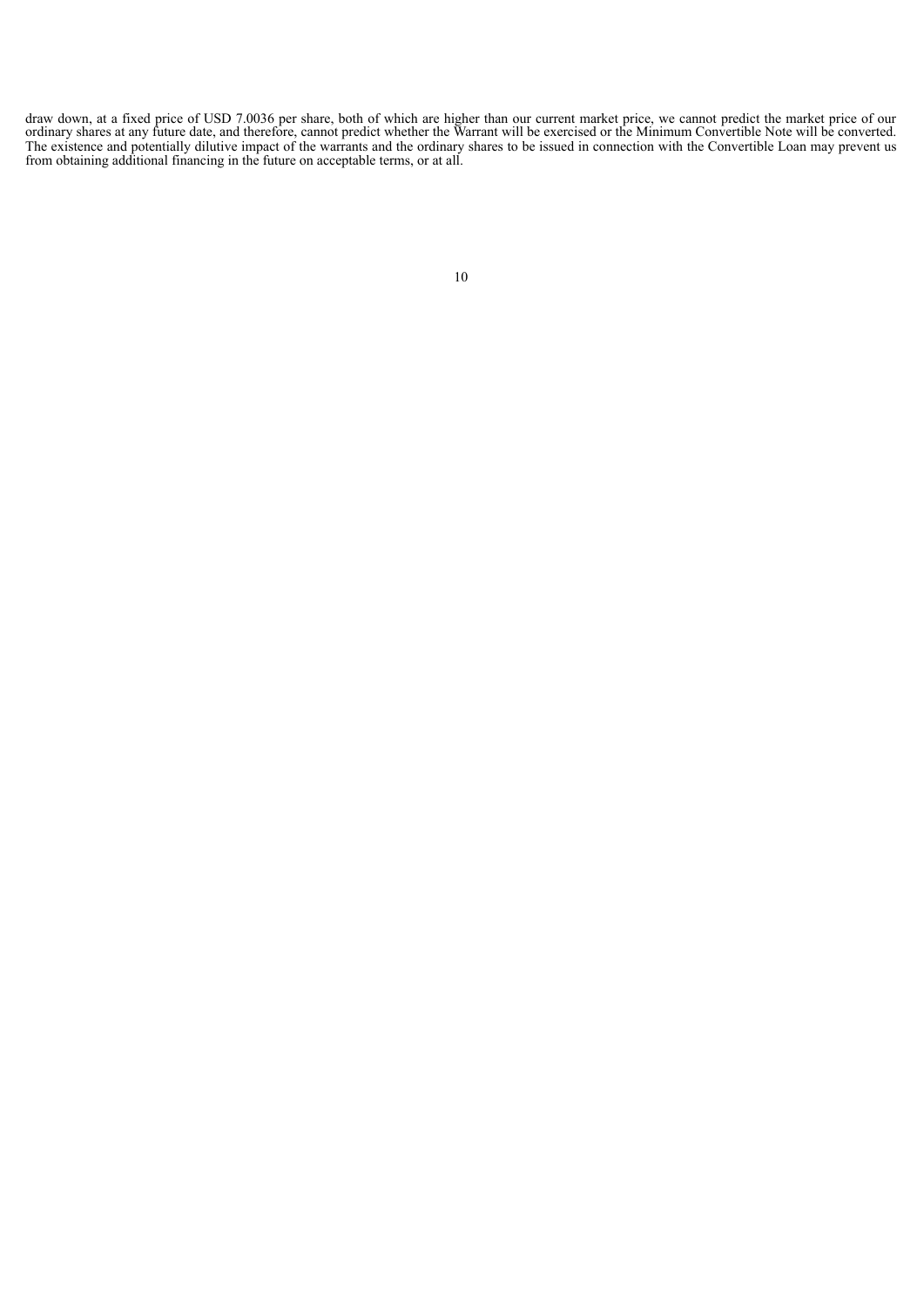<span id="page-12-0"></span>draw down, at a fixed price of USD 7.0036 per share, both of which are higher than our current market price, we cannot predict the market price of our ordinary shares at any future date, and therefore, cannot predict whether the Warrant will be exercised or the Minimum Convertible Note will be converted. The existence and potentially dilutive impact of the warrants and the ordinary shares to be issued in connection with the Convertible Loan may prevent us from obtaining additional financing in the future on acceptable terms, or at all.

```
10
```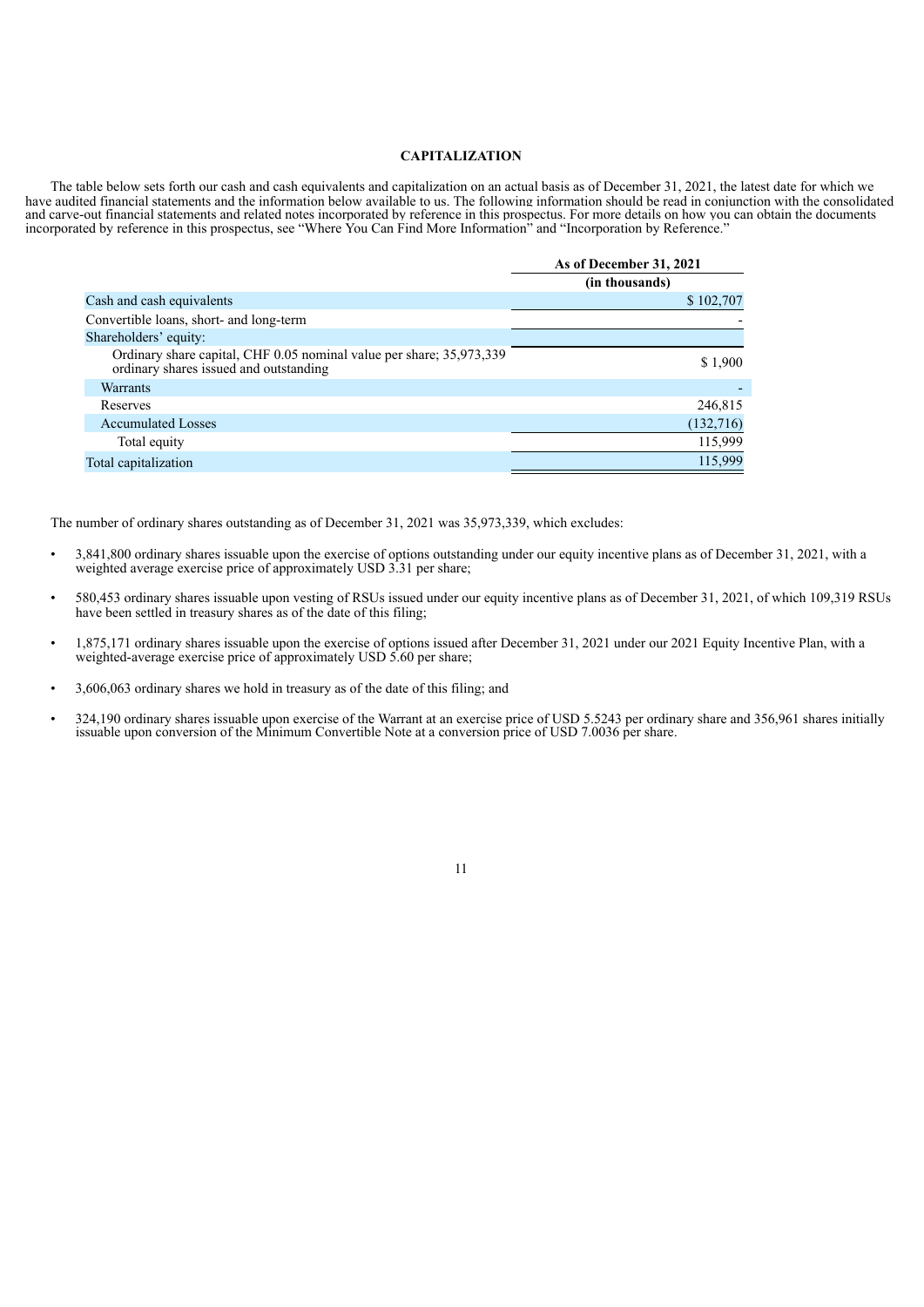### **CAPITALIZATION**

The table below sets forth our cash and cash equivalents and capitalization on an actual basis as of December 31, 2021, the latest date for which we have audited financial statements and the information below available to us. The following information should be read in conjunction with the consolidated and carve-out financial statements and related notes incorporated by reference in this prospectus. For more details on how you can obtain the documents incorporated by reference in this prospectus, see "Where You Can Find More Information" and "Incorporation by Reference."

|                                                                                                                | As of December 31, 2021 |
|----------------------------------------------------------------------------------------------------------------|-------------------------|
|                                                                                                                | (in thousands)          |
| Cash and cash equivalents                                                                                      | \$102,707               |
| Convertible loans, short- and long-term                                                                        |                         |
| Shareholders' equity:                                                                                          |                         |
| Ordinary share capital, CHF 0.05 nominal value per share; 35,973,339<br>ordinary shares issued and outstanding | \$1,900                 |
| <b>Warrants</b>                                                                                                |                         |
| Reserves                                                                                                       | 246,815                 |
| <b>Accumulated Losses</b>                                                                                      | (132, 716)              |
| Total equity                                                                                                   | 115,999                 |
| Total capitalization                                                                                           | 115,999                 |

The number of ordinary shares outstanding as of December 31, 2021 was 35,973,339, which excludes:

- 3,841,800 ordinary shares issuable upon the exercise of options outstanding under our equity incentive plans as of December 31, 2021, with a weighted average exercise price of approximately USD 3.31 per share;
- 580,453 ordinary shares issuable upon vesting of RSUs issued under our equity incentive plans as of December 31, 2021, of which 109,319 RSUs have been settled in treasury shares as of the date of this filing;
- 1,875,171 ordinary shares issuable upon the exercise of options issued after December 31, 2021 under our 2021 Equity Incentive Plan, with a weighted-average exercise price of approximately USD 5.60 per share;
- 3,606,063 ordinary shares we hold in treasury as of the date of this filing; and
- <span id="page-13-0"></span>• 324,190 ordinary shares issuable upon exercise of the Warrant at an exercise price of USD 5.5243 per ordinary share and 356,961 shares initially issuable upon conversion of the Minimum Convertible Note at a conversion price of USD 7.0036 per share.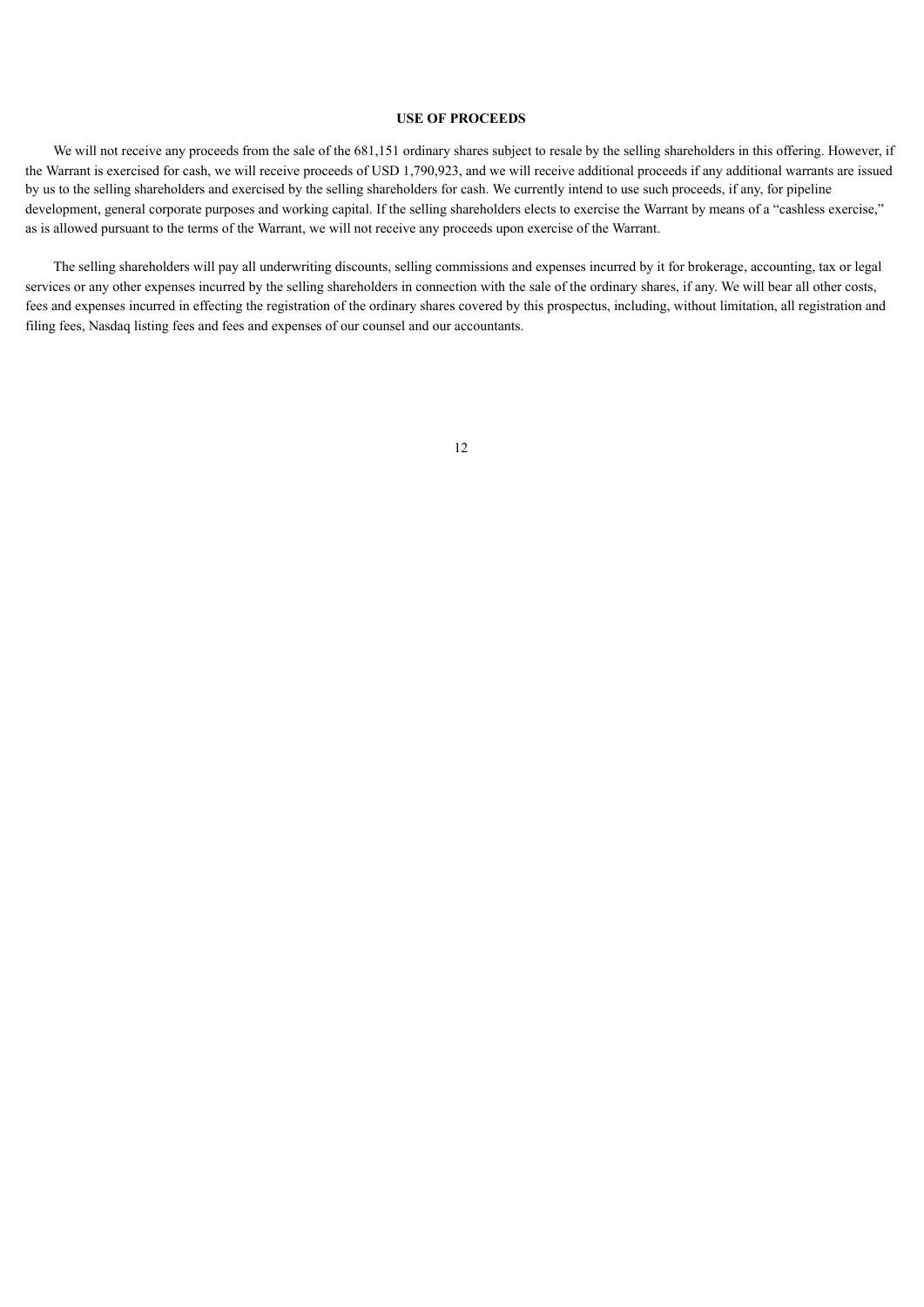# **USE OF PROCEEDS**

We will not receive any proceeds from the sale of the 681,151 ordinary shares subject to resale by the selling shareholders in this offering. However, if the Warrant is exercised for cash, we will receive proceeds of USD 1,790,923, and we will receive additional proceeds if any additional warrants are issued by us to the selling shareholders and exercised by the selling shareholders for cash. We currently intend to use such proceeds, if any, for pipeline development, general corporate purposes and working capital. If the selling shareholders elects to exercise the Warrant by means of a "cashless exercise," as is allowed pursuant to the terms of the Warrant, we will not receive any proceeds upon exercise of the Warrant.

<span id="page-14-0"></span>The selling shareholders will pay all underwriting discounts, selling commissions and expenses incurred by it for brokerage, accounting, tax or legal services or any other expenses incurred by the selling shareholders in connection with the sale of the ordinary shares, if any. We will bear all other costs, fees and expenses incurred in effecting the registration of the ordinary shares covered by this prospectus, including, without limitation, all registration and filing fees, Nasdaq listing fees and fees and expenses of our counsel and our accountants.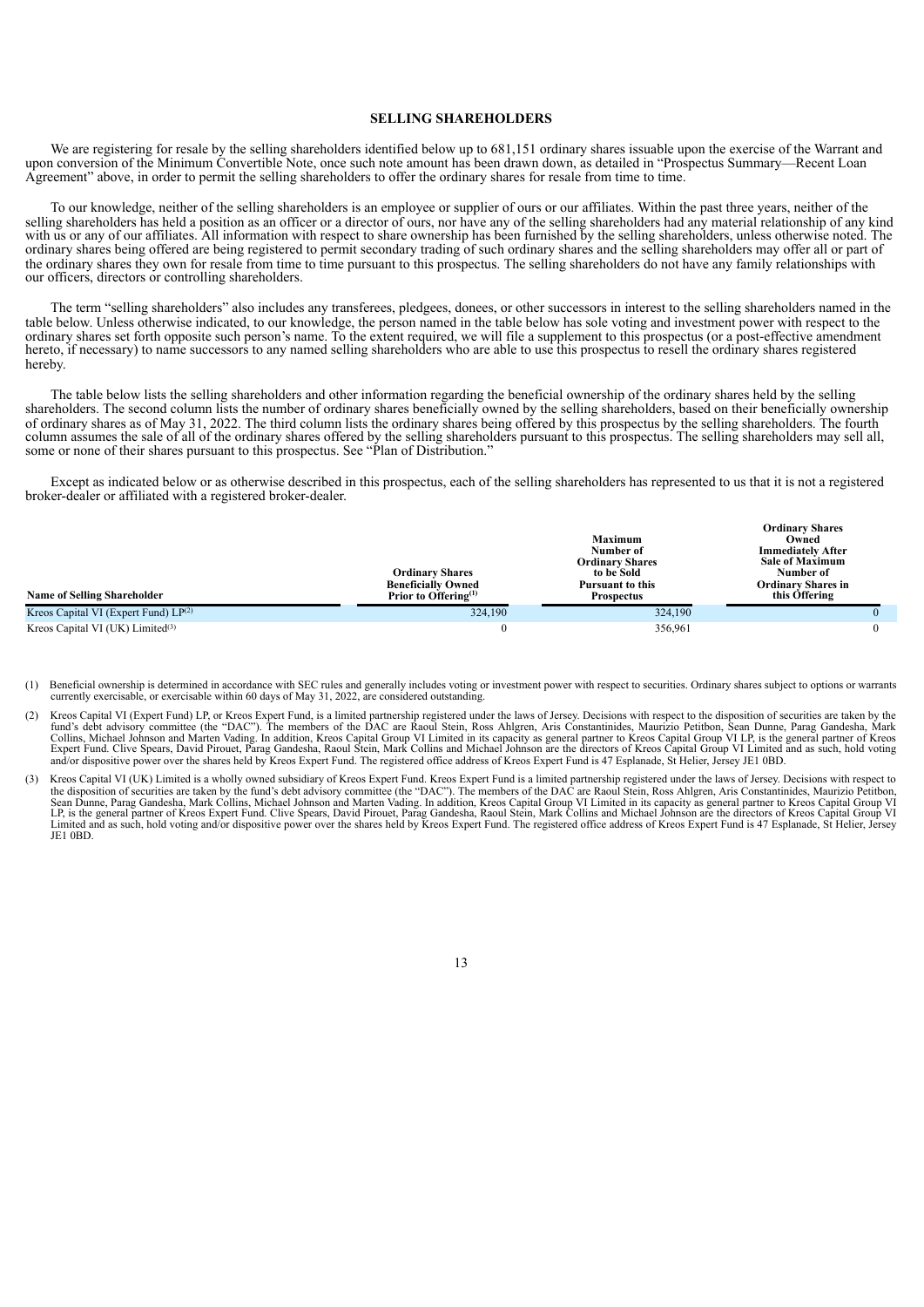#### **SELLING SHAREHOLDERS**

We are registering for resale by the selling shareholders identified below up to 681,151 ordinary shares issuable upon the exercise of the Warrant and upon conversion of the Minimum Convertible Note, once such note amount has been drawn down, as detailed in "Prospectus Summary—Recent Loan Agreement" above, in order to permit the selling shareholders to offer the ordinary shares for resale from time to time.

To our knowledge, neither of the selling shareholders is an employee or supplier of ours or our affiliates. Within the past three years, neither of the selling shareholders has held a position as an officer or a director of ours, nor have any of the selling shareholders had any material relationship of any kind with us or any of our affiliates. All information with respect to share ownership has been furnished by the selling shareholders, unless otherwise noted. The ordinary shares being offered are being registered to permit secondary trading of such ordinary shares and the selling shareholders may offer all or part of the ordinary shares they own for resale from time to time pursuant to this prospectus. The selling shareholders do not have any family relationships with our officers, directors or controlling shareholders.

The term "selling shareholders" also includes any transferees, pledgees, donees, or other successors in interest to the selling shareholders named in the table below. Unless otherwise indicated, to our knowledge, the person named in the table below has sole voting and investment power with respect to the ordinary shares set forth opposite such person's name. To the extent required, we will file a supplement to this prospectus (or a post-effective amendment hereto, if necessary) to name successors to any named selling shareholders who are able to use this prospectus to resell the ordinary shares registered hereby.

The table below lists the selling shareholders and other information regarding the beneficial ownership of the ordinary shares held by the selling shareholders. The second column lists the number of ordinary shares beneficially owned by the selling shareholders, based on their beneficially ownership of ordinary shares as of May 31, 2022. The third column lists the ordinary shares being offered by this prospectus by the selling shareholders. The fourth column assumes the sale of all of the ordinary shares offered by the selling shareholders pursuant to this prospectus. The selling shareholders may sell all, some or none of their shares pursuant to this prospectus. See "Plan of Distribution."

Except as indicated below or as otherwise described in this prospectus, each of the selling shareholders has represented to us that it is not a registered broker-dealer or affiliated with a registered broker-dealer.

| <b>Name of Selling Shareholder</b>               | <b>Ordinary Shares</b><br><b>Beneficially Owned</b><br>Prior to Offering $(1)$ | <b>Maximum</b><br>Number of<br><b>Ordinary Shares</b><br>to be Sold<br><b>Pursuant to this</b><br><b>Prospectus</b> | <b>Ordinary Shares</b><br>Owned<br><b>Immediately After</b><br><b>Sale of Maximum</b><br>Number of<br><b>Ordinary Shares in</b><br>this Offering |
|--------------------------------------------------|--------------------------------------------------------------------------------|---------------------------------------------------------------------------------------------------------------------|--------------------------------------------------------------------------------------------------------------------------------------------------|
| Kreos Capital VI (Expert Fund) LP <sup>(2)</sup> | 324,190                                                                        | 324,190                                                                                                             |                                                                                                                                                  |
| Kreos Capital VI (UK) Limited <sup>(3)</sup>     |                                                                                | 356,961                                                                                                             |                                                                                                                                                  |

(1) Beneficial ownership is determined in accordance with SEC rules and generally includes voting or investment power with respect to securities. Ordinary shares subject to options or warrants currently exercisable, or exercisable within 60 days of May 31, 2022, are considered outstanding.

- (2) Kreos Capital VI (Expert Fund) LP, or Kreos Expert Fund, is a limited partnership registered under the laws of Jersey. Decisions with respect to the disposition of securities are taken by the fund's debt advisory commi and/or dispositive power over the shares held by Kreos Expert Fund. The registered office address of Kreos Expert Fund is 47 Esplanade, St Helier, Jersey JE1 0BD.
- <span id="page-15-0"></span>Kreos Capital VI (UK) Limited is a wholly owned subsidiary of Kreos Expert Fund. Kreos Expert Fund is a limited partnership registered under the laws of Jersey. Decisions with respect to the disposition of securities are taken by the fund's debt advisory committee (the "DAC"). The members of the DAC are Raoul Stein, Ross Ahlgren, Aris Constantinides, Maurizio Petitbon,<br>Sean Dunne, Parag Gandesha, Mark Coll JE1 0BD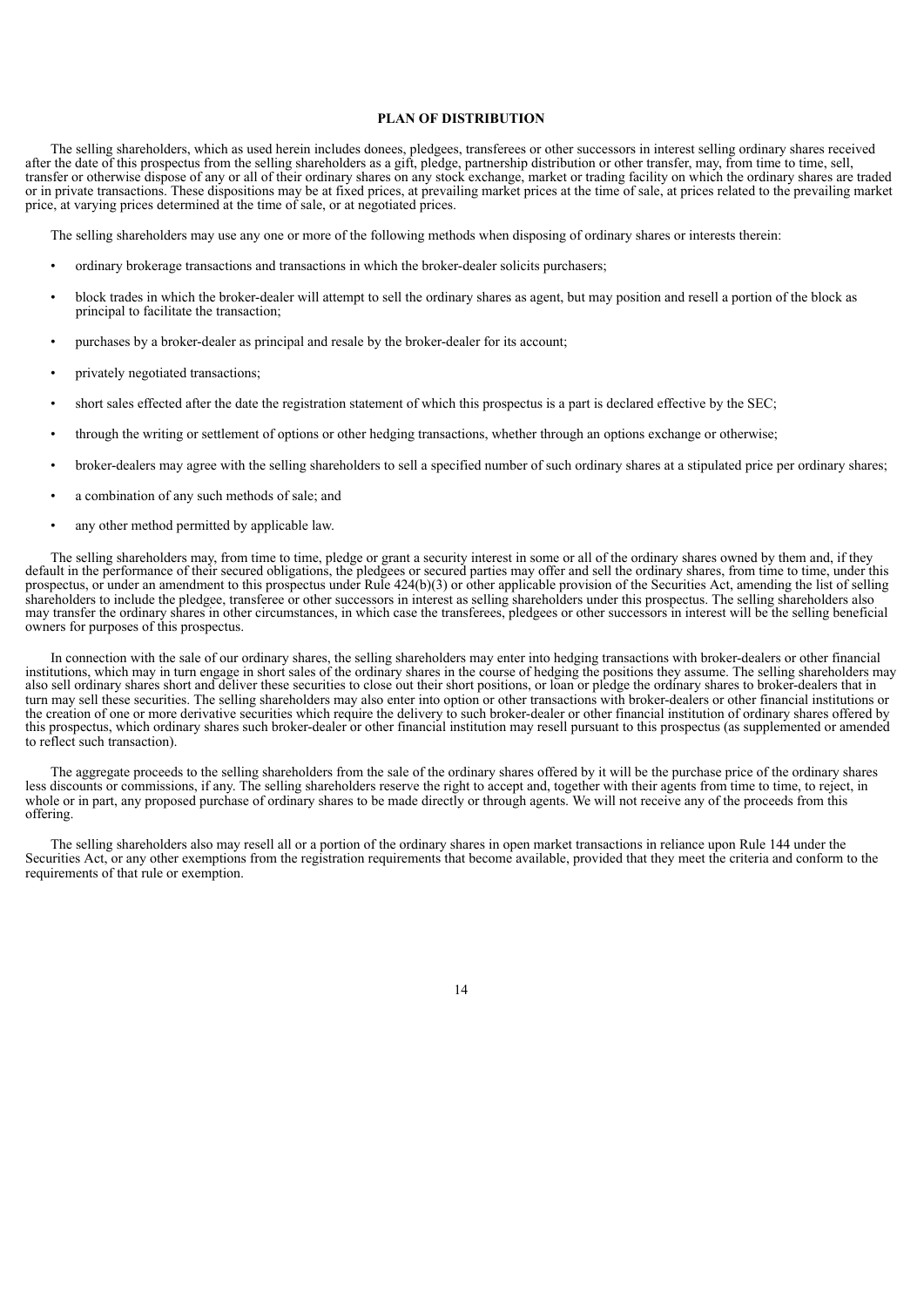# **PLAN OF DISTRIBUTION**

The selling shareholders, which as used herein includes donees, pledgees, transferees or other successors in interest selling ordinary shares received after the date of this prospectus from the selling shareholders as a gift, pledge, partnership distribution or other transfer, may, from time to time, sell, transfer or otherwise dispose of any or all of their ordinary shares on any stock exchange, market or trading facility on which the ordinary shares are traded or in private transactions. These dispositions may be at fixed prices, at prevailing market prices at the time of sale, at prices related to the prevailing market price, at varying prices determined at the time of sale, or at negotiated prices.

The selling shareholders may use any one or more of the following methods when disposing of ordinary shares or interests therein:

- ordinary brokerage transactions and transactions in which the broker-dealer solicits purchasers;
- block trades in which the broker-dealer will attempt to sell the ordinary shares as agent, but may position and resell a portion of the block as principal to facilitate the transaction;
- purchases by a broker-dealer as principal and resale by the broker-dealer for its account;
- privately negotiated transactions;
- short sales effected after the date the registration statement of which this prospectus is a part is declared effective by the SEC;
- through the writing or settlement of options or other hedging transactions, whether through an options exchange or otherwise;
- broker-dealers may agree with the selling shareholders to sell a specified number of such ordinary shares at a stipulated price per ordinary shares;
- a combination of any such methods of sale; and
- any other method permitted by applicable law.

The selling shareholders may, from time to time, pledge or grant a security interest in some or all of the ordinary shares owned by them and, if they default in the performance of their secured obligations, the pledgees or secured parties may offer and sell the ordinary shares, from time to time, under this prospectus, or under an amendment to this prospectus under Rule 424(b)(3) or other applicable provision of the Securities Act, amending the list of selling shareholders to include the pledgee, transferee or other successors in interest as selling shareholders under this prospectus. The selling shareholders also may transfer the ordinary shares in other circumstances, in which case the transferees, pledgees or other successors in interest will be the selling beneficial owners for purposes of this prospectus.

In connection with the sale of our ordinary shares, the selling shareholders may enter into hedging transactions with broker-dealers or other financial institutions, which may in turn engage in short sales of the ordinary shares in the course of hedging the positions they assume. The selling shareholders may also sell ordinary shares short and deliver these securities to close out their short positions, or loan or pledge the ordinary shares to broker-dealers that in turn may sell these securities. The selling shareholders may also enter into option or other transactions with broker-dealers or other financial institutions or the creation of one or more derivative securities which require the delivery to such broker-dealer or other financial institution of ordinary shares offered by this prospectus, which ordinary shares such broker-dealer or other financial institution may resell pursuant to this prospectus (as supplemented or amended to reflect such transaction).

The aggregate proceeds to the selling shareholders from the sale of the ordinary shares offered by it will be the purchase price of the ordinary shares less discounts or commissions, if any. The selling shareholders reserve the right to accept and, together with their agents from time to time, to reject, in whole or in part, any proposed purchase of ordinary shares to be made directly or through agents. We will not receive any of the proceeds from this offering.

The selling shareholders also may resell all or a portion of the ordinary shares in open market transactions in reliance upon Rule 144 under the Securities Act, or any other exemptions from the registration requirements that become available, provided that they meet the criteria and conform to the requirements of that rule or exemption.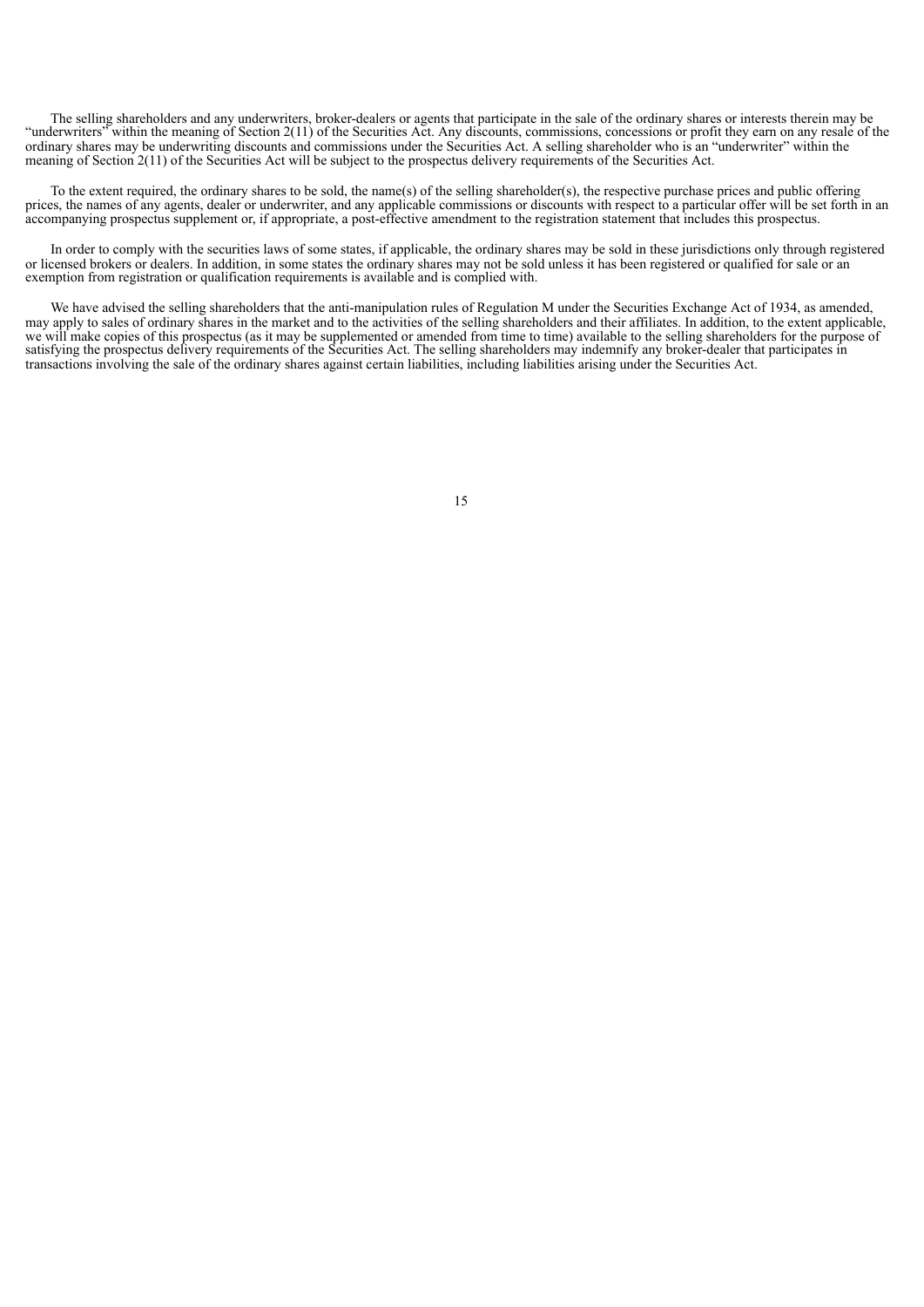The selling shareholders and any underwriters, broker-dealers or agents that participate in the sale of the ordinary shares or interests therein may be "underwriters" within the meaning of Section 2(11) of the Securities Act. Any discounts, commissions, concessions or profit they earn on any resale of the ordinary shares may be underwriting discounts and commissions under the Securities Act. A selling shareholder who is an "underwriter" within the meaning of Section 2(11) of the Securities Act will be subject to the prospectus delivery requirements of the Securities Act.

To the extent required, the ordinary shares to be sold, the name(s) of the selling shareholder(s), the respective purchase prices and public offering prices, the names of any agents, dealer or underwriter, and any applicable commissions or discounts with respect to a particular offer will be set forth in an accompanying prospectus supplement or, if appropriate, a post-effective amendment to the registration statement that includes this prospectus.

In order to comply with the securities laws of some states, if applicable, the ordinary shares may be sold in these jurisdictions only through registered or licensed brokers or dealers. In addition, in some states the ordinary shares may not be sold unless it has been registered or qualified for sale or an exemption from registration or qualification requirements is available and is complied with.

<span id="page-17-0"></span>We have advised the selling shareholders that the anti-manipulation rules of Regulation M under the Securities Exchange Act of 1934, as amended, may apply to sales of ordinary shares in the market and to the activities of the selling shareholders and their affiliates. In addition, to the extent applicable, we will make copies of this prospectus (as it may be supplemented or amended from time to time) available to the selling shareholders for the purpose of we will make copies of this prospectus (as it may be supplemented or satisfying the prospectus delivery requirements of the Securities Act. The selling shareholders may indemnify any broker-dealer that participates in transactions involving the sale of the ordinary shares against certain liabilities, including liabilities arising under the Securities Act.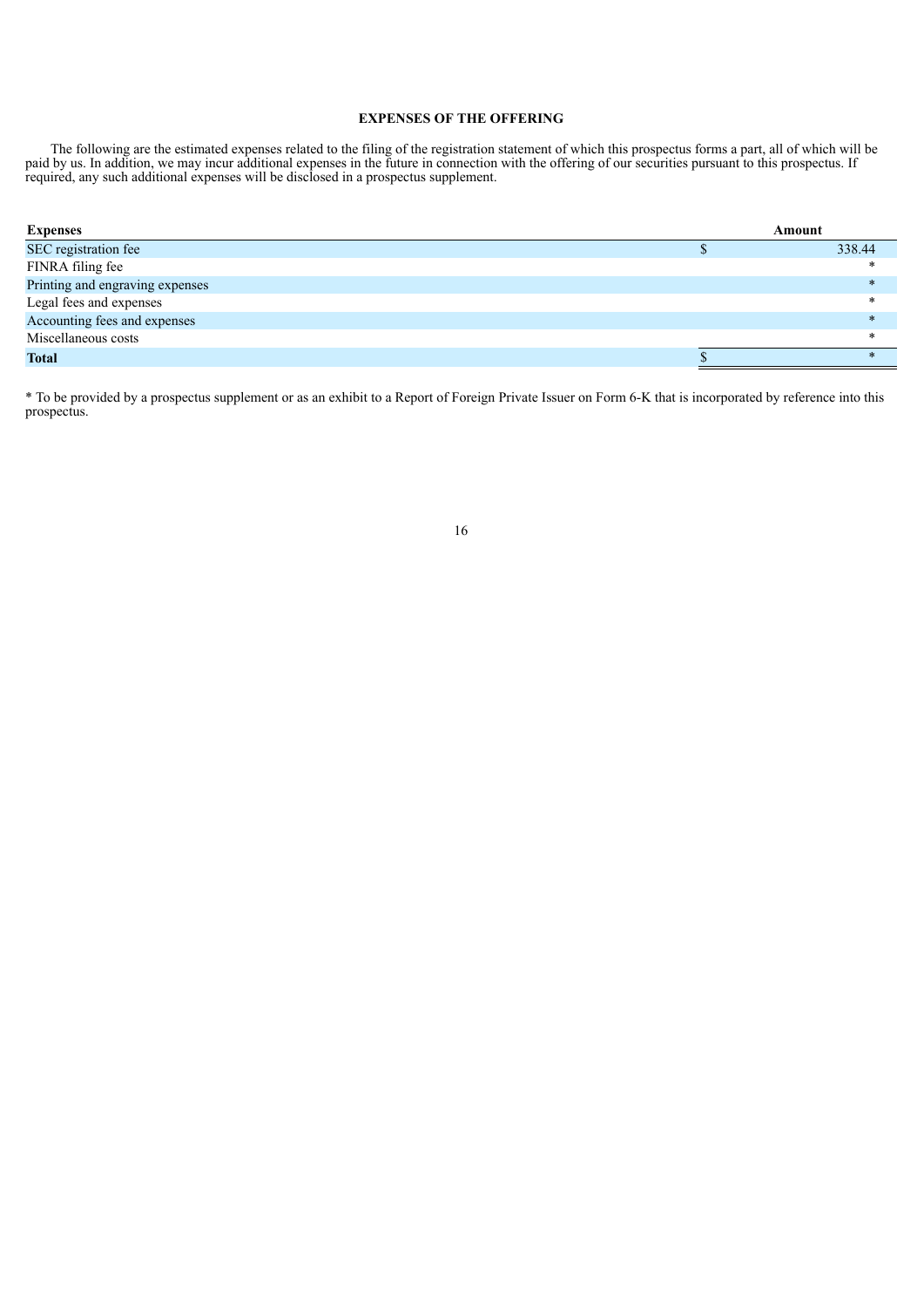# **EXPENSES OF THE OFFERING**

The following are the estimated expenses related to the filing of the registration statement of which this prospectus forms a part, all of which will be paid by us. In addition, we may incur additional expenses in the future in connection with the offering of our securities pursuant to this prospectus. If required, any such additional expenses will be disclosed in a prospectus supplement.

| <b>Expenses</b>                 | Amount       |  |
|---------------------------------|--------------|--|
| SEC registration fee            | 338.44       |  |
| FINRA filing fee                |              |  |
| Printing and engraving expenses | ×            |  |
| Legal fees and expenses         |              |  |
| Accounting fees and expenses    | $\mathbf{x}$ |  |
| Miscellaneous costs             | $\ast$       |  |
| <b>Total</b>                    |              |  |

<span id="page-18-0"></span>\* To be provided by a prospectus supplement or as an exhibit to a Report of Foreign Private Issuer on Form 6-K that is incorporated by reference into this prospectus.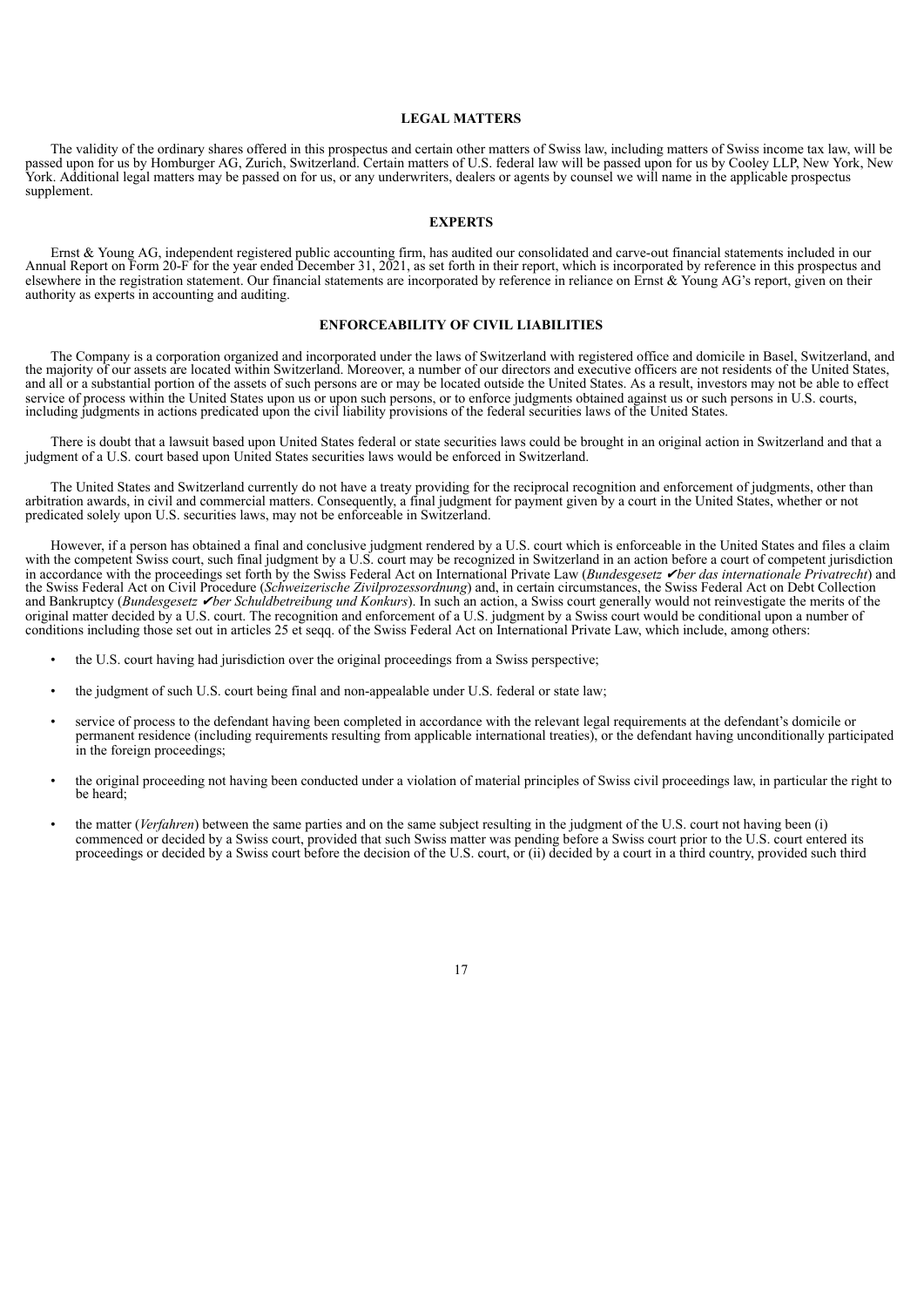#### **LEGAL MATTERS**

The validity of the ordinary shares offered in this prospectus and certain other matters of Swiss law, including matters of Swiss income tax law, will be passed upon for us by Homburger AG, Zurich, Switzerland. Certain matters of U.S. federal law will be passed upon for us by Cooley LLP, New York, New York. Additional legal matters may be passed on for us, or any underwriters, dealers or agents by counsel we will name in the applicable prospectus supplement.

#### **EXPERTS**

<span id="page-19-0"></span>Ernst & Young AG, independent registered public accounting firm, has audited our consolidated and carve-out financial statements included in our Annual Report on Form 20-F for the year ended December 31, 2021, as set forth in their report, which is incorporated by reference in this prospectus and elsewhere in the registration statement. Our financial statements are incorporated by reference in reliance on Ernst & Young AG's report, given on their authority as experts in accounting and auditing.

### **ENFORCEABILITY OF CIVIL LIABILITIES**

<span id="page-19-1"></span>The Company is a corporation organized and incorporated under the laws of Switzerland with registered office and domicile in Basel, Switzerland, and the majority of our assets are located within Switzerland. Moreover, a number of our directors and executive officers are not residents of the United States, and all or a substantial portion of the assets of such persons are or may be located outside the United States. As a result, investors may not be able to effect service of process within the United States upon us or upon such persons, or to enforce judgments obtained against us or such persons in U.S. courts, including judgments in actions predicated upon the civil liability provisions of the federal securities laws of the United States.

There is doubt that a lawsuit based upon United States federal or state securities laws could be brought in an original action in Switzerland and that a judgment of a U.S. court based upon United States securities laws would be enforced in Switzerland.

The United States and Switzerland currently do not have a treaty providing for the reciprocal recognition and enforcement of judgments, other than arbitration awards, in civil and commercial matters. Consequently, a final judgment for payment given by a court in the United States, whether or not predicated solely upon U.S. securities laws, may not be enforceable in Switzerland.

However, if a person has obtained a final and conclusive judgment rendered by a U.S. court which is enforceable in the United States and files a claim with the competent Swiss court, such final judgment by a U.S. court may be recognized in Switzerland in an action before a court of competent jurisdiction in accordance with the proceedings set forth by the Swiss Federal Act on International Private Law (*Bundesgesetz* ✔*ber das internationale Privatrecht*) and the Swiss Federal Act on Civil Procedure (*Schweizerische Zivilprozessordnung*) and, in certain circumstances, the Swiss Federal Act on Debt Collection and Bankruptcy (*Bundesgesetz* ✔*ber Schuldbetreibung und Konkurs*). In such an action, a Swiss court generally would not reinvestigate the merits of the original matter decided by a U.S. court. The recognition and enforcement of a U.S. judgment by a Swiss court would be conditional upon a number of conditions including those set out in articles 25 et seqq. of the Swiss Federal Act on International Private Law, which include, among others:

- the U.S. court having had jurisdiction over the original proceedings from a Swiss perspective;
- the judgment of such U.S. court being final and non-appealable under U.S. federal or state law;
- service of process to the defendant having been completed in accordance with the relevant legal requirements at the defendant's domicile or permanent residence (including requirements resulting from applicable international treaties), or the defendant having unconditionally participated in the foreign proceedings;
- the original proceeding not having been conducted under a violation of material principles of Swiss civil proceedings law, in particular the right to be heard;
- the matter (*Verfahren*) between the same parties and on the same subject resulting in the judgment of the U.S. court not having been (i) commenced or decided by a Swiss court, provided that such Swiss matter was pending before a Swiss court prior to the U.S. court entered its proceedings or decided by a Swiss court before the decision of the U.S. court, or (ii) decided by a court in a third country, provided such third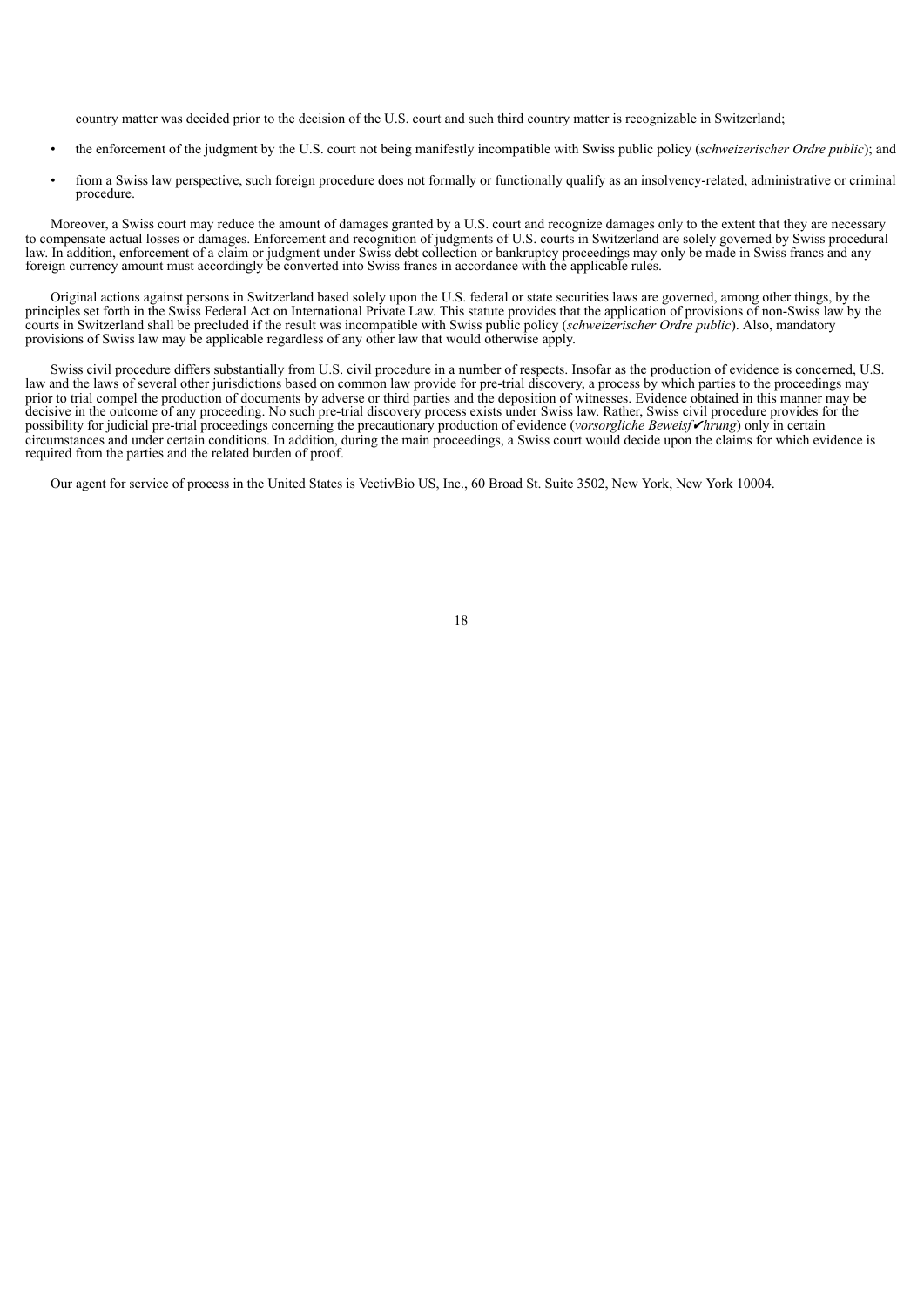country matter was decided prior to the decision of the U.S. court and such third country matter is recognizable in Switzerland;

- the enforcement of the judgment by the U.S. court not being manifestly incompatible with Swiss public policy (*schweizerischer Ordre public*); and
- from a Swiss law perspective, such foreign procedure does not formally or functionally qualify as an insolvency-related, administrative or criminal procedure.

Moreover, a Swiss court may reduce the amount of damages granted by a U.S. court and recognize damages only to the extent that they are necessary to compensate actual losses or damages. Enforcement and recognition of judgments of U.S. courts in Switzerland are solely governed by Swiss procedural law. In addition, enforcement of a claim or judgment under Swiss debt collection or bankruptcy proceedings may only be made in Swiss francs and any foreign currency amount must accordingly be converted into Swiss francs in accordance with the applicable rules.

Original actions against persons in Switzerland based solely upon the U.S. federal or state securities laws are governed, among other things, by the principles set forth in the Swiss Federal Act on International Private Law. This statute provides that the application of provisions of non-Swiss law by the courts in Switzerland shall be precluded if the result was incompatible with Swiss public policy (*schweizerischer Ordre public*). Also, mandatory provisions of Swiss law may be applicable regardless of any other law that would otherwise apply.

Swiss civil procedure differs substantially from U.S. civil procedure in a number of respects. Insofar as the production of evidence is concerned, U.S. law and the laws of several other jurisdictions based on common law provide for pre-trial discovery, a process by which parties to the proceedings may prior to trial compel the production of documents by adverse or third parties and the deposition of witnesses. Evidence obtained in this manner may be decisive in the outcome of any proceeding. No such pre-trial discovery process exists under Swiss law. Rather, Swiss civil procedure provides for the possibility for judicial pre-trial proceedings concerning the precautionary production of evidence (*vorsorgliche Beweisf*✔*hrung*) only in certain circumstances and under certain conditions. In addition, during the main proceedings, a Swiss court would decide upon the claims for which evidence is required from the parties and the related burden of proof.

<span id="page-20-0"></span>Our agent for service of process in the United States is VectivBio US, Inc., 60 Broad St. Suite 3502, New York, New York 10004.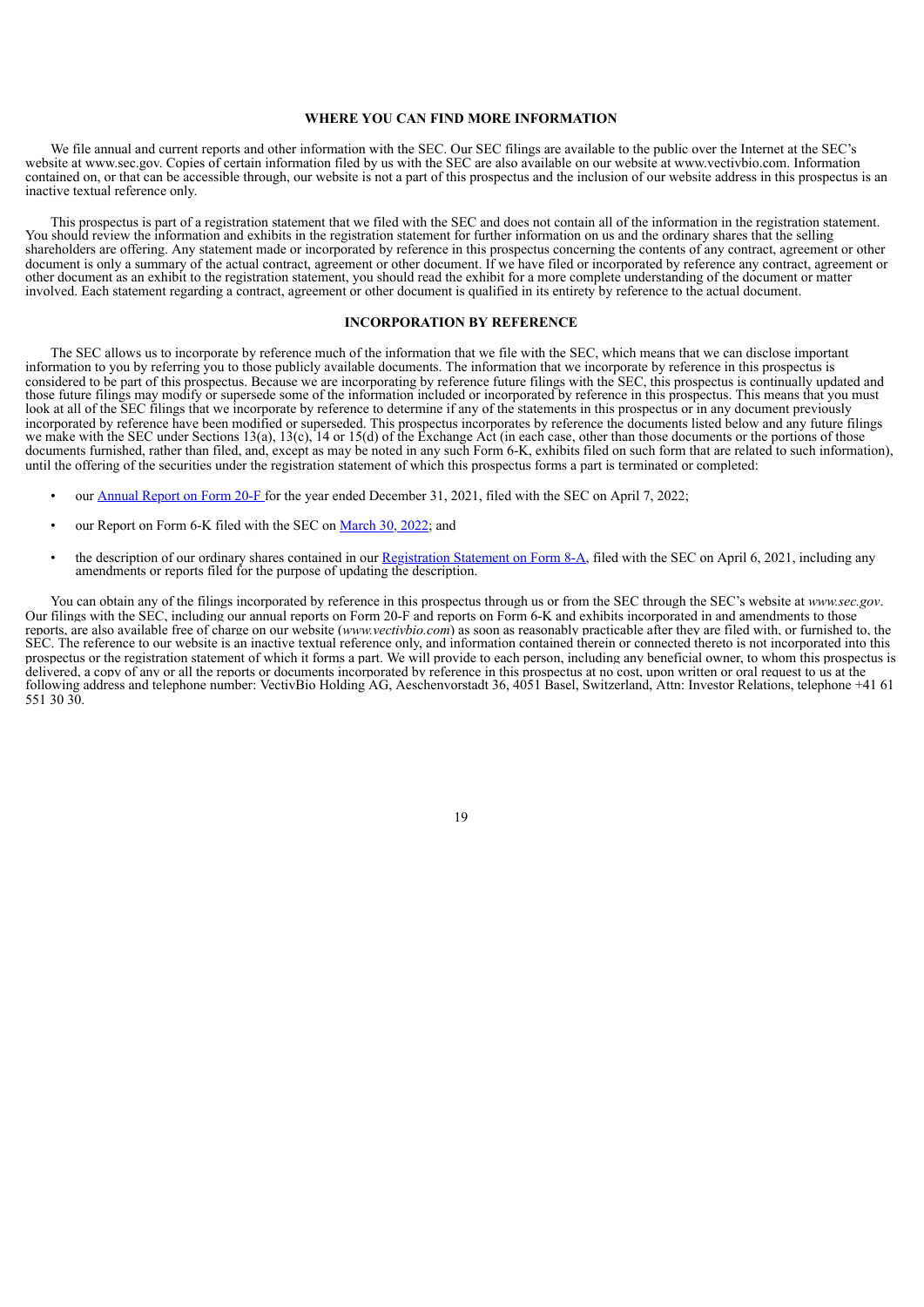#### **WHERE YOU CAN FIND MORE INFORMATION**

We file annual and current reports and other information with the SEC. Our SEC filings are available to the public over the Internet at the SEC's website at www.sec.gov. Copies of certain information filed by us with the SEC are also available on our website at www.vectivbio.com. Information contained on, or that can be accessible through, our website is not a part of this prospectus and the inclusion of our website address in this prospectus is an inactive textual reference only.

This prospectus is part of a registration statement that we filed with the SEC and does not contain all of the information in the registration statement. You should review the information and exhibits in the registration statement for further information on us and the ordinary shares that the selling shareholders are offering. Any statement made or incorporated by reference in this prospectus concerning the contents of any contract, agreement or other document is only a summary of the actual contract, agreement or other document. If we have filed or incorporated by reference any contract, agreement or other document as an exhibit to the registration statement, you should read the exhibit for a more complete understanding of the document or matter involved. Each statement regarding a contract, agreement or other document is qualified in its entirety by reference to the actual document.

#### **INCORPORATION BY REFERENCE**

<span id="page-21-0"></span>The SEC allows us to incorporate by reference much of the information that we file with the SEC, which means that we can disclose important information to you by referring you to those publicly available documents. The information that we incorporate by reference in this prospectus is considered to be part of this prospectus. Because we are incorporating by reference future filings with the SEC, this prospectus is continually updated and those future filings may modify or supersede some of the information included or incorporated by reference in this prospectus. This means that you must look at all of the SEC filings that we incorporate by reference to determine if any of the statements in this prospectus or in any document previously incorporated by reference have been modified or superseded. This prospectus incorporates by reference the documents listed below and any future filings we make with the SEC under Sections 13(a), 13(c), 14 or 15(d) of the Exchange Act (in each case, other than those documents or the portions of those documents furnished, rather than filed, and, except as may be noted in any such Form 6-K, exhibits filed on such form that are related to such information), until the offering of the securities under the registration statement of which this prospectus forms a part is terminated or completed:

- our [Annual](https://www.sec.gov/ix?doc=/Archives/edgar/data/0001836379/000162828022008724/vb-20211231.htm) Report on Form 20-F for the year ended December 31, 2021, filed with the SEC on April 7, 2022;
- our Report on Form 6-K filed with the SEC on [March](https://www.sec.gov/Archives/edgar/data/0001836379/000162828022007786/vectivbio-debtfinancingand.htm) 30, 202[2](https://www.sec.gov/Archives/edgar/data/0001836379/000162828022007786/vectivbio-debtfinancingand.htm); and
- the description of our ordinary shares contained in our [Registration](https://www.sec.gov/Archives/edgar/data/0001836379/000162828021006613/vectivbioipo-form8xa.htm) Statement on Form 8-A, filed with the SEC on April 6, 2021, including any amendments or reports filed for the purpose of updating the description.

You can obtain any of the filings incorporated by reference in this prospectus through us or from the SEC through the SEC's website at *www.sec.gov*. Our filings with the SEC, including our annual reports on Form 20-F and reports on Form 6-K and exhibits incorporated in and amendments to those reports, are also available free of charge on our website (*www.vectivbio.com*) as soon as reasonably practicable after they are filed with, or furnished to, the SEC. The reference to our website is an inactive textual reference only, and information contained therein or connected thereto is not incorporated into this prospectus or the registration statement of which it forms a part. We will provide to each person, including any beneficial owner, to whom this prospectus is delivered, a copy of any or all the reports or documents incorporated by reference in this prospectus at no cost, upon written or oral request to us at the following address and telephone number: VectivBio Holding AG, Aeschenvorstadt 36, 4051 Basel, Switzerland, Attn: Investor Relations, telephone +41 61 551 30 30.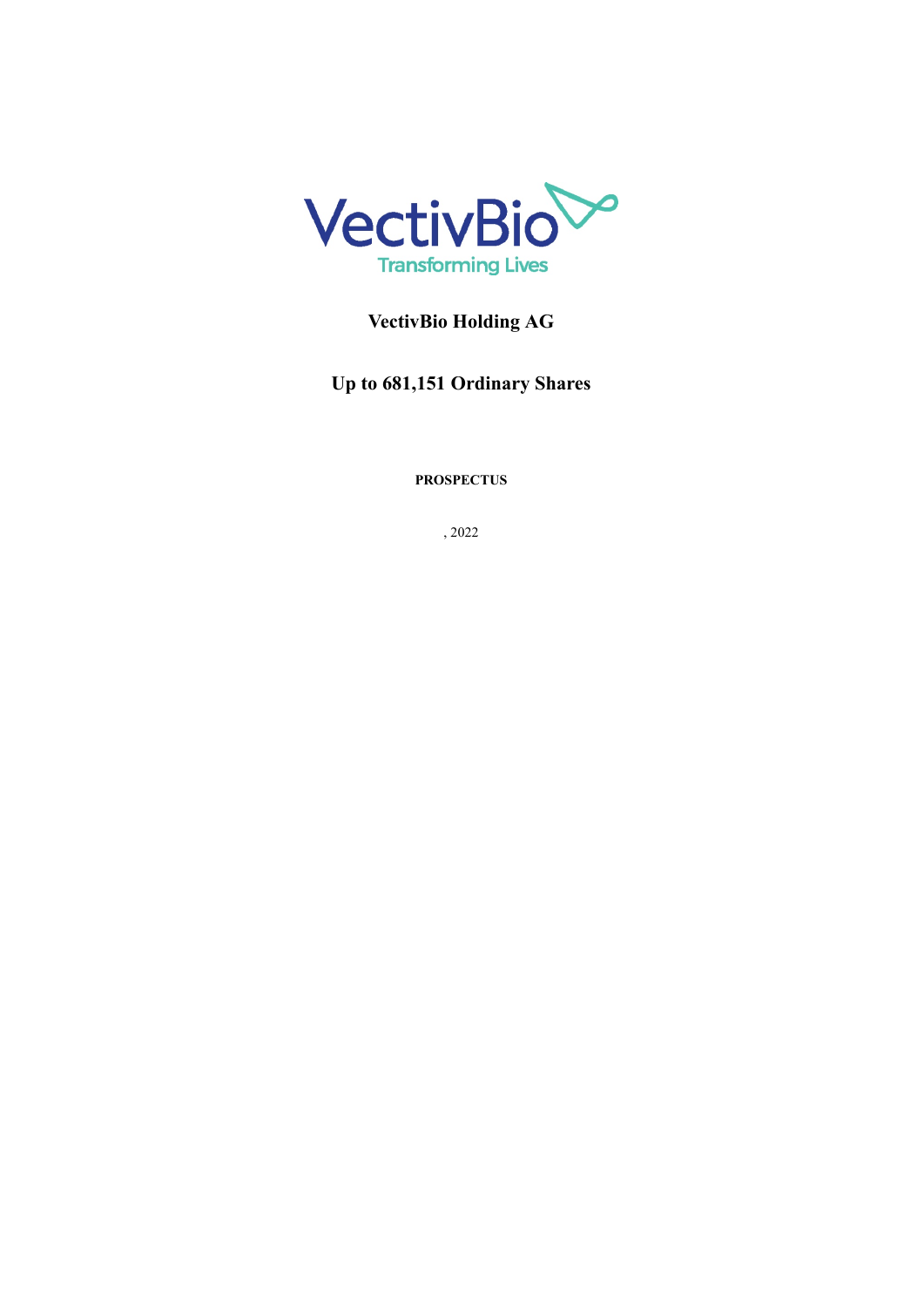

# **VectivBio Holding AG**

**Up to 681,151 Ordinary Shares**

**PROSPECTUS**

, 2022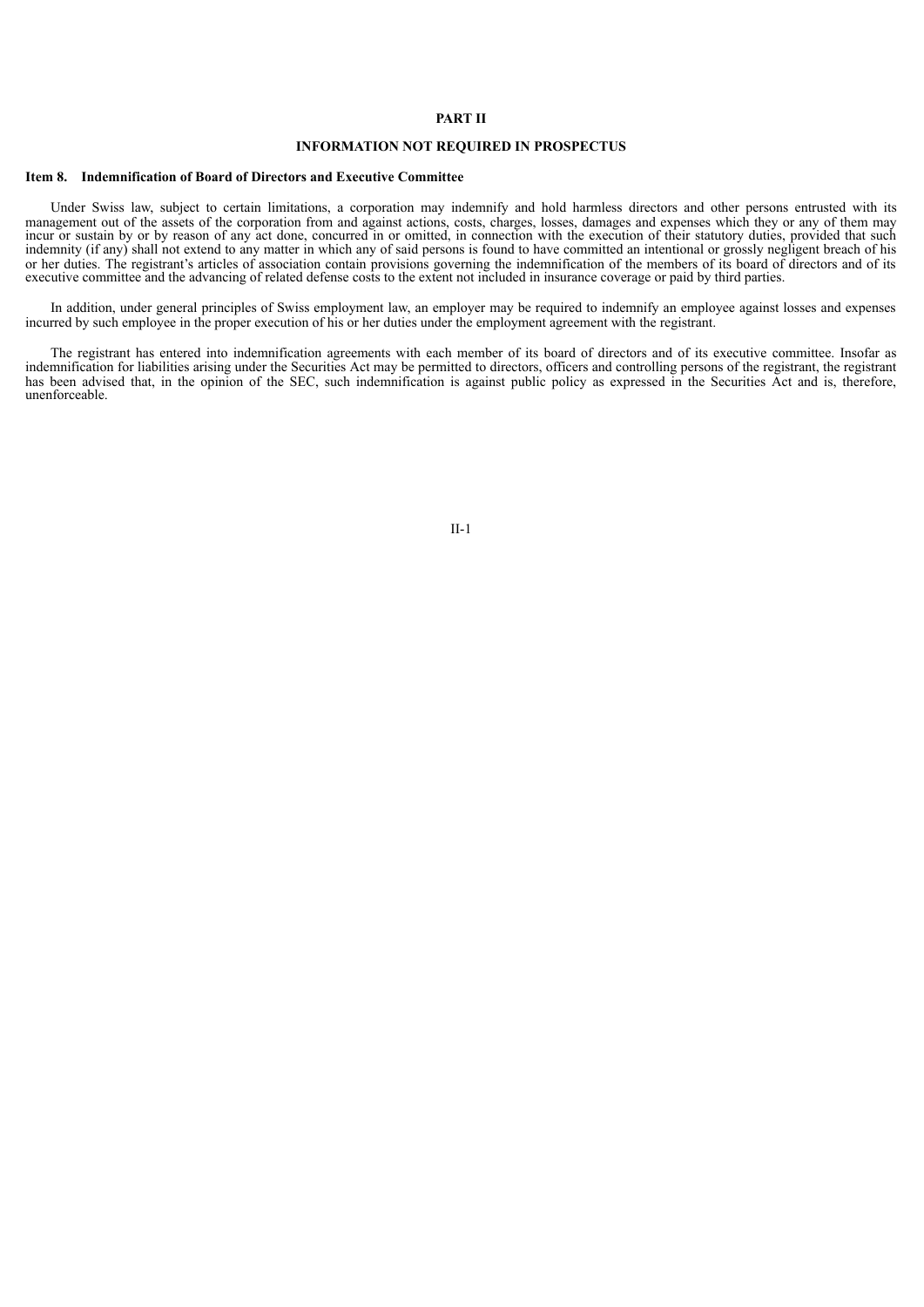# **PART II**

#### **INFORMATION NOT REQUIRED IN PROSPECTUS**

#### **Item 8. Indemnification of Board of Directors and Executive Committee**

Under Swiss law, subject to certain limitations, a corporation may indemnify and hold harmless directors and other persons entrusted with its management out of the assets of the corporation from and against actions, costs, charges, losses, damages and expenses which they or any of them may incur or sustain by or by reason of any act done, concurred in or omitted, in connection with the execution of their statutory duties, provided that such indemnity (if any) shall not extend to any matter in which any of said persons is found to have committed an intentional or grossly negligent breach of his or her duties. The registrant's articles of association contain provisions governing the indemnification of the members of its board of directors and of its executive committee and the advancing of related defense costs to the extent not included in insurance coverage or paid by third parties.

In addition, under general principles of Swiss employment law, an employer may be required to indemnify an employee against losses and expenses incurred by such employee in the proper execution of his or her duties under the employment agreement with the registrant.

The registrant has entered into indemnification agreements with each member of its board of directors and of its executive committee. Insofar as indemnification for liabilities arising under the Securities Act may be permitted to directors, officers and controlling persons of the registrant, the registrant has been advised that, in the opinion of the SEC, such indemnification is against public policy as expressed in the Securities Act and is, therefore, unenforceable.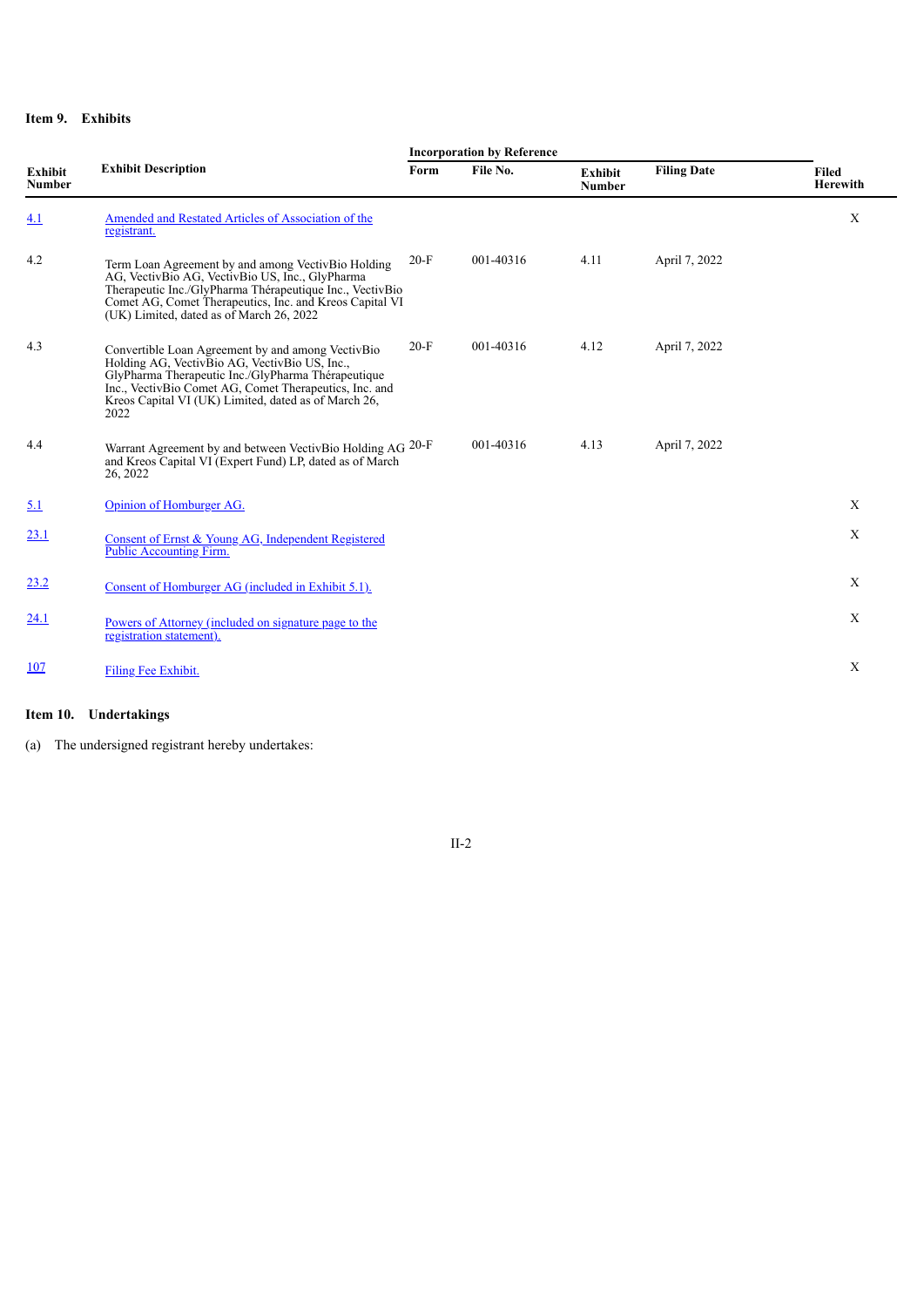# **Item 9. Exhibits**

|                          |                                                                                                                                                                                                                                                                                    |        | <b>Incorporation by Reference</b> |                          |                    |                                 |
|--------------------------|------------------------------------------------------------------------------------------------------------------------------------------------------------------------------------------------------------------------------------------------------------------------------------|--------|-----------------------------------|--------------------------|--------------------|---------------------------------|
| Exhibit<br><b>Number</b> | <b>Exhibit Description</b>                                                                                                                                                                                                                                                         | Form   | File No.                          | Exhibit<br><b>Number</b> | <b>Filing Date</b> | <b>Filed</b><br><b>Herewith</b> |
| <u>4.1</u>               | Amended and Restated Articles of Association of the<br>registrant.                                                                                                                                                                                                                 |        |                                   |                          |                    | X                               |
| 4.2                      | Term Loan Agreement by and among VectivBio Holding<br>AG, VectivBio AG, VectivBio US, Inc., GlyPharma<br>Therapeutic Inc./GlyPharma Thérapeutique Inc., VectivBio<br>Comet AG, Comet Therapeutics, Inc. and Kreos Capital VI<br>(UK) Limited, dated as of March 26, 2022           | $20-F$ | 001-40316                         | 4.11                     | April 7, 2022      |                                 |
| 4.3                      | Convertible Loan Agreement by and among VectivBio<br>Holding AG, VectivBio AG, VectivBio US, Inc.,<br>GlyPharma Therapeutic Inc./GlyPharma Thérapeutique<br>Inc., VectivBio Comet AG, Comet Therapeutics, Inc. and<br>Kreos Capital VI (UK) Limited, dated as of March 26,<br>2022 | $20-F$ | 001-40316                         | 4.12                     | April 7, 2022      |                                 |
| 4.4                      | Warrant Agreement by and between VectivBio Holding AG <sup>20-F</sup><br>and Kreos Capital VI (Expert Fund) LP, dated as of March<br>26, 2022                                                                                                                                      |        | 001-40316                         | 4.13                     | April 7, 2022      |                                 |
| 5.1                      | Opinion of Homburger AG.                                                                                                                                                                                                                                                           |        |                                   |                          |                    | X                               |
| 23.1                     | Consent of Ernst & Young AG, Independent Registered<br><b>Public Accounting Firm.</b>                                                                                                                                                                                              |        |                                   |                          |                    | X                               |
| 23.2                     | Consent of Homburger AG (included in Exhibit 5.1).                                                                                                                                                                                                                                 |        |                                   |                          |                    | X                               |
| 24.1                     | Powers of Attorney (included on signature page to the<br>registration statement).                                                                                                                                                                                                  |        |                                   |                          |                    | X                               |
| 107                      | Filing Fee Exhibit.                                                                                                                                                                                                                                                                |        |                                   |                          |                    | X                               |
|                          |                                                                                                                                                                                                                                                                                    |        |                                   |                          |                    |                                 |

# **Item 10. Undertakings**

(a) The undersigned registrant hereby undertakes:

II-2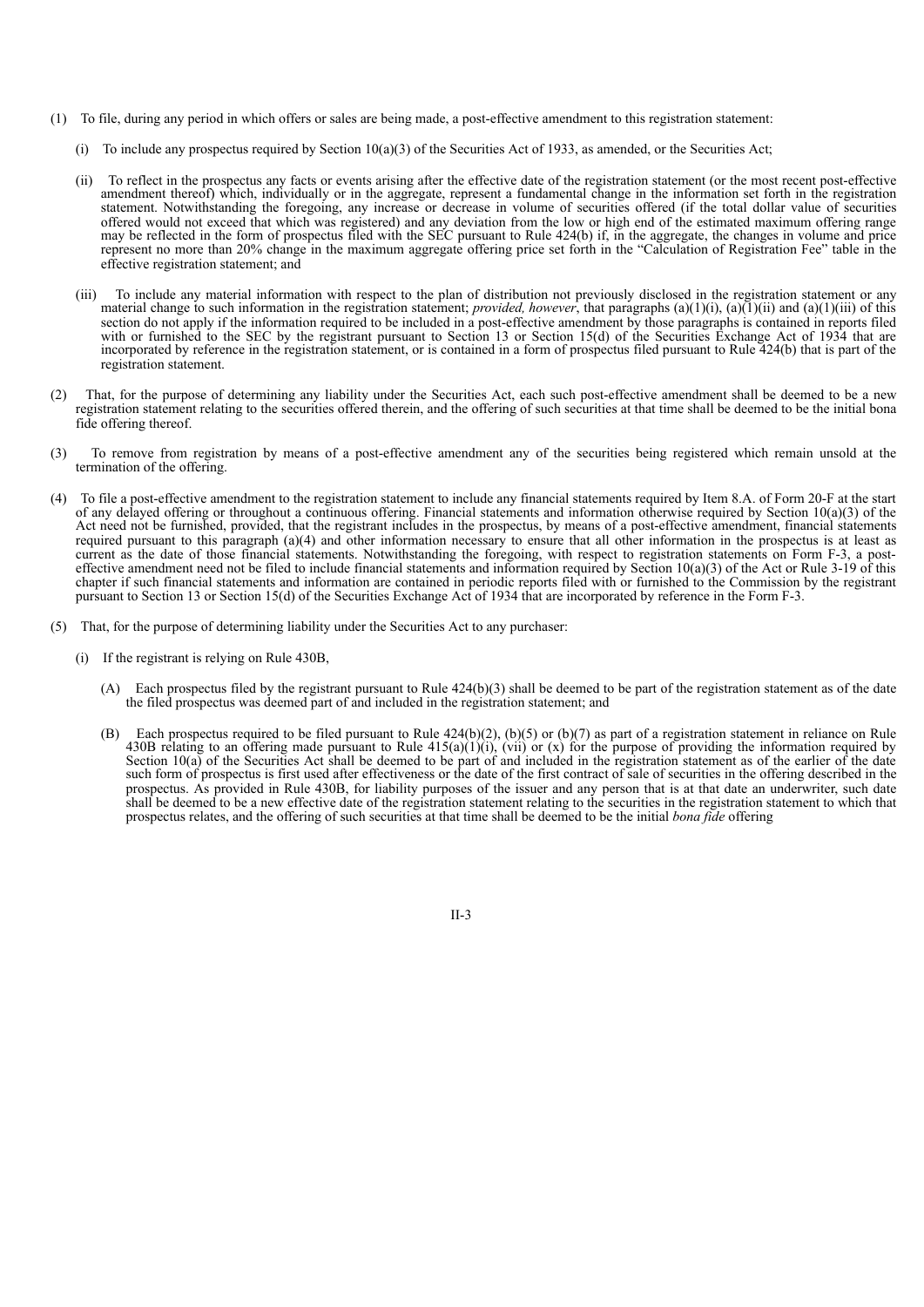- (1) To file, during any period in which offers or sales are being made, a post-effective amendment to this registration statement:
	- (i) To include any prospectus required by Section  $10(a)(3)$  of the Securities Act of 1933, as amended, or the Securities Act;
	- (ii) To reflect in the prospectus any facts or events arising after the effective date of the registration statement (or the most recent post-effective amendment thereof) which, individually or in the aggregate, represent a fundamental change in the information set forth in the registration statement. Notwithstanding the foregoing, any increase or decrease in volume of securities offered (if the total dollar value of securities offered would not exceed that which was registered) and any deviation from the low or high end of the estimated maximum offering range may be reflected in the form of prospectus filed with the SEC pursuant to Rule 424(b) if, in the aggregate, the changes in volume and price represent no more than 20% change in the maximum aggregate offering price set forth in the "Calculation of Registration Fee" table in the effective registration statement; and
	- (iii) To include any material information with respect to the plan of distribution not previously disclosed in the registration statement or any material change to such information in the registration statement; *provided, however*, that paragraphs (a)(1)(i), (a)(1)(ii) and (a)(1)(iii) of this section do not apply if the information required to be included in a post-effective amendment by those paragraphs is contained in reports filed with or furnished to the SEC by the registrant pursuant to Section 13 or Section 15(d) of the Securities Exchange Act of 1934 that are incorporated by reference in the registration statement, or is contained in a form of prospectus filed pursuant to Rule 424(b) that is part of the registration statement.
- (2) That, for the purpose of determining any liability under the Securities Act, each such post-effective amendment shall be deemed to be a new registration statement relating to the securities offered therein, and the offering of such securities at that time shall be deemed to be the initial bona fide offering thereof.
- (3) To remove from registration by means of a post-effective amendment any of the securities being registered which remain unsold at the termination of the offering.
- (4) To file a post-effective amendment to the registration statement to include any financial statements required by Item 8.A. of Form 20-F at the start of any delayed offering or throughout a continuous offering. Financial statements and information otherwise required by Section  $10(a)(3)$  of the Act need not be furnished, provided, that the registrant includes in the prospectus, by means of a post-effective amendment, financial statements required pursuant to this paragraph (a)(4) and other information necessary to ensure that all other information in the prospectus is at least as current as the date of those financial statements. Notwithstanding the foregoing, with respect to registration statements on Form F-3, a posteffective amendment need not be filed to include financial statements and information required by Section  $10(a)(3)$  of the Act or Rule 3-19 of this chapter if such financial statements and information are contained in periodic reports filed with or furnished to the Commission by the registrant pursuant to Section 13 or Section 15(d) of the Securities Exchange Act of 1934 that are incorporated by reference in the Form F-3.
- (5) That, for the purpose of determining liability under the Securities Act to any purchaser:
	- (i) If the registrant is relying on Rule 430B,
		- (A) Each prospectus filed by the registrant pursuant to Rule 424(b)(3) shall be deemed to be part of the registration statement as of the date the filed prospectus was deemed part of and included in the registration statement; and
		- (B) Each prospectus required to be filed pursuant to Rule 424(b)(2), (b)(5) or (b)(7) as part of a registration statement in reliance on Rule 430B relating to an offering made pursuant to Rule  $415(a)(1)(i)$ , (vii) or (x) for the purpose of providing the information required by Section 10(a) of the Securities Act shall be deemed to be part of and included in the registration statement as of the earlier of the date such form of prospectus is first used after effectiveness or the date of the first contract of sale of securities in the offering described in the prospectus. As provided in Rule 430B, for liability purposes of the issuer and any person that is at that date an underwriter, such date shall be deemed to be a new effective date of the registration statement relating to the securities in the registration statement to which that prospectus relates, and the offering of such securities at that time shall be deemed to be the initial *bona fide* offering

II-3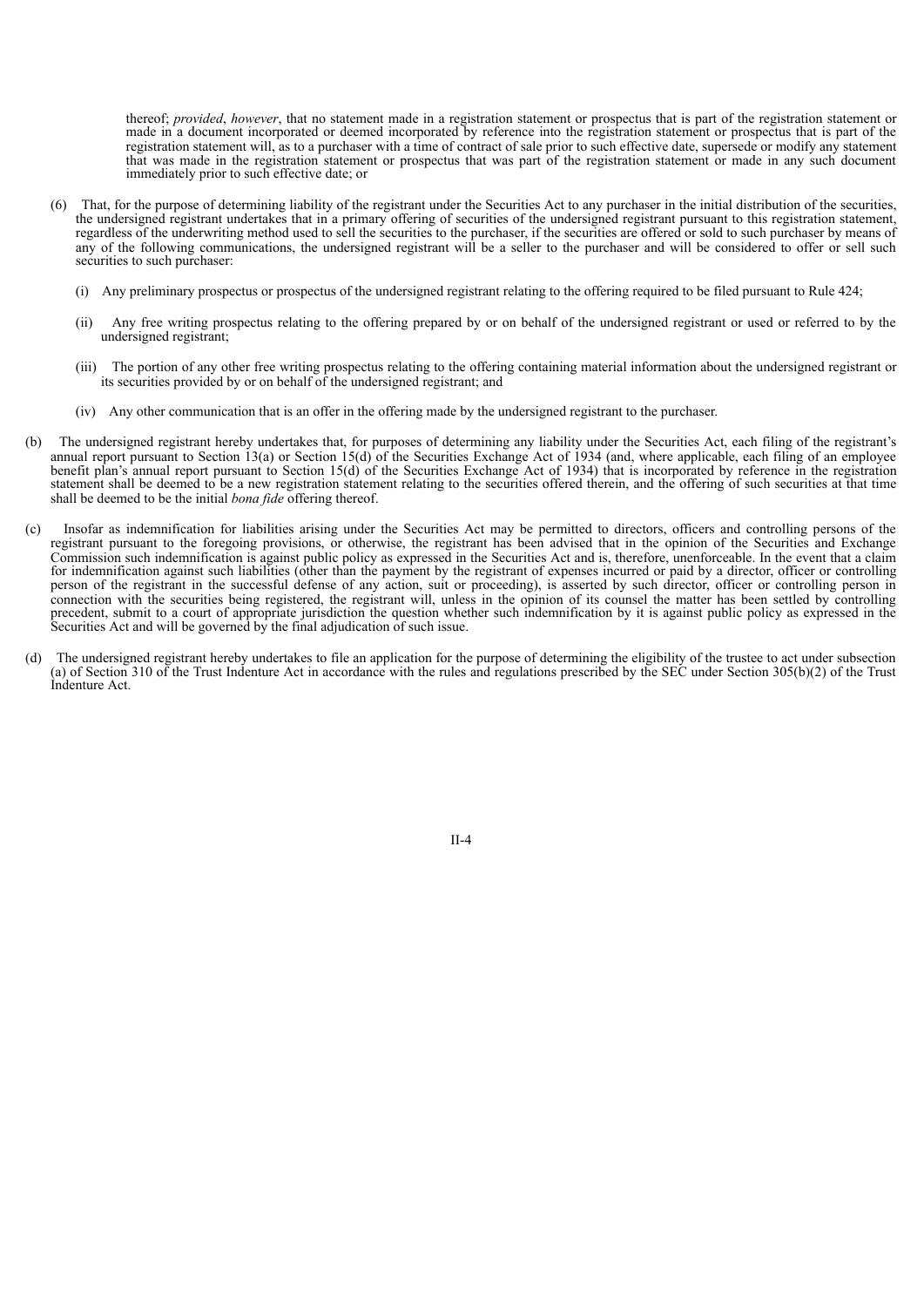thereof; *provided*, *however*, that no statement made in a registration statement or prospectus that is part of the registration statement or made in a document incorporated or deemed incorporated by reference into the registration statement or prospectus that is part of the registration statement will, as to a purchaser with a time of contract of sale prior to such effective date, supersede or modify any statement that was made in the registration statement or prospectus that was part of the registration statement or made in any such document immediately prior to such effective date; or

- (6) That, for the purpose of determining liability of the registrant under the Securities Act to any purchaser in the initial distribution of the securities, the undersigned registrant undertakes that in a primary offering of securities of the undersigned registrant pursuant to this registration statement, regardless of the underwriting method used to sell the securities to the purchaser, if the securities are offered or sold to such purchaser by means of any of the following communications, the undersigned registrant will be a seller to the purchaser and will be considered to offer or sell such securities to such purchaser:
	- (i) Any preliminary prospectus or prospectus of the undersigned registrant relating to the offering required to be filed pursuant to Rule 424;
	- (ii) Any free writing prospectus relating to the offering prepared by or on behalf of the undersigned registrant or used or referred to by the undersigned registrant;
	- (iii) The portion of any other free writing prospectus relating to the offering containing material information about the undersigned registrant or its securities provided by or on behalf of the undersigned registrant; and
	- (iv) Any other communication that is an offer in the offering made by the undersigned registrant to the purchaser.
- (b) The undersigned registrant hereby undertakes that, for purposes of determining any liability under the Securities Act, each filing of the registrant's annual report pursuant to Section 13(a) or Section 15(d) of the Securities Exchange Act of 1934 (and, where applicable, each filing of an employee benefit plan's annual report pursuant to Section 15(d) of the Securities Exchange Act of 1934) that is incorporated by reference in the registration statement shall be deemed to be a new registration statement relating to the securities offered therein, and the offering of such securities at that time shall be deemed to be the initial *bona fide* offering thereof.
- (c) Insofar as indemnification for liabilities arising under the Securities Act may be permitted to directors, officers and controlling persons of the registrant pursuant to the foregoing provisions, or otherwise, the registrant has been advised that in the opinion of the Securities and Exchange Commission such indemnification is against public policy as expressed in the Securities Act and is, therefore, unenforceable. In the event that a claim for indemnification against such liabilities (other than the payment by the registrant of expenses incurred or paid by a director, officer or controlling person of the registrant in the successful defense of any action, suit or proceeding), is asserted by such director, officer or controlling person in connection with the securities being registered, the registrant will, unless in the opinion of its counsel the matter has been settled by controlling precedent, submit to a court of appropriate jurisdiction the question whether such indemnification by it is against public policy as expressed in the Securities Act and will be governed by the final adjudication of such issue.
- <span id="page-26-0"></span>The undersigned registrant hereby undertakes to file an application for the purpose of determining the eligibility of the trustee to act under subsection (a) of Section 310 of the Trust Indenture Act in accordance with the rules and regulations prescribed by the SEC under Section 305(b)(2) of the Trust Indenture Act.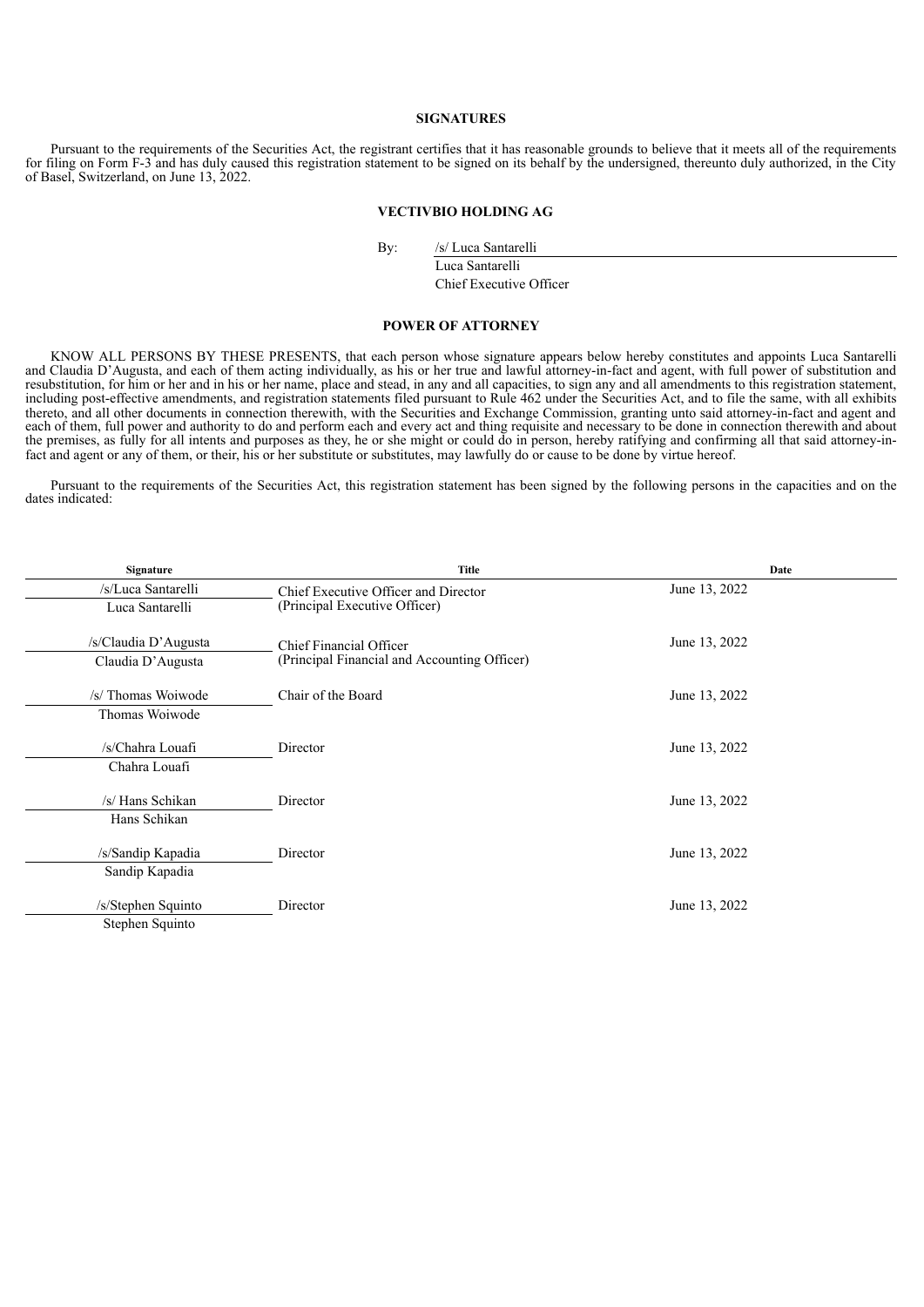# **SIGNATURES**

Pursuant to the requirements of the Securities Act, the registrant certifies that it has reasonable grounds to believe that it meets all of the requirements for filing on Form F-3 and has duly caused this registration statement to be signed on its behalf by the undersigned, thereunto duly authorized, in the City of Basel, Switzerland, on June 13, 2022.

# **VECTIVBIO HOLDING AG**

By: /s/ Luca Santarelli

Luca Santarelli Chief Executive Officer

#### **POWER OF ATTORNEY**

KNOW ALL PERSONS BY THESE PRESENTS, that each person whose signature appears below hereby constitutes and appoints Luca Santarelli and Claudia D'Augusta, and each of them acting individually, as his or her true and lawful attorney-in-fact and agent, with full power of substitution and resubstitution, for him or her and in his or her name, place and stead, in any and all capacities, to sign any and all amendments to this registration statement, including post-effective amendments, and registration statements filed pursuant to Rule 462 under the Securities Act, and to file the same, with all exhibits thereto, and all other documents in connection therewith, with the Securities and Exchange Commission, granting unto said attorney-in-fact and agent and each of them, full power and authority to do and perform each and every act and thing requisite and necessary to be done in connection therewith and about the premises, as fully for all intents and purposes as they, he or she might or could do in person, hereby ratifying and confirming all that said attorney-infact and agent or any of them, or their, his or her substitute or substitutes, may lawfully do or cause to be done by virtue hereof.

Pursuant to the requirements of the Securities Act, this registration statement has been signed by the following persons in the capacities and on the dates indicated:

| Signature            | Title                                        | Date          |
|----------------------|----------------------------------------------|---------------|
| /s/Luca Santarelli   | Chief Executive Officer and Director         | June 13, 2022 |
| Luca Santarelli      | (Principal Executive Officer)                |               |
| /s/Claudia D'Augusta |                                              | June 13, 2022 |
|                      | Chief Financial Officer                      |               |
| Claudia D'Augusta    | (Principal Financial and Accounting Officer) |               |
| /s/ Thomas Woiwode   | Chair of the Board                           | June 13, 2022 |
| Thomas Woiwode       |                                              |               |
|                      |                                              |               |
| /s/Chahra Louafi     | Director                                     | June 13, 2022 |
| Chahra Louafi        |                                              |               |
|                      |                                              |               |
| /s/ Hans Schikan     | Director                                     | June 13, 2022 |
| Hans Schikan         |                                              |               |
| /s/Sandip Kapadia    | Director                                     | June 13, 2022 |
| Sandip Kapadia       |                                              |               |
|                      |                                              |               |
| /s/Stephen Squinto   | Director                                     | June 13, 2022 |
| Stephen Squinto      |                                              |               |
|                      |                                              |               |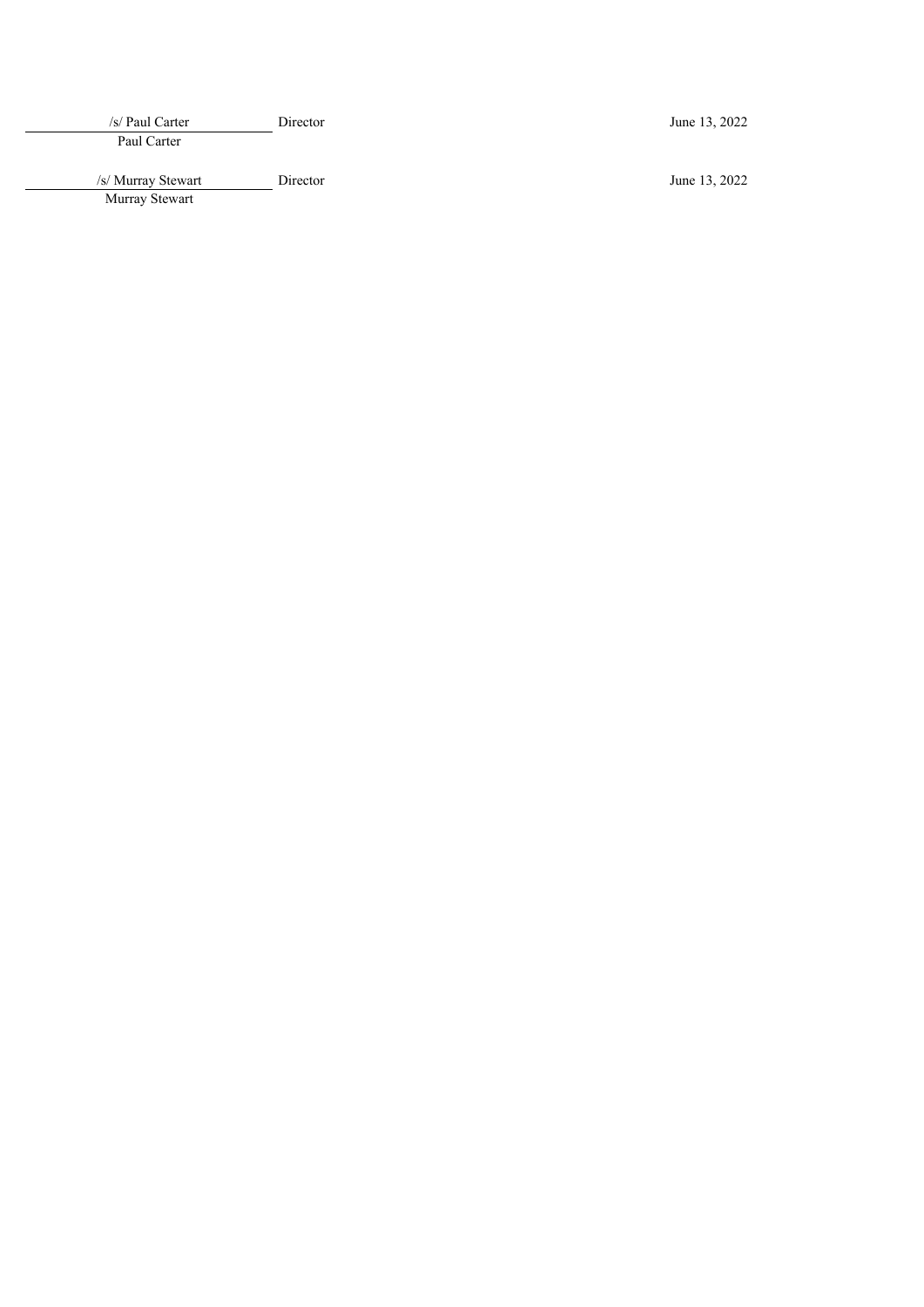/s/ Paul Carter Director June 13, 2022 Paul Carter /s/ Murray Stewart Director June 13, 2022 Murray Stewart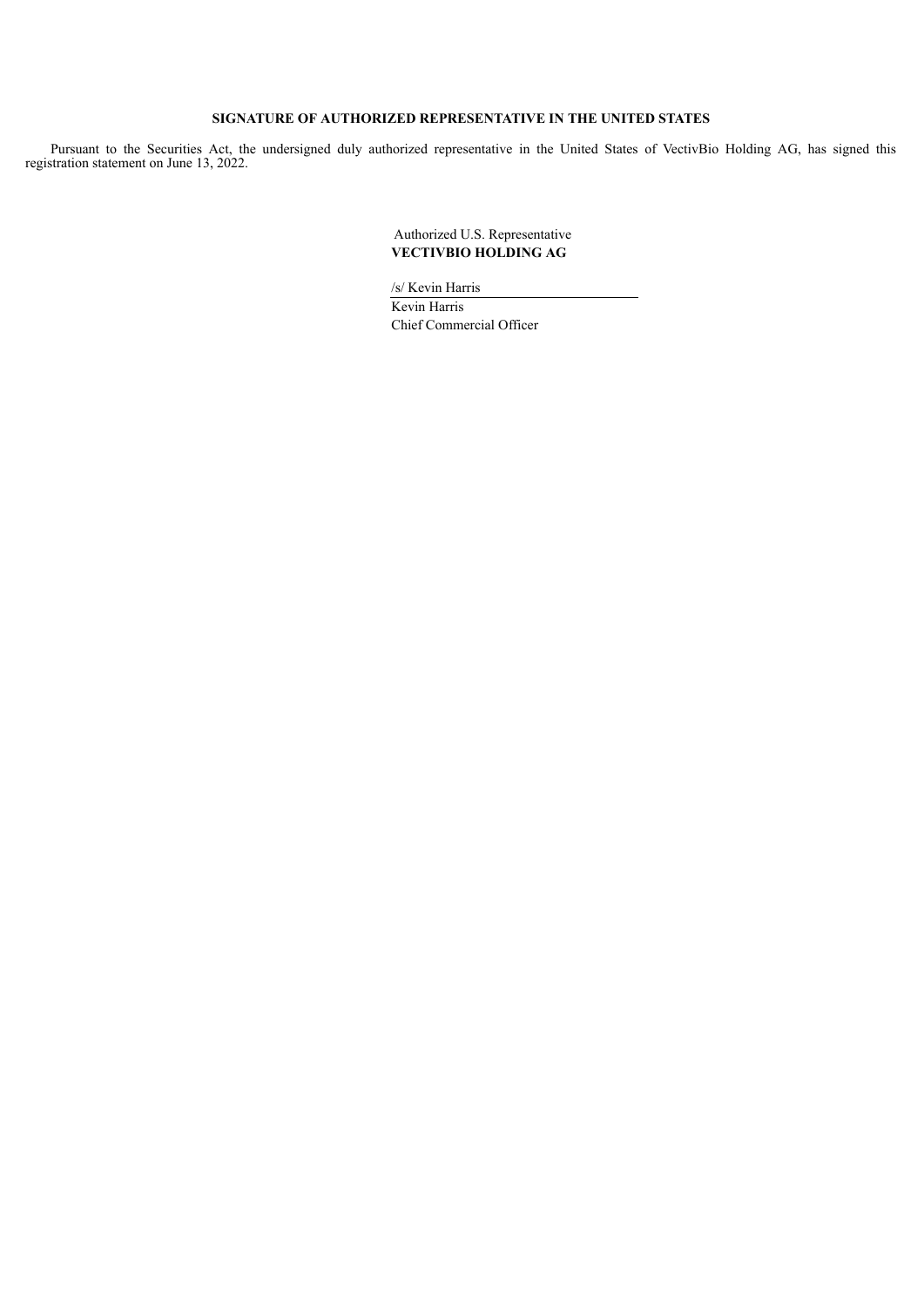# **SIGNATURE OF AUTHORIZED REPRESENTATIVE IN THE UNITED STATES**

Pursuant to the Securities Act, the undersigned duly authorized representative in the United States of VectivBio Holding AG, has signed this registration statement on June 13, 2022.

# Authorized U.S. Representative **VECTIVBIO HOLDING AG**

/s/ Kevin Harris Kevin Harris Chief Commercial Officer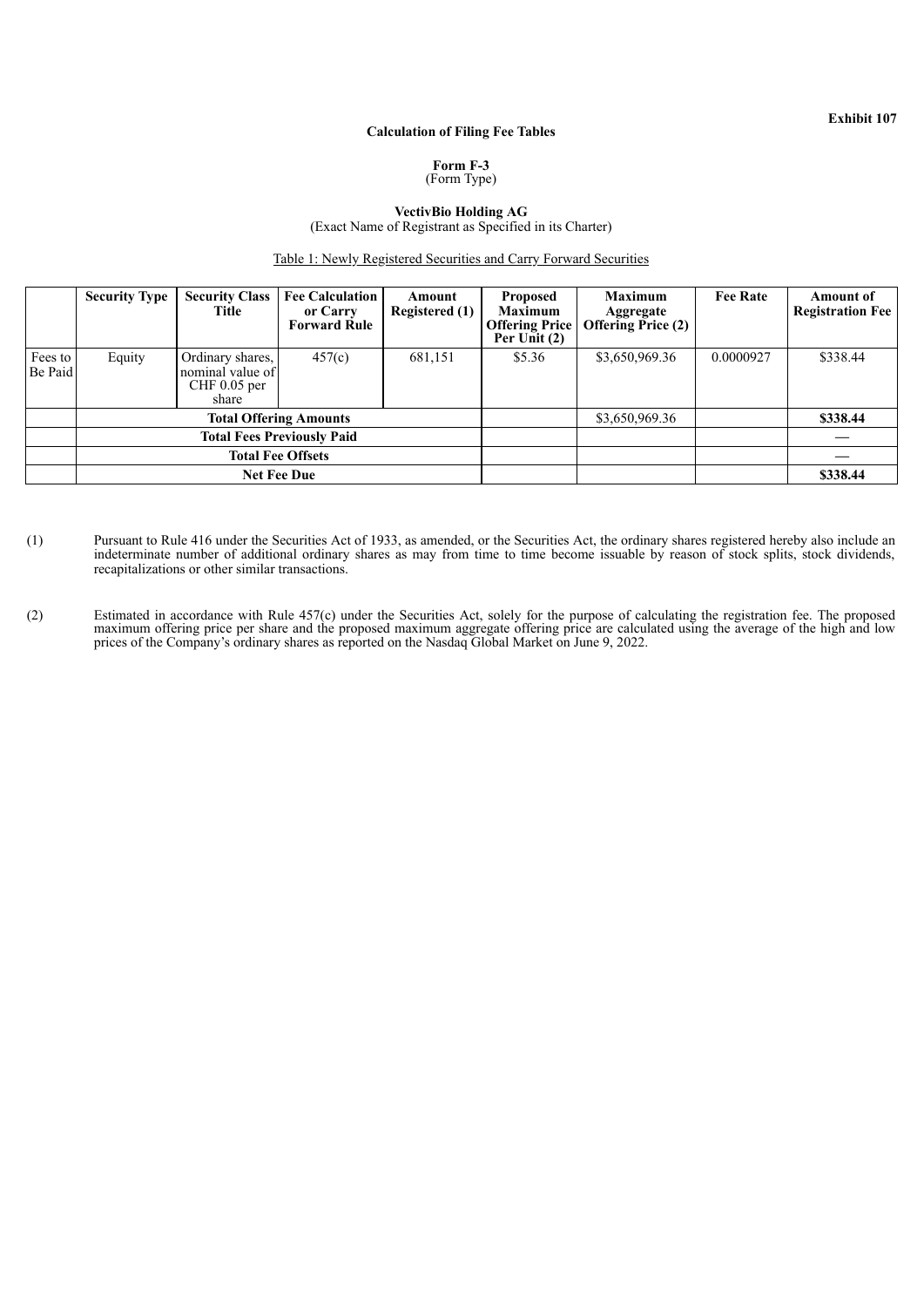# **Calculation of Filing Fee Tables**

### **Form F-3** (Form Type)

#### **VectivBio Holding AG** (Exact Name of Registrant as Specified in its Charter)

Table 1: Newly Registered Securities and Carry Forward Securities

<span id="page-30-0"></span>

|                    | <b>Security Type</b>              | <b>Security Class</b><br><b>Title</b>                           | <b>Fee Calculation</b><br>or Carry<br><b>Forward Rule</b> | Amount<br>Registered $(1)$ | <b>Proposed</b><br><b>Maximum</b><br><b>Offering Price</b><br>Per Unit $(2)$ | <b>Maximum</b><br>Aggregate<br><b>Offering Price (2)</b> | <b>Fee Rate</b> | <b>Amount of</b><br><b>Registration Fee</b> |
|--------------------|-----------------------------------|-----------------------------------------------------------------|-----------------------------------------------------------|----------------------------|------------------------------------------------------------------------------|----------------------------------------------------------|-----------------|---------------------------------------------|
| Fees to<br>Be Paid | Equity                            | Ordinary shares,<br>nominal value of<br>$CHF 0.05$ per<br>share | 457(c)                                                    | 681,151                    | \$5.36                                                                       | \$3,650,969.36                                           | 0.0000927       | \$338.44                                    |
|                    | <b>Total Offering Amounts</b>     |                                                                 |                                                           |                            |                                                                              | \$3,650,969.36                                           |                 | \$338.44                                    |
|                    | <b>Total Fees Previously Paid</b> |                                                                 |                                                           |                            |                                                                              |                                                          |                 |                                             |
|                    | <b>Total Fee Offsets</b>          |                                                                 |                                                           |                            |                                                                              |                                                          |                 |                                             |
|                    | <b>Net Fee Due</b>                |                                                                 |                                                           |                            |                                                                              |                                                          |                 | \$338.44                                    |

- (1) Pursuant to Rule 416 under the Securities Act of 1933, as amended, or the Securities Act, the ordinary shares registered hereby also include an indeterminate number of additional ordinary shares as may from time to time become issuable by reason of stock splits, stock dividends, recapitalizations or other similar transactions.
- (2) Estimated in accordance with Rule 457(c) under the Securities Act, solely for the purpose of calculating the registration fee. The proposed maximum offering price per share and the proposed maximum aggregate offering price are calculated using the average of the high and low prices of the Company's ordinary shares as reported on the Nasdaq Global Market on June 9, 2022.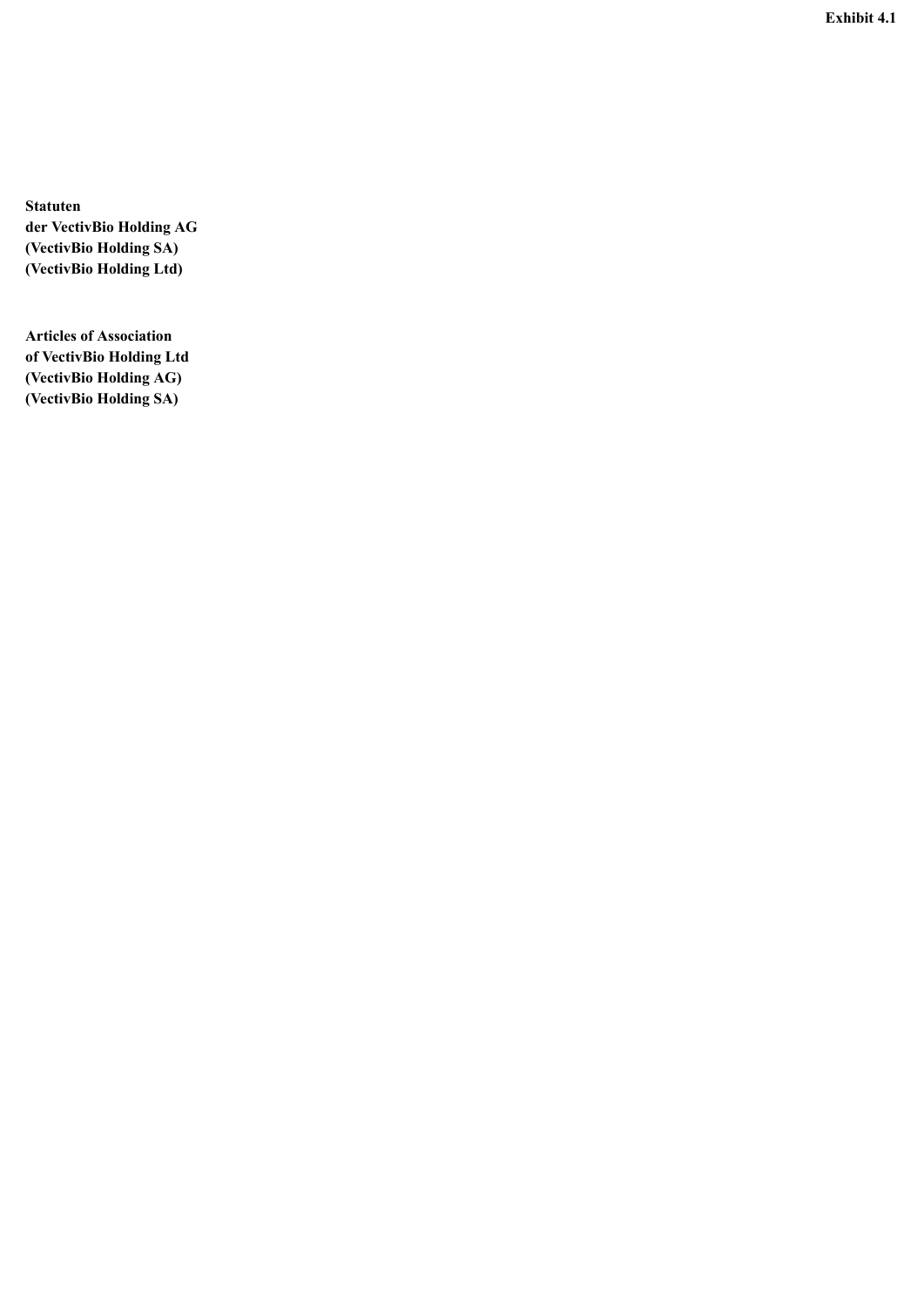**Exhibit 4.1** 

<span id="page-31-0"></span>**Statuten der VectivBio Holding AG** (VectivBio Holding SA) (VectivBio Holding Ltd)

Articles of Association of VectivBio Holding Ltd (VectivBio Holding AG) (VectivBio Holding SA)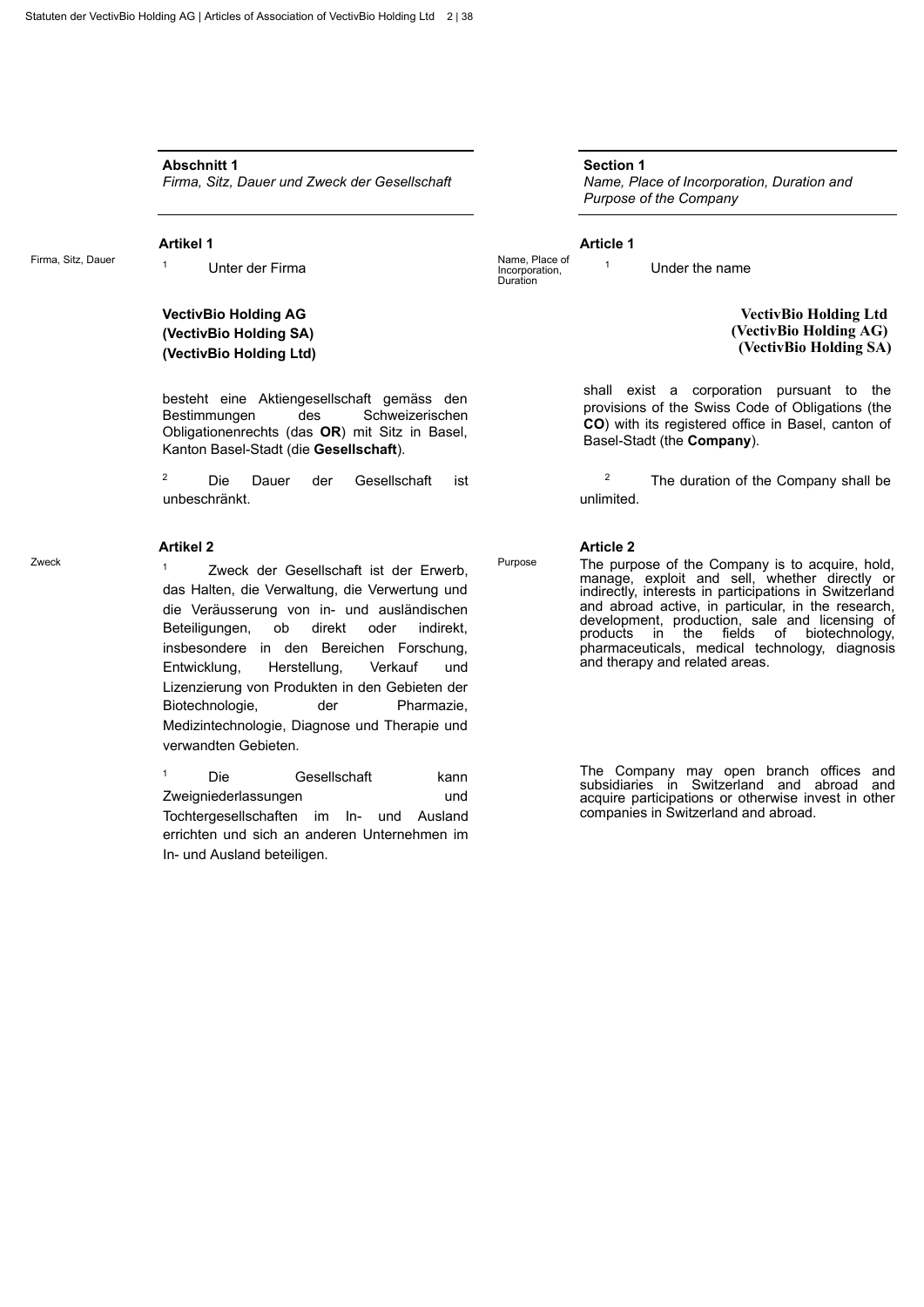# **Abschnitt 1**

*Firma, Sitz, Dauer und Zweck der Gesellschaft*

**VectivBio Holding AG (VectivBio Holding SA) (VectivBio Holding Ltd)**

besteht eine Aktiengesellschaft gemäss den Bestimmungen des Schweizerischen Obligationenrechts (das **OR**) mit Sitz in Basel, Kanton Basel-Stadt (die **Gesellschaft**).

<sup>2</sup> Die Dauer der Gesellschaft ist 2<sup>2</sup> unbeschränkt.

# **Artikel 2 Article 2**

Zweck Zweck der Gesellschaft ist der Erwerb, das Halten, die Verwaltung, die Verwertung und die Veräusserung von in- und ausländischen Beteiligungen, ob direkt oder indirekt, insbesondere in den Bereichen Forschung, Entwicklung, Herstellung, Verkauf und Lizenzierung von Produkten in den Gebieten der Biotechnologie, der Pharmazie, Medizintechnologie, Diagnose und Therapie und verwandten Gebieten. 1

> Die Gesellschaft kann Zweigniederlassungen und und Tochtergesellschaften im In- und Ausland errichten und sich an anderen Unternehmen im In- und Ausland beteiligen. 1

**Section 1**

*Name, Place of Incorporation, Duration and Purpose of the Company*

#### **Artikel 1 Article 1**

Firma, Sitz, Dauer Unter der Firma 1 1 Name, Place of Incorporation, Duration

Under the name

**VectivBio Holding Ltd (VectivBio Holding AG) (VectivBio Holding SA)**

shall exist a corporation pursuant to the provisions of the Swiss Code of Obligations (the **CO**) with its registered office in Basel, canton of Basel-Stadt (the **Company**).

The duration of the Company shall be unlimited.

Purpose The purpose of the Company is to acquire, hold, manage, exploit and sell, whether directly or indirectly, interests in participations in Switzerland and abroad active, in particular, in the research, development, production, sale and licensing of products in the fields of biotechnology, pharmaceuticals, medical technology, diagnosis and therapy and related areas.

> The Company may open branch offices and<br>subsidiaries in Switzerland and abroad and subsidiaries in Switzerland and abroad and acquire participations or otherwise invest in other companies in Switzerland and abroad.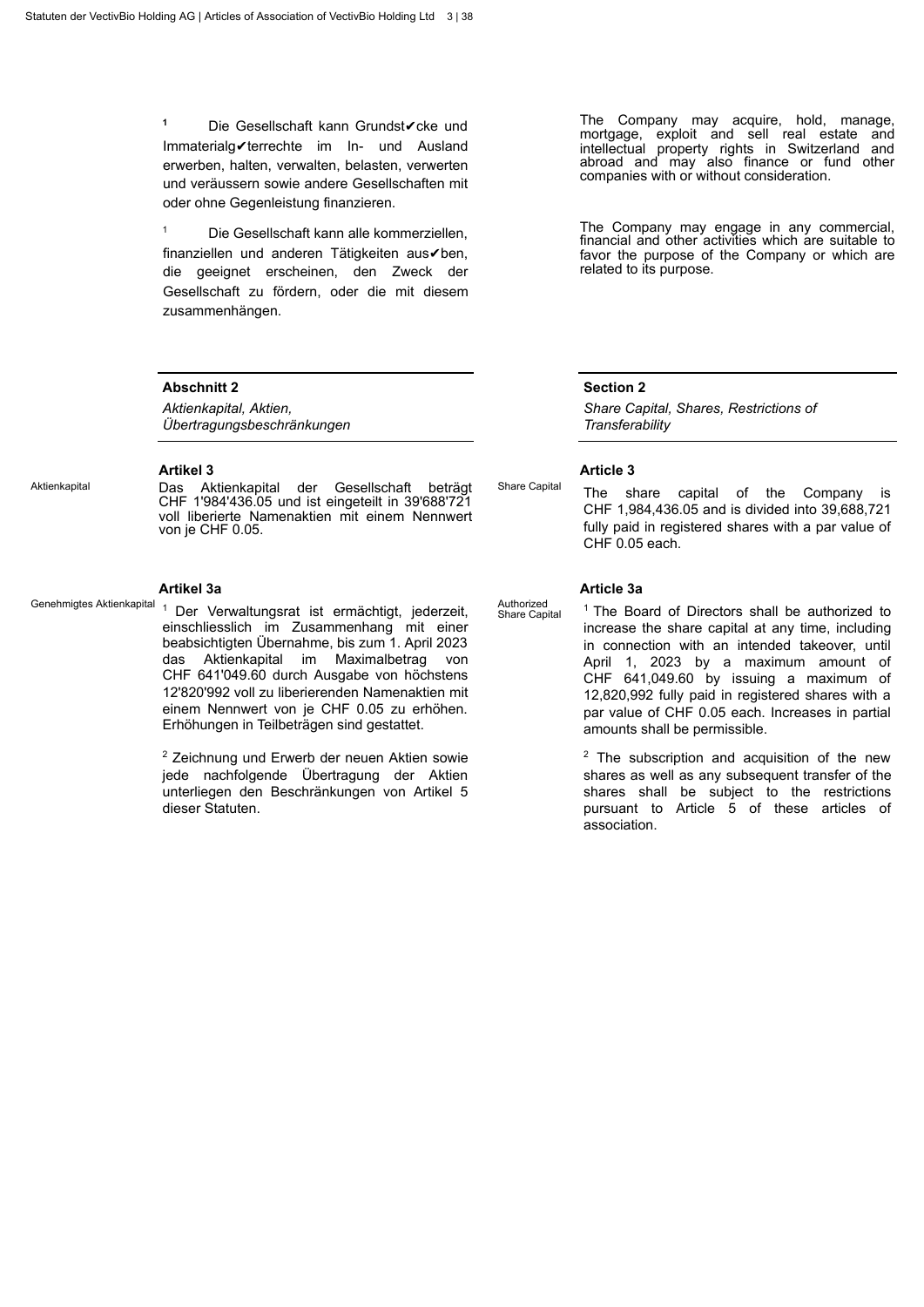Die Gesellschaft kann Grundst✔cke und Immaterialg✔terrechte im In- und Ausland erwerben, halten, verwalten, belasten, verwerten und veräussern sowie andere Gesellschaften mit oder ohne Gegenleistung finanzieren. **1**

Die Gesellschaft kann alle kommerziellen, finanziellen und anderen Tätigkeiten aus✔ben, die geeignet erscheinen, den Zweck der Gesellschaft zu fördern, oder die mit diesem zusammenhängen. 1

# **Abschnitt 2**

*Aktienkapital, Aktien, Übertragungsbeschränkungen*

Aktienkapital Das Aktienkapital der Gesellschaft beträgt CHF 1'984'436.05 und ist eingeteilt in 39'688'721 voll liberierte Namenaktien mit einem Nennwert von je CHF 0.05.

**Artikel 3a Article 3a** Genehmigtes Aktienkapital 1 Der Verwaltungsrat ist ermächtigt, jederzeit, althorized and the Share Capital 1 einschliesslich im Zusammenhang mit einer beabsichtigten Übernahme, bis zum 1. April 2023 das Aktienkapital im Maximalbetrag von CHF 641'049.60 durch Ausgabe von höchstens 12'820'992 voll zu liberierenden Namenaktien mit einem Nennwert von je CHF 0.05 zu erhöhen. Erhöhungen in Teilbeträgen sind gestattet.

> $2$  Zeichnung und Erwerb der neuen Aktien sowie  $2$ jede nachfolgende Übertragung der Aktien unterliegen den Beschränkungen von Artikel 5 dieser Statuten.

The Company may acquire, hold, manage, mortgage, exploit and sell real estate and intellectual property rights in Switzerland and abroad and may also finance or fund other companies with or without consideration.

The Company may engage in any commercial, financial and other activities which are suitable to favor the purpose of the Company or which are related to its purpose.

# **Section 2**

*Share Capital, Shares, Restrictions of Transferability*

#### **Artikel 3 Article 3**

Share Capital The share capital of the Company is CHF 1,984,436.05 and is divided into 39,688,721 fully paid in registered shares with a par value of CHF 0.05 each.

Authorized<br>Share Capital  $1$  The Board of Directors shall be authorized to increase the share capital at any time, including in connection with an intended takeover, until April 1, 2023 by a maximum amount of CHF 641,049.60 by issuing a maximum of 12,820,992 fully paid in registered shares with a par value of CHF 0.05 each. Increases in partial amounts shall be permissible.

> $2$  The subscription and acquisition of the new shares as well as any subsequent transfer of the shares shall be subject to the restrictions pursuant to Article 5 of these articles of association.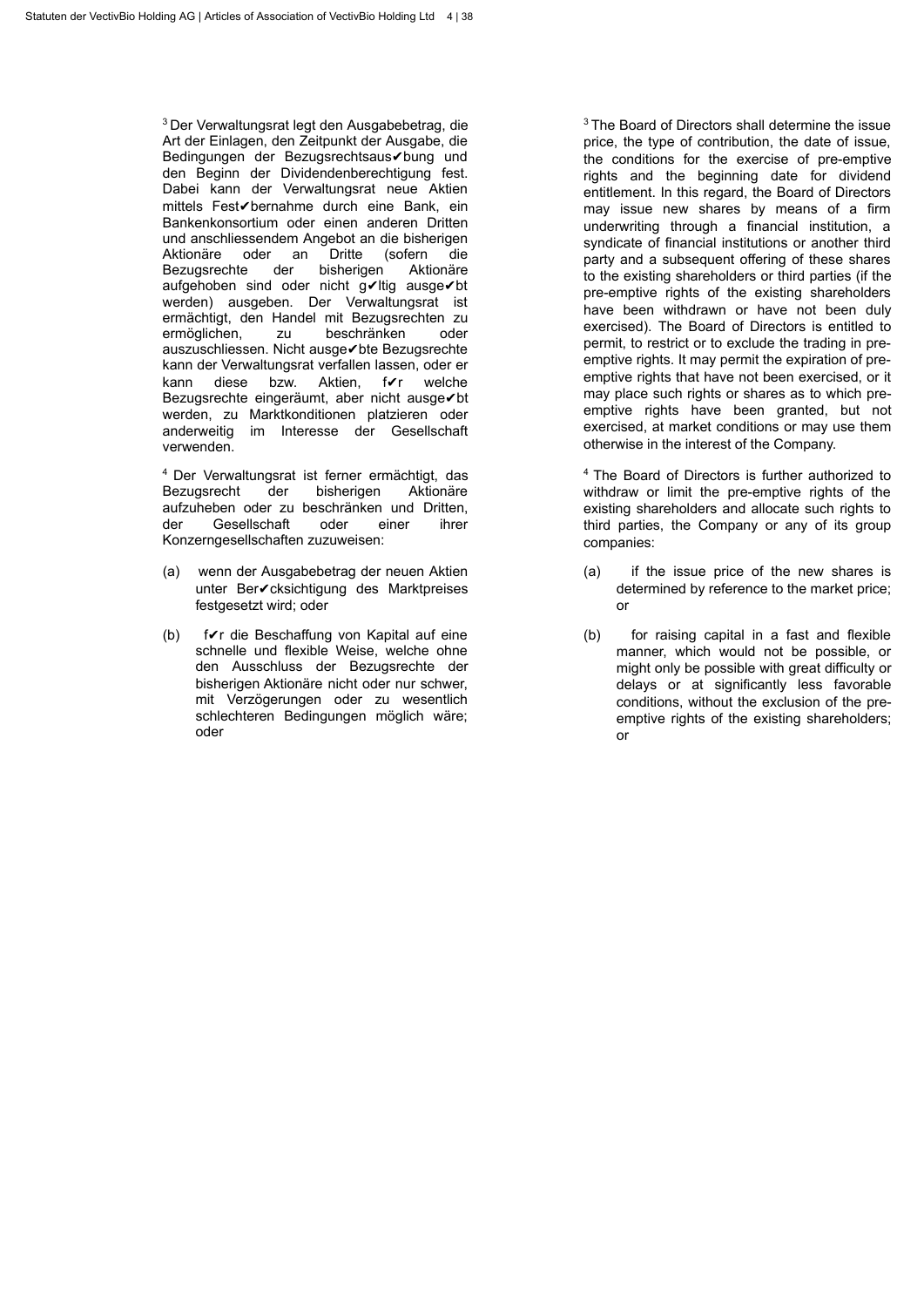$3$ Der Verwaltungsrat legt den Ausgabebetrag, die  $3$ Art der Einlagen, den Zeitpunkt der Ausgabe, die Bedingungen der Bezugsrechtsaus✔bung und den Beginn der Dividendenberechtigung fest. Dabei kann der Verwaltungsrat neue Aktien mittels Fest✔bernahme durch eine Bank, ein Bankenkonsortium oder einen anderen Dritten und anschliessendem Angebot an die bisherigen<br>Aktionäre oder an Dritte (sofern die Aktionäre oder an Dritte (sofern<br>Bezugsrechte der bisherigen Aktio Bezugsrechte der bisherigen Aktionäre aufgehoben sind oder nicht g✔ltig ausge✔bt werden) ausgeben. Der Verwaltungsrat ist ermächtigt, den Handel mit Bezugsrechten zu ermöglichen, zu beschränken oder auszuschliessen. Nicht ausge✔bte Bezugsrechte kann der Verwaltungsrat verfallen lassen, oder er kann diese bzw. Aktien, fvr welche Bezugsrechte eingeräumt, aber nicht ausge✔bt werden, zu Marktkonditionen platzieren oder anderweitig im Interesse der Gesellschaft verwenden.

<sup>4</sup> Der Verwaltungsrat ist ferner ermächtigt, das 4 Bezugsrecht der bisherigen Aktionäre aufzuheben oder zu beschränken und Dritten, der Gesellschaft oder einer ihrer Konzerngesellschaften zuzuweisen:

- (a) wenn der Ausgabebetrag der neuen Aktien unter Ber✔cksichtigung des Marktpreises festgesetzt wird; oder
- (b) f✔r die Beschaffung von Kapital auf eine schnelle und flexible Weise, welche ohne den Ausschluss der Bezugsrechte der bisherigen Aktionäre nicht oder nur schwer, mit Verzögerungen oder zu wesentlich schlechteren Bedingungen möglich wäre; oder

 $3$  The Board of Directors shall determine the issue price, the type of contribution, the date of issue, the conditions for the exercise of pre-emptive rights and the beginning date for dividend entitlement. In this regard, the Board of Directors may issue new shares by means of a firm underwriting through a financial institution, a syndicate of financial institutions or another third party and a subsequent offering of these shares to the existing shareholders or third parties (if the pre-emptive rights of the existing shareholders have been withdrawn or have not been duly exercised). The Board of Directors is entitled to permit, to restrict or to exclude the trading in preemptive rights. It may permit the expiration of preemptive rights that have not been exercised, or it may place such rights or shares as to which preemptive rights have been granted, but not exercised, at market conditions or may use them otherwise in the interest of the Company.

<sup>4</sup> The Board of Directors is further authorized to withdraw or limit the pre-emptive rights of the existing shareholders and allocate such rights to third parties, the Company or any of its group companies:

- (a) if the issue price of the new shares is determined by reference to the market price; or
- (b) for raising capital in a fast and flexible manner, which would not be possible, or might only be possible with great difficulty or delays or at significantly less favorable conditions, without the exclusion of the preemptive rights of the existing shareholders; or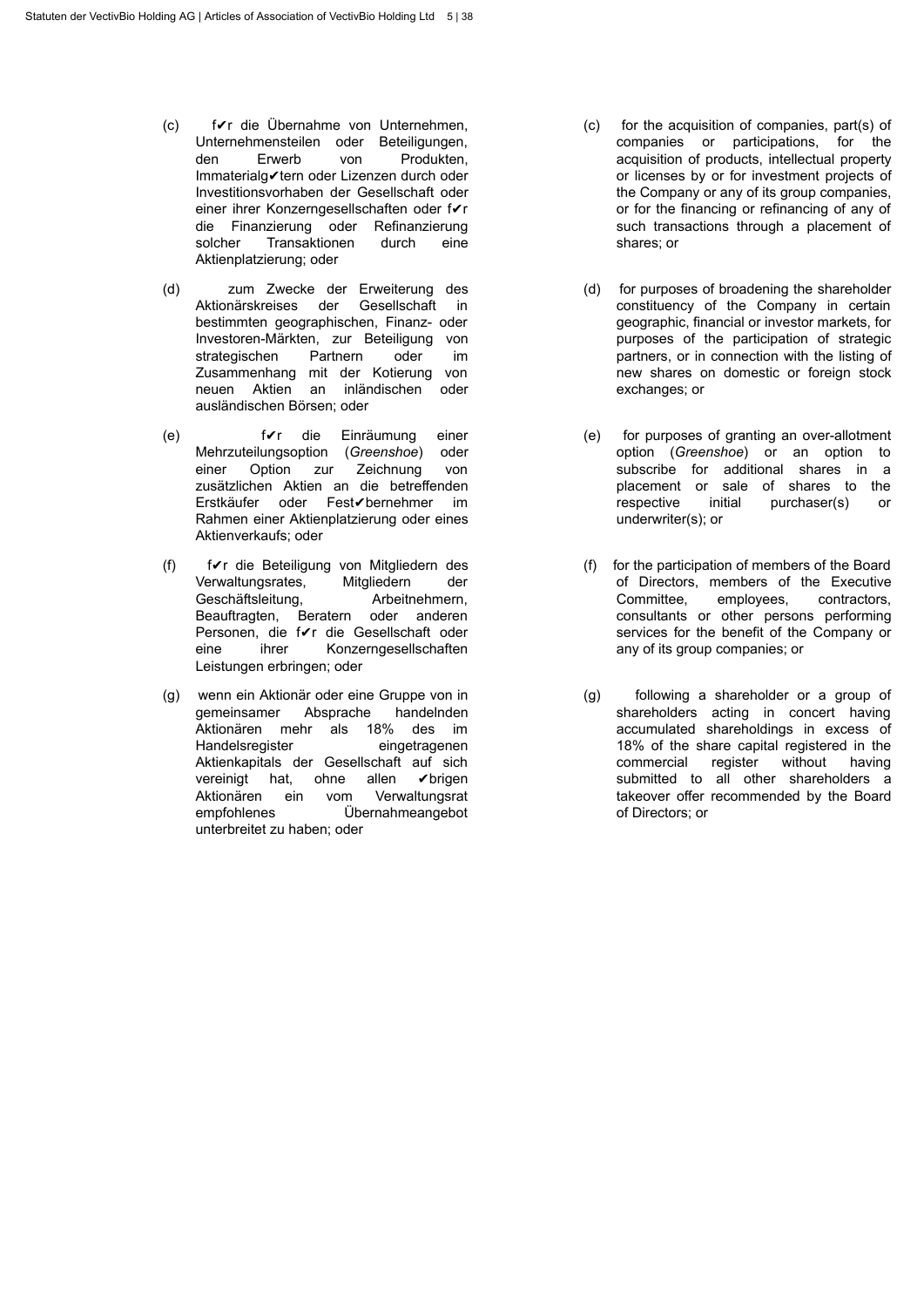- (c) f✔r die Übernahme von Unternehmen, Unternehmensteilen oder Beteiligungen, den Erwerb von Produkten, Immaterialg✔tern oder Lizenzen durch oder Investitionsvorhaben der Gesellschaft oder einer ihrer Konzerngesellschaften oder f√r die Finanzierung oder Refinanzierung solcher Transaktionen durch eine Aktienplatzierung; oder
- (d) zum Zwecke der Erweiterung des Aktionärskreises der Gesellschaft in bestimmten geographischen, Finanz- oder Investoren-Märkten, zur Beteiligung von strategischen Partnern oder im Zusammenhang mit der Kotierung von neuen Aktien an inländischen oder ausländischen Börsen; oder
- (e) f✔r die Einräumung einer Mehrzuteilungsoption (*Greenshoe*) oder einer Option zur Zeichnung von zusätzlichen Aktien an die betreffenden Erstkäufer oder Fest✔bernehmer im Rahmen einer Aktienplatzierung oder eines Aktienverkaufs; oder
- (f) f✔r die Beteiligung von Mitgliedern des Verwaltungsrates, Mitgliedern der Geschäftsleitung, **Arbeitnehmern**, Beauftragten, Beratern oder anderen Personen, die f✔r die Gesellschaft oder eine ihrer Konzerngesellschaften Leistungen erbringen; oder
- (g) wenn ein Aktionär oder eine Gruppe von in gemeinsamer Absprache handelnden Aktionären mehr als 18% des im Handelsregister eingetragenen Aktienkapitals der Gesellschaft auf sich vereinigt hat, ohne allen vbrigen Aktionären ein vom Verwaltungsrat<br>empfohlenes – Übernahmeangebot Übernahmeangebot unterbreitet zu haben; oder
- (c) for the acquisition of companies, part(s) of companies or participations, for the acquisition of products, intellectual property or licenses by or for investment projects of the Company or any of its group companies, or for the financing or refinancing of any of such transactions through a placement of shares; or
- (d) for purposes of broadening the shareholder constituency of the Company in certain geographic, financial or investor markets, for purposes of the participation of strategic partners, or in connection with the listing of new shares on domestic or foreign stock exchanges; or
- (e) for purposes of granting an over-allotment option (*Greenshoe*) or an option to subscribe for additional shares in a placement or sale of shares to the respective initial purchaser(s) or underwriter(s); or
- (f) for the participation of members of the Board of Directors, members of the Executive Committee, employees, contractors, consultants or other persons performing services for the benefit of the Company or any of its group companies; or
- (g) following a shareholder or a group of shareholders acting in concert having accumulated shareholdings in excess of 18% of the share capital registered in the commercial register without having submitted to all other shareholders a takeover offer recommended by the Board of Directors; or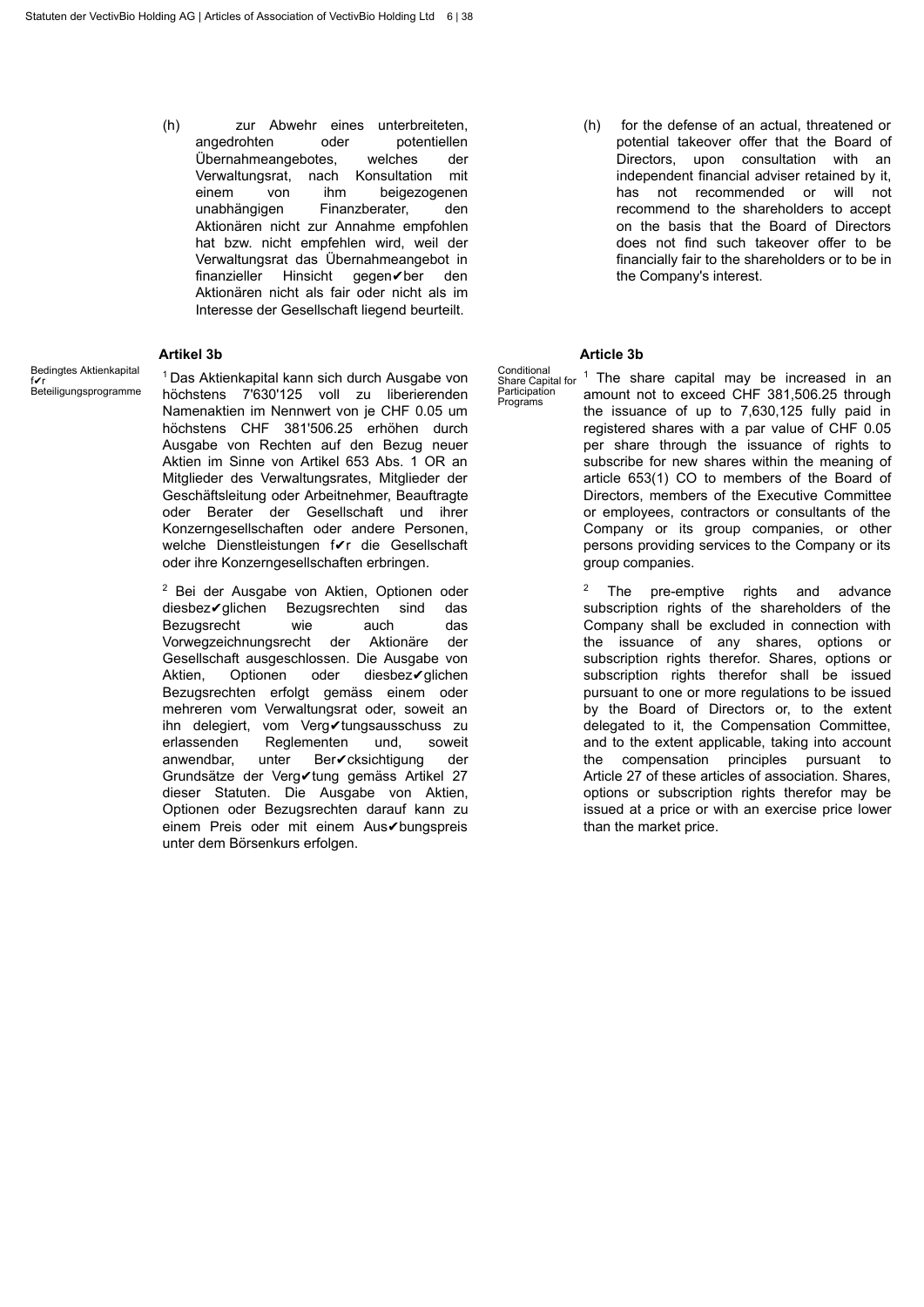(h) zur Abwehr eines unterbreiteten,<br>angedrohten oder potentiellen angedrohten oder potentiellen Übernahmeangebotes, welches der Verwaltungsrat, nach Konsultation mit einem von ihm beigezogenen unabhängigen Finanzberater, den Aktionären nicht zur Annahme empfohlen hat bzw. nicht empfehlen wird, weil der Verwaltungsrat das Übernahmeangebot in finanzieller Hinsicht gegen✔ber den Aktionären nicht als fair oder nicht als im Interesse der Gesellschaft liegend beurteilt.

Bedingtes Aktienkapital f✔r Beteiligungsprogramme

<sup>1</sup> Das Aktienkapital kann sich durch Ausgabe von Share Capital for  $\frac{1}{1}$ höchstens 7'630'125 voll zu liberierenden Namenaktien im Nennwert von je CHF 0.05 um höchstens CHF 381'506.25 erhöhen durch Ausgabe von Rechten auf den Bezug neuer Aktien im Sinne von Artikel 653 Abs. 1 OR an Mitglieder des Verwaltungsrates, Mitglieder der Geschäftsleitung oder Arbeitnehmer, Beauftragte oder Berater der Gesellschaft und ihrer Konzerngesellschaften oder andere Personen, welche Dienstleistungen f✔r die Gesellschaft oder ihre Konzerngesellschaften erbringen.

<sup>2</sup> Bei der Ausgabe von Aktien, Optionen oder diesbez✔glichen Bezugsrechten sind das Bezugsrecht wie auch das Vorwegzeichnungsrecht der Aktionäre der Gesellschaft ausgeschlossen. Die Ausgabe von Aktien, Optionen oder diesbez✔glichen Bezugsrechten erfolgt gemäss einem oder mehreren vom Verwaltungsrat oder, soweit an ihn delegiert, vom Verg√tungsausschuss zu<br>erlassenden Reglementen und soweit erlassenden Reglementen und, soweit<br>anwendbar, unter Bervcksichtigung der unter Ber✔cksichtigung der Grundsätze der Verg✔tung gemäss Artikel 27 dieser Statuten. Die Ausgabe von Aktien, Optionen oder Bezugsrechten darauf kann zu einem Preis oder mit einem Aus✔bungspreis unter dem Börsenkurs erfolgen.

(h) for the defense of an actual, threatened or potential takeover offer that the Board of Directors, upon consultation with an independent financial adviser retained by it, has not recommended or will not recommend to the shareholders to accept on the basis that the Board of Directors does not find such takeover offer to be financially fair to the shareholders or to be in the Company's interest.

### **Artikel 3b Article 3b**

**Conditional** 

Participation Programs

Share Capital for  $1$  The share capital may be increased in an amount not to exceed CHF 381,506.25 through the issuance of up to 7,630,125 fully paid in registered shares with a par value of CHF 0.05 per share through the issuance of rights to subscribe for new shares within the meaning of article 653(1) CO to members of the Board of Directors, members of the Executive Committee or employees, contractors or consultants of the Company or its group companies, or other persons providing services to the Company or its group companies.

> The pre-emptive rights and advance subscription rights of the shareholders of the Company shall be excluded in connection with the issuance of any shares, options or subscription rights therefor. Shares, options or subscription rights therefor shall be issued pursuant to one or more regulations to be issued by the Board of Directors or, to the extent delegated to it, the Compensation Committee, and to the extent applicable, taking into account the compensation principles pursuant to Article 27 of these articles of association. Shares, options or subscription rights therefor may be issued at a price or with an exercise price lower than the market price.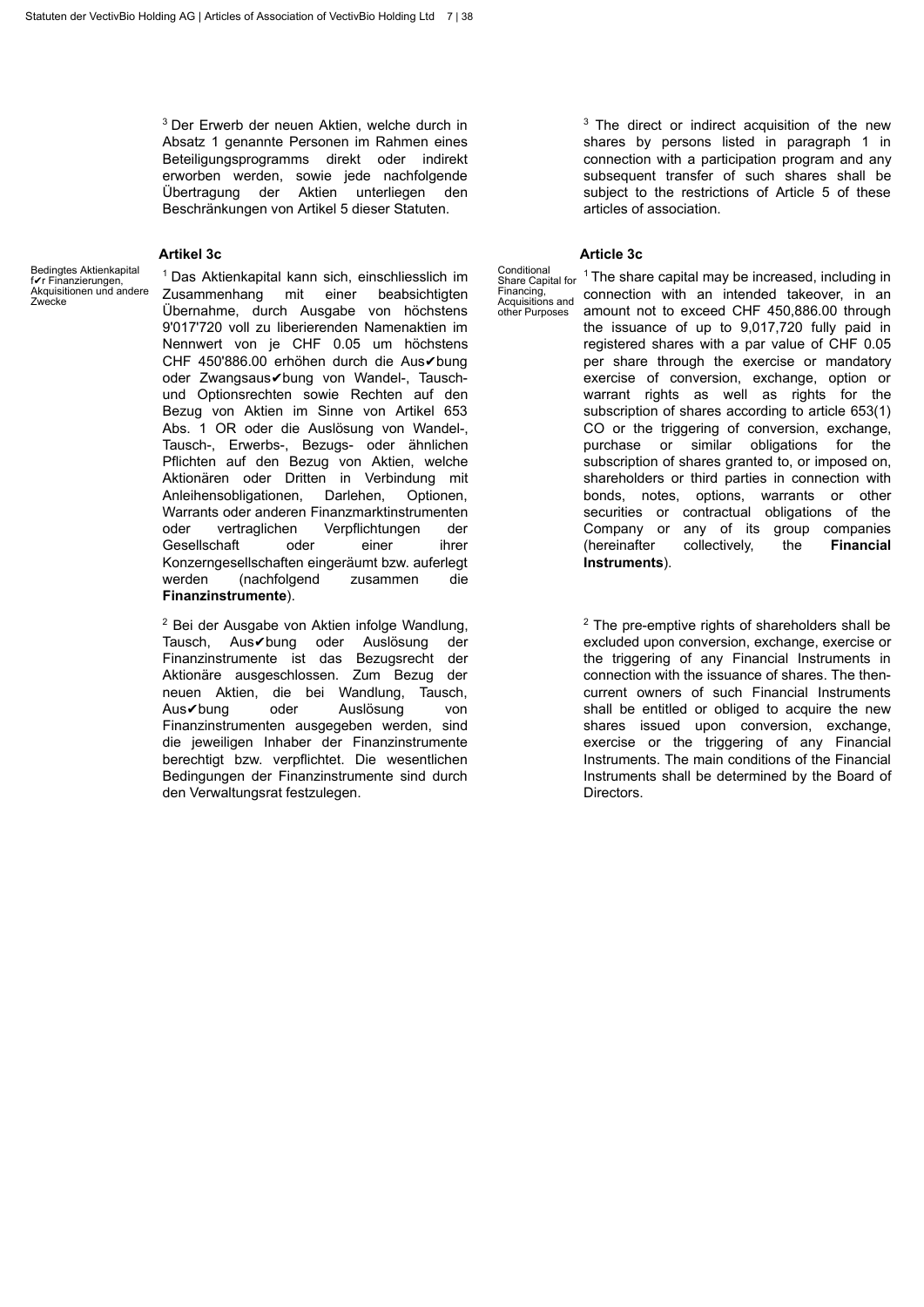$3$  Der Erwerb der neuen Aktien, welche durch in  $3<sup>3</sup>$ Absatz 1 genannte Personen im Rahmen eines Beteiligungsprogramms direkt oder indirekt erworben werden, sowie jede nachfolgende Übertragung der Aktien unterliegen den Beschränkungen von Artikel 5 dieser Statuten.

Bedingtes Aktienkapital f✔r Finanzierungen, Akquisitionen und andere Zwecke

<sup>1</sup> Das Aktienkapital kann sich, einschliesslich im Share Capital for  $1$ Zusammenhang mit einer beabsichtigten Übernahme, durch Ausgabe von höchstens 9'017'720 voll zu liberierenden Namenaktien im Nennwert von je CHF 0.05 um höchstens CHF 450'886.00 erhöhen durch die Aus✔bung oder Zwangsaus✔bung von Wandel-, Tauschund Optionsrechten sowie Rechten auf den Bezug von Aktien im Sinne von Artikel 653 Abs. 1 OR oder die Auslösung von Wandel-, Tausch-, Erwerbs-, Bezugs- oder ähnlichen Pflichten auf den Bezug von Aktien, welche Aktionären oder Dritten in Verbindung mit Anleihensobligationen, Darlehen, Optionen, Warrants oder anderen Finanzmarktinstrumenten oder vertraglichen Verpflichtungen der Gesellschaft oder einer ihrer Konzerngesellschaften eingeräumt bzw. auferlegt werden (nachfolgend zusammen die **Finanzinstrumente**).

 $2$  Bei der Ausgabe von Aktien infolge Wandlung,  $2$ Tausch, Aus✔bung oder Auslösung der Finanzinstrumente ist das Bezugsrecht der Aktionäre ausgeschlossen. Zum Bezug der neuen Aktien, die bei Wandlung, Tausch, Aus✔bung oder Auslösung von Finanzinstrumenten ausgegeben werden, sind die jeweiligen Inhaber der Finanzinstrumente berechtigt bzw. verpflichtet. Die wesentlichen Bedingungen der Finanzinstrumente sind durch den Verwaltungsrat festzulegen.

 $3$  The direct or indirect acquisition of the new shares by persons listed in paragraph 1 in connection with a participation program and any subsequent transfer of such shares shall be subject to the restrictions of Article 5 of these articles of association.

# **Artikel 3c Article 3c**

Conditional Share Capital for Financing, Acquisitions and other Purposes

 $1$  The share capital may be increased, including in connection with an intended takeover, in an amount not to exceed CHF 450,886.00 through the issuance of up to 9,017,720 fully paid in registered shares with a par value of CHF 0.05 per share through the exercise or mandatory exercise of conversion, exchange, option or warrant rights as well as rights for the subscription of shares according to article 653(1) CO or the triggering of conversion, exchange, purchase or similar obligations for the subscription of shares granted to, or imposed on, shareholders or third parties in connection with bonds, notes, options, warrants or other securities or contractual obligations of the Company or any of its group companies (hereinafter collectively, the **Financial Instruments**).

 $2$  The pre-emptive rights of shareholders shall be excluded upon conversion, exchange, exercise or the triggering of any Financial Instruments in connection with the issuance of shares. The thencurrent owners of such Financial Instruments shall be entitled or obliged to acquire the new shares issued upon conversion, exchange, exercise or the triggering of any Financial Instruments. The main conditions of the Financial Instruments shall be determined by the Board of Directors.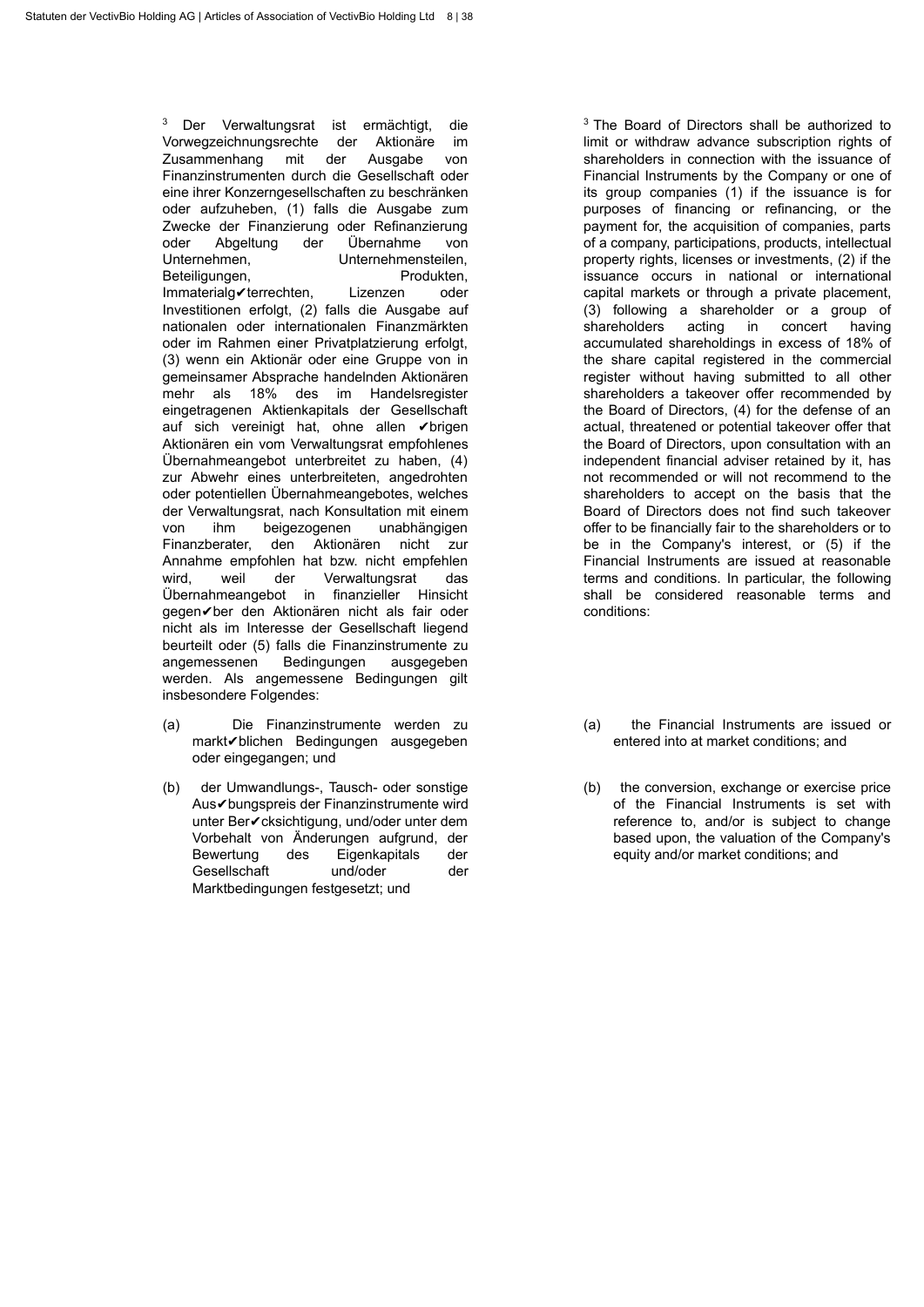<sup>3</sup> Der Verwaltungsrat ist ermächtigt, die  $13$ Vorwegzeichnungsrechte der Aktionäre im Zusammenhang mit der Ausgabe von Finanzinstrumenten durch die Gesellschaft oder eine ihrer Konzerngesellschaften zu beschränken oder aufzuheben, (1) falls die Ausgabe zum Zwecke der Finanzierung oder Refinanzierung oder Abgeltung der Übernahme von Unternehmen, Unternehmensteilen, Beteiligungen, Produkten, Immaterialg✔terrechten, Lizenzen oder Investitionen erfolgt, (2) falls die Ausgabe auf nationalen oder internationalen Finanzmärkten oder im Rahmen einer Privatplatzierung erfolgt, (3) wenn ein Aktionär oder eine Gruppe von in gemeinsamer Absprache handelnden Aktionären mehr als 18% des im Handelsregister eingetragenen Aktienkapitals der Gesellschaft auf sich vereinigt hat, ohne allen ✔brigen Aktionären ein vom Verwaltungsrat empfohlenes Übernahmeangebot unterbreitet zu haben, (4) zur Abwehr eines unterbreiteten, angedrohten oder potentiellen Übernahmeangebotes, welches der Verwaltungsrat, nach Konsultation mit einem von ihm beigezogenen unabhängigen<br>Finanzberater, den Aktionären nicht zur Aktionären nicht zur Annahme empfohlen hat bzw. nicht empfehlen wird, weil der Verwaltungsrat das Übernahmeangebot in finanzieller Hinsicht gegen✔ber den Aktionären nicht als fair oder nicht als im Interesse der Gesellschaft liegend beurteilt oder (5) falls die Finanzinstrumente zu angemessenen Bedingungen ausgegeben werden. Als angemessene Bedingungen gilt insbesondere Folgendes:

- (a) Die Finanzinstrumente werden zu markt✔blichen Bedingungen ausgegeben oder eingegangen; und
- (b) der Umwandlungs-, Tausch- oder sonstige Aus✔bungspreis der Finanzinstrumente wird unter Ber✔cksichtigung, und/oder unter dem Vorbehalt von Änderungen aufgrund, der Bewertung des Eigenkapitals der Gesellschaft und/oder der Marktbedingungen festgesetzt; und

 $3$  The Board of Directors shall be authorized to limit or withdraw advance subscription rights of shareholders in connection with the issuance of Financial Instruments by the Company or one of its group companies (1) if the issuance is for purposes of financing or refinancing, or the payment for, the acquisition of companies, parts of a company, participations, products, intellectual property rights, licenses or investments, (2) if the issuance occurs in national or international capital markets or through a private placement, (3) following a shareholder or a group of shareholders acting in concert having accumulated shareholdings in excess of 18% of the share capital registered in the commercial register without having submitted to all other shareholders a takeover offer recommended by the Board of Directors, (4) for the defense of an actual, threatened or potential takeover offer that the Board of Directors, upon consultation with an independent financial adviser retained by it, has not recommended or will not recommend to the shareholders to accept on the basis that the Board of Directors does not find such takeover offer to be financially fair to the shareholders or to be in the Company's interest, or (5) if the Financial Instruments are issued at reasonable terms and conditions. In particular, the following shall be considered reasonable terms and conditions:

- (a) the Financial Instruments are issued or entered into at market conditions; and
- (b) the conversion, exchange or exercise price of the Financial Instruments is set with reference to, and/or is subject to change based upon, the valuation of the Company's equity and/or market conditions; and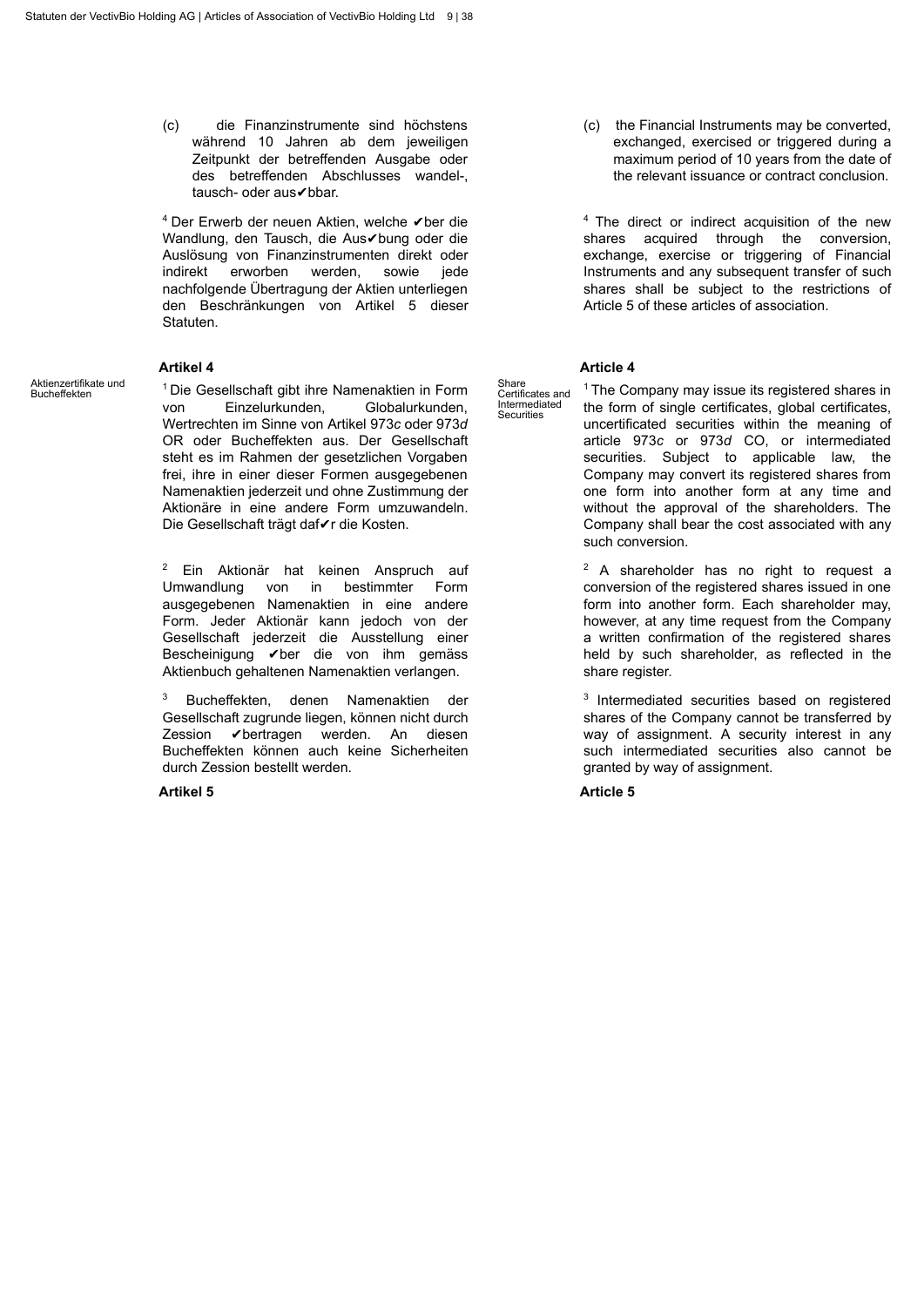(c) die Finanzinstrumente sind höchstens während 10 Jahren ab dem jeweiligen Zeitpunkt der betreffenden Ausgabe oder des betreffenden Abschlusses wandel-, tausch- oder aus✔bbar.

 $4$  Der Erwerb der neuen Aktien, welche  $\blacktriangledown$ ber die  $4$ Wandlung, den Tausch, die Aus✔bung oder die Auslösung von Finanzinstrumenten direkt oder<br>indirekt erworben werden, sowie jede indirekt erworben werden, sowie jede nachfolgende Übertragung der Aktien unterliegen den Beschränkungen von Artikel 5 dieser Statuten.

### **Artikel 4 Article 4**

Aktienzertifikate und<br>Bucheffekten

AKuenzerunkale und and <sup>1</sup> Die Gesellschaft gibt ihre Namenaktien in Form Bildle ertificates and <sup>1</sup> von Einzelurkunden, Globalurkunden, Wertrechten im Sinne von Artikel 973*c* oder 973*d* OR oder Bucheffekten aus. Der Gesellschaft steht es im Rahmen der gesetzlichen Vorgaben frei, ihre in einer dieser Formen ausgegebenen Namenaktien jederzeit und ohne Zustimmung der Aktionäre in eine andere Form umzuwandeln. Die Gesellschaft trägt daf✔r die Kosten.

> <sup>2</sup> Ein Aktionär hat keinen Anspruch auf  $2^2$ Umwandlung von in bestimmter Form ausgegebenen Namenaktien in eine andere Form. Jeder Aktionär kann jedoch von der Gesellschaft jederzeit die Ausstellung einer Bescheinigung ✔ber die von ihm gemäss Aktienbuch gehaltenen Namenaktien verlangen.

> <sup>3</sup> Bucheffekten, denen Namenaktien der mannen <sup>3</sup> Gesellschaft zugrunde liegen, können nicht durch Zession ✔bertragen werden. An diesen Bucheffekten können auch keine Sicherheiten durch Zession bestellt werden.

# **Artikel 5 Article 5**

(c) the Financial Instruments may be converted, exchanged, exercised or triggered during a maximum period of 10 years from the date of the relevant issuance or contract conclusion.

<sup>4</sup> The direct or indirect acquisition of the new shares acquired through the conversion, exchange, exercise or triggering of Financial Instruments and any subsequent transfer of such shares shall be subject to the restrictions of Article 5 of these articles of association.

Share Certificates and Intermediated **Securities** 

<sup>1</sup> The Company may issue its registered shares in the form of single certificates, global certificates, uncertificated securities within the meaning of article 973*c* or 973*d* CO, or intermediated securities. Subject to applicable law, the Company may convert its registered shares from one form into another form at any time and without the approval of the shareholders. The Company shall bear the cost associated with any such conversion.

<sup>2</sup> A shareholder has no right to request a conversion of the registered shares issued in one form into another form. Each shareholder may, however, at any time request from the Company a written confirmation of the registered shares held by such shareholder, as reflected in the share register.

<sup>3</sup> Intermediated securities based on registered shares of the Company cannot be transferred by way of assignment. A security interest in any such intermediated securities also cannot be granted by way of assignment.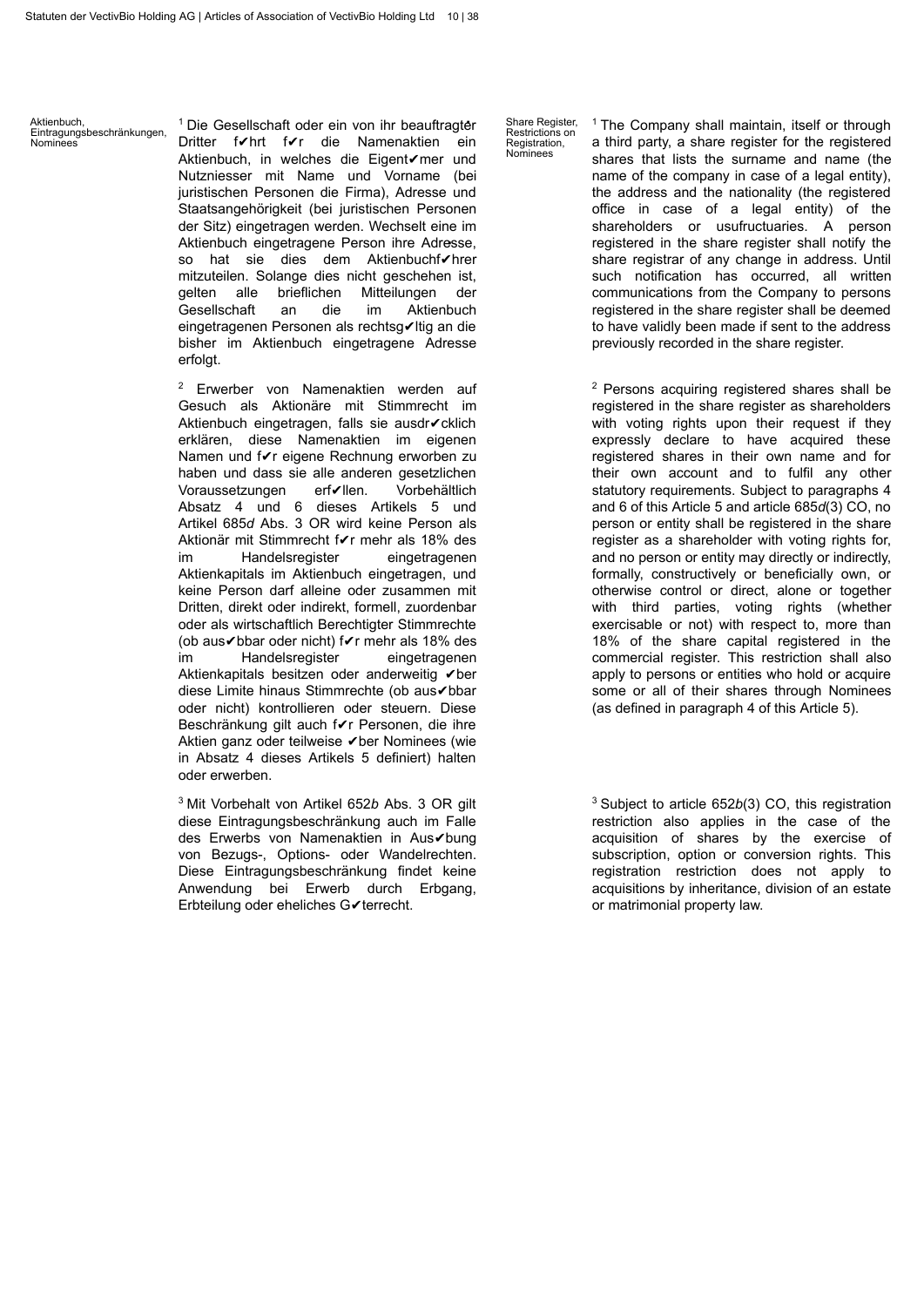Aktienbuch, Eintragungsbeschränkungen, Nominees

<sup>1</sup> Die Gesellschaft oder ein von ihr beauftragter Share Register, <sup>1</sup> Dritter f✔hrt f✔r die Namenaktien ein Aktienbuch, in welches die Eigent✔mer und Nutzniesser mit Name und Vorname (bei juristischen Personen die Firma), Adresse und Staatsangehörigkeit (bei juristischen Personen der Sitz) eingetragen werden. Wechselt eine im Aktienbuch eingetragene Person ihre Adresse, ▪ so hat sie dies dem Aktienbuchf✔hrer mitzuteilen. Solange dies nicht geschehen ist, gelten alle brieflichen Mitteilungen der<br>Gesellschaft an die im Aktienbuch Gesellschaft an die im eingetragenen Personen als rechtsg✔ltig an die bisher im Aktienbuch eingetragene Adresse erfolgt.

<sup>2</sup> Erwerber von Namenaktien werden auf  $2^2$ Gesuch als Aktionäre mit Stimmrecht im Aktienbuch eingetragen, falls sie ausdr✔cklich erklären, diese Namenaktien im eigenen Namen und f√r eigene Rechnung erworben zu haben und dass sie alle anderen gesetzlichen<br>Voraussetzungen erf√llen. Vorbehältlich Voraussetzungen Absatz 4 und 6 dieses Artikels 5 und Artikel 685*d* Abs. 3 OR wird keine Person als Aktionär mit Stimmrecht f✔r mehr als 18% des im Handelsregister eingetragenen Aktienkapitals im Aktienbuch eingetragen, und keine Person darf alleine oder zusammen mit Dritten, direkt oder indirekt, formell, zuordenbar oder als wirtschaftlich Berechtigter Stimmrechte (ob aus✔bbar oder nicht) f✔r mehr als 18% des im Handelsregister eingetragenen Aktienkapitals besitzen oder anderweitig ✔ber diese Limite hinaus Stimmrechte (ob aus✔bbar oder nicht) kontrollieren oder steuern. Diese Beschränkung gilt auch f✔r Personen, die ihre Aktien ganz oder teilweise ✔ber Nominees (wie in Absatz 4 dieses Artikels 5 definiert) halten oder erwerben.

<sup>3</sup> Mit Vorbehalt von Artikel 652b Abs. 3 OR gilt 3 diese Eintragungsbeschränkung auch im Falle des Erwerbs von Namenaktien in Aus✔bung von Bezugs-, Options- oder Wandelrechten. Diese Eintragungsbeschränkung findet keine Anwendung bei Erwerb durch Erbgang, Erbteilung oder eheliches G✔terrecht.

Share Register, Restrictions on Registration, Nominees

 $1$  The Company shall maintain, itself or through a third party, a share register for the registered shares that lists the surname and name (the name of the company in case of a legal entity), the address and the nationality (the registered office in case of a legal entity) of the shareholders or usufructuaries. A person registered in the share register shall notify the share registrar of any change in address. Until such notification has occurred, all written communications from the Company to persons registered in the share register shall be deemed to have validly been made if sent to the address previously recorded in the share register.

<sup>2</sup> Persons acquiring registered shares shall be registered in the share register as shareholders with voting rights upon their request if they expressly declare to have acquired these registered shares in their own name and for their own account and to fulfil any other statutory requirements. Subject to paragraphs 4 and 6 of this Article 5 and article 685*d*(3) CO, no person or entity shall be registered in the share register as a shareholder with voting rights for. and no person or entity may directly or indirectly, formally, constructively or beneficially own, or otherwise control or direct, alone or together with third parties, voting rights (whether exercisable or not) with respect to, more than 18% of the share capital registered in the commercial register. This restriction shall also apply to persons or entities who hold or acquire some or all of their shares through Nominees (as defined in paragraph 4 of this Article 5).

<sup>3</sup> Subject to article 652b(3) CO, this registration restriction also applies in the case of the acquisition of shares by the exercise of subscription, option or conversion rights. This registration restriction does not apply to acquisitions by inheritance, division of an estate or matrimonial property law.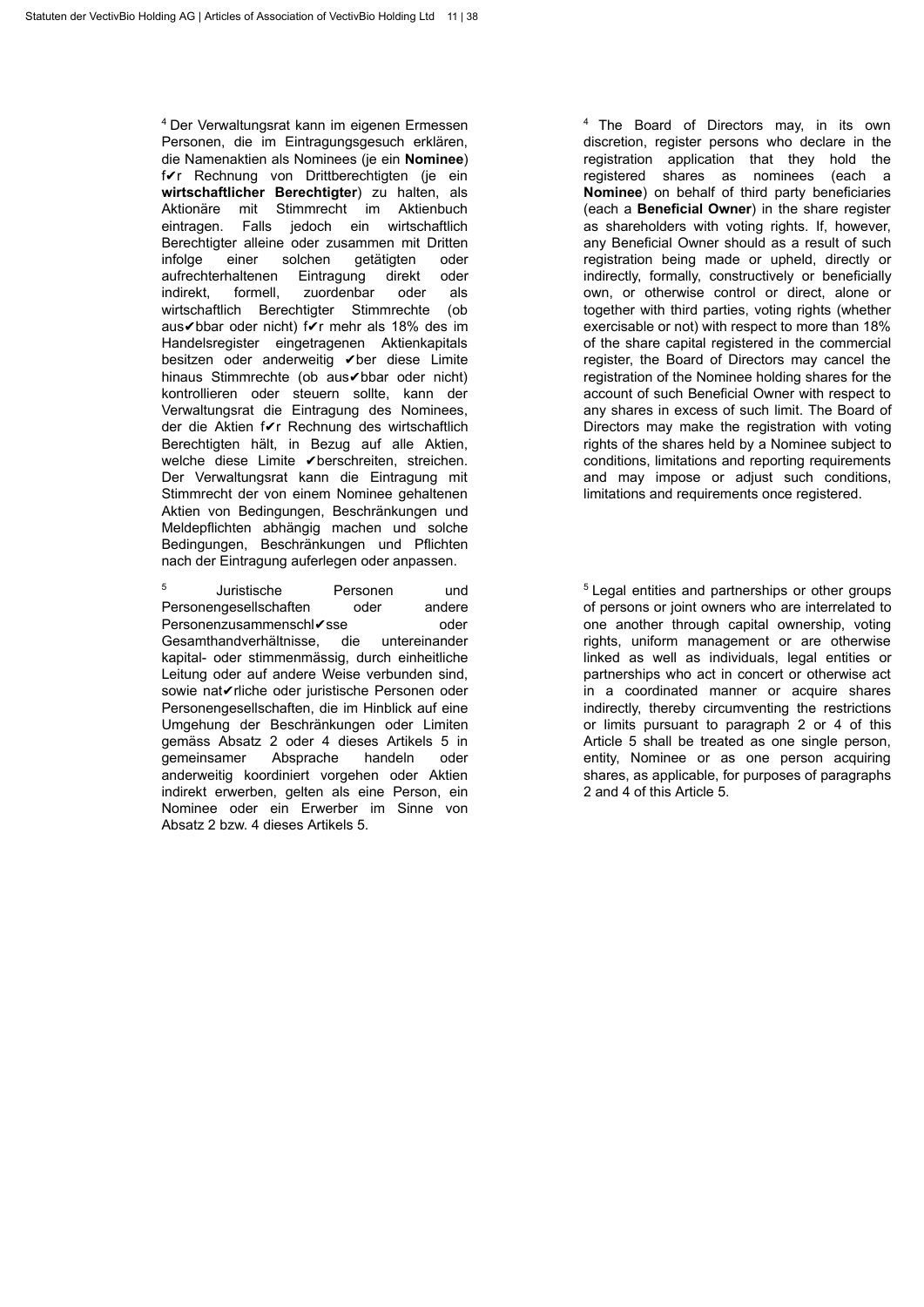Der Verwaltungsrat kann im eigenen Ermessen 4 4 Personen, die im Eintragungsgesuch erklären, die Namenaktien als Nominees (je ein **Nominee**) f✔r Rechnung von Drittberechtigten (je ein **wirtschaftlicher Berechtigter**) zu halten, als Aktionäre mit Stimmrecht im Aktienbuch eintragen. Falls jedoch ein wirtschaftlich Berechtigter alleine oder zusammen mit Dritten infolge einer solchen getätigten oder aufrechterhaltenen Eintragung direkt oder indirekt, formell, zuordenbar oder als wirtschaftlich Berechtigter Stimmrechte (ob aus✔bbar oder nicht) f✔r mehr als 18% des im Handelsregister eingetragenen Aktienkapitals besitzen oder anderweitig ✔ber diese Limite hinaus Stimmrechte (ob aus✔bbar oder nicht) kontrollieren oder steuern sollte, kann der Verwaltungsrat die Eintragung des Nominees, der die Aktien f✔r Rechnung des wirtschaftlich Berechtigten hält, in Bezug auf alle Aktien, welche diese Limite ✔berschreiten, streichen. Der Verwaltungsrat kann die Eintragung mit Stimmrecht der von einem Nominee gehaltenen Aktien von Bedingungen, Beschränkungen und Meldepflichten abhängig machen und solche Bedingungen, Beschränkungen und Pflichten nach der Eintragung auferlegen oder anpassen.

<sup>5</sup> Juristische Personen und <sup>5</sup> Personengesellschaften oder andere Personenzusammenschl✔sse oder Gesamthandverhältnisse, die untereinander kapital- oder stimmenmässig, durch einheitliche Leitung oder auf andere Weise verbunden sind, sowie nat✔rliche oder juristische Personen oder Personengesellschaften, die im Hinblick auf eine Umgehung der Beschränkungen oder Limiten gemäss Absatz 2 oder 4 dieses Artikels 5 in gemeinsamer Absprache handeln oder anderweitig koordiniert vorgehen oder Aktien indirekt erwerben, gelten als eine Person, ein Nominee oder ein Erwerber im Sinne von Absatz 2 bzw. 4 dieses Artikels 5.

<sup>4</sup> The Board of Directors may, in its own discretion, register persons who declare in the registration application that they hold the registered shares as nominees (each a **Nominee**) on behalf of third party beneficiaries (each a **Beneficial Owner**) in the share register as shareholders with voting rights. If, however, any Beneficial Owner should as a result of such registration being made or upheld, directly or indirectly, formally, constructively or beneficially own, or otherwise control or direct, alone or together with third parties, voting rights (whether exercisable or not) with respect to more than 18% of the share capital registered in the commercial register, the Board of Directors may cancel the registration of the Nominee holding shares for the account of such Beneficial Owner with respect to any shares in excess of such limit. The Board of Directors may make the registration with voting rights of the shares held by a Nominee subject to conditions, limitations and reporting requirements and may impose or adjust such conditions, limitations and requirements once registered.

<sup>5</sup> Legal entities and partnerships or other groups of persons or joint owners who are interrelated to one another through capital ownership, voting rights, uniform management or are otherwise linked as well as individuals, legal entities or partnerships who act in concert or otherwise act in a coordinated manner or acquire shares indirectly, thereby circumventing the restrictions or limits pursuant to paragraph 2 or 4 of this Article 5 shall be treated as one single person, entity, Nominee or as one person acquiring shares, as applicable, for purposes of paragraphs 2 and 4 of this Article 5.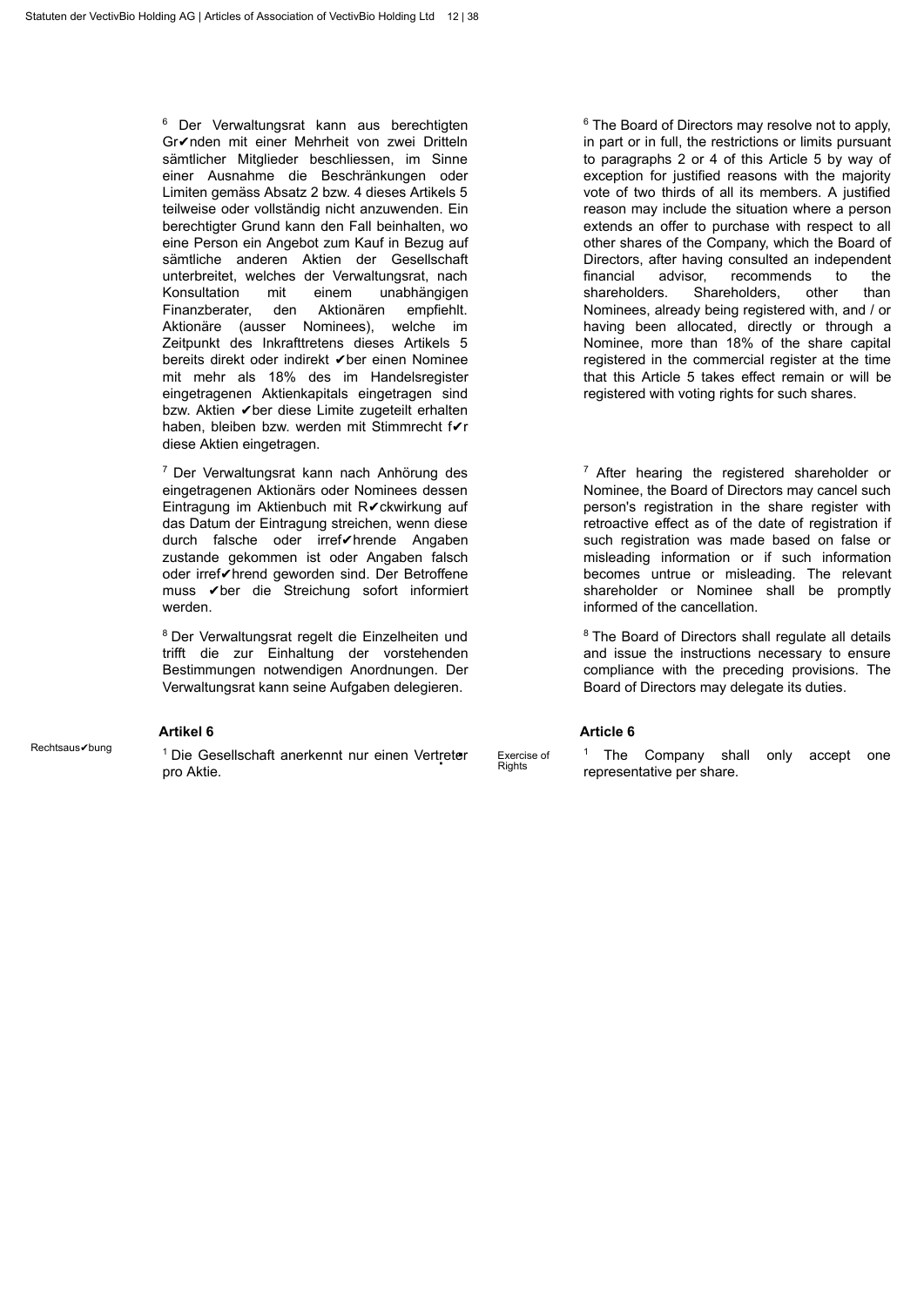$6$  Der Verwaltungsrat kann aus berechtigten  $6$ Gr✔nden mit einer Mehrheit von zwei Dritteln sämtlicher Mitglieder beschliessen, im Sinne einer Ausnahme die Beschränkungen oder Limiten gemäss Absatz 2 bzw. 4 dieses Artikels 5 teilweise oder vollständig nicht anzuwenden. Ein berechtigter Grund kann den Fall beinhalten, wo eine Person ein Angebot zum Kauf in Bezug auf sämtliche anderen Aktien der Gesellschaft unterbreitet, welches der Verwaltungsrat, nach Konsultation mit einem unabhängigen Finanzberater, den Aktionären empfiehlt. Aktionäre (ausser Nominees), welche im Zeitpunkt des Inkrafttretens dieses Artikels 5 bereits direkt oder indirekt ✔ber einen Nominee mit mehr als 18% des im Handelsregister eingetragenen Aktienkapitals eingetragen sind bzw. Aktien ✔ber diese Limite zugeteilt erhalten haben, bleiben bzw. werden mit Stimmrecht f✔r diese Aktien eingetragen.

 $7$  Der Verwaltungsrat kann nach Anhörung des  $17$ eingetragenen Aktionärs oder Nominees dessen Eintragung im Aktienbuch mit R✔ckwirkung auf das Datum der Eintragung streichen, wenn diese durch falsche oder irref✔hrende Angaben zustande gekommen ist oder Angaben falsch oder irref✔hrend geworden sind. Der Betroffene muss ✔ber die Streichung sofort informiert werden.

<sup>8</sup> Der Verwaltungsrat regelt die Einzelheiten und trifft die zur Einhaltung der vorstehenden Bestimmungen notwendigen Anordnungen. Der Verwaltungsrat kann seine Aufgaben delegieren.

### **Artikel 6 Article 6**

Rechtsaus bung am 1 Die Gesellschaft anerkennt nur einen Vertreter Exercise of andere andere andere andere an<br>Rights pro Aktie.

 $6$  The Board of Directors may resolve not to apply, in part or in full, the restrictions or limits pursuant to paragraphs 2 or 4 of this Article 5 by way of exception for justified reasons with the majority vote of two thirds of all its members. A justified reason may include the situation where a person extends an offer to purchase with respect to all other shares of the Company, which the Board of Directors, after having consulted an independent financial advisor, recommends to the shareholders. Shareholders, other than Nominees, already being registered with, and / or having been allocated, directly or through a Nominee, more than 18% of the share capital registered in the commercial register at the time that this Article 5 takes effect remain or will be registered with voting rights for such shares.

 $7$  After hearing the registered shareholder or Nominee, the Board of Directors may cancel such person's registration in the share register with retroactive effect as of the date of registration if such registration was made based on false or misleading information or if such information becomes untrue or misleading. The relevant shareholder or Nominee shall be promptly informed of the cancellation.

<sup>8</sup> The Board of Directors shall regulate all details and issue the instructions necessary to ensure compliance with the preceding provisions. The Board of Directors may delegate its duties.

Exercise of Rights

 $1$  The Company shall only accept one representative per share.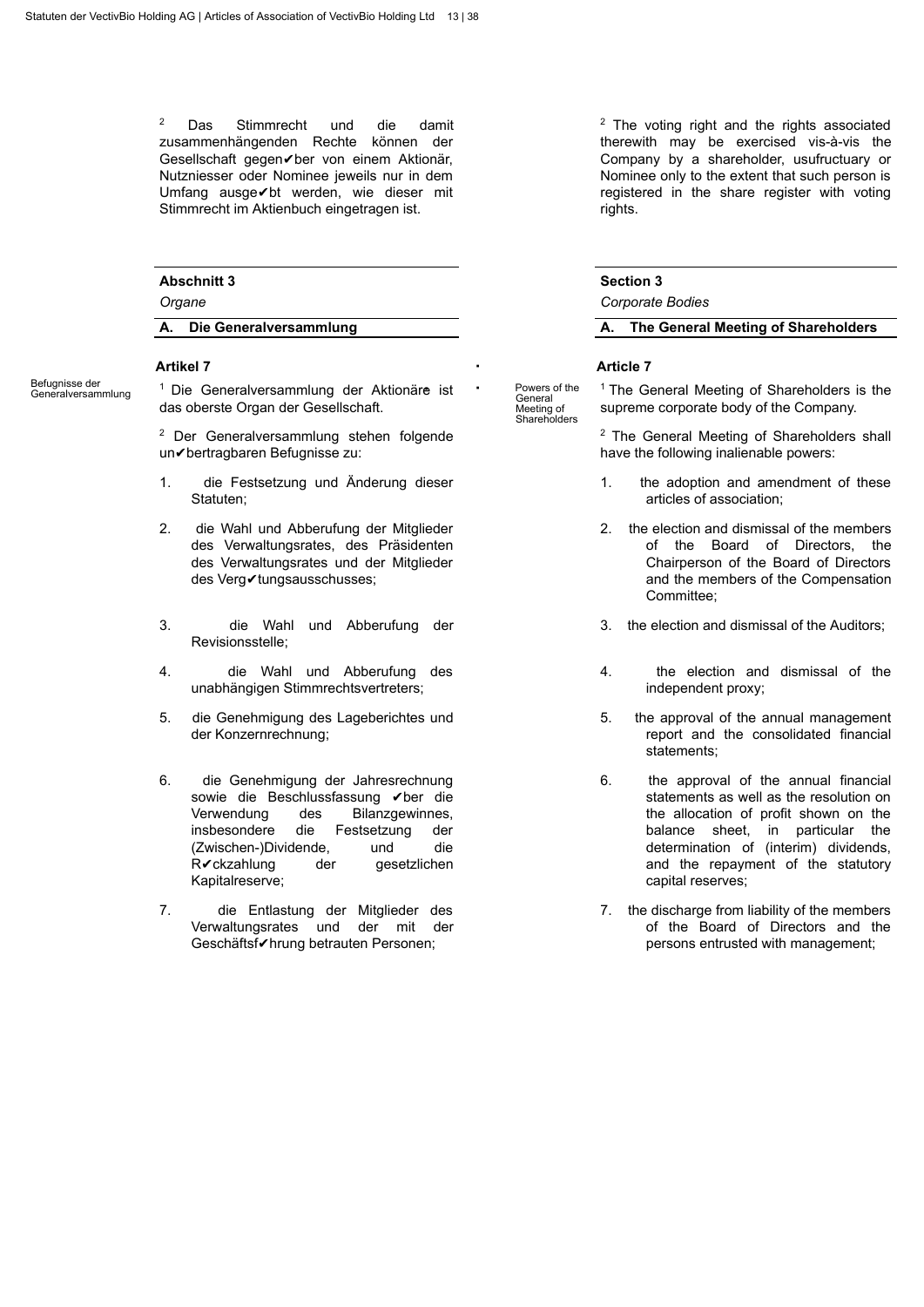<sup>2</sup> Das Stimmrecht und die damit zusammenhängenden Rechte können der Gesellschaft gegen✔ber von einem Aktionär, Nutzniesser oder Nominee jeweils nur in dem Umfang ausge✔bt werden, wie dieser mit Stimmrecht im Aktienbuch eingetragen ist.

# **Abschnitt 3**

# *Organe*

Befugnisse der<br>Generalversammlung

Belugnisse der ander der Die Generalversammlung der Aktionäre ist ander Powers of the 1 das oberste Organ der Gesellschaft.

> <sup>2</sup> Der Generalversammlung stehen folgende un✔bertragbaren Befugnisse zu:

- 1. die Festsetzung und Änderung dieser Statuten;
- 2. die Wahl und Abberufung der Mitglieder des Verwaltungsrates, des Präsidenten des Verwaltungsrates und der Mitglieder des Verg✔tungsausschusses;
- 3. die Wahl und Abberufung der Revisionsstelle;
- 4. die Wahl und Abberufung des unabhängigen Stimmrechtsvertreters;
- 5. die Genehmigung des Lageberichtes und der Konzernrechnung;
- 6. die Genehmigung der Jahresrechnung sowie die Beschlussfassung ✔ber die Verwendung des Bilanzgewinnes, insbesondere die Festsetzung der<br>(Zwischen-)Dividende und die (Zwischen-)Dividende, und R✔ckzahlung der gesetzlichen Kapitalreserve;
- 7. die Entlastung der Mitglieder des Verwaltungsrates und der mit der Geschäftsf✔hrung betrauten Personen;

<sup>2</sup> The voting right and the rights associated therewith may be exercised vis-à-vis the Company by a shareholder, usufructuary or Nominee only to the extent that such person is registered in the share register with voting rights.

# **Section 3**

*Corporate Bodies*

**A. Die Generalversammlung A. The General Meeting of Shareholders**

# **Artikel 7 Article 7 Article 7 Article 7**

Powers of the General Meeting of Shareholders

 $1$  The General Meeting of Shareholders is the supreme corporate body of the Company.

<sup>2</sup> The General Meeting of Shareholders shall have the following inalienable powers:

- 1. the adoption and amendment of these articles of association;
- 2. the election and dismissal of the members of the Board of Directors, the Chairperson of the Board of Directors and the members of the Compensation Committee;
- 3. the election and dismissal of the Auditors;
- 4. the election and dismissal of the independent proxy;
- 5. the approval of the annual management report and the consolidated financial statements;
- 6. the approval of the annual financial statements as well as the resolution on the allocation of profit shown on the balance sheet, in particular the determination of (interim) dividends, and the repayment of the statutory capital reserves;
- 7. the discharge from liability of the members of the Board of Directors and the persons entrusted with management;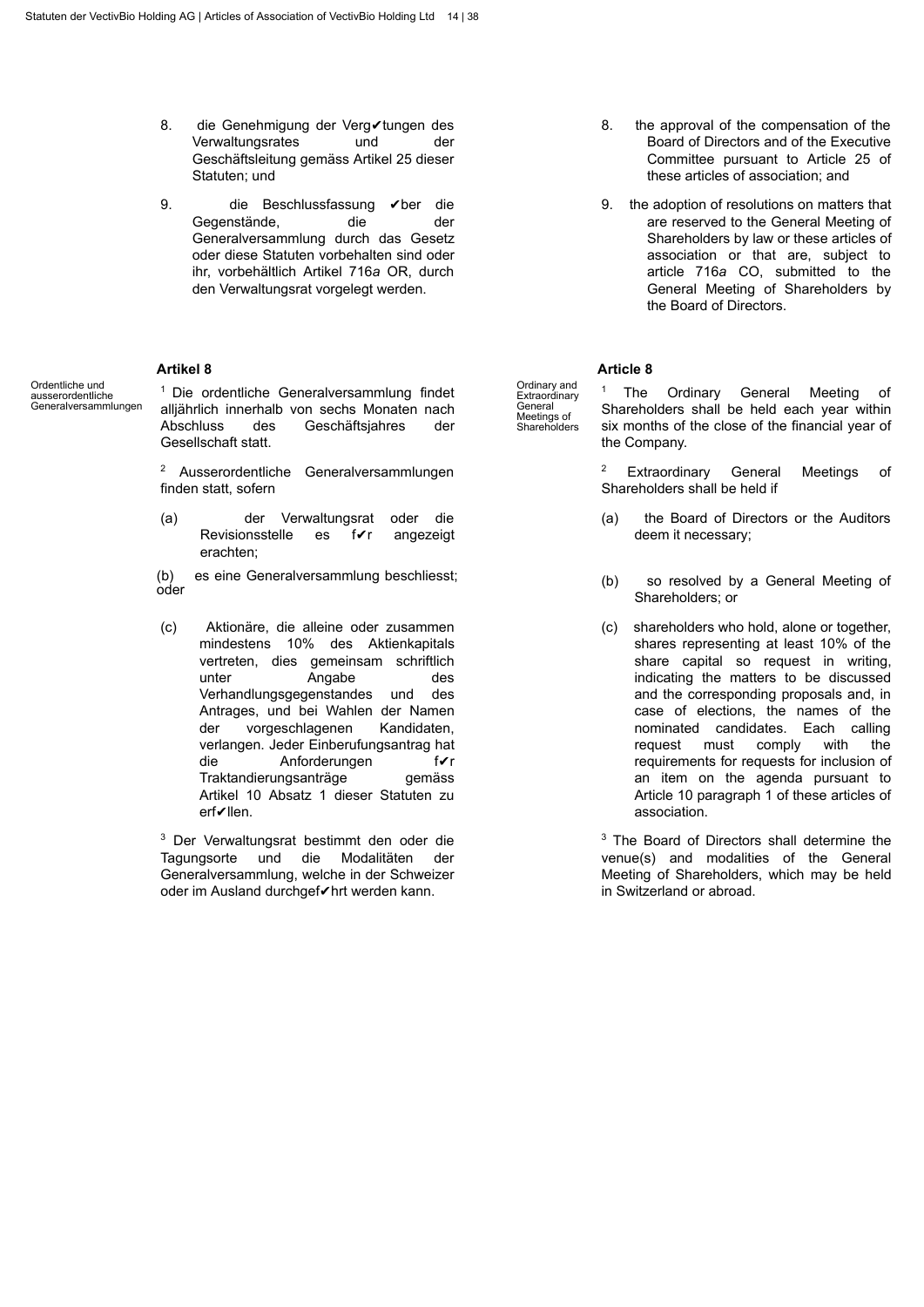- 8. die Genehmigung der Verg∕tungen des Verwaltungsrates und der Geschäftsleitung gemäss Artikel 25 dieser Statuten; und
- 9. die Beschlussfassung vber die Gegenstände, die der Generalversammlung durch das Gesetz oder diese Statuten vorbehalten sind oder ihr, vorbehältlich Artikel 716*a* OR, durch den Verwaltungsrat vorgelegt werden.

### **Artikel 8 Article 8**

Ordentliche und ausserordentliche Generalversammlungen

<sup>1</sup> Die ordentliche Generalversammlung findet  $\frac{1}{\text{Extraordinary}}$ alljährlich innerhalb von sechs Monaten nach Abschluss des Geschäftsjahres der Gesellschaft statt.

<sup>2</sup> Ausserordentliche Generalversammlungen finden statt, sofern

(a) der Verwaltungsrat oder die Revisionsstelle es f✔r angezeigt erachten;

(b) es eine Generalversammlung beschliesst; oder

(c) Aktionäre, die alleine oder zusammen mindestens 10% des Aktienkapitals vertreten, dies gemeinsam schriftlich unter Angabe des Verhandlungsgegenstandes und des Antrages, und bei Wahlen der Namen der vorgeschlagenen Kandidaten, verlangen. Jeder Einberufungsantrag hat die Anforderungen f✔r Traktandierungsanträge gemäss Artikel 10 Absatz 1 dieser Statuten zu erf✔llen.

 $3$  Der Verwaltungsrat bestimmt den oder die  $3$ Tagungsorte und die Modalitäten der Generalversammlung, welche in der Schweizer oder im Ausland durchgef✔hrt werden kann.

- 8. the approval of the compensation of the Board of Directors and of the Executive Committee pursuant to Article 25 of these articles of association; and
- 9. the adoption of resolutions on matters that are reserved to the General Meeting of Shareholders by law or these articles of association or that are, subject to article 716*a* CO, submitted to the General Meeting of Shareholders by the Board of Directors.

Ordinary and Extraordinary General Meetings of Shareholders

The Ordinary General Meeting of Shareholders shall be held each year within six months of the close of the financial year of the Company.

- Extraordinary General Meetings of Shareholders shall be held if
- (a) the Board of Directors or the Auditors deem it necessary;
- (b) so resolved by a General Meeting of Shareholders; or
- (c) shareholders who hold, alone or together, shares representing at least 10% of the share capital so request in writing, indicating the matters to be discussed and the corresponding proposals and, in case of elections, the names of the nominated candidates. Each calling request must comply with the requirements for requests for inclusion of an item on the agenda pursuant to Article 10 paragraph 1 of these articles of association.

 $3$  The Board of Directors shall determine the venue(s) and modalities of the General Meeting of Shareholders, which may be held in Switzerland or abroad.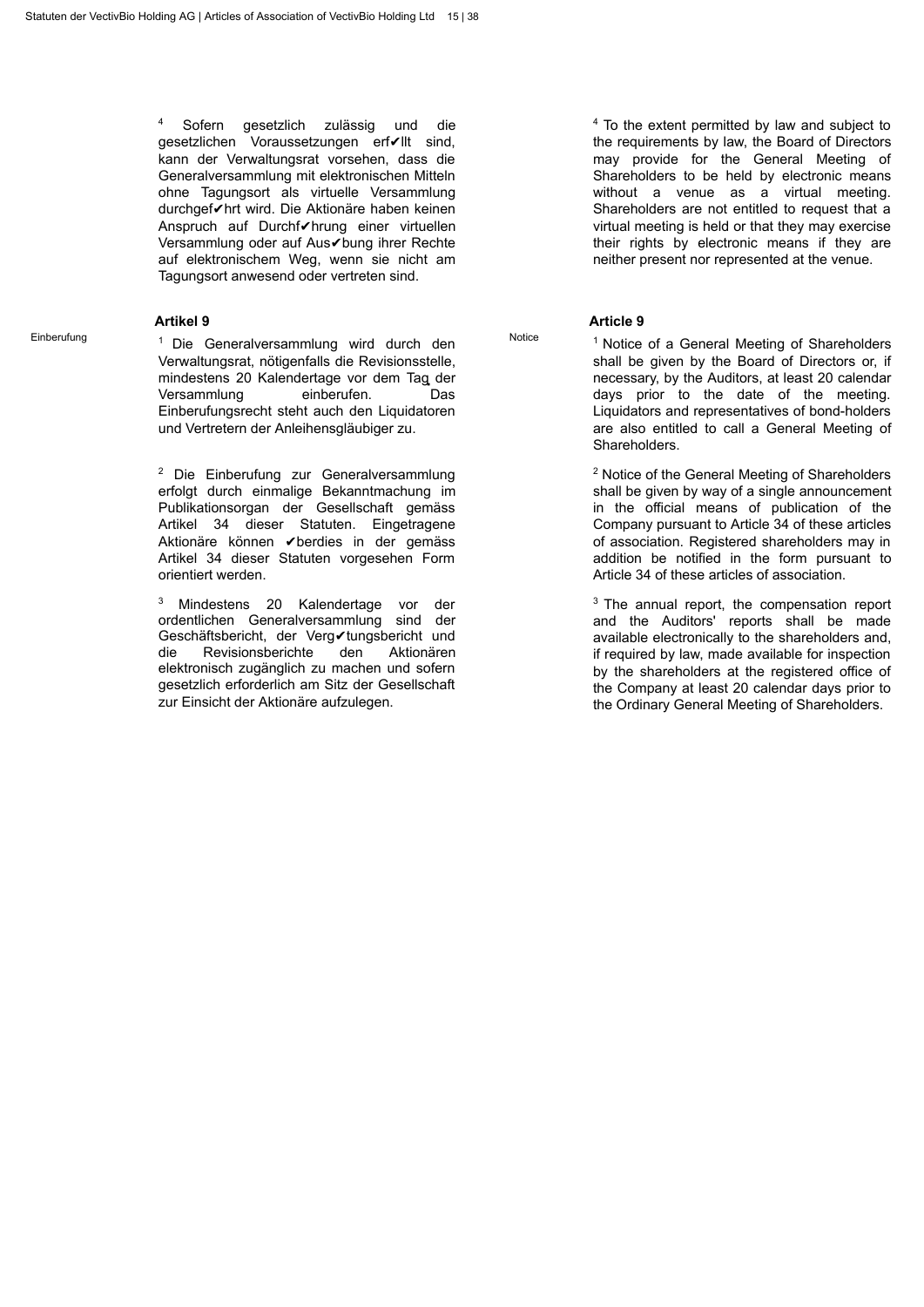<sup>4</sup> Sofern gesetzlich zulässig und die 44 4 gesetzlichen Voraussetzungen erf✔llt sind, kann der Verwaltungsrat vorsehen, dass die Generalversammlung mit elektronischen Mitteln ohne Tagungsort als virtuelle Versammlung durchgef✔hrt wird. Die Aktionäre haben keinen Anspruch auf Durchf✔hrung einer virtuellen Versammlung oder auf Aus✔bung ihrer Rechte auf elektronischem Weg, wenn sie nicht am Tagungsort anwesend oder vertreten sind.

Einberufung and <sup>1</sup> Die Generalversammlung wird durch den Motice and <sup>Notice</sup> 1 Verwaltungsrat, nötigenfalls die Revisionsstelle, mindestens 20 Kalendertage vor dem Tag der ▪ Versammlung einberufen. Das Einberufungsrecht steht auch den Liquidatoren und Vertretern der Anleihensgläubiger zu.

> <sup>2</sup> Die Einberufung zur Generalversammlung erfolgt durch einmalige Bekanntmachung im Publikationsorgan der Gesellschaft gemäss Artikel 34 dieser Statuten. Eingetragene Aktionäre können ✔berdies in der gemäss Artikel 34 dieser Statuten vorgesehen Form orientiert werden.

> $3$  Mindestens 20 Kalendertage vor der ordentlichen Generalversammlung sind der Geschäftsbericht, der Verg✔tungsbericht und die Revisionsberichte den Aktionären elektronisch zugänglich zu machen und sofern gesetzlich erforderlich am Sitz der Gesellschaft zur Einsicht der Aktionäre aufzulegen.

<sup>4</sup> To the extent permitted by law and subject to the requirements by law, the Board of Directors may provide for the General Meeting of Shareholders to be held by electronic means without a venue as a virtual meeting. Shareholders are not entitled to request that a virtual meeting is held or that they may exercise their rights by electronic means if they are neither present nor represented at the venue.

### **Artikel 9 Article 9**

Notice 1 Notice of a General Meeting of Shareholders shall be given by the Board of Directors or, if necessary, by the Auditors, at least 20 calendar days prior to the date of the meeting. Liquidators and representatives of bond-holders are also entitled to call a General Meeting of Shareholders.

> <sup>2</sup> Notice of the General Meeting of Shareholders shall be given by way of a single announcement in the official means of publication of the Company pursuant to Article 34 of these articles of association. Registered shareholders may in addition be notified in the form pursuant to Article 34 of these articles of association.

> $3$  The annual report, the compensation report and the Auditors' reports shall be made available electronically to the shareholders and, if required by law, made available for inspection by the shareholders at the registered office of the Company at least 20 calendar days prior to the Ordinary General Meeting of Shareholders.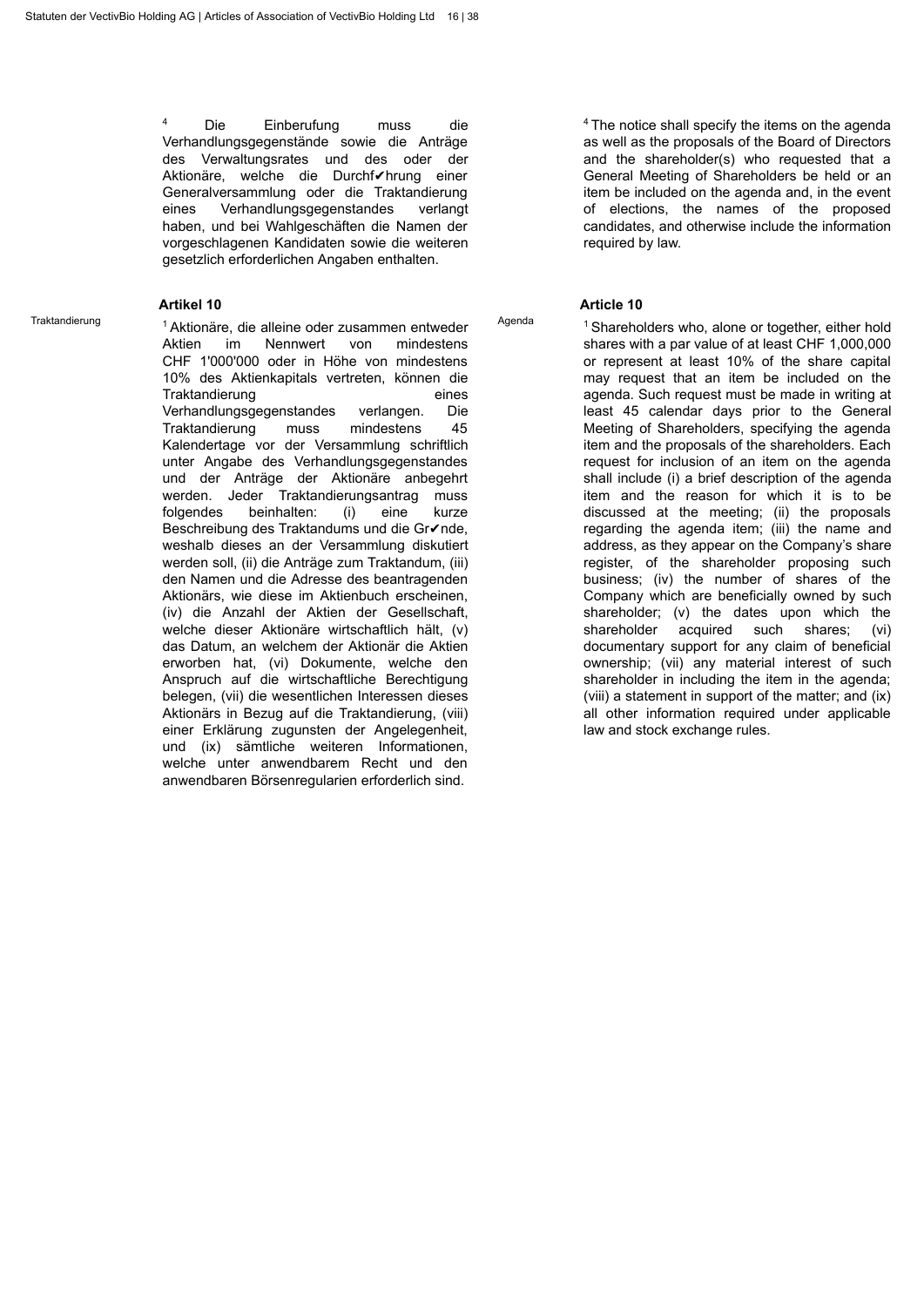<sup>4</sup> Die Einberufung muss die <sup>4</sup> Verhandlungsgegenstände sowie die Anträge des Verwaltungsrates und des oder der Aktionäre, welche die Durchf✔hrung einer Generalversammlung oder die Traktandierung eines Verhandlungsgegenstandes verlangt haben, und bei Wahlgeschäften die Namen der vorgeschlagenen Kandidaten sowie die weiteren gesetzlich erforderlichen Angaben enthalten.

<sup>1</sup> Aktionäre, die alleine oder zusammen entweder Agenda Aktien im Nennwert von mindestens CHF 1'000'000 oder in Höhe von mindestens 10% des Aktienkapitals vertreten, können die Traktandierung eines Verhandlungsgegenstandes verlangen. Die Traktandierung muss mindestens 45 Kalendertage vor der Versammlung schriftlich unter Angabe des Verhandlungsgegenstandes und der Anträge der Aktionäre anbegehrt werden. Jeder Traktandierungsantrag muss folgendes beinhalten: (i) eine kurze Beschreibung des Traktandums und die Gr√nde. weshalb dieses an der Versammlung diskutiert werden soll, (ii) die Anträge zum Traktandum, (iii) den Namen und die Adresse des beantragenden Aktionärs, wie diese im Aktienbuch erscheinen, (iv) die Anzahl der Aktien der Gesellschaft, welche dieser Aktionäre wirtschaftlich hält, (v) das Datum, an welchem der Aktionär die Aktien erworben hat, (vi) Dokumente, welche den Anspruch auf die wirtschaftliche Berechtigung belegen, (vii) die wesentlichen Interessen dieses Aktionärs in Bezug auf die Traktandierung, (viii) einer Erklärung zugunsten der Angelegenheit, und (ix) sämtliche weiteren Informationen, welche unter anwendbarem Recht und den anwendbaren Börsenregularien erforderlich sind.

<sup>4</sup> The notice shall specify the items on the agenda as well as the proposals of the Board of Directors and the shareholder(s) who requested that a General Meeting of Shareholders be held or an item be included on the agenda and, in the event of elections, the names of the proposed candidates, and otherwise include the information required by law.

# **Artikel 10 Article 10**

Agenda <sup>1</sup> Shareholders who, alone or together, either hold shares with a par value of at least CHF 1,000,000 or represent at least 10% of the share capital may request that an item be included on the agenda. Such request must be made in writing at least 45 calendar days prior to the General Meeting of Shareholders, specifying the agenda item and the proposals of the shareholders. Each request for inclusion of an item on the agenda shall include (i) a brief description of the agenda item and the reason for which it is to be discussed at the meeting; (ii) the proposals regarding the agenda item; (iii) the name and address, as they appear on the Company's share register, of the shareholder proposing such business; (iv) the number of shares of the Company which are beneficially owned by such shareholder; (v) the dates upon which the shareholder acquired such shares; (vi) documentary support for any claim of beneficial ownership; (vii) any material interest of such shareholder in including the item in the agenda; (viii) a statement in support of the matter; and (ix) all other information required under applicable law and stock exchange rules.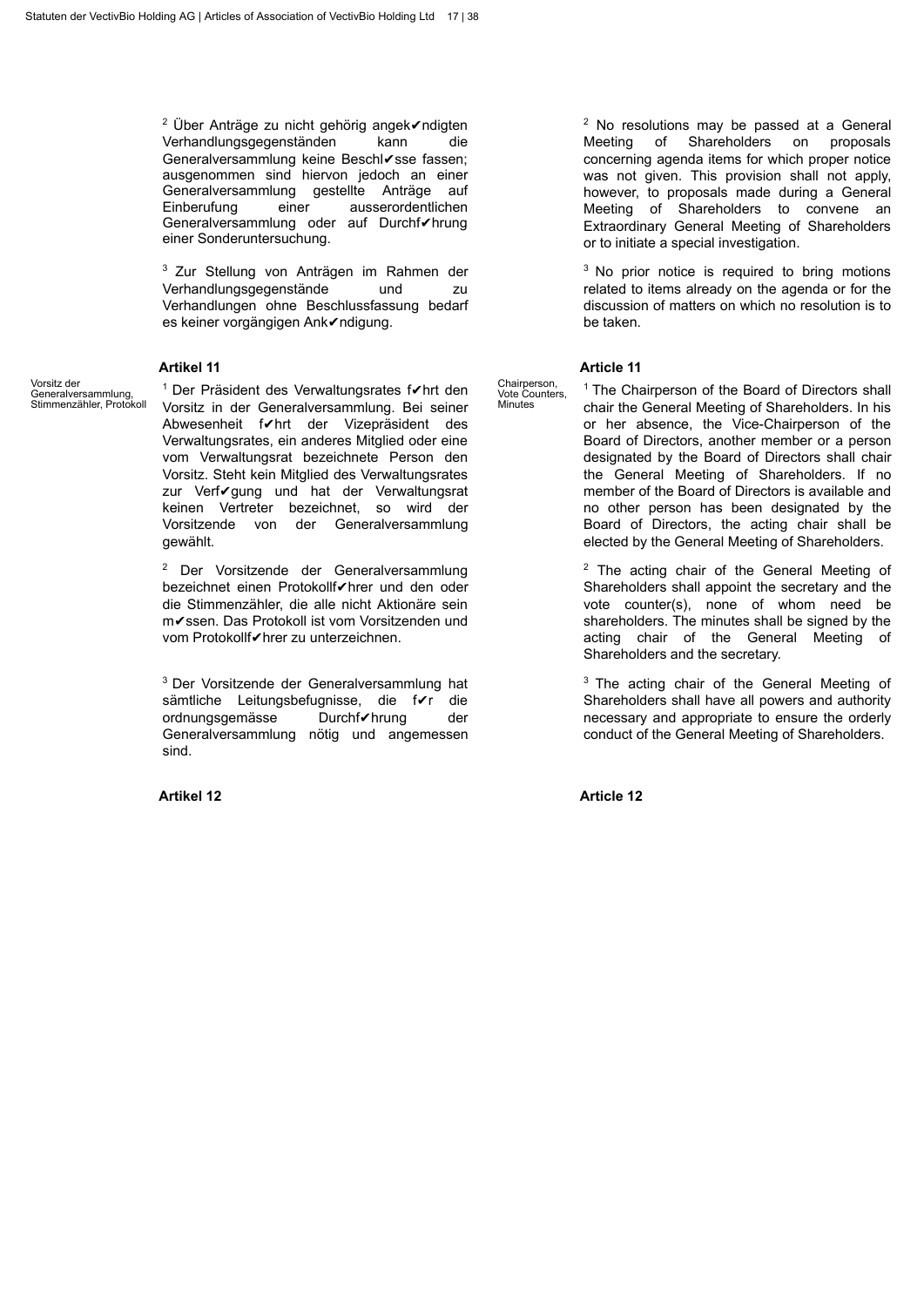<sup>2</sup> Über Anträge zu nicht gehörig angek√ndigten  $2^2$ Verhandlungsgegenständen kann die Generalversammlung keine Beschl✔sse fassen; ausgenommen sind hiervon jedoch an einer Generalversammlung gestellte Anträge auf Einberufung einer ausserordentlichen Generalversammlung oder auf Durchf✔hrung einer Sonderuntersuchung.

 $3$  Zur Stellung von Anträgen im Rahmen der Verhandlungsgegenstände und zu Verhandlungen ohne Beschlussfassung bedarf es keiner vorgängigen Ank√ndigung.

# **Artikel 11 Article 11**

Vorsitz der Generalversammlung, Stimmenzähler, Protokoll

<sup>1</sup> Der Präsident des Verwaltungsrates f√hrt den Vote Counters, 1 Vorsitz in der Generalversammlung. Bei seiner Abwesenheit f✔hrt der Vizepräsident des Verwaltungsrates, ein anderes Mitglied oder eine vom Verwaltungsrat bezeichnete Person den Vorsitz. Steht kein Mitglied des Verwaltungsrates zur Verf✔gung und hat der Verwaltungsrat keinen Vertreter bezeichnet, so wird der Vorsitzende von der Generalversammlung gewählt.

<sup>2</sup> Der Vorsitzende der Generalversammlung  $2^2$ bezeichnet einen Protokollf✔hrer und den oder die Stimmenzähler, die alle nicht Aktionäre sein m✔ssen. Das Protokoll ist vom Vorsitzenden und vom Protokollf✔hrer zu unterzeichnen.

 $3$  Der Vorsitzende der Generalversammlung hat  $3$ sämtliche Leitungsbefugnisse, die f✔r die ordnungsgemässe Durchf✔hrung der Generalversammlung nötig und angemessen sind.

**Artikel 12 Article 12**

 $2$  No resolutions may be passed at a General Meeting of Shareholders on proposals concerning agenda items for which proper notice was not given. This provision shall not apply, however, to proposals made during a General Meeting of Shareholders to convene an Extraordinary General Meeting of Shareholders or to initiate a special investigation.

 $3$  No prior notice is required to bring motions related to items already on the agenda or for the discussion of matters on which no resolution is to be taken.

Minutes

Chairperson, Vote Counters,  $1$  The Chairperson of the Board of Directors shall chair the General Meeting of Shareholders. In his or her absence, the Vice-Chairperson of the Board of Directors, another member or a person designated by the Board of Directors shall chair the General Meeting of Shareholders. If no member of the Board of Directors is available and no other person has been designated by the Board of Directors, the acting chair shall be elected by the General Meeting of Shareholders.

> $2$  The acting chair of the General Meeting of Shareholders shall appoint the secretary and the vote counter(s), none of whom need be shareholders. The minutes shall be signed by the acting chair of the General Meeting of Shareholders and the secretary.

> $3$  The acting chair of the General Meeting of Shareholders shall have all powers and authority necessary and appropriate to ensure the orderly conduct of the General Meeting of Shareholders.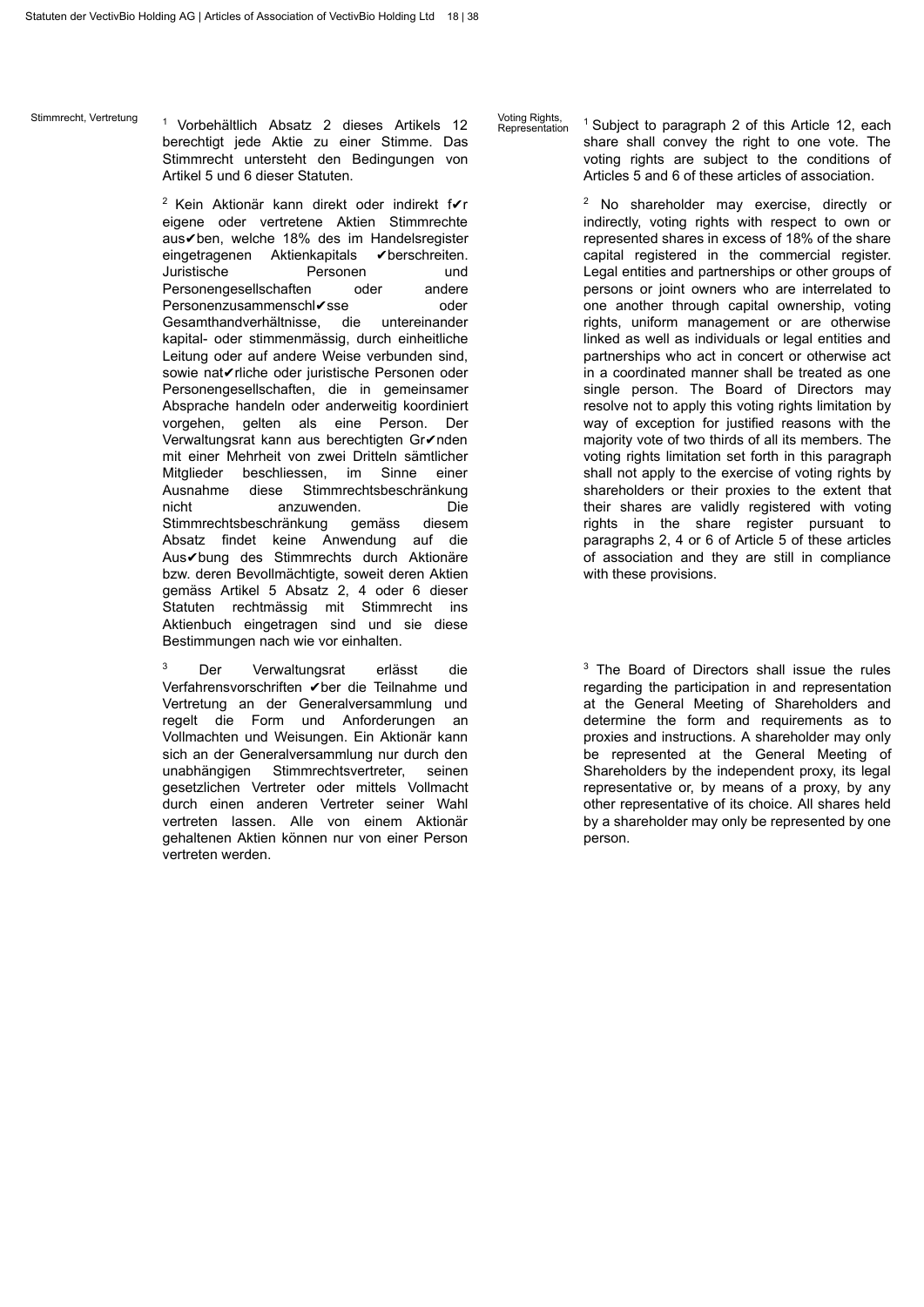Stimmrecht, Vertretung 1 Vorbehältlich Absatz 2 dieses Artikels 12 Voting Rights, 1 berechtigt jede Aktie zu einer Stimme. Das Stimmrecht untersteht den Bedingungen von Artikel 5 und 6 dieser Statuten.

> <sup>2</sup> Kein Aktionär kann direkt oder indirekt f $\sqrt{r}$ eigene oder vertretene Aktien Stimmrechte aus✔ben, welche 18% des im Handelsregister eingetragenen Aktienkapitals **/**berschreiten.<br>Juristische Personen und Juristische Personen und Personengesellschaften oder andere Personenzusammenschl✔sse oder Gesamthandverhältnisse, die untereinander kapital- oder stimmenmässig, durch einheitliche Leitung oder auf andere Weise verbunden sind, sowie nat✔rliche oder juristische Personen oder Personengesellschaften, die in gemeinsamer Absprache handeln oder anderweitig koordiniert vorgehen, gelten als eine Person. Der Verwaltungsrat kann aus berechtigten Gr✔nden mit einer Mehrheit von zwei Dritteln sämtlicher Mitglieder beschliessen, im Sinne einer Stimmrechtsbeschränkung nicht anzuwenden. Die Stimmrechtsbeschränkung gemäss diesem Absatz findet keine Anwendung auf die Aus✔bung des Stimmrechts durch Aktionäre bzw. deren Bevollmächtigte, soweit deren Aktien gemäss Artikel 5 Absatz 2, 4 oder 6 dieser Statuten rechtmässig mit Stimmrecht ins Aktienbuch eingetragen sind und sie diese Bestimmungen nach wie vor einhalten.

> <sup>3</sup> Der Verwaltungsrat erlässt die  $3$ Verfahrensvorschriften ✔ber die Teilnahme und Vertretung an der Generalversammlung und regelt die Form und Anforderungen an Vollmachten und Weisungen. Ein Aktionär kann sich an der Generalversammlung nur durch den unabhängigen Stimmrechtsvertreter, seinen gesetzlichen Vertreter oder mittels Vollmacht durch einen anderen Vertreter seiner Wahl vertreten lassen. Alle von einem Aktionär gehaltenen Aktien können nur von einer Person vertreten werden.

Voting Rights,

<sup>1</sup> Subject to paragraph 2 of this Article 12, each share shall convey the right to one vote. The voting rights are subject to the conditions of Articles 5 and 6 of these articles of association.

<sup>2</sup> No shareholder may exercise, directly or indirectly, voting rights with respect to own or represented shares in excess of 18% of the share capital registered in the commercial register. Legal entities and partnerships or other groups of persons or joint owners who are interrelated to one another through capital ownership, voting rights, uniform management or are otherwise linked as well as individuals or legal entities and partnerships who act in concert or otherwise act in a coordinated manner shall be treated as one single person. The Board of Directors may resolve not to apply this voting rights limitation by way of exception for justified reasons with the majority vote of two thirds of all its members. The voting rights limitation set forth in this paragraph shall not apply to the exercise of voting rights by shareholders or their proxies to the extent that their shares are validly registered with voting rights in the share register pursuant to paragraphs 2, 4 or 6 of Article 5 of these articles of association and they are still in compliance with these provisions.

 $3$  The Board of Directors shall issue the rules regarding the participation in and representation at the General Meeting of Shareholders and determine the form and requirements as to proxies and instructions. A shareholder may only be represented at the General Meeting of Shareholders by the independent proxy, its legal representative or, by means of a proxy, by any other representative of its choice. All shares held by a shareholder may only be represented by one person.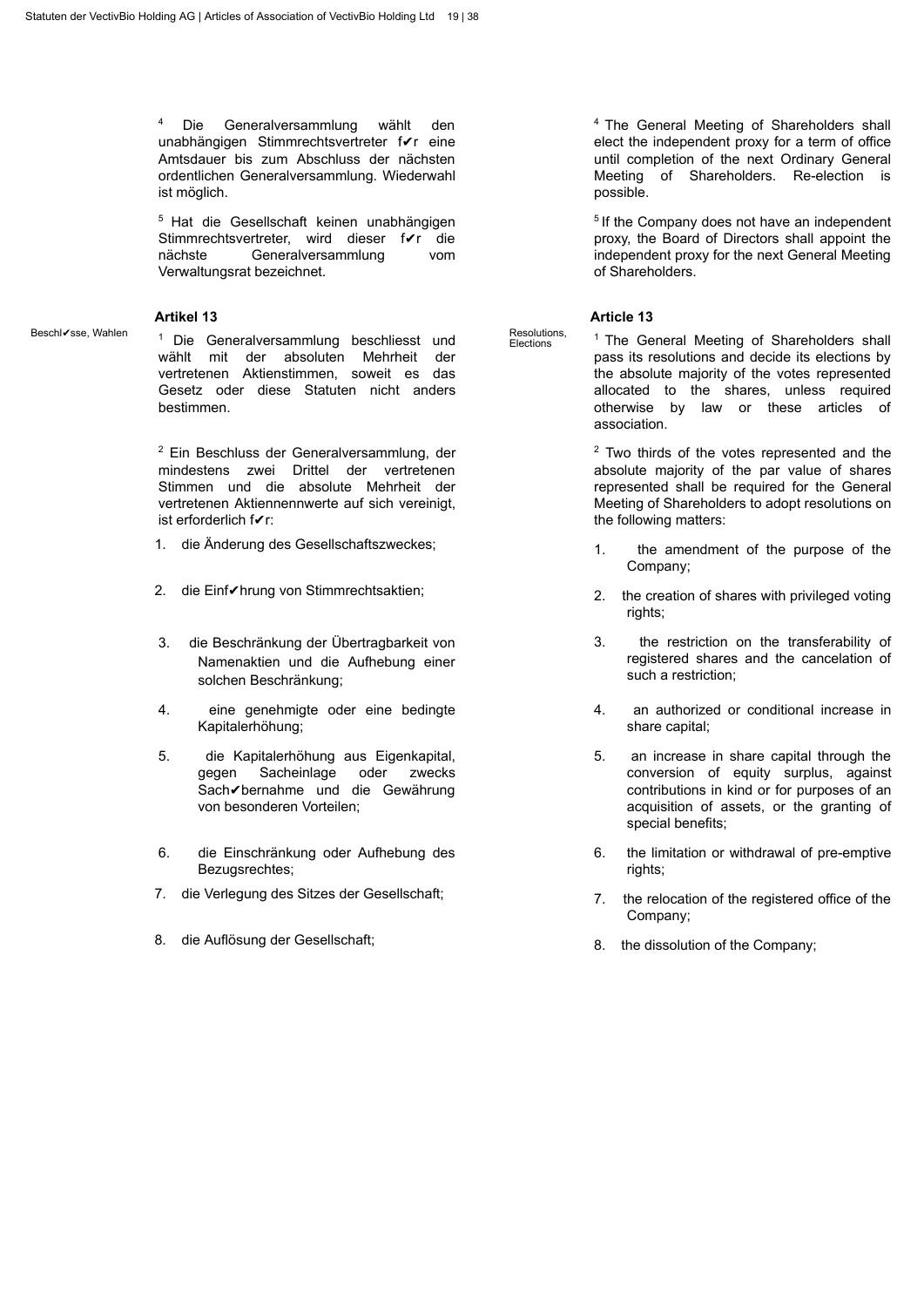<sup>4</sup> Die Generalversammlung wählt den 44 unabhängigen Stimmrechtsvertreter f✔r eine Amtsdauer bis zum Abschluss der nächsten ordentlichen Generalversammlung. Wiederwahl ist möglich.

<sup>5</sup> Hat die Gesellschaft keinen unabhängigen Stimmrechtsvertreter, wird dieser f✔r die nächste Generalversammlung vom Verwaltungsrat bezeichnet.

Beschl√sse, Wahlen 1 Die Generalversammlung beschliesst und Besolutions, 1 wählt mit der absoluten Mehrheit der vertretenen Aktienstimmen, soweit es das Gesetz oder diese Statuten nicht anders bestimmen.

> $2$  Ein Beschluss der Generalversammlung, der  $2$ mindestens zwei Drittel der vertretenen Stimmen und die absolute Mehrheit der vertretenen Aktiennennwerte auf sich vereinigt, ist erforderlich f✔r:

- 1. die Änderung des Gesellschaftszweckes; 1. the amendment of the purpose of the
- 
- 3. die Beschränkung der Übertragbarkeit von Namenaktien und die Aufhebung einer solchen Beschränkung;
- 4. eine genehmigte oder eine bedingte Kapitalerhöhung;
- 5. die Kapitalerhöhung aus Eigenkapital, gegen Sacheinlage oder zwecks Sach✔bernahme und die Gewährung von besonderen Vorteilen;
- 6. die Einschränkung oder Aufhebung des Bezugsrechtes;
- 7. die Verlegung des Sitzes der Gesellschaft; 7. the relocation of the registered office of the
- 8. die Auflösung der Gesellschaft; 8. the dissolution of the Company;

<sup>4</sup> The General Meeting of Shareholders shall elect the independent proxy for a term of office until completion of the next Ordinary General Meeting of Shareholders. Re-election is possible.

 $5$  If the Company does not have an independent proxy, the Board of Directors shall appoint the independent proxy for the next General Meeting of Shareholders.

# **Artikel 13 Article 13**

Resolutions,<br>Elections

 $1$  The General Meeting of Shareholders shall pass its resolutions and decide its elections by the absolute majority of the votes represented allocated to the shares, unless required otherwise by law or these articles of association.

 $2$  Two thirds of the votes represented and the absolute majority of the par value of shares represented shall be required for the General Meeting of Shareholders to adopt resolutions on the following matters:

- Company;
- 2. die Einf✔hrung von Stimmrechtsaktien; 2. the creation of shares with privileged voting rights;
	- 3. the restriction on the transferability of registered shares and the cancelation of such a restriction;
	- 4. an authorized or conditional increase in share capital;
	- 5. an increase in share capital through the conversion of equity surplus, against contributions in kind or for purposes of an acquisition of assets, or the granting of special benefits;
	- 6. the limitation or withdrawal of pre-emptive rights;
	- Company;
	-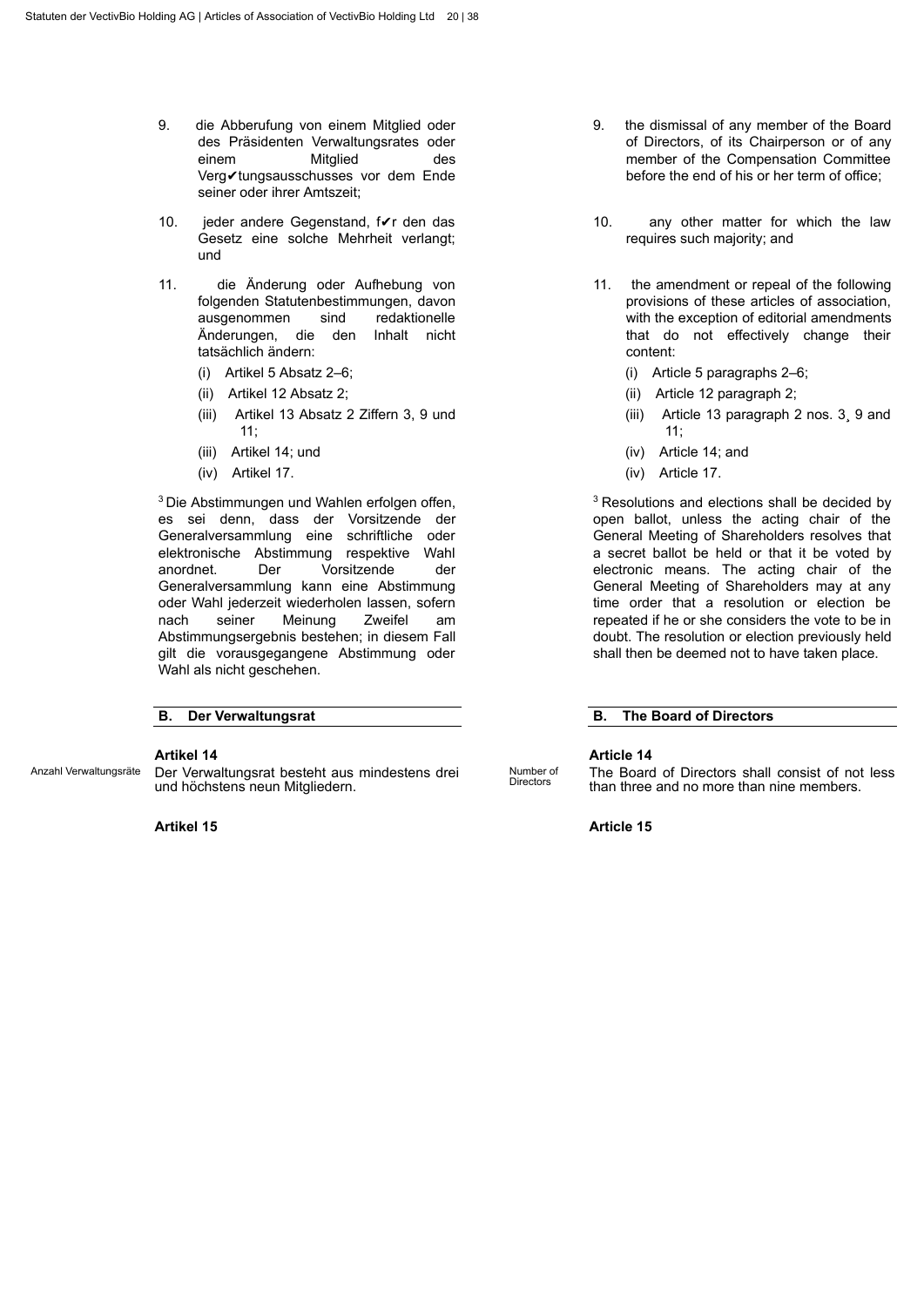- 9. die Abberufung von einem Mitglied oder des Präsidenten Verwaltungsrates oder einem Mitglied des Verg✔tungsausschusses vor dem Ende seiner oder ihrer Amtszeit;
- 10. jeder andere Gegenstand, f✔r den das Gesetz eine solche Mehrheit verlangt; und
- 11. die Änderung oder Aufhebung von folgenden Statutenbestimmungen, davon ausgenommen sind redaktionelle Änderungen, die den Inhalt nicht tatsächlich ändern:
	- (i) Artikel 5 Absatz 2–6;
	- (ii) Artikel 12 Absatz 2;
	- (iii) Artikel 13 Absatz 2 Ziffern 3, 9 und 11;
	- (iii) Artikel 14; und
	- (iv) Artikel 17.

 $3$  Die Abstimmungen und Wahlen erfolgen offen,  $3$ es sei denn, dass der Vorsitzende der Generalversammlung eine schriftliche oder elektronische Abstimmung respektive Wahl anordnet. Der Vorsitzende der Generalversammlung kann eine Abstimmung oder Wahl jederzeit wiederholen lassen, sofern nach seiner Meinung Zweifel am Abstimmungsergebnis bestehen; in diesem Fall gilt die vorausgegangene Abstimmung oder Wahl als nicht geschehen.

**Artikel 14 Article 14**

Anzahl Verwaltungsräte Der Verwaltungsrat besteht aus mindestens drei und höchstens neun Mitgliedern.

# **Artikel 15 Article 15**

- 9. the dismissal of any member of the Board of Directors, of its Chairperson or of any member of the Compensation Committee before the end of his or her term of office;
- 10. any other matter for which the law requires such majority; and
- 11. the amendment or repeal of the following provisions of these articles of association, with the exception of editorial amendments that do not effectively change their content:
	- (i) Article 5 paragraphs 2–6;
	- (ii) Article 12 paragraph 2;
	- (iii) Article 13 paragraph 2 nos. 3¸ 9 and 11;
	- (iv) Article 14; and
	- (iv) Article 17.

 $3$  Resolutions and elections shall be decided by open ballot, unless the acting chair of the General Meeting of Shareholders resolves that a secret ballot be held or that it be voted by electronic means. The acting chair of the General Meeting of Shareholders may at any time order that a resolution or election be repeated if he or she considers the vote to be in doubt. The resolution or election previously held shall then be deemed not to have taken place.

# **B. Der Verwaltungsrat B. The Board of Directors**

Number of<br>Directors

The Board of Directors shall consist of not less than three and no more than nine members.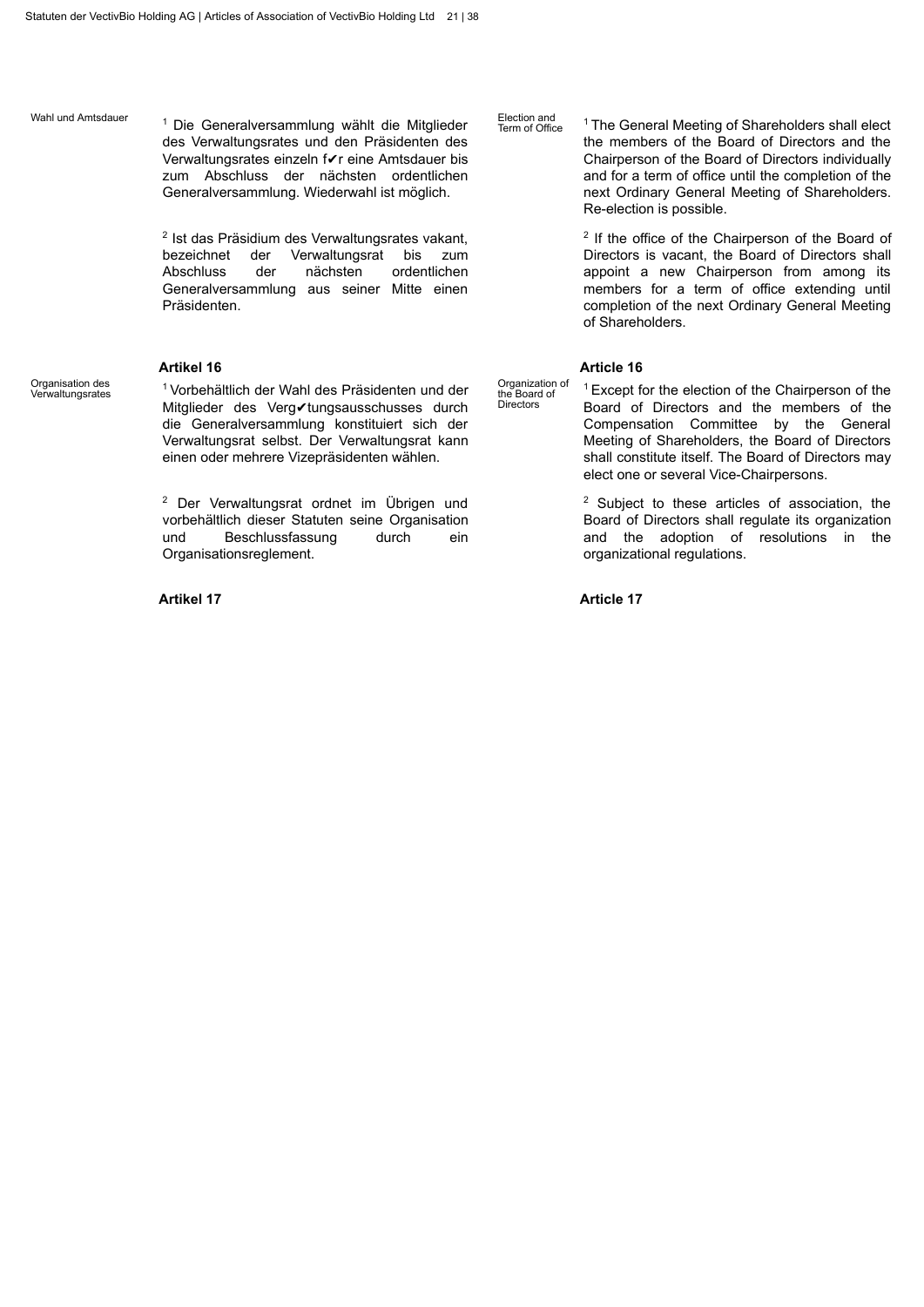Wahl und Amtsdauer and Die Generalversammlung wählt die Mitglieder and Election and and the Coffice of Term of Office des Verwaltungsrates und den Präsidenten des Verwaltungsrates einzeln f✔r eine Amtsdauer bis zum Abschluss der nächsten ordentlichen Generalversammlung. Wiederwahl ist möglich.

> $2$  Ist das Präsidium des Verwaltungsrates vakant,  $2$ bezeichnet der Verwaltungsrat bis zum Abschluss der nächsten ordentlichen Generalversammlung aus seiner Mitte einen Präsidenten.

Organisation des

Viganisauon des anderes and i Vorbehältlich der Wahl des Präsidenten und der Eine Board of der ander the Board Mitglieder des Verg✔tungsausschusses durch die Generalversammlung konstituiert sich der Verwaltungsrat selbst. Der Verwaltungsrat kann einen oder mehrere Vizepräsidenten wählen.

> $2$  Der Verwaltungsrat ordnet im Übrigen und  $2$ vorbehältlich dieser Statuten seine Organisation und Beschlussfassung durch ein Organisationsreglement.

**Artikel 17 Article 17**

Election and<br>Term of Office

the Board of Directors

 $1$  The General Meeting of Shareholders shall elect the members of the Board of Directors and the Chairperson of the Board of Directors individually and for a term of office until the completion of the next Ordinary General Meeting of Shareholders. Re-election is possible.

 $2$  If the office of the Chairperson of the Board of Directors is vacant, the Board of Directors shall appoint a new Chairperson from among its members for a term of office extending until completion of the next Ordinary General Meeting of Shareholders.

# **Artikel 16 Article 16**

Organization of <sup>1</sup> Except for the election of the Chairperson of the Board of Directors and the members of the Compensation Committee by the General Meeting of Shareholders, the Board of Directors shall constitute itself. The Board of Directors may elect one or several Vice-Chairpersons.

> <sup>2</sup> Subject to these articles of association, the Board of Directors shall regulate its organization and the adoption of resolutions in the organizational regulations.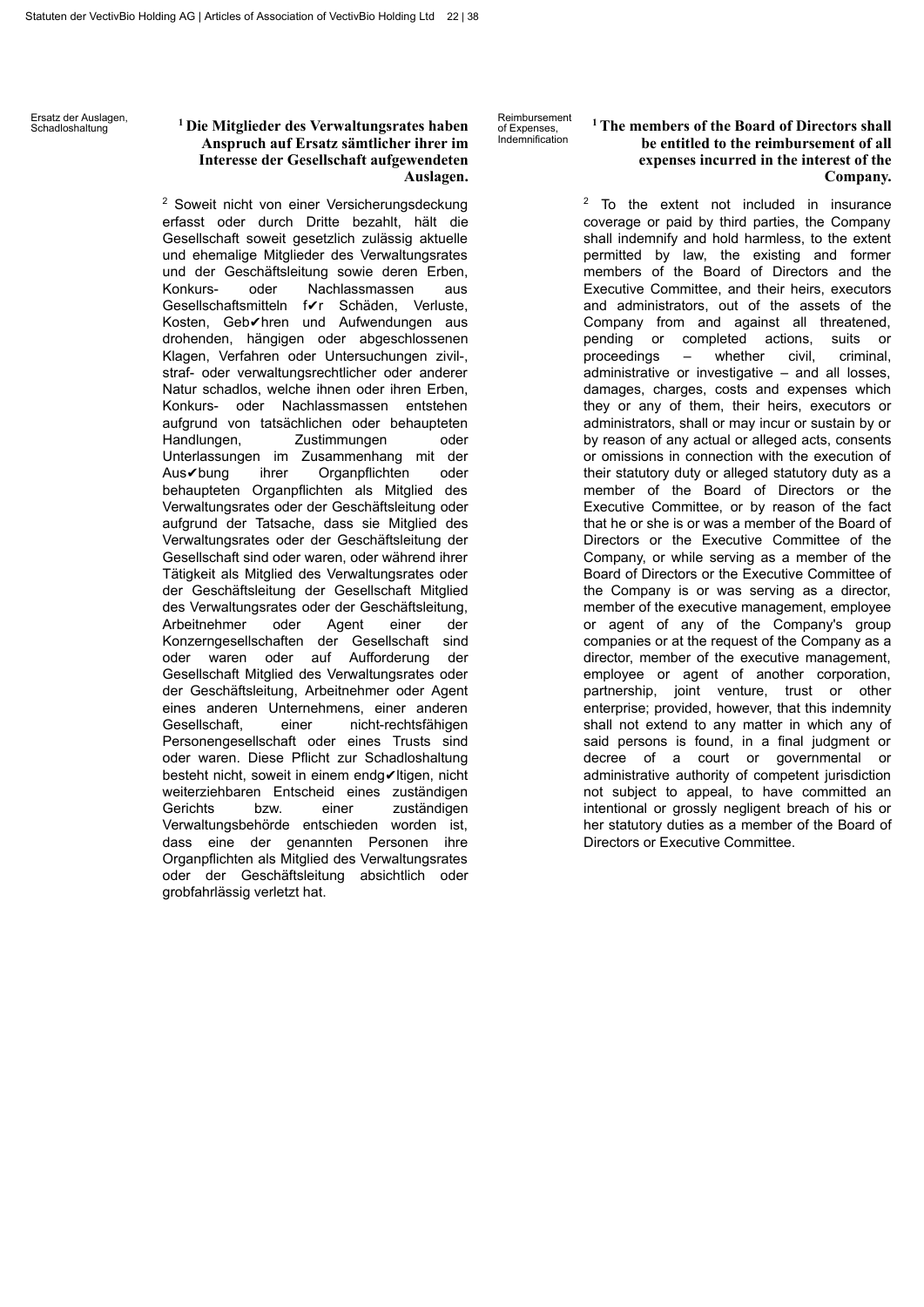Ersatz der Auslagen,<br>Schadloshaltung

# Schadloshaltung **Die Mitglieder des Verwaltungsrates haben 1 1 Anspruch auf Ersatz sämtlicher ihrer im Interesse der Gesellschaft aufgewendeten Auslagen.**

<sup>2</sup> Soweit nicht von einer Versicherungsdeckung metallisierte and the search of the search of the search of the search of the search of the search of the search of the search of the search of the search of the search of th erfasst oder durch Dritte bezahlt, hält die Gesellschaft soweit gesetzlich zulässig aktuelle und ehemalige Mitglieder des Verwaltungsrates und der Geschäftsleitung sowie deren Erben, Konkurs- oder Nachlassmassen aus Gesellschaftsmitteln f✔r Schäden, Verluste, Kosten, Geb✔hren und Aufwendungen aus drohenden, hängigen oder abgeschlossenen Klagen, Verfahren oder Untersuchungen zivil-, straf- oder verwaltungsrechtlicher oder anderer Natur schadlos, welche ihnen oder ihren Erben, Konkurs- oder Nachlassmassen entstehen aufgrund von tatsächlichen oder behaupteten Handlungen, Zustimmungen oder Unterlassungen im Zusammenhang mit der Aus✔bung ihrer Organpflichten oder behaupteten Organpflichten als Mitglied des Verwaltungsrates oder der Geschäftsleitung oder aufgrund der Tatsache, dass sie Mitglied des Verwaltungsrates oder der Geschäftsleitung der Gesellschaft sind oder waren, oder während ihrer Tätigkeit als Mitglied des Verwaltungsrates oder der Geschäftsleitung der Gesellschaft Mitglied des Verwaltungsrates oder der Geschäftsleitung,<br>Arbeitnehmer oder Agent einer der Arbeitnehmer oder Agent einer der Konzerngesellschaften der Gesellschaft sind oder waren oder auf Aufforderung der Gesellschaft Mitglied des Verwaltungsrates oder der Geschäftsleitung, Arbeitnehmer oder Agent eines anderen Unternehmens, einer anderen Gesellschaft, einer nicht-rechtsfähigen Personengesellschaft oder eines Trusts sind oder waren. Diese Pflicht zur Schadloshaltung besteht nicht, soweit in einem endg✔ltigen, nicht weiterziehbaren Entscheid eines zuständigen Gerichts bzw. einer zuständigen Verwaltungsbehörde entschieden worden ist, dass eine der genannten Personen ihre Organpflichten als Mitglied des Verwaltungsrates oder der Geschäftsleitung absichtlich oder grobfahrlässig verletzt hat.

Reimbursement of Expenses, **Indemnification** 

# **The members of the Board of Directors shall be entitled to the reimbursement of all expenses incurred in the interest of the Company.**

 $2$  To the extent not included in insurance coverage or paid by third parties, the Company shall indemnify and hold harmless, to the extent permitted by law, the existing and former members of the Board of Directors and the Executive Committee, and their heirs, executors and administrators, out of the assets of the Company from and against all threatened, pending or completed actions, suits or proceedings – whether civil, criminal, administrative or investigative – and all losses, damages, charges, costs and expenses which they or any of them, their heirs, executors or administrators, shall or may incur or sustain by or by reason of any actual or alleged acts, consents or omissions in connection with the execution of their statutory duty or alleged statutory duty as a member of the Board of Directors or the Executive Committee, or by reason of the fact that he or she is or was a member of the Board of Directors or the Executive Committee of the Company, or while serving as a member of the Board of Directors or the Executive Committee of the Company is or was serving as a director, member of the executive management, employee or agent of any of the Company's group companies or at the request of the Company as a director, member of the executive management, employee or agent of another corporation, partnership, joint venture, trust or other enterprise; provided, however, that this indemnity shall not extend to any matter in which any of said persons is found, in a final judgment or decree of a court or governmental or administrative authority of competent jurisdiction not subject to appeal, to have committed an intentional or grossly negligent breach of his or her statutory duties as a member of the Board of Directors or Executive Committee.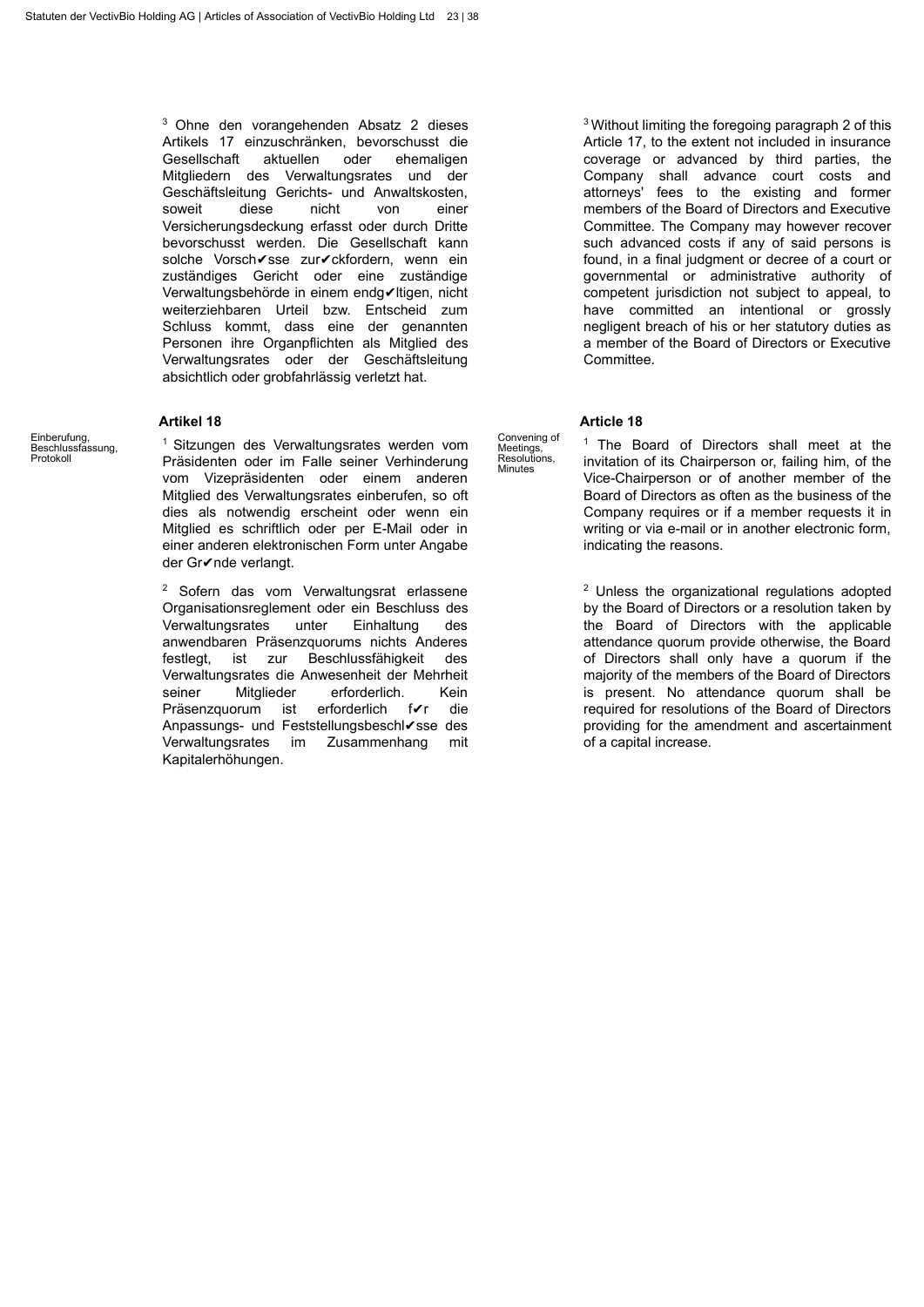$3$  Ohne den vorangehenden Absatz 2 dieses Artikels 17 einzuschränken, bevorschusst die Gesellschaft aktuellen oder ehemaligen Mitgliedern des Verwaltungsrates und der Geschäftsleitung Gerichts- und Anwaltskosten, soweit diese nicht von einer Versicherungsdeckung erfasst oder durch Dritte bevorschusst werden. Die Gesellschaft kann solche Vorsch✔sse zur✔ckfordern, wenn ein zuständiges Gericht oder eine zuständige Verwaltungsbehörde in einem endg✔ltigen, nicht weiterziehbaren Urteil bzw. Entscheid zum Schluss kommt, dass eine der genannten Personen ihre Organpflichten als Mitglied des Verwaltungsrates oder der Geschäftsleitung absichtlich oder grobfahrlässig verletzt hat.

# **Artikel 18 Article 18**

Einberufung, Beschlussfassung, Protokoll

<sup>1</sup> Sitzungen des Verwaltungsrates werden vom Meetings. Präsidenten oder im Falle seiner Verhinderung vom Vizepräsidenten oder einem anderen Mitglied des Verwaltungsrates einberufen, so oft dies als notwendig erscheint oder wenn ein Mitglied es schriftlich oder per E-Mail oder in einer anderen elektronischen Form unter Angabe der Gr✔nde verlangt.

 $2^2$  Sofern das vom Verwaltungsrat erlassene  $2^2$ Organisationsreglement oder ein Beschluss des Verwaltungsrates unter Einhaltung des anwendbaren Präsenzquorums nichts Anderes festlegt, ist zur Beschlussfähigkeit des Verwaltungsrates die Anwesenheit der Mehrheit seiner Mitglieder erforderlich. Kein Präsenzquorum ist erforderlich f✔r die Anpassungs- und Feststellungsbeschl✔sse des Verwaltungsrates im Zusammenhang mit Kapitalerhöhungen.

<sup>3</sup> Without limiting the foregoing paragraph 2 of this Article 17, to the extent not included in insurance coverage or advanced by third parties, the Company shall advance court costs and attorneys' fees to the existing and former members of the Board of Directors and Executive Committee. The Company may however recover such advanced costs if any of said persons is found, in a final judgment or decree of a court or governmental or administrative authority of competent jurisdiction not subject to appeal, to have committed an intentional or grossly negligent breach of his or her statutory duties as a member of the Board of Directors or Executive **Committee.** 

Convening of Meetings, Resolutions, Minutes

 $1$  The Board of Directors shall meet at the invitation of its Chairperson or, failing him, of the Vice-Chairperson or of another member of the Board of Directors as often as the business of the Company requires or if a member requests it in writing or via e-mail or in another electronic form, indicating the reasons.

Unless the organizational regulations adopted by the Board of Directors or a resolution taken by the Board of Directors with the applicable attendance quorum provide otherwise, the Board of Directors shall only have a quorum if the majority of the members of the Board of Directors is present. No attendance quorum shall be required for resolutions of the Board of Directors providing for the amendment and ascertainment of a capital increase.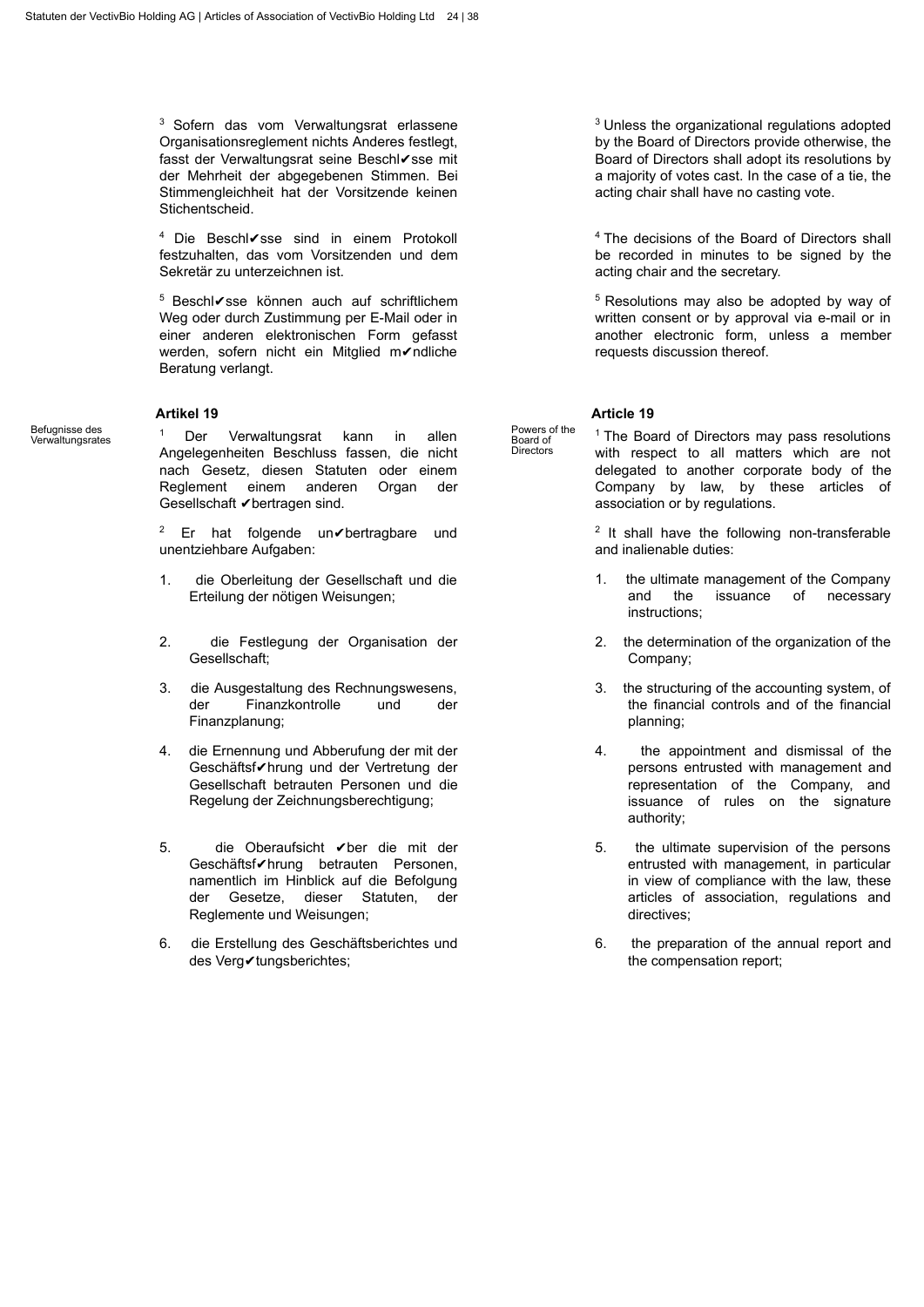$3$  Sofern das vom Verwaltungsrat erlassene Organisationsreglement nichts Anderes festlegt, fasst der Verwaltungsrat seine Beschl✔sse mit der Mehrheit der abgegebenen Stimmen. Bei Stimmengleichheit hat der Vorsitzende keinen Stichentscheid.

<sup>4</sup> Die Beschl✔sse sind in einem Protokoll 44 festzuhalten, das vom Vorsitzenden und dem Sekretär zu unterzeichnen ist.

 $5$  Beschl $\checkmark$ sse können auch auf schriftlichem Weg oder durch Zustimmung per E-Mail oder in einer anderen elektronischen Form gefasst werden, sofern nicht ein Mitglied m✔ndliche Beratung verlangt.

Befugnisse des<br>Verwaltungsrates

belughisse des and the Der Verwaltungsrat kann in allen Board of the 1 Angelegenheiten Beschluss fassen, die nicht nach Gesetz, diesen Statuten oder einem Reglement einem anderen Organ der Gesellschaft ✔bertragen sind.

> $2$  Er hat folgende un $\checkmark$ bertragbare und  $2$ unentziehbare Aufgaben:

- 1. die Oberleitung der Gesellschaft und die Erteilung der nötigen Weisungen;
- 2. die Festlegung der Organisation der Gesellschaft;
- 3. die Ausgestaltung des Rechnungswesens, der Finanzkontrolle und der Finanzplanung;
- 4. die Ernennung und Abberufung der mit der Geschäftsf✔hrung und der Vertretung der Gesellschaft betrauten Personen und die Regelung der Zeichnungsberechtigung;
- 5. die Oberaufsicht ✔ber die mit der Geschäftsf✔hrung betrauten Personen, namentlich im Hinblick auf die Befolgung der Gesetze, dieser Statuten, der Reglemente und Weisungen;
- 6. die Erstellung des Geschäftsberichtes und des Verg✔tungsberichtes;

<sup>3</sup> Unless the organizational regulations adopted by the Board of Directors provide otherwise, the Board of Directors shall adopt its resolutions by a majority of votes cast. In the case of a tie, the acting chair shall have no casting vote.

<sup>4</sup> The decisions of the Board of Directors shall be recorded in minutes to be signed by the acting chair and the secretary.

 $5$  Resolutions may also be adopted by way of written consent or by approval via e-mail or in another electronic form, unless a member requests discussion thereof.

### **Artikel 19 Article 19**

Powers of the Board of Directors

<sup>1</sup> The Board of Directors may pass resolutions with respect to all matters which are not delegated to another corporate body of the Company by law, by these articles of association or by regulations.

 $2$  It shall have the following non-transferable and inalienable duties:

- 1. the ultimate management of the Company and the issuance of necessary instructions;
- 2. the determination of the organization of the Company;
- 3. the structuring of the accounting system, of the financial controls and of the financial planning;
- 4. the appointment and dismissal of the persons entrusted with management and representation of the Company, and issuance of rules on the signature authority;
- 5. the ultimate supervision of the persons entrusted with management, in particular in view of compliance with the law, these articles of association, regulations and directives;
- 6. the preparation of the annual report and the compensation report;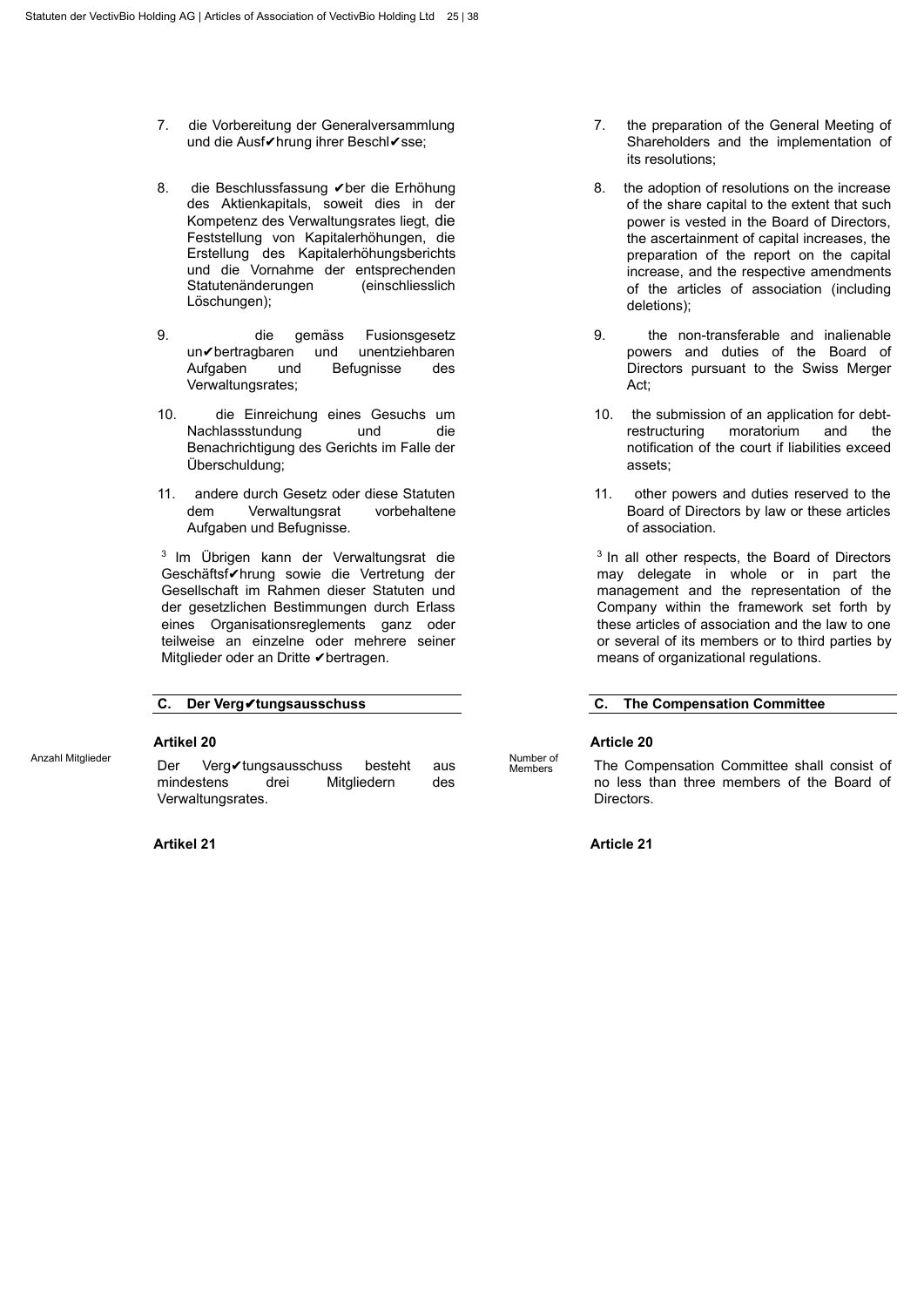- 7. die Vorbereitung der Generalversammlung und die Ausf✔hrung ihrer Beschl✔sse;
- 8. die Beschlussfassung √ber die Erhöhung des Aktienkapitals, soweit dies in der Kompetenz des Verwaltungsrates liegt, die Feststellung von Kapitalerhöhungen, die Erstellung des Kapitalerhöhungsberichts und die Vornahme der entsprechenden Statutenänderungen (einschliesslich Löschungen);
- 9. die gemäss Fusionsgesetz<br>un∡bertragbaren und unentziehbaren  $un$  $\blacktriangleright$ bertragbaren und Aufgaben und Befugnisse des Verwaltungsrates;
- 10. die Einreichung eines Gesuchs um Nachlassstundung und die Benachrichtigung des Gerichts im Falle der Überschuldung;
- 11. andere durch Gesetz oder diese Statuten dem Verwaltungsrat vorbehaltene Aufgaben und Befugnisse.

 $3$  Im Übrigen kann der Verwaltungsrat die  $3$ Geschäftsf✔hrung sowie die Vertretung der Gesellschaft im Rahmen dieser Statuten und der gesetzlichen Bestimmungen durch Erlass eines Organisationsreglements ganz oder teilweise an einzelne oder mehrere seiner Mitglieder oder an Dritte ✔bertragen.

### **Artikel 20 Article 20**

Anzahl Mitglieder Der Verg✔tungsausschuss besteht aus mindestens drei Mitgliedern des Verwaltungsrates.

# **Artikel 21 Article 21**

- 7. the preparation of the General Meeting of Shareholders and the implementation of its resolutions;
- 8. the adoption of resolutions on the increase of the share capital to the extent that such power is vested in the Board of Directors, the ascertainment of capital increases, the preparation of the report on the capital increase, and the respective amendments of the articles of association (including deletions);
- 9. the non-transferable and inalienable powers and duties of the Board of Directors pursuant to the Swiss Merger Act;
- 10. the submission of an application for debtrestructuring moratorium and the notification of the court if liabilities exceed assets;
- 11. other powers and duties reserved to the Board of Directors by law or these articles of association.

 $3$  In all other respects, the Board of Directors may delegate in whole or in part the management and the representation of the Company within the framework set forth by these articles of association and the law to one or several of its members or to third parties by means of organizational regulations.

# **C. Der Verg**✔**tungsausschuss C. The Compensation Committee**

Number of<br>Members

The Compensation Committee shall consist of no less than three members of the Board of **Directors**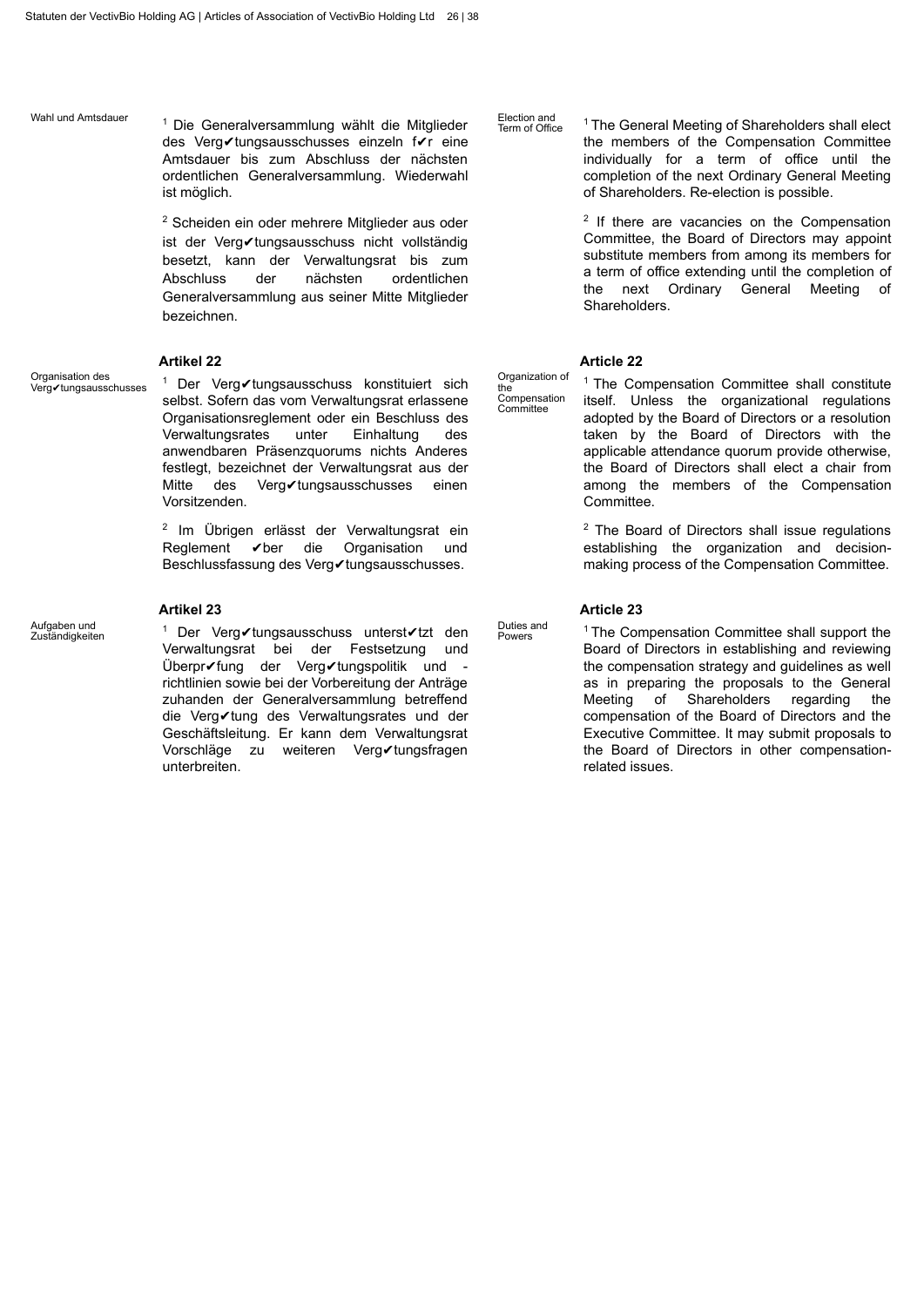Wahl und Amtsdauer and Die Generalversammlung wählt die Mitglieder and Election and and the Coffice of Term of Office des Verg✔tungsausschusses einzeln f✔r eine Amtsdauer bis zum Abschluss der nächsten ordentlichen Generalversammlung. Wiederwahl ist möglich.

> $2^2$  Scheiden ein oder mehrere Mitglieder aus oder ist der Verg✔tungsausschuss nicht vollständig besetzt, kann der Verwaltungsrat bis zum Abschluss der nächsten ordentlichen Generalversammlung aus seiner Mitte Mitglieder bezeichnen.

Organisation des<br>Verg✔tungsausschusses

Viganisauon des antisens in Der Verg√tungsausschuss konstituiert sich Diganizauon of 1 selbst. Sofern das vom Verwaltungsrat erlassene Organisationsreglement oder ein Beschluss des Verwaltungsrates unter Einhaltung des anwendbaren Präsenzquorums nichts Anderes festlegt, bezeichnet der Verwaltungsrat aus der Mitte des Verg✔tungsausschusses einen Vorsitzenden.

> $2$  Im Übrigen erlässt der Verwaltungsrat ein  $2$ Reglement ✔ber die Organisation und Beschlussfassung des Verg✔tungsausschusses.

Aufgaben und<br>Zuständigkeiten

Auigaben und am der Verg√tungsausschuss unterst√tzt den Duiles and 1988 in 1988 and 1988 and 1988 and 1988 and Verwaltungsrat bei der Festsetzung und Überpr✔fung der Verg✔tungspolitik und richtlinien sowie bei der Vorbereitung der Anträge zuhanden der Generalversammlung betreffend die Verg✔tung des Verwaltungsrates und der Geschäftsleitung. Er kann dem Verwaltungsrat Vorschläge zu weiteren Verg✔tungsfragen unterbreiten.

Election and<br>Term of Office

 $1$  The General Meeting of Shareholders shall elect the members of the Compensation Committee individually for a term of office until the completion of the next Ordinary General Meeting of Shareholders. Re-election is possible.

 $2$  If there are vacancies on the Compensation Committee, the Board of Directors may appoint substitute members from among its members for a term of office extending until the completion of the next Ordinary General Meeting of Shareholders.

### **Artikel 22 Article 22**

Organization of the Compensation Committee

Duties and<br>Powers

 $1$  The Compensation Committee shall constitute itself. Unless the organizational regulations adopted by the Board of Directors or a resolution taken by the Board of Directors with the applicable attendance quorum provide otherwise, the Board of Directors shall elect a chair from among the members of the Compensation Committee.

 $2$  The Board of Directors shall issue regulations establishing the organization and decisionmaking process of the Compensation Committee.

# **Artikel 23 Article 23**

<sup>1</sup> The Compensation Committee shall support the Board of Directors in establishing and reviewing the compensation strategy and guidelines as well as in preparing the proposals to the General Meeting of Shareholders regarding the compensation of the Board of Directors and the Executive Committee. It may submit proposals to the Board of Directors in other compensationrelated issues.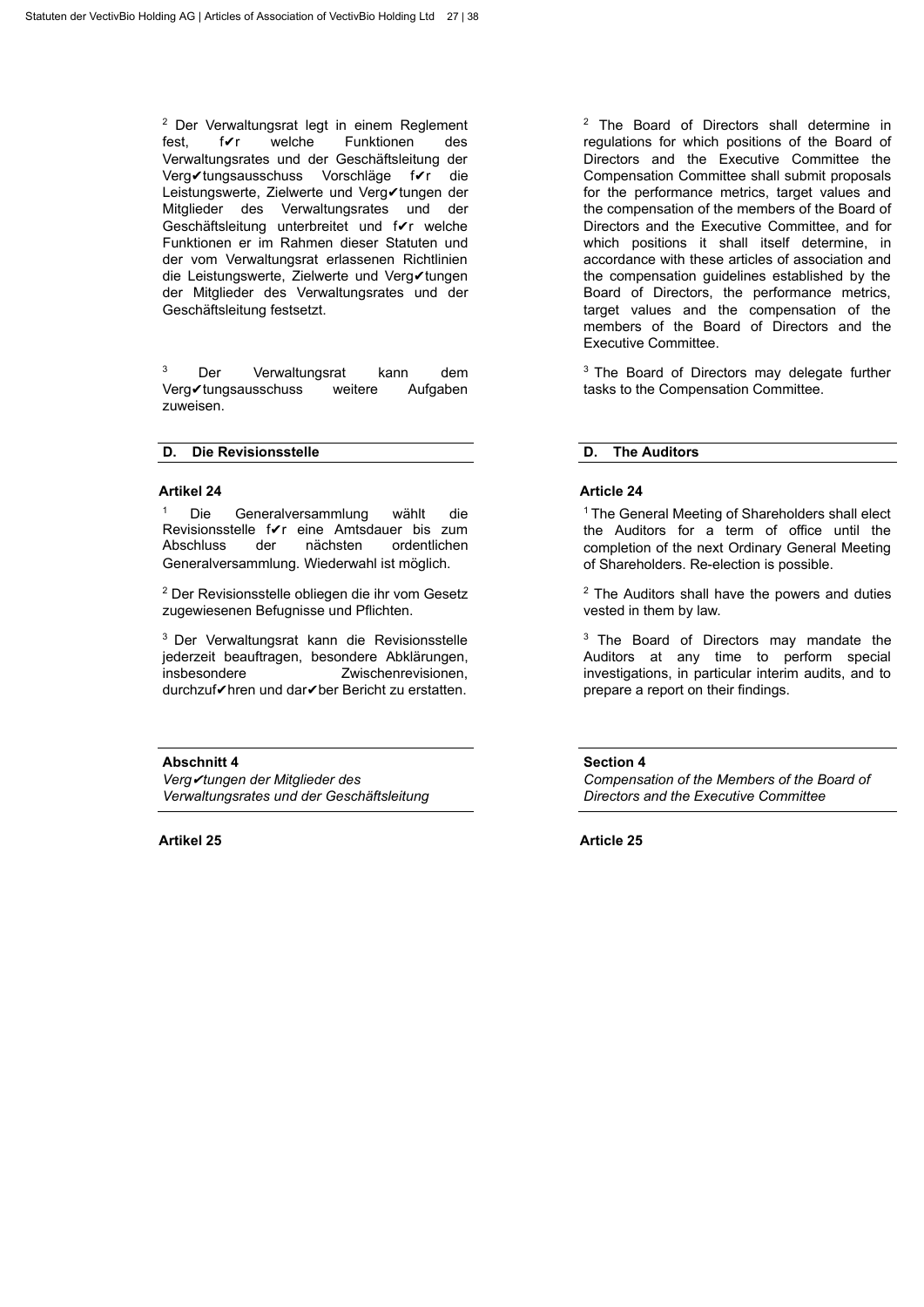$2^2$  Der Verwaltungsrat legt in einem Reglement fest, f✔r welche Funktionen des Verwaltungsrates und der Geschäftsleitung der Verg✔tungsausschuss Vorschläge f✔r die Leistungswerte, Zielwerte und Verg∕tungen der Mitglieder des Verwaltungsrates und der Geschäftsleitung unterbreitet und f✔r welche Funktionen er im Rahmen dieser Statuten und der vom Verwaltungsrat erlassenen Richtlinien die Leistungswerte, Zielwerte und Verg✔tungen der Mitglieder des Verwaltungsrates und der Geschäftsleitung festsetzt.

 $3$  Der Verwaltungsrat kann dem  $3$ Verg✔tungsausschuss weitere Aufgaben zuweisen.

# **D. Die Revisionsstelle D. The Auditors**

### **Artikel 24 Article 24**

<sup>1</sup> Die Generalversammlung wählt die 1986 tot 1986 Revisionsstelle f√r eine Amtsdauer bis zum<br>Abschluss der nächsten ordentlichen ordentlichen Generalversammlung. Wiederwahl ist möglich.

 $2^2$  Der Revisionsstelle obliegen die ihr vom Gesetz  $2^2$ zugewiesenen Befugnisse und Pflichten.

 $3$  Der Verwaltungsrat kann die Revisionsstelle  $3$ jederzeit beauftragen, besondere Abklärungen, insbesondere Zwischenrevisionen, durchzuf✔hren und dar✔ber Bericht zu erstatten.

### **Abschnitt 4**

*Verg*✔*tungen der Mitglieder des Verwaltungsrates und der Geschäftsleitung*

**Artikel 25 Article 25**

<sup>2</sup> The Board of Directors shall determine in regulations for which positions of the Board of Directors and the Executive Committee the Compensation Committee shall submit proposals for the performance metrics, target values and the compensation of the members of the Board of Directors and the Executive Committee, and for which positions it shall itself determine, in accordance with these articles of association and the compensation guidelines established by the Board of Directors, the performance metrics, target values and the compensation of the members of the Board of Directors and the Executive Committee.

 $3$  The Board of Directors may delegate further tasks to the Compensation Committee.

<sup>1</sup> The General Meeting of Shareholders shall elect the Auditors for a term of office until the completion of the next Ordinary General Meeting of Shareholders. Re-election is possible.

 $2$  The Auditors shall have the powers and duties vested in them by law.

 $3$  The Board of Directors may mandate the Auditors at any time to perform special investigations, in particular interim audits, and to prepare a report on their findings.

# **Section 4**

*Compensation of the Members of the Board of Directors and the Executive Committee*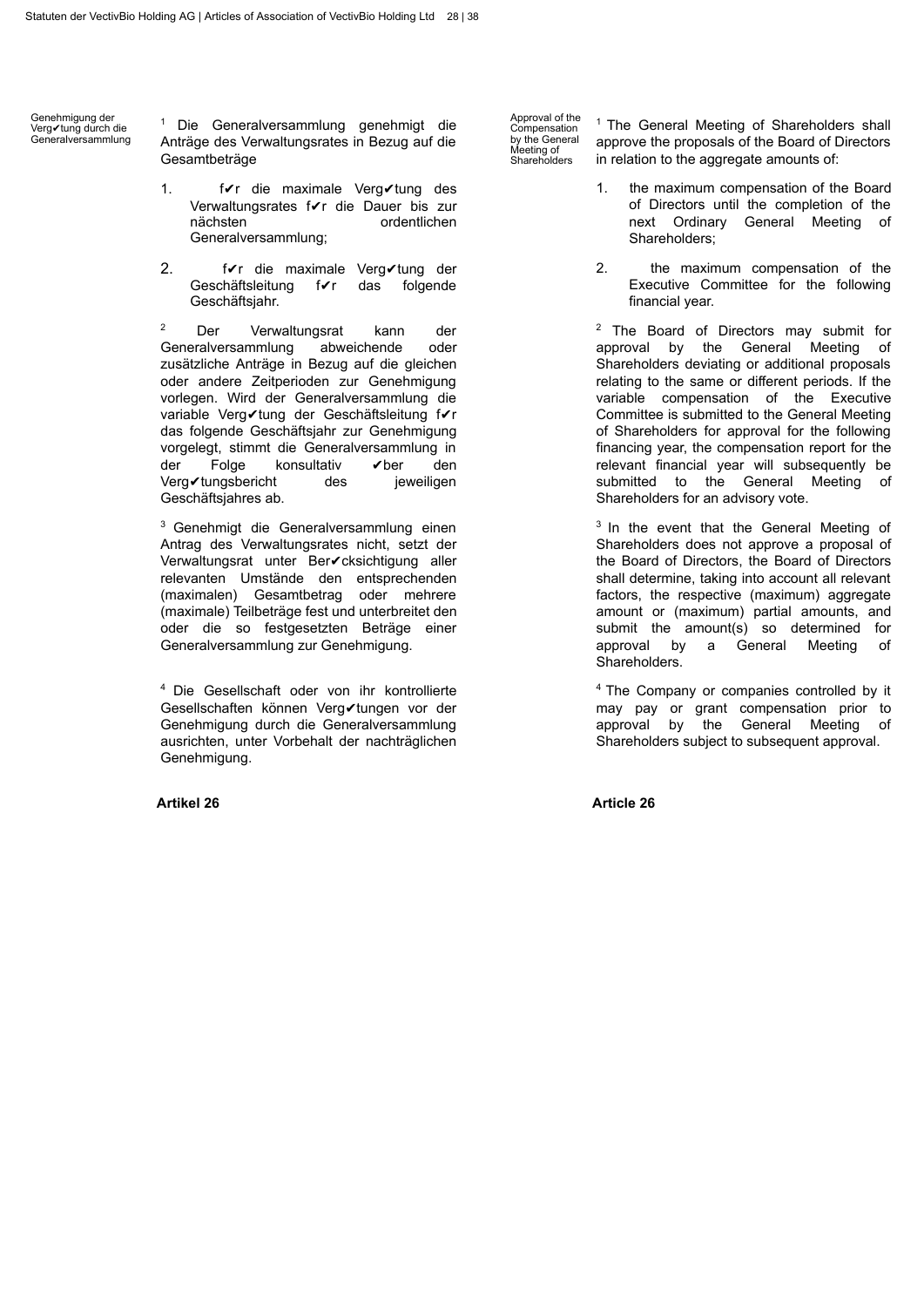Genehmigung der Verg✔tung durch die Generalversammlung

<sup>1</sup> Die Generalversammlung genehmigt die <sup>Approvaror me</sup> 1 Anträge des Verwaltungsrates in Bezug auf die Gesamtbeträge

- 1. f✔r die maximale Verg✔tung des Verwaltungsrates f✔r die Dauer bis zur nächsten ordentlichen Generalversammlung;
- 2. f✔r die maximale Verg✔tung der Geschäftsleitung f✔r das folgende Geschäftsjahr.

Der Verwaltungsrat kann der 2 2 Generalversammlung abweichende oder zusätzliche Anträge in Bezug auf die gleichen oder andere Zeitperioden zur Genehmigung vorlegen. Wird der Generalversammlung die variable Verg✔tung der Geschäftsleitung f✔r das folgende Geschäftsjahr zur Genehmigung vorgelegt, stimmt die Generalversammlung in der Folge konsultativ ✔ber den Verg✔tungsbericht des jeweiligen Geschäftsjahres ab.

<sup>3</sup> Genehmigt die Generalversammlung einen Antrag des Verwaltungsrates nicht, setzt der Verwaltungsrat unter Ber✔cksichtigung aller relevanten Umstände den entsprechenden (maximalen) Gesamtbetrag oder mehrere (maximale) Teilbeträge fest und unterbreitet den oder die so festgesetzten Beträge einer Generalversammlung zur Genehmigung.

<sup>4</sup> Die Gesellschaft oder von ihr kontrollierte Gesellschaften können Verg✔tungen vor der Genehmigung durch die Generalversammlung ausrichten, unter Vorbehalt der nachträglichen Genehmigung.

**Artikel 26 Article 26**

Approval of the Compensation by the General Meeting of Shareholders

 $1$  The General Meeting of Shareholders shall approve the proposals of the Board of Directors in relation to the aggregate amounts of:

- 1. the maximum compensation of the Board of Directors until the completion of the next Ordinary General Meeting of Shareholders;
- 2. the maximum compensation of the Executive Committee for the following financial year.

<sup>2</sup> The Board of Directors may submit for approval by the General Meeting of Shareholders deviating or additional proposals relating to the same or different periods. If the variable compensation of the Executive Committee is submitted to the General Meeting of Shareholders for approval for the following financing year, the compensation report for the relevant financial year will subsequently be submitted to the General Meeting of Shareholders for an advisory vote.

 $3$  In the event that the General Meeting of Shareholders does not approve a proposal of the Board of Directors, the Board of Directors shall determine, taking into account all relevant factors, the respective (maximum) aggregate amount or (maximum) partial amounts, and submit the amount(s) so determined for<br>approval by a General Meeting of a General Meeting of Shareholders.

<sup>4</sup> The Company or companies controlled by it may pay or grant compensation prior to approval by the General Meeting of Shareholders subject to subsequent approval.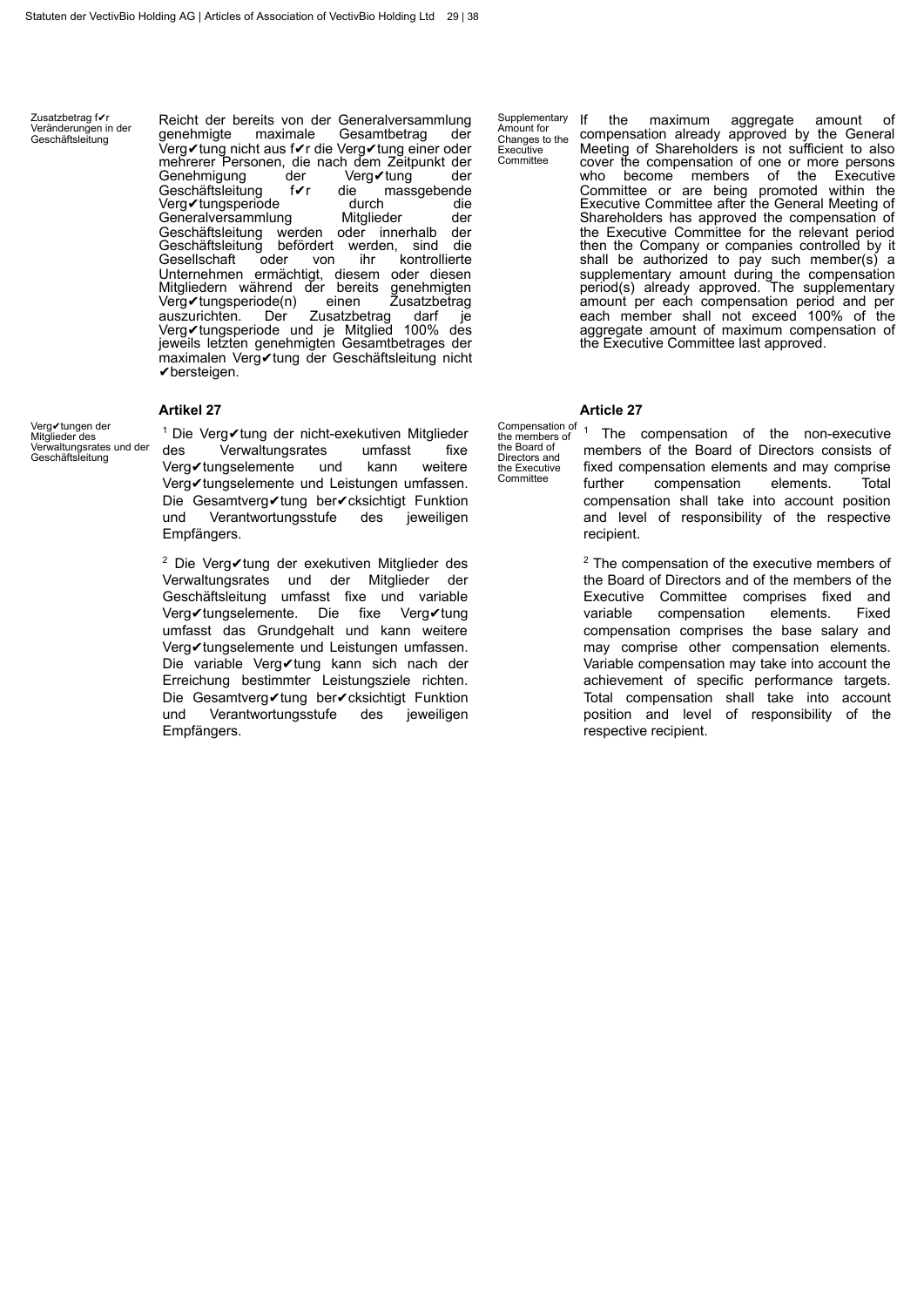Zusatzbetrag f√r Veränderungen in der Geschäftsleitung Reicht der bereits von der Generalversammlung<br>genehmigte maximale Gesamtbetrag der Gesamtbetrag der Verg✔tung nicht aus f✔r die Verg✔tung einer oder mehrerer Personen, die nach dem Zeitpunkt der<br>Genehmigung der Verg⁄tung der Genehmigung Geschäftsleitung f**∕r** die massgebende<br>Verg**∕**tungsperiode durch die Verg✔tungsperiode durch odie<br>Generalversammlung Mitglieder der Generalversammlung Geschäftsleitung werden oder innerhalb der<br>Geschäftsleitung befördert werden, sind die Geschäftsleitung befördert werden, sind die Gesellschaft Unternehmen ermächtigt, diesem oder diesen Mitgliedern während der bereits genehmigten Verg✔tungsperiode(n) einen Zusatzbetrag auszurichten. Der Zusatzbetrag darf je Verg✔tungsperiode und je Mitglied 100% des jeweils letzten genehmigten Gesamtbetrages der maximalen Verg✔tung der Geschäftsleitung nicht ✔bersteigen.

Verg✔tungen der Mitglieder des Verwaltungsrates und der Geschäftsleitung

<sup>1</sup> Die Verg∕tung der nicht-exekutiven Mitglieder beinen under som the members of des Verwaltungsrates umfasst fixe Verg✔tungselemente und kann weitere Verg✔tungselemente und Leistungen umfassen. Die Gesamtverg✔tung ber✔cksichtigt Funktion und Verantwortungsstufe des jeweiligen Empfängers.

<sup>2</sup> Die Verg✔tung der exekutiven Mitglieder des  $12$ Verwaltungsrates und der Mitglieder der Geschäftsleitung umfasst fixe und variable Verg✔tungselemente. Die fixe Verg✔tung umfasst das Grundgehalt und kann weitere Verg✔tungselemente und Leistungen umfassen. Die variable Verg✔tung kann sich nach der Erreichung bestimmter Leistungsziele richten. Die Gesamtverg✔tung ber✔cksichtigt Funktion und Verantwortungsstufe des jeweiligen Empfängers.

**Supplementary** Amount for Changes to the **Executive Committee** 

If the maximum aggregate amount of compensation already approved by the General Meeting of Shareholders is not sufficient to also cover the compensation of one or more persons<br>who become members of the Executive become members of the Committee or are being promoted within the Executive Committee after the General Meeting of Shareholders has approved the compensation of the Executive Committee for the relevant period then the Company or companies controlled by it shall be authorized to pay such member(s) a supplementary amount during the compensation period(s) already approved. The supplementary amount per each compensation period and per each member shall not exceed 100% of the aggregate amount of maximum compensation of the Executive Committee last approved.

### **Artikel 27 Article 27**

Compensation of the members of the Board of Directors and the Executive Committee

The compensation of the non-executive members of the Board of Directors consists of fixed compensation elements and may comprise further compensation elements. Total compensation shall take into account position and level of responsibility of the respective recipient.

 $2$  The compensation of the executive members of the Board of Directors and of the members of the Executive Committee comprises fixed and variable compensation elements. Fixed compensation comprises the base salary and may comprise other compensation elements. Variable compensation may take into account the achievement of specific performance targets. Total compensation shall take into account position and level of responsibility of the respective recipient.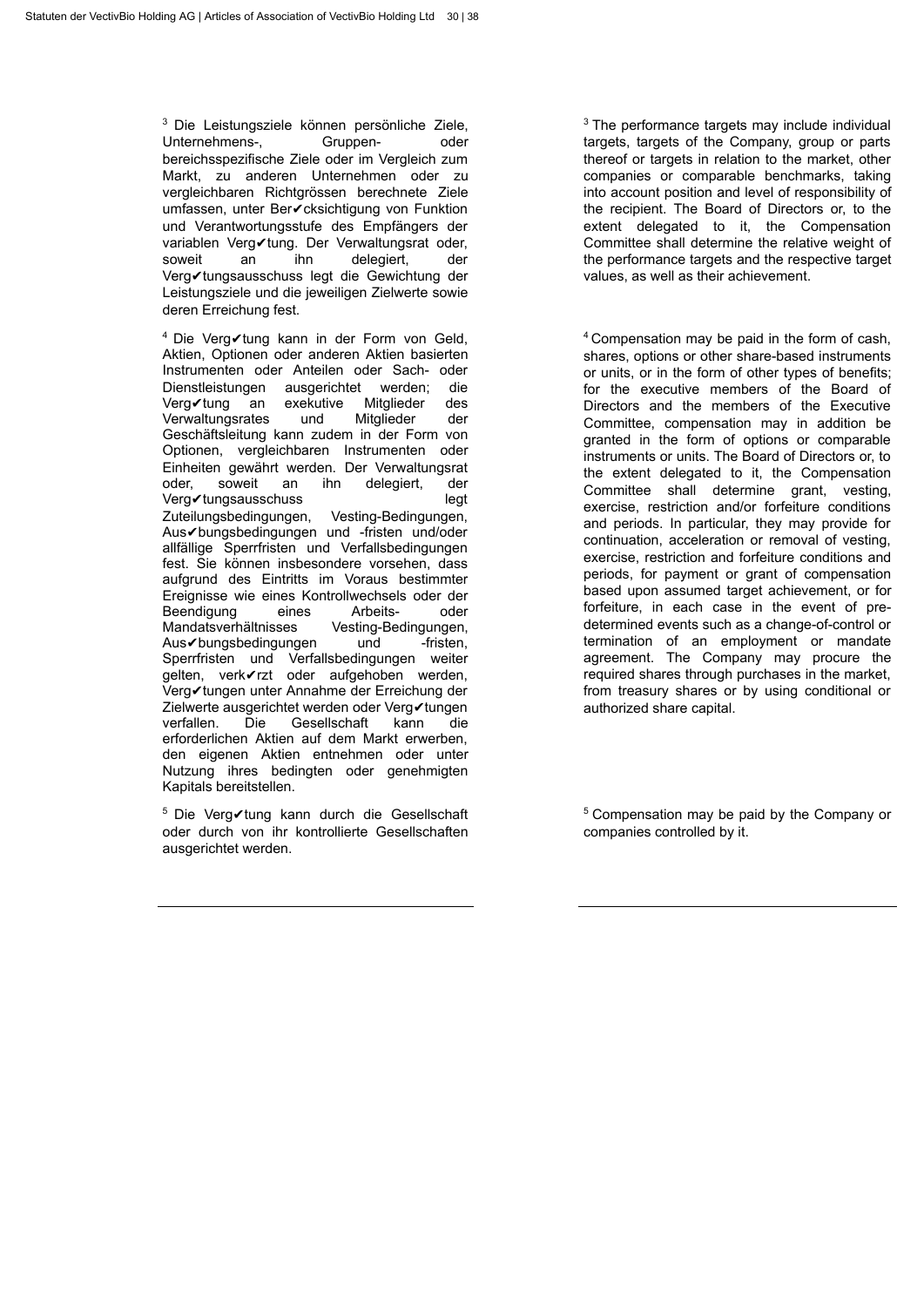$3$  Die Leistungsziele können persönliche Ziele,  $3\overline{3}$ Unternehmens-, Gruppen- oder bereichsspezifische Ziele oder im Vergleich zum Markt, zu anderen Unternehmen oder zu vergleichbaren Richtgrössen berechnete Ziele umfassen, unter Ber✔cksichtigung von Funktion und Verantwortungsstufe des Empfängers der variablen Verg✔tung. Der Verwaltungsrat oder, soweit an ihn delegiert, der Verg✔tungsausschuss legt die Gewichtung der Leistungsziele und die jeweiligen Zielwerte sowie deren Erreichung fest.

<sup>4</sup> Die Verg✔tung kann in der Form von Geld, 44 Aktien, Optionen oder anderen Aktien basierten Instrumenten oder Anteilen oder Sach- oder Dienstleistungen ausgerichtet werden; die Verg✔tung an exekutive Mitglieder des<br>Verwaltungsrates und Mitglieder der Verwaltungsrates Geschäftsleitung kann zudem in der Form von Optionen, vergleichbaren Instrumenten oder Einheiten gewährt werden. Der Verwaltungsrat<br>oder, soweit an ihn delegiert, der oder, soweit an ihn delegiert, der Verg✔tungsausschuss legt Zuteilungsbedingungen, Vesting-Bedingungen, Aus✔bungsbedingungen und -fristen und/oder allfällige Sperrfristen und Verfallsbedingungen fest. Sie können insbesondere vorsehen, dass aufgrund des Eintritts im Voraus bestimmter Ereignisse wie eines Kontrollwechsels oder der Beendigung eines Arbeits- oder<br>Mandatsverhältnisses Vesting-Bedingungen, Vesting-Bedingungen, Aus✔bungsbedingungen und -fristen, Sperrfristen und Verfallsbedingungen weiter gelten, verk✔rzt oder aufgehoben werden, Verg✔tungen unter Annahme der Erreichung der Zielwerte ausgerichtet werden oder Verg∕tungen<br>verfallen. Die Gesellschaft kann die Gesellschaft kann die erforderlichen Aktien auf dem Markt erwerben, den eigenen Aktien entnehmen oder unter Nutzung ihres bedingten oder genehmigten Kapitals bereitstellen.

<sup>5</sup> Die Verg✔tung kann durch die Gesellschaft betaan 5 oder durch von ihr kontrollierte Gesellschaften ausgerichtet werden.

 $3$  The performance targets may include individual targets, targets of the Company, group or parts thereof or targets in relation to the market, other companies or comparable benchmarks, taking into account position and level of responsibility of the recipient. The Board of Directors or, to the extent delegated to it, the Compensation Committee shall determine the relative weight of the performance targets and the respective target values, as well as their achievement.

Compensation may be paid in the form of cash, shares, options or other share-based instruments or units, or in the form of other types of benefits; for the executive members of the Board of Directors and the members of the Executive Committee, compensation may in addition be granted in the form of options or comparable instruments or units. The Board of Directors or, to the extent delegated to it, the Compensation Committee shall determine grant, vesting, exercise, restriction and/or forfeiture conditions and periods. In particular, they may provide for continuation, acceleration or removal of vesting, exercise, restriction and forfeiture conditions and periods, for payment or grant of compensation based upon assumed target achievement, or for forfeiture, in each case in the event of predetermined events such as a change-of-control or termination of an employment or mandate agreement. The Company may procure the required shares through purchases in the market, from treasury shares or by using conditional or authorized share capital.

<sup>5</sup> Compensation may be paid by the Company or companies controlled by it.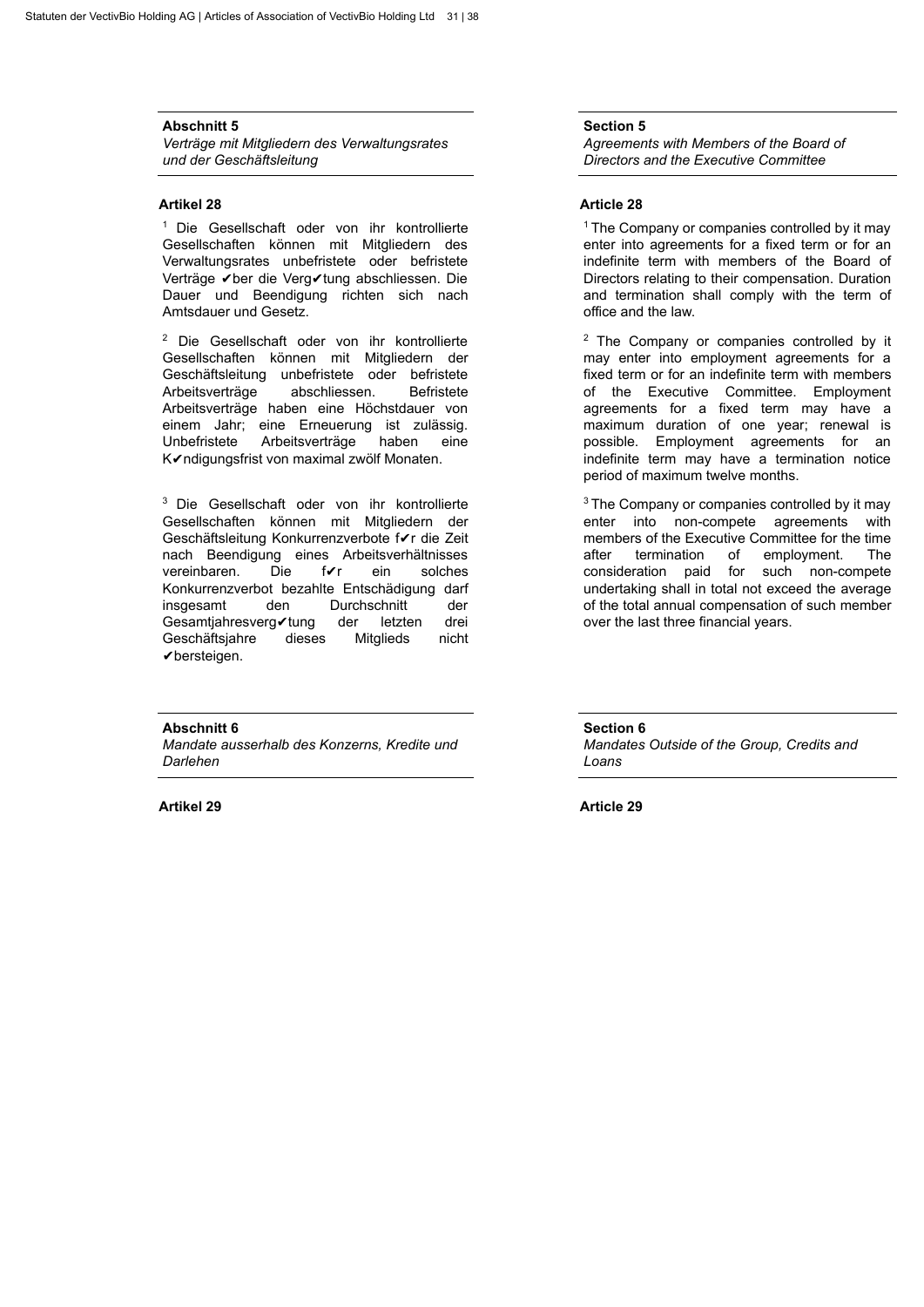### **Abschnitt 5**

*Verträge mit Mitgliedern des Verwaltungsrates und der Geschäftsleitung*

<sup>1</sup> Die Gesellschaft oder von ihr kontrollierte Gesellschaften können mit Mitgliedern des Verwaltungsrates unbefristete oder befristete Verträge ✔ber die Verg✔tung abschliessen. Die Dauer und Beendigung richten sich nach Amtsdauer und Gesetz.

 $2^2$  Die Gesellschaft oder von ihr kontrollierte  $2^2$ Gesellschaften können mit Mitgliedern der Geschäftsleitung unbefristete oder befristete Arbeitsverträge abschliessen. Befristete Arbeitsverträge haben eine Höchstdauer von einem Jahr; eine Erneuerung ist zulässig. Unbefristete Arbeitsverträge haben eine K✔ndigungsfrist von maximal zwölf Monaten.

 $3$  Die Gesellschaft oder von ihr kontrollierte  $3$ Gesellschaften können mit Mitgliedern der Geschäftsleitung Konkurrenzverbote f✔r die Zeit nach Beendigung eines Arbeitsverhältnisses vereinbaren. Die f✔r ein solches Konkurrenzverbot bezahlte Entschädigung darf insgesamt den Durchschnitt der Gesamtjahresverg✔tung der letzten drei<br>Geschäftsiahre dieses Mitdlieds nicht Geschäftsjahre dieses Mitglieds ✔bersteigen.

### **Abschnitt 6**

*Mandate ausserhalb des Konzerns, Kredite und Darlehen*

**Artikel 29 Article 29**

**Section 5**

*Agreements with Members of the Board of Directors and the Executive Committee*

### **Artikel 28 Article 28**

 $1$  The Company or companies controlled by it may enter into agreements for a fixed term or for an indefinite term with members of the Board of Directors relating to their compensation. Duration and termination shall comply with the term of office and the law.

<sup>2</sup> The Company or companies controlled by it may enter into employment agreements for a fixed term or for an indefinite term with members of the Executive Committee. Employment agreements for a fixed term may have a maximum duration of one year; renewal is possible. Employment agreements for an indefinite term may have a termination notice period of maximum twelve months.

 $3$  The Company or companies controlled by it may enter into non-compete agreements with members of the Executive Committee for the time<br>after the termination of employment. The after termination of employment. The consideration paid for such non-compete undertaking shall in total not exceed the average of the total annual compensation of such member over the last three financial years.

**Section 6** *Mandates Outside of the Group, Credits and Loans*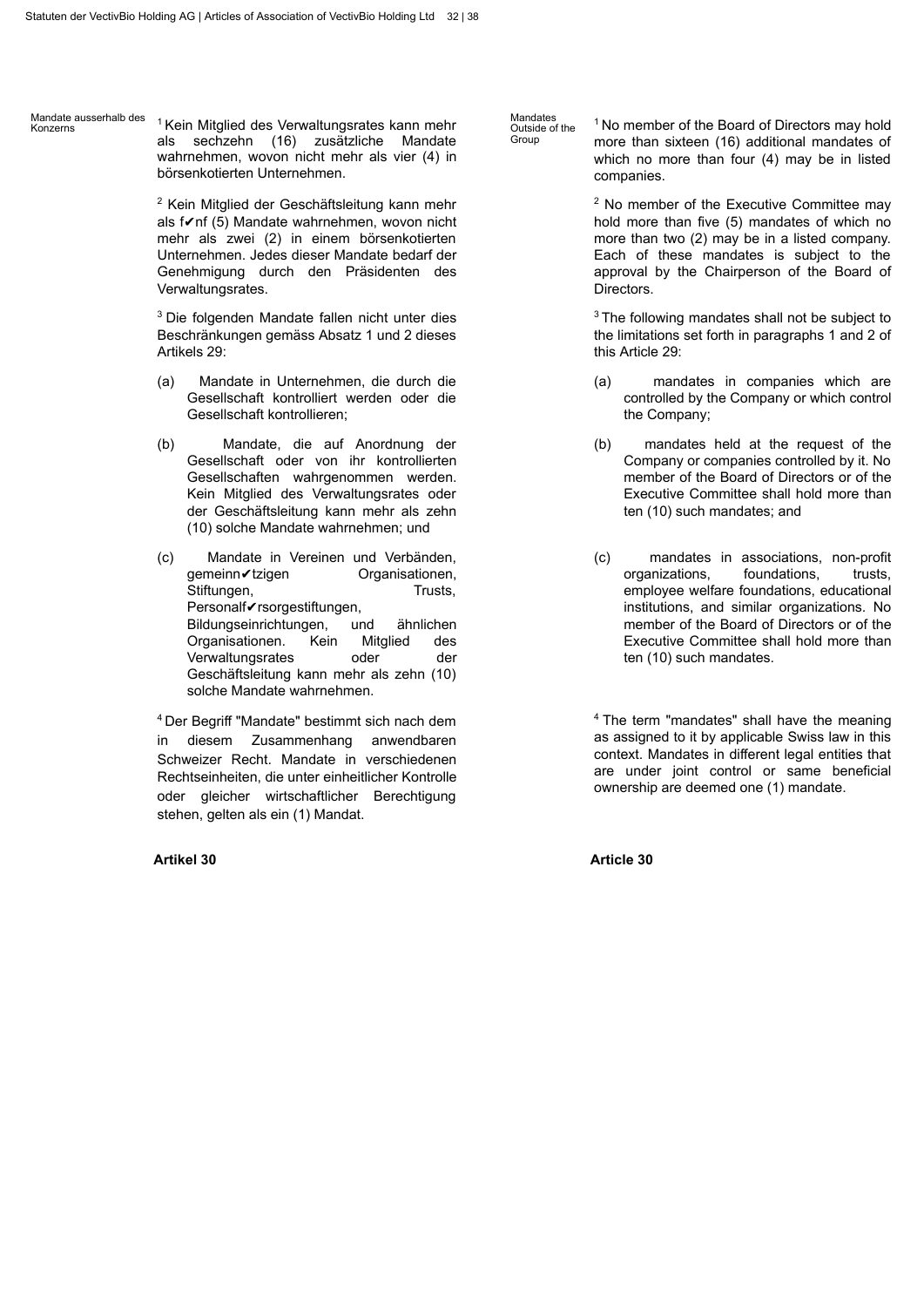Mandate ausserhalb des<br>Konzerns

Mandale aussernalb des 1 Kein Mitglied des Verwaltungsrates kann mehr Mandales blutside of the 1 als sechzehn (16) zusätzliche Mandate wahrnehmen, wovon nicht mehr als vier (4) in börsenkotierten Unternehmen.

> $2$  Kein Mitglied der Geschäftsleitung kann mehr als f✔nf (5) Mandate wahrnehmen, wovon nicht mehr als zwei (2) in einem börsenkotierten Unternehmen. Jedes dieser Mandate bedarf der Genehmigung durch den Präsidenten des Verwaltungsrates.

> $3$  Die folgenden Mandate fallen nicht unter dies Beschränkungen gemäss Absatz 1 und 2 dieses Artikels 29:

- (a) Mandate in Unternehmen, die durch die Gesellschaft kontrolliert werden oder die Gesellschaft kontrollieren;
- (b) Mandate, die auf Anordnung der Gesellschaft oder von ihr kontrollierten Gesellschaften wahrgenommen werden. Kein Mitglied des Verwaltungsrates oder der Geschäftsleitung kann mehr als zehn (10) solche Mandate wahrnehmen; und
- (c) Mandate in Vereinen und Verbänden, gemeinn✔tzigen Organisationen, Stiftungen, Trusts, Personalf✔rsorgestiftungen, Bildungseinrichtungen, und ähnlichen Organisationen. Kein Mitglied des Verwaltungsrates oder der Geschäftsleitung kann mehr als zehn (10) solche Mandate wahrnehmen.

Der Begriff "Mandate" bestimmt sich nach dem 4 4in diesem Zusammenhang anwendbaren Schweizer Recht. Mandate in verschiedenen Rechtseinheiten, die unter einheitlicher Kontrolle oder gleicher wirtschaftlicher Berechtigung stehen, gelten als ein (1) Mandat.

# **Artikel 30 Article 30**

Mandates Outside of the **Group** 

<sup>1</sup> No member of the Board of Directors may hold more than sixteen (16) additional mandates of which no more than four (4) may be in listed companies.

 $2$  No member of the Executive Committee may hold more than five (5) mandates of which no more than two (2) may be in a listed company. Each of these mandates is subject to the approval by the Chairperson of the Board of Directors.

 $3$  The following mandates shall not be subject to the limitations set forth in paragraphs 1 and 2 of this Article 29:

- (a) mandates in companies which are controlled by the Company or which control the Company;
- (b) mandates held at the request of the Company or companies controlled by it. No member of the Board of Directors or of the Executive Committee shall hold more than ten (10) such mandates; and
- (c) mandates in associations, non-profit organizations, foundations, trusts, employee welfare foundations, educational institutions, and similar organizations. No member of the Board of Directors or of the Executive Committee shall hold more than ten (10) such mandates.

<sup>4</sup> The term "mandates" shall have the meaning as assigned to it by applicable Swiss law in this context. Mandates in different legal entities that are under joint control or same beneficial ownership are deemed one (1) mandate.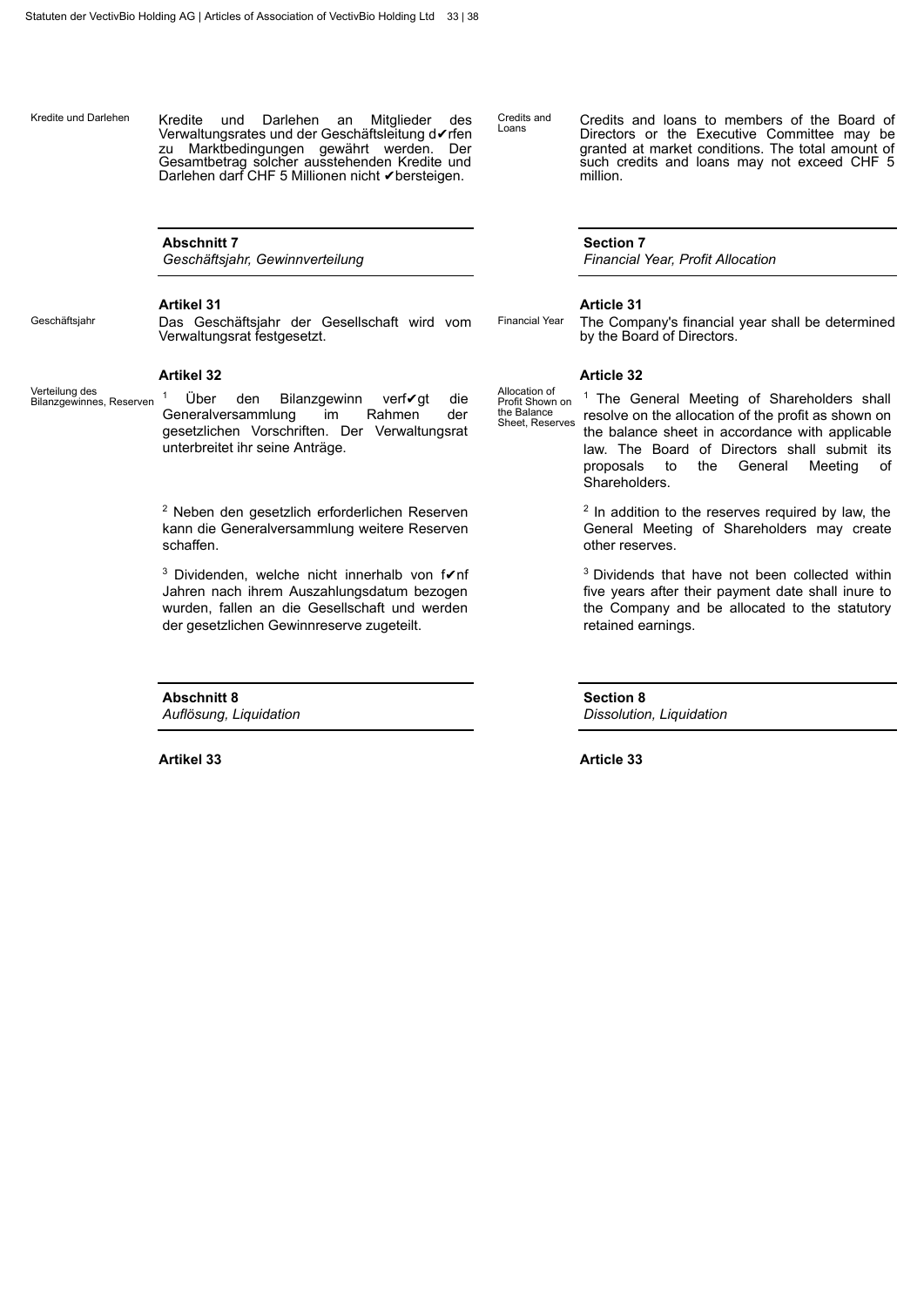Kredite und Darlehen Kredite und Darlehen an Mitglieder des Verwaltungsrates und der Geschäftsleitung d✔rfen zu Marktbedingungen gewährt werden. Der Gesamtbetrag solcher ausstehenden Kredite und Darlehen darf CHF 5 Millionen nicht ✔bersteigen.

**Abschnitt 7**

*Geschäftsjahr, Gewinnverteilung*

### **Artikel 31 Article 31**

Geschäftsjahr Das Geschäftsjahr der Gesellschaft wird vom Verwaltungsrat festgesetzt.

<sup>Verteilung des<br><sub>Bilanzgewinnes, Reserven</sub> 1 Über den Bilanzgewinn verf**√**gt die</sup> Generalversammlung im Rahmen der gesetzlichen Vorschriften. Der Verwaltungsrat unterbreitet ihr seine Anträge. <sup>1</sup> Über den Bilanzgewinn verfvgt die

> $2$  Neben den gesetzlich erforderlichen Reserven  $2$ kann die Generalversammlung weitere Reserven schaffen.

> $3$  Dividenden, welche nicht innerhalb von f $\blacktriangledown$ nf  $3$ Jahren nach ihrem Auszahlungsdatum bezogen wurden, fallen an die Gesellschaft und werden der gesetzlichen Gewinnreserve zugeteilt.

**Abschnitt 8** *Auflösung, Liquidation*

**Artikel 33 Article 33**

Credits and<br>Loans

Allocation of

Credits and Credits and loans to members of the Board of Loans<br>Loans do Directors or the Executive Committee may be granted at market conditions. The total amount of such credits and loans may not exceed CHF 5 million.

### **Section 7**

*Financial Year, Profit Allocation*

Financial Year The Company's financial year shall be determined by the Board of Directors.

### **Artikel 32 Article 32**

Profit Shown on the Balance Sheet, Reserves <sup>1</sup> The General Meeting of Shareholders shall resolve on the allocation of the profit as shown on the balance sheet in accordance with applicable law. The Board of Directors shall submit its proposals to the General Meeting of Shareholders.

> $2$  In addition to the reserves required by law, the General Meeting of Shareholders may create other reserves.

> <sup>3</sup> Dividends that have not been collected within five years after their payment date shall inure to the Company and be allocated to the statutory retained earnings.

**Section 8** *Dissolution, Liquidation*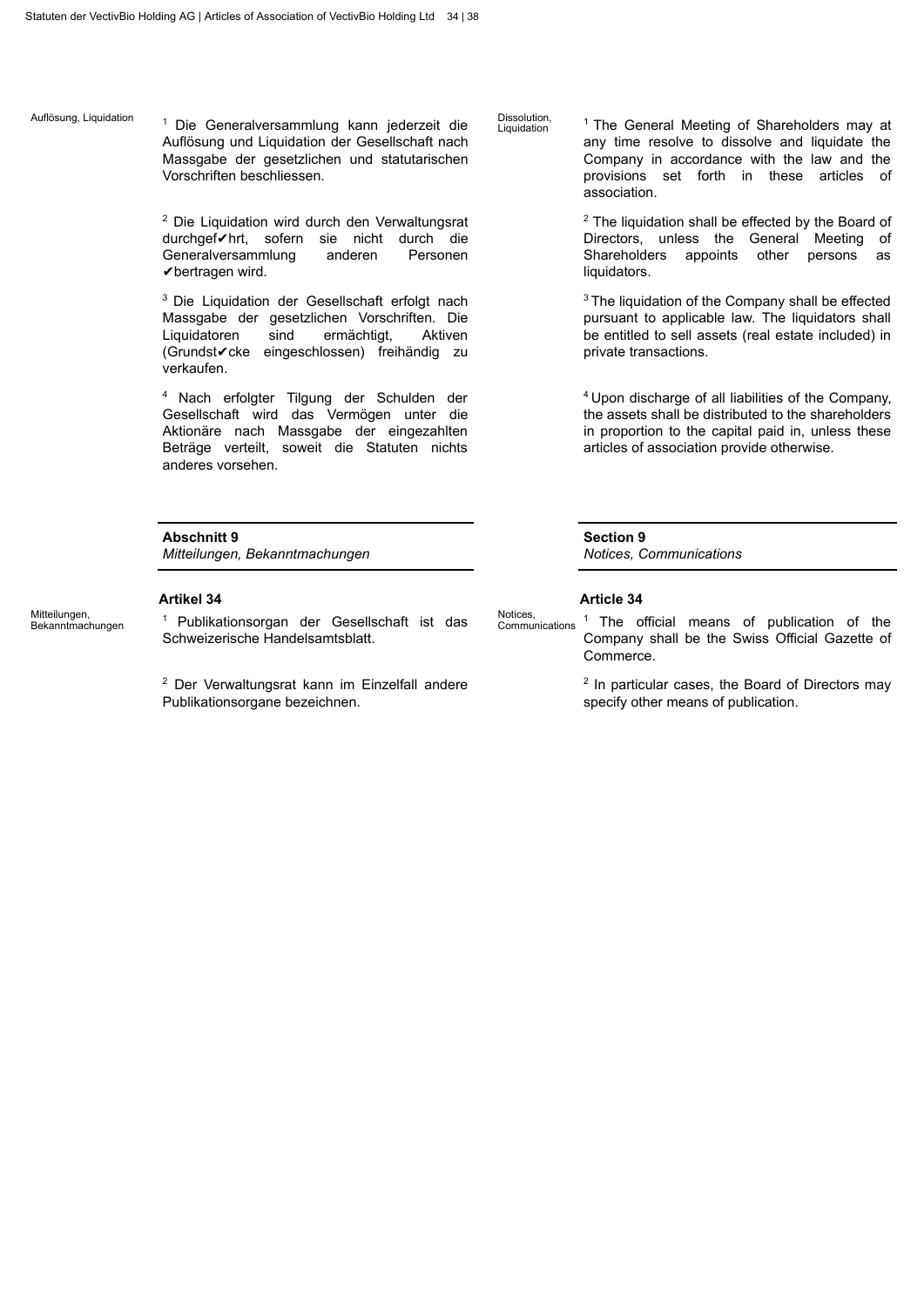Auflösung, Liquidation 1 Die Generalversammlung kann jederzeit die Dissolution, 1 Auflösung und Liquidation der Gesellschaft nach Massgabe der gesetzlichen und statutarischen Vorschriften beschliessen.

> $2$  Die Liquidation wird durch den Verwaltungsrat durchgef✔hrt, sofern sie nicht durch die Generalversammlung anderen Personen ✔bertragen wird.

> $3$  Die Liquidation der Gesellschaft erfolgt nach  $3$ Massgabe der gesetzlichen Vorschriften. Die Liquidatoren sind ermächtigt, Aktiven (Grundst✔cke eingeschlossen) freihändig zu verkaufen.

> <sup>4</sup> Nach erfolgter Tilgung der Schulden der Gesellschaft wird das Vermögen unter die Aktionäre nach Massgabe der eingezahlten Beträge verteilt, soweit die Statuten nichts anderes vorsehen.

# **Abschnitt 9**

*Mitteilungen, Bekanntmachungen*

Mitteilungen,<br>Bekanntmachungen

<sup>Millemungen,</sup> Publikationsorgan der Gesellschaft ist das <sup>Nouces,</sup> 1986 Schweizerische Handelsamtsblatt.

> $2$  Der Verwaltungsrat kann im Einzelfall andere Publikationsorgane bezeichnen.

Dissolution,<br>Liquidation

<sup>1</sup> The General Meeting of Shareholders may at any time resolve to dissolve and liquidate the Company in accordance with the law and the provisions set forth in these articles of association.

 $2$  The liquidation shall be effected by the Board of Directors, unless the General Meeting of Shareholders appoints other persons as liquidators.

 $3$  The liquidation of the Company shall be effected pursuant to applicable law. The liquidators shall be entitled to sell assets (real estate included) in private transactions.

Upon discharge of all liabilities of the Company, the assets shall be distributed to the shareholders in proportion to the capital paid in, unless these articles of association provide otherwise.

**Section 9** *Notices, Communications*

# **Artikel 34 Article 34**

Notices,<br>Communications  $1$  The official means of publication of the Company shall be the Swiss Official Gazette of Commerce.

> $2$  In particular cases, the Board of Directors may specify other means of publication.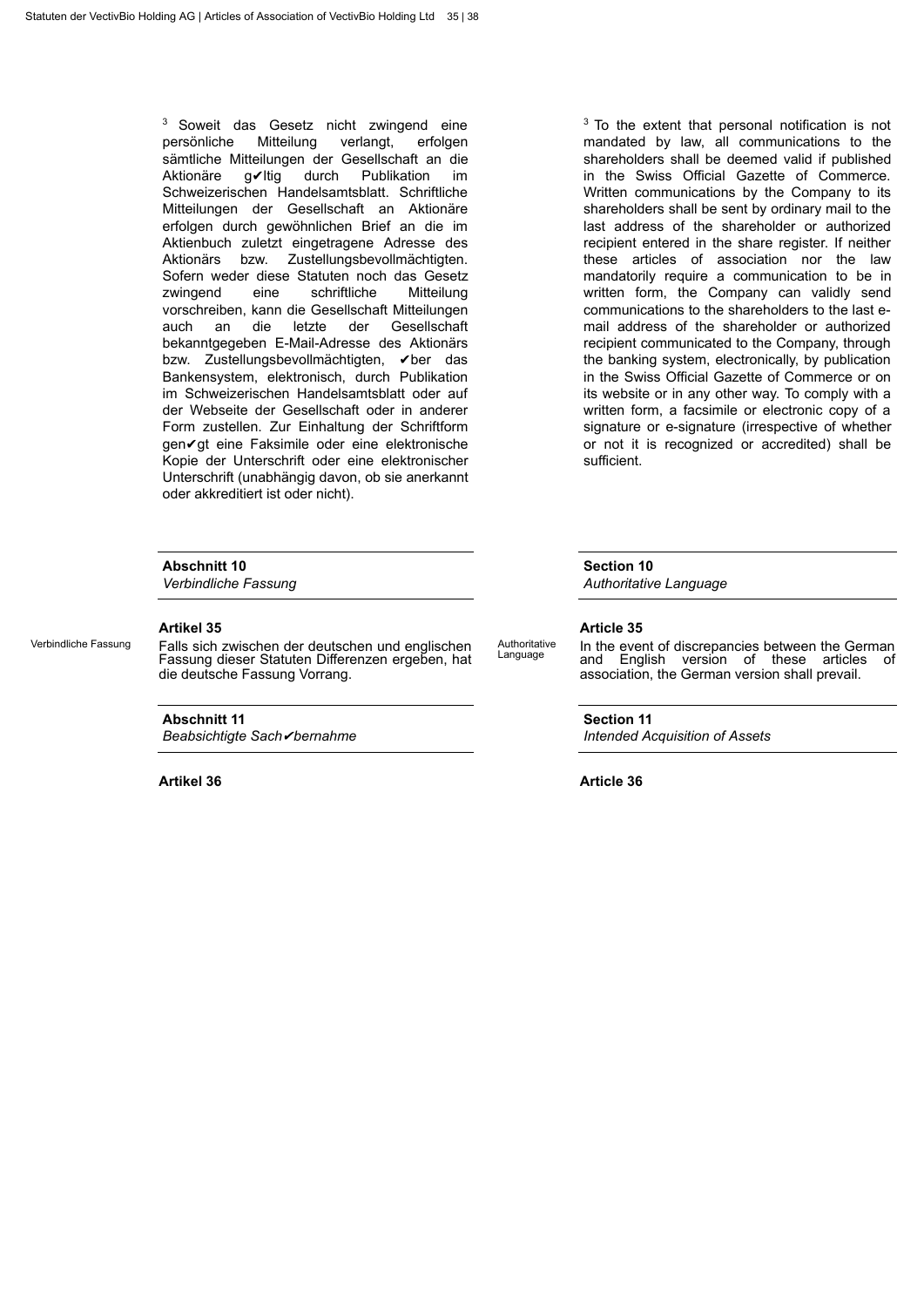$3$  Soweit das Gesetz nicht zwingend eine  $3$ persönliche Mitteilung verlangt, erfolgen sämtliche Mitteilungen der Gesellschaft an die<br>Aktionäre g⁄ltig durch Publikation im Aktionäre g✔ltig durch Publikation im Schweizerischen Handelsamtsblatt. Schriftliche Mitteilungen der Gesellschaft an Aktionäre erfolgen durch gewöhnlichen Brief an die im Aktienbuch zuletzt eingetragene Adresse des Aktionärs bzw. Zustellungsbevollmächtigten. Sofern weder diese Statuten noch das Gesetz zwingend eine schriftliche Mitteilung vorschreiben, kann die Gesellschaft Mitteilungen auch an die letzte der Gesellschaft bekanntgegeben E-Mail-Adresse des Aktionärs bzw. Zustellungsbevollmächtigten, ✔ber das Bankensystem, elektronisch, durch Publikation im Schweizerischen Handelsamtsblatt oder auf der Webseite der Gesellschaft oder in anderer Form zustellen. Zur Einhaltung der Schriftform gen✔gt eine Faksimile oder eine elektronische Kopie der Unterschrift oder eine elektronischer Unterschrift (unabhängig davon, ob sie anerkannt oder akkreditiert ist oder nicht).

# **Abschnitt 10**

*Verbindliche Fassung*

# **Artikel 35 Article 35**

Verbindliche Fassung Falls sich zwischen der deutschen und englischen Fassung dieser Statuten Differenzen ergeben, hat die deutsche Fassung Vorrang.

# **Abschnitt 11**

*Beabsichtigte Sach*✔*bernahme*

**Artikel 36 Article 36**

 $3$  To the extent that personal notification is not mandated by law, all communications to the shareholders shall be deemed valid if published in the Swiss Official Gazette of Commerce. Written communications by the Company to its shareholders shall be sent by ordinary mail to the last address of the shareholder or authorized recipient entered in the share register. If neither these articles of association nor the law mandatorily require a communication to be in written form, the Company can validly send communications to the shareholders to the last email address of the shareholder or authorized recipient communicated to the Company, through the banking system, electronically, by publication in the Swiss Official Gazette of Commerce or on its website or in any other way. To comply with a written form, a facsimile or electronic copy of a signature or e-signature (irrespective of whether or not it is recognized or accredited) shall be sufficient.

# **Section 10**

*Authoritative Language*

Authoritative<br>Language

In the event of discrepancies between the German<br>and Fnglish version of these articles of and English version of these articles association, the German version shall prevail.

**Section 11**

*Intended Acquisition of Assets*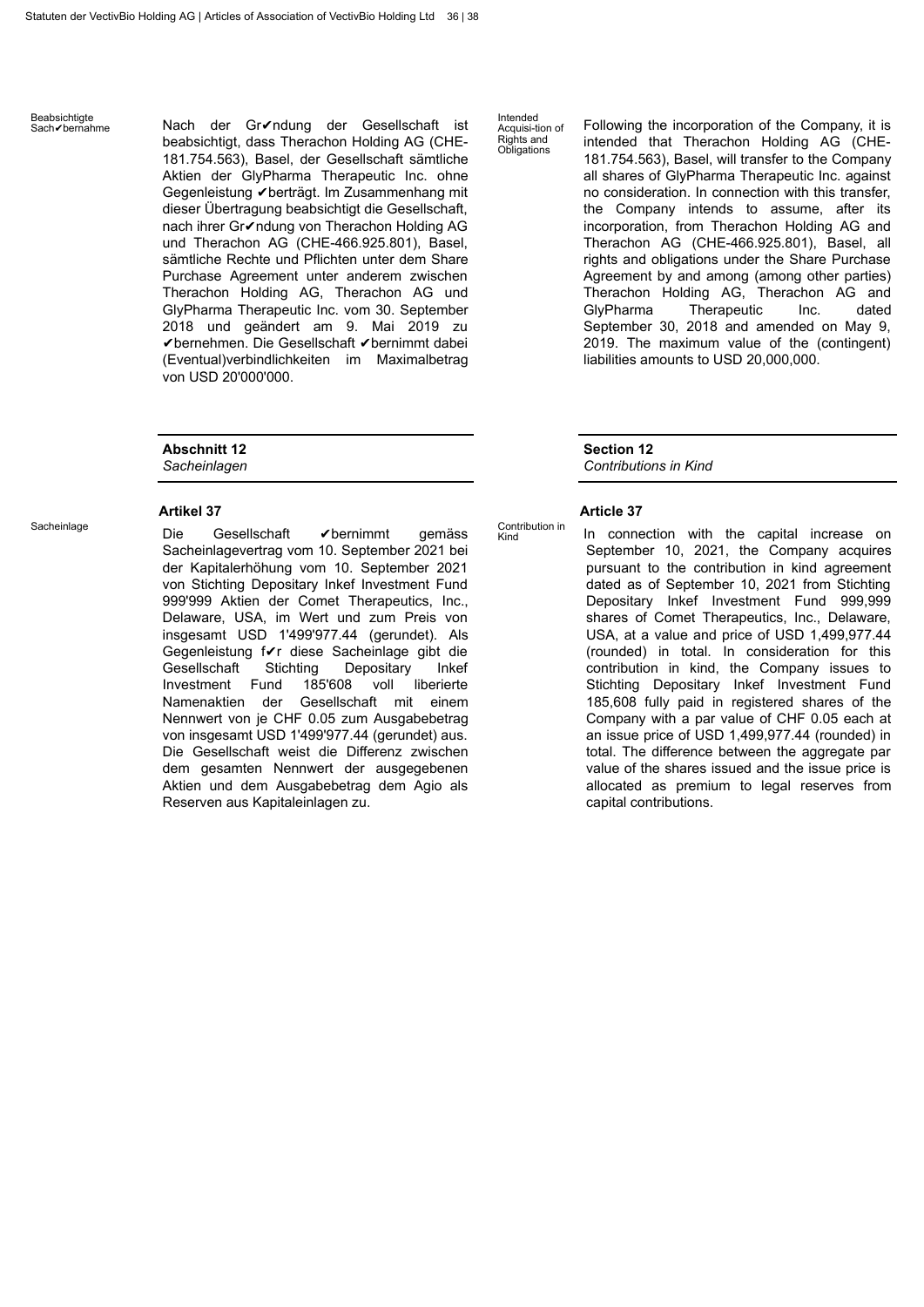Beabsichtigte<br>Sach∕bernahme

Nach der Gr√ndung der Gesellschaft ist beabsichtigt, dass Therachon Holding AG (CHE-181.754.563), Basel, der Gesellschaft sämtliche Aktien der GlyPharma Therapeutic Inc. ohne Gegenleistung ✔berträgt. Im Zusammenhang mit dieser Übertragung beabsichtigt die Gesellschaft, nach ihrer Gr✔ndung von Therachon Holding AG und Therachon AG (CHE-466.925.801), Basel, sämtliche Rechte und Pflichten unter dem Share Purchase Agreement unter anderem zwischen Therachon Holding AG, Therachon AG und GlyPharma Therapeutic Inc. vom 30. September 2018 und geändert am 9. Mai 2019 zu ✔bernehmen. Die Gesellschaft ✔bernimmt dabei (Eventual)verbindlichkeiten im Maximalbetrag von USD 20'000'000.

# **Abschnitt 12**

*Sacheinlagen*

Sacheinlage Die Gesellschaft ✔bernimmt gemäss Sacheinlagevertrag vom 10. September 2021 bei der Kapitalerhöhung vom 10. September 2021 von Stichting Depositary Inkef Investment Fund 999'999 Aktien der Comet Therapeutics, Inc., Delaware, USA, im Wert und zum Preis von insgesamt USD 1'499'977.44 (gerundet). Als Gegenleistung f✔r diese Sacheinlage gibt die Gesellschaft Stichting Depositary Inkef Investment Fund 185'608 voll liberierte Namenaktien der Gesellschaft mit einem Nennwert von je CHF 0.05 zum Ausgabebetrag von insgesamt USD 1'499'977.44 (gerundet) aus. Die Gesellschaft weist die Differenz zwischen dem gesamten Nennwert der ausgegebenen Aktien und dem Ausgabebetrag dem Agio als Reserven aus Kapitaleinlagen zu.

Acquisi-tion of Rights and **Obligations** 

Intended

Following the incorporation of the Company, it is intended that Therachon Holding AG (CHE-181.754.563), Basel, will transfer to the Company all shares of GlyPharma Therapeutic Inc. against no consideration. In connection with this transfer, the Company intends to assume, after its incorporation, from Therachon Holding AG and Therachon AG (CHE-466.925.801), Basel, all rights and obligations under the Share Purchase Agreement by and among (among other parties) Therachon Holding AG, Therachon AG and GlyPharma Therapeutic Inc. dated September 30, 2018 and amended on May 9, 2019. The maximum value of the (contingent) liabilities amounts to USD 20,000,000.

**Section 12**

*Contributions in Kind*

# **Artikel 37 Article 37**

Contribution in<br>Kind

In connection with the capital increase on September 10, 2021, the Company acquires pursuant to the contribution in kind agreement dated as of September 10, 2021 from Stichting Depositary Inkef Investment Fund 999,999 shares of Comet Therapeutics, Inc., Delaware, USA, at a value and price of USD 1,499,977.44 (rounded) in total. In consideration for this contribution in kind, the Company issues to Stichting Depositary Inkef Investment Fund 185,608 fully paid in registered shares of the Company with a par value of CHF 0.05 each at an issue price of USD 1,499,977.44 (rounded) in total. The difference between the aggregate par value of the shares issued and the issue price is allocated as premium to legal reserves from capital contributions.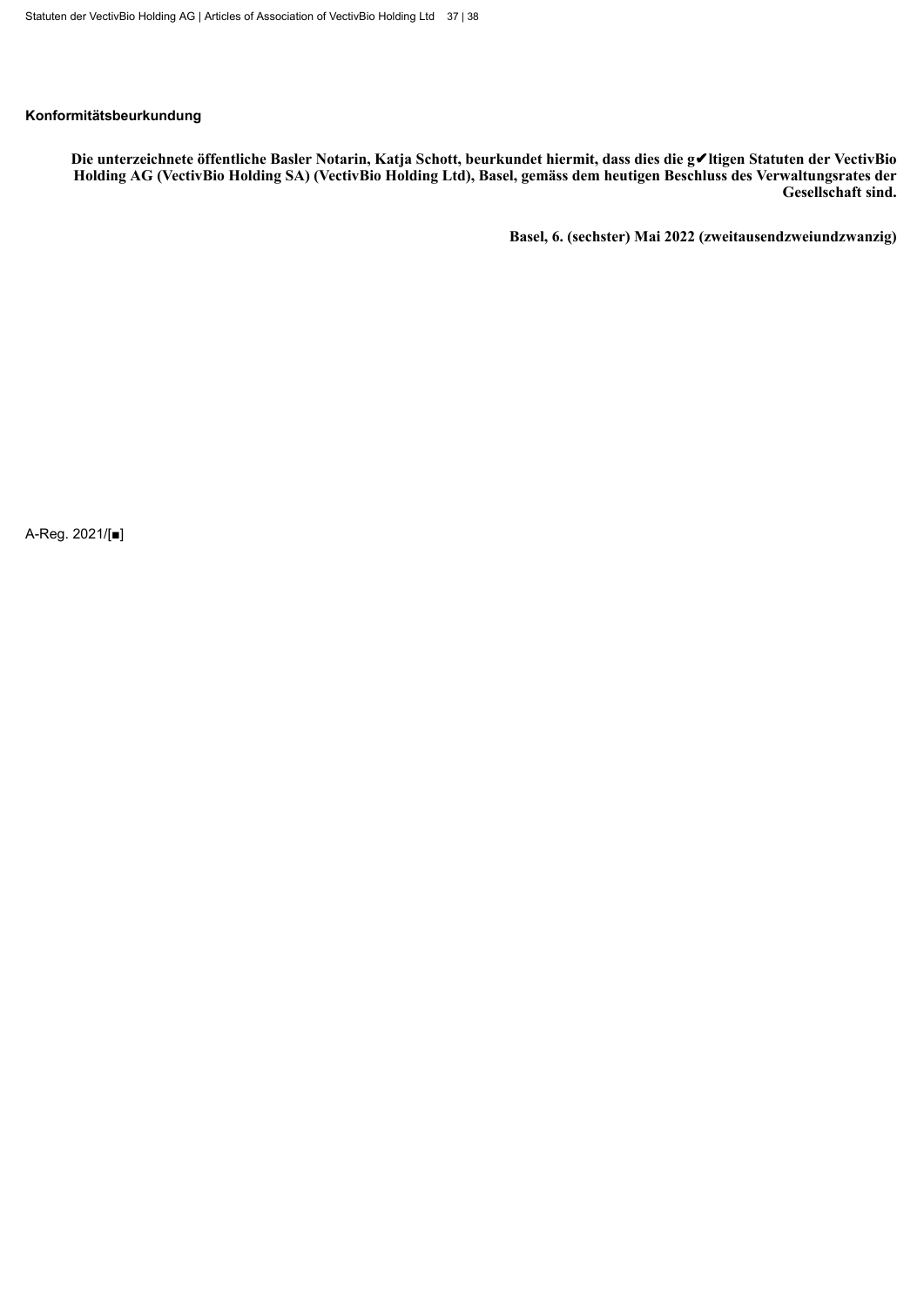# **Konformitätsbeurkundung**

Die unterzeichnete öffentliche Basler Notarin, Katja Schott, beurkundet hiermit, dass dies die g√ltigen Statuten der VectivBio Holding AG (VectivBio Holding SA) (VectivBio Holding Ltd), Basel, gemäss dem heutigen Beschluss des Verwaltungsrates der **Gesellschaft sind.**

**Basel, 6. (sechster) Mai 2022 (zweitausendzweiundzwanzig)**

A-Reg. 2021/[■]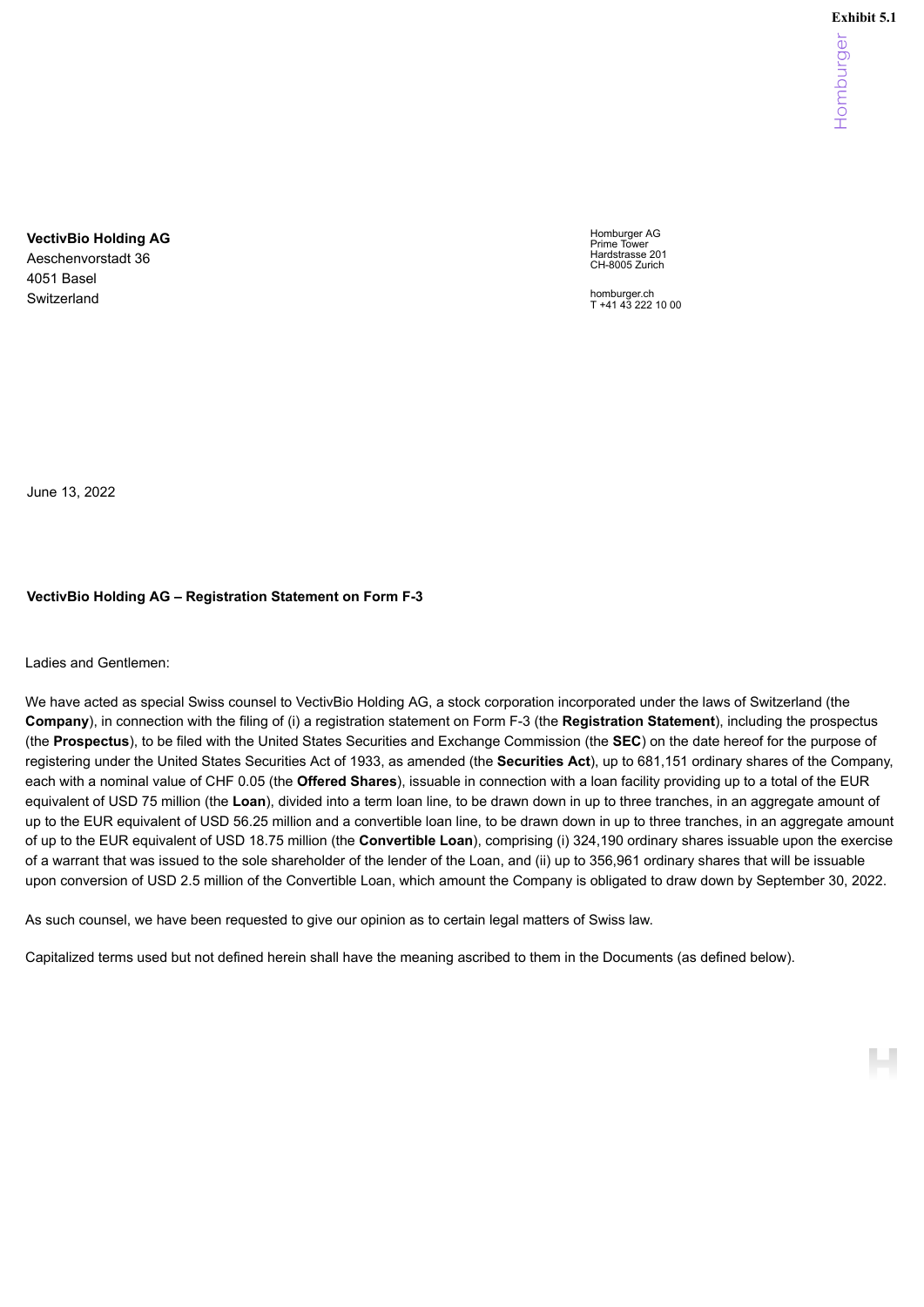Homburger

**VectivBio Holding AG** Aeschenvorstadt 36

4051 Basel Switzerland

Homburger AG Prime Tower Hardstrasse 201 CH-8005 Zurich

homburger.ch T +41 43 222 10 00

June 13, 2022

# **VectivBio Holding AG – Registration Statement on Form F-3**

Ladies and Gentlemen:

We have acted as special Swiss counsel to VectivBio Holding AG, a stock corporation incorporated under the laws of Switzerland (the **Company**), in connection with the filing of (i) a registration statement on Form F-3 (the **Registration Statement**), including the prospectus (the **Prospectus**), to be filed with the United States Securities and Exchange Commission (the **SEC**) on the date hereof for the purpose of registering under the United States Securities Act of 1933, as amended (the **Securities Act**), up to 681,151 ordinary shares of the Company, each with a nominal value of CHF 0.05 (the **Offered Shares**), issuable in connection with a loan facility providing up to a total of the EUR equivalent of USD 75 million (the **Loan**), divided into a term loan line, to be drawn down in up to three tranches, in an aggregate amount of up to the EUR equivalent of USD 56.25 million and a convertible loan line, to be drawn down in up to three tranches, in an aggregate amount of up to the EUR equivalent of USD 18.75 million (the **Convertible Loan**), comprising (i) 324,190 ordinary shares issuable upon the exercise of a warrant that was issued to the sole shareholder of the lender of the Loan, and (ii) up to 356,961 ordinary shares that will be issuable upon conversion of USD 2.5 million of the Convertible Loan, which amount the Company is obligated to draw down by September 30, 2022.

As such counsel, we have been requested to give our opinion as to certain legal matters of Swiss law.

Capitalized terms used but not defined herein shall have the meaning ascribed to them in the Documents (as defined below).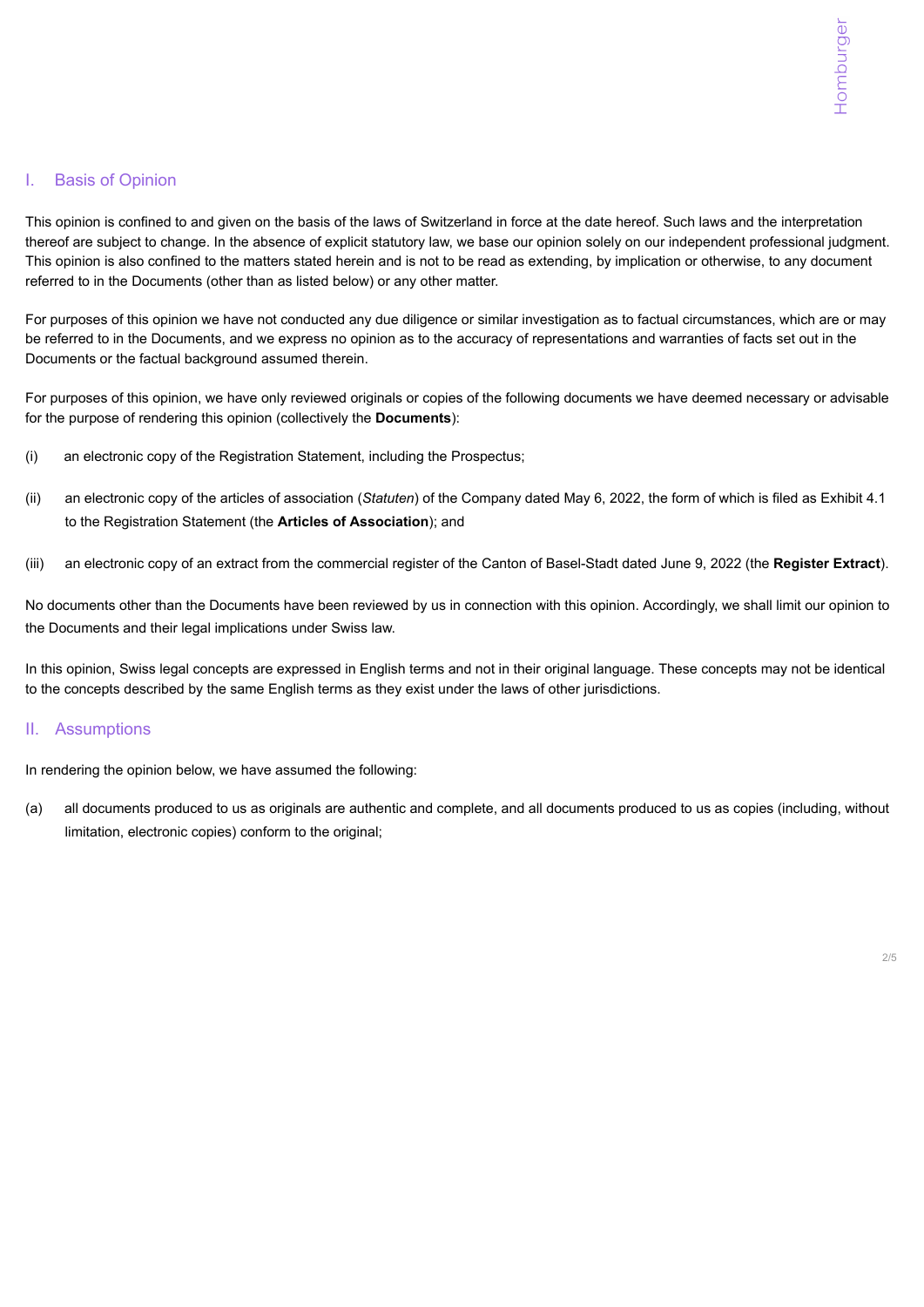# I. Basis of Opinion

This opinion is confined to and given on the basis of the laws of Switzerland in force at the date hereof. Such laws and the interpretation thereof are subject to change. In the absence of explicit statutory law, we base our opinion solely on our independent professional judgment. This opinion is also confined to the matters stated herein and is not to be read as extending, by implication or otherwise, to any document referred to in the Documents (other than as listed below) or any other matter.

For purposes of this opinion we have not conducted any due diligence or similar investigation as to factual circumstances, which are or may be referred to in the Documents, and we express no opinion as to the accuracy of representations and warranties of facts set out in the Documents or the factual background assumed therein.

For purposes of this opinion, we have only reviewed originals or copies of the following documents we have deemed necessary or advisable for the purpose of rendering this opinion (collectively the **Documents**):

- (i) an electronic copy of the Registration Statement, including the Prospectus;
- (ii) an electronic copy of the articles of association (*Statuten*) of the Company dated May 6, 2022, the form of which is filed as Exhibit 4.1 to the Registration Statement (the **Articles of Association**); and
- (iii) an electronic copy of an extract from the commercial register of the Canton of Basel-Stadt dated June 9, 2022 (the **Register Extract**).

No documents other than the Documents have been reviewed by us in connection with this opinion. Accordingly, we shall limit our opinion to the Documents and their legal implications under Swiss law.

In this opinion, Swiss legal concepts are expressed in English terms and not in their original language. These concepts may not be identical to the concepts described by the same English terms as they exist under the laws of other jurisdictions.

# II. Assumptions

In rendering the opinion below, we have assumed the following:

(a) all documents produced to us as originals are authentic and complete, and all documents produced to us as copies (including, without limitation, electronic copies) conform to the original;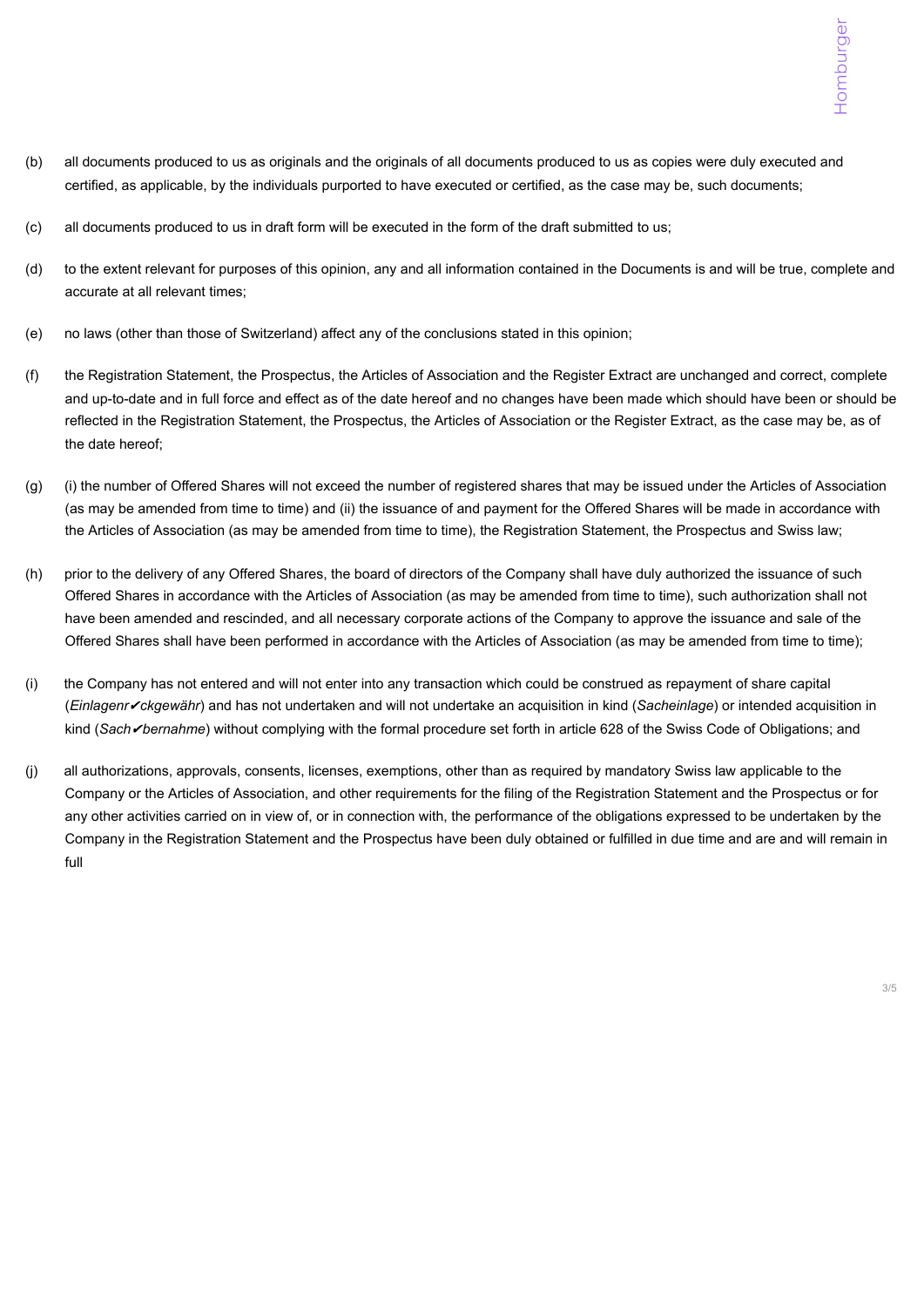- (b) all documents produced to us as originals and the originals of all documents produced to us as copies were duly executed and certified, as applicable, by the individuals purported to have executed or certified, as the case may be, such documents;
- (c) all documents produced to us in draft form will be executed in the form of the draft submitted to us;
- (d) to the extent relevant for purposes of this opinion, any and all information contained in the Documents is and will be true, complete and accurate at all relevant times;
- (e) no laws (other than those of Switzerland) affect any of the conclusions stated in this opinion;
- (f) the Registration Statement, the Prospectus, the Articles of Association and the Register Extract are unchanged and correct, complete and up-to-date and in full force and effect as of the date hereof and no changes have been made which should have been or should be reflected in the Registration Statement, the Prospectus, the Articles of Association or the Register Extract, as the case may be, as of the date hereof;
- (g) (i) the number of Offered Shares will not exceed the number of registered shares that may be issued under the Articles of Association (as may be amended from time to time) and (ii) the issuance of and payment for the Offered Shares will be made in accordance with the Articles of Association (as may be amended from time to time), the Registration Statement, the Prospectus and Swiss law;
- (h) prior to the delivery of any Offered Shares, the board of directors of the Company shall have duly authorized the issuance of such Offered Shares in accordance with the Articles of Association (as may be amended from time to time), such authorization shall not have been amended and rescinded, and all necessary corporate actions of the Company to approve the issuance and sale of the Offered Shares shall have been performed in accordance with the Articles of Association (as may be amended from time to time);
- (i) the Company has not entered and will not enter into any transaction which could be construed as repayment of share capital (*Einlagenr*✔*ckgewähr*) and has not undertaken and will not undertake an acquisition in kind (*Sacheinlage*) or intended acquisition in kind (*Sach*✔*bernahme*) without complying with the formal procedure set forth in article 628 of the Swiss Code of Obligations; and
- (j) all authorizations, approvals, consents, licenses, exemptions, other than as required by mandatory Swiss law applicable to the Company or the Articles of Association, and other requirements for the filing of the Registration Statement and the Prospectus or for any other activities carried on in view of, or in connection with, the performance of the obligations expressed to be undertaken by the Company in the Registration Statement and the Prospectus have been duly obtained or fulfilled in due time and are and will remain in full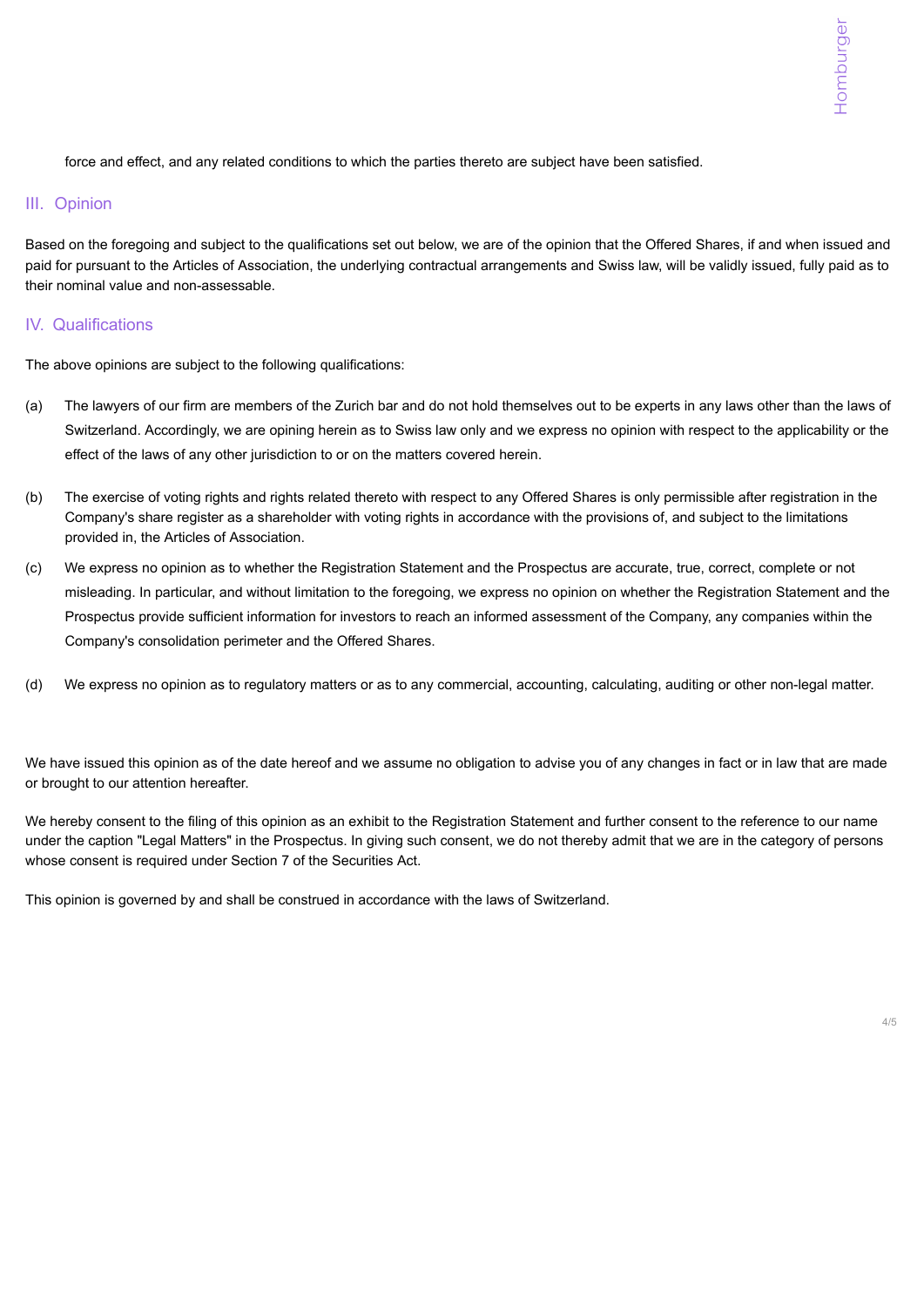force and effect, and any related conditions to which the parties thereto are subject have been satisfied.

# III. Opinion

Based on the foregoing and subject to the qualifications set out below, we are of the opinion that the Offered Shares, if and when issued and paid for pursuant to the Articles of Association, the underlying contractual arrangements and Swiss law, will be validly issued, fully paid as to their nominal value and non-assessable.

# IV. Qualifications

The above opinions are subject to the following qualifications:

- (a) The lawyers of our firm are members of the Zurich bar and do not hold themselves out to be experts in any laws other than the laws of Switzerland. Accordingly, we are opining herein as to Swiss law only and we express no opinion with respect to the applicability or the effect of the laws of any other jurisdiction to or on the matters covered herein.
- (b) The exercise of voting rights and rights related thereto with respect to any Offered Shares is only permissible after registration in the Company's share register as a shareholder with voting rights in accordance with the provisions of, and subject to the limitations provided in, the Articles of Association.
- (c) We express no opinion as to whether the Registration Statement and the Prospectus are accurate, true, correct, complete or not misleading. In particular, and without limitation to the foregoing, we express no opinion on whether the Registration Statement and the Prospectus provide sufficient information for investors to reach an informed assessment of the Company, any companies within the Company's consolidation perimeter and the Offered Shares.
- (d) We express no opinion as to regulatory matters or as to any commercial, accounting, calculating, auditing or other non-legal matter.

We have issued this opinion as of the date hereof and we assume no obligation to advise you of any changes in fact or in law that are made or brought to our attention hereafter.

We hereby consent to the filing of this opinion as an exhibit to the Registration Statement and further consent to the reference to our name under the caption "Legal Matters" in the Prospectus. In giving such consent, we do not thereby admit that we are in the category of persons whose consent is required under Section 7 of the Securities Act.

This opinion is governed by and shall be construed in accordance with the laws of Switzerland.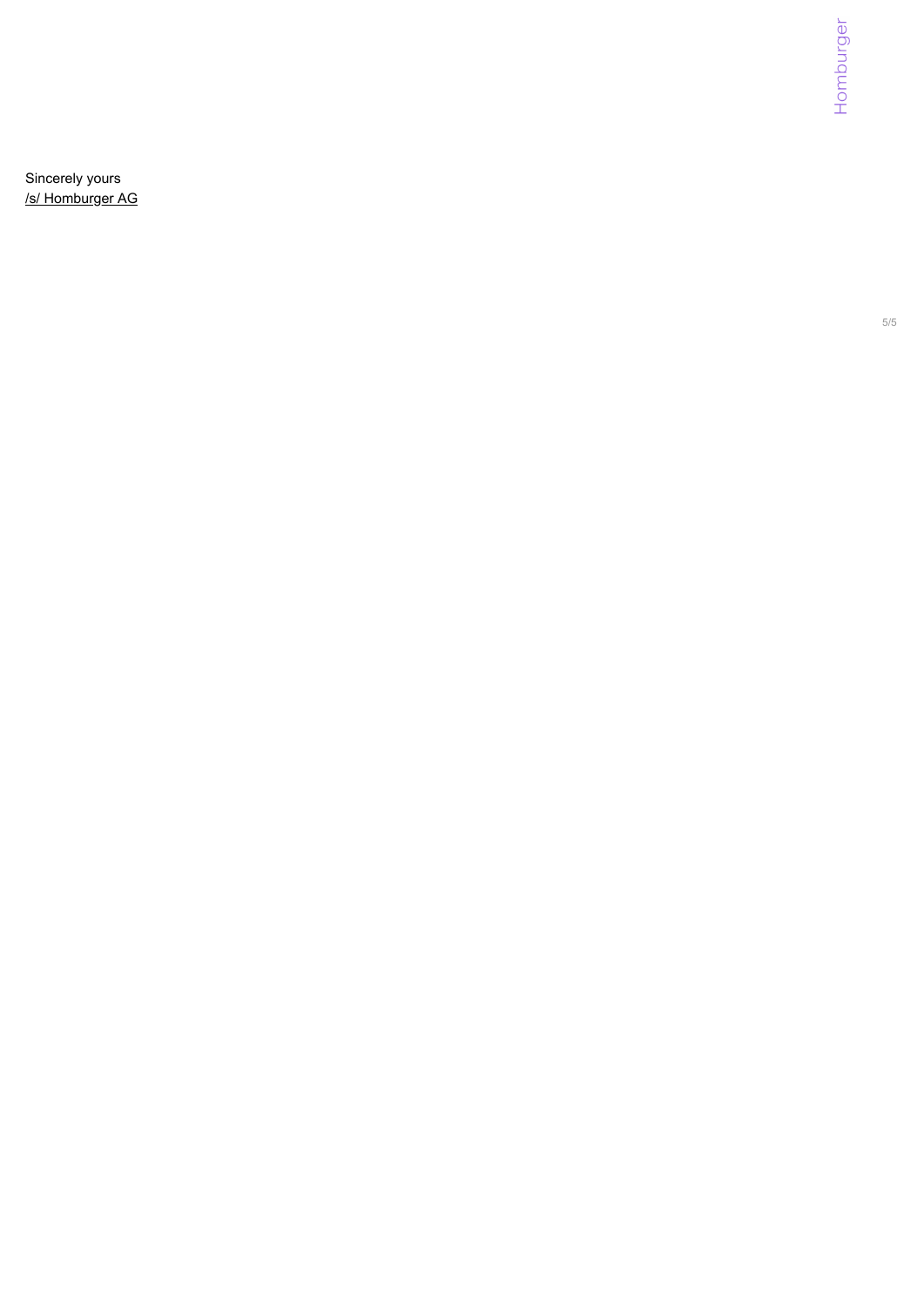Sincerely yours /s/ Homburger AG